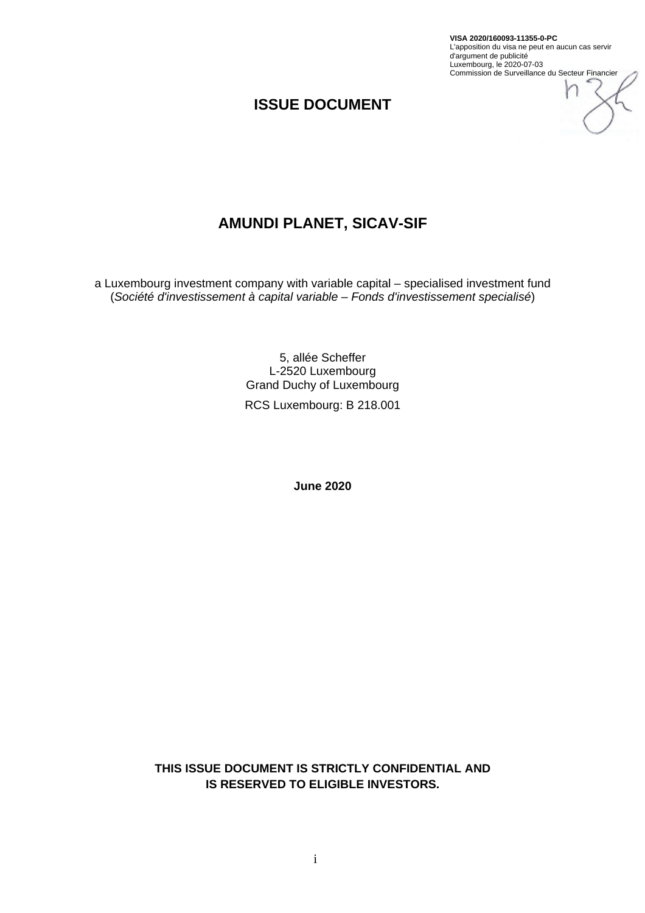**VISA 2020/160093-11355-0-PC** L'apposition du visa ne peut en aucun cas servir d'argument de publicité Luxembourg, le 2020-07-03 Commission de Surveillance du Secteur Financier

## **ISSUE DOCUMENT**

# **AMUNDI PLANET, SICAV-SIF**

a Luxembourg investment company with variable capital – specialised investment fund (*Société d'investissement à capital variable – Fonds d'investissement specialisé*)

> 5, allée Scheffer L-2520 Luxembourg Grand Duchy of Luxembourg RCS Luxembourg: B 218.001

> > **June 2020**

**THIS ISSUE DOCUMENT IS STRICTLY CONFIDENTIAL AND IS RESERVED TO ELIGIBLE INVESTORS.**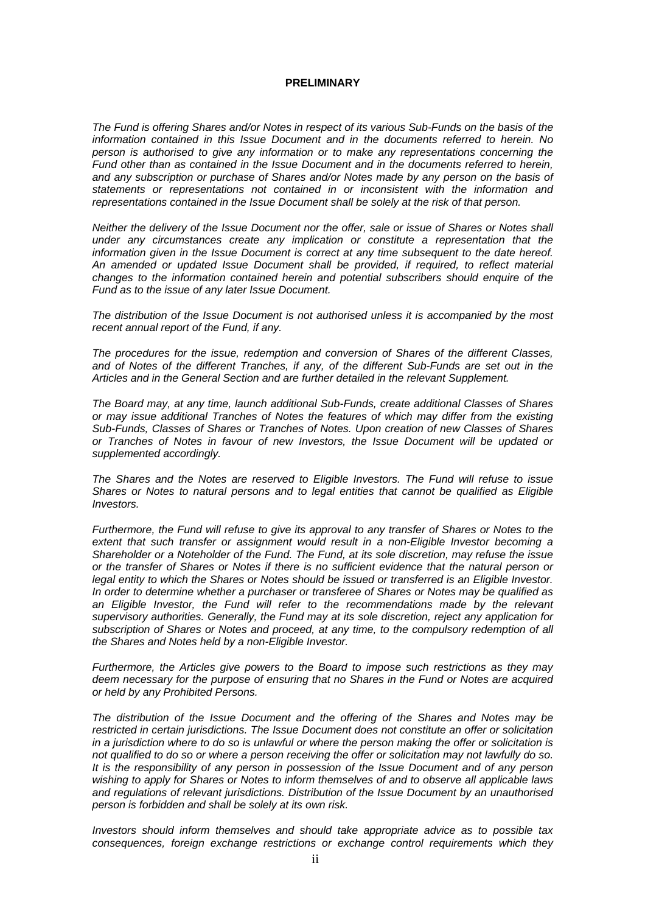#### **PRELIMINARY**

*The Fund is offering Shares and/or Notes in respect of its various Sub-Funds on the basis of the information contained in this Issue Document and in the documents referred to herein. No person is authorised to give any information or to make any representations concerning the Fund other than as contained in the Issue Document and in the documents referred to herein, and any subscription or purchase of Shares and/or Notes made by any person on the basis of statements or representations not contained in or inconsistent with the information and representations contained in the Issue Document shall be solely at the risk of that person.* 

*Neither the delivery of the Issue Document nor the offer, sale or issue of Shares or Notes shall under any circumstances create any implication or constitute a representation that the information given in the Issue Document is correct at any time subsequent to the date hereof. An amended or updated Issue Document shall be provided, if required, to reflect material changes to the information contained herein and potential subscribers should enquire of the Fund as to the issue of any later Issue Document.* 

*The distribution of the Issue Document is not authorised unless it is accompanied by the most recent annual report of the Fund, if any.* 

*The procedures for the issue, redemption and conversion of Shares of the different Classes, and of Notes of the different Tranches, if any, of the different Sub-Funds are set out in the Articles and in the General Section and are further detailed in the relevant Supplement.* 

*The Board may, at any time, launch additional Sub-Funds, create additional Classes of Shares or may issue additional Tranches of Notes the features of which may differ from the existing Sub-Funds, Classes of Shares or Tranches of Notes. Upon creation of new Classes of Shares or Tranches of Notes in favour of new Investors, the Issue Document will be updated or supplemented accordingly.* 

*The Shares and the Notes are reserved to Eligible Investors. The Fund will refuse to issue Shares or Notes to natural persons and to legal entities that cannot be qualified as Eligible Investors.* 

*Furthermore, the Fund will refuse to give its approval to any transfer of Shares or Notes to the extent that such transfer or assignment would result in a non-Eligible Investor becoming a Shareholder or a Noteholder of the Fund. The Fund, at its sole discretion, may refuse the issue or the transfer of Shares or Notes if there is no sufficient evidence that the natural person or legal entity to which the Shares or Notes should be issued or transferred is an Eligible Investor. In order to determine whether a purchaser or transferee of Shares or Notes may be qualified as*  an Eligible Investor, the Fund will refer to the recommendations made by the relevant *supervisory authorities. Generally, the Fund may at its sole discretion, reject any application for subscription of Shares or Notes and proceed, at any time, to the compulsory redemption of all the Shares and Notes held by a non-Eligible Investor.* 

*Furthermore, the Articles give powers to the Board to impose such restrictions as they may deem necessary for the purpose of ensuring that no Shares in the Fund or Notes are acquired or held by any Prohibited Persons.* 

*The distribution of the Issue Document and the offering of the Shares and Notes may be restricted in certain jurisdictions. The Issue Document does not constitute an offer or solicitation in a jurisdiction where to do so is unlawful or where the person making the offer or solicitation is not qualified to do so or where a person receiving the offer or solicitation may not lawfully do so. It is the responsibility of any person in possession of the Issue Document and of any person wishing to apply for Shares or Notes to inform themselves of and to observe all applicable laws and regulations of relevant jurisdictions. Distribution of the Issue Document by an unauthorised person is forbidden and shall be solely at its own risk.* 

*Investors should inform themselves and should take appropriate advice as to possible tax consequences, foreign exchange restrictions or exchange control requirements which they*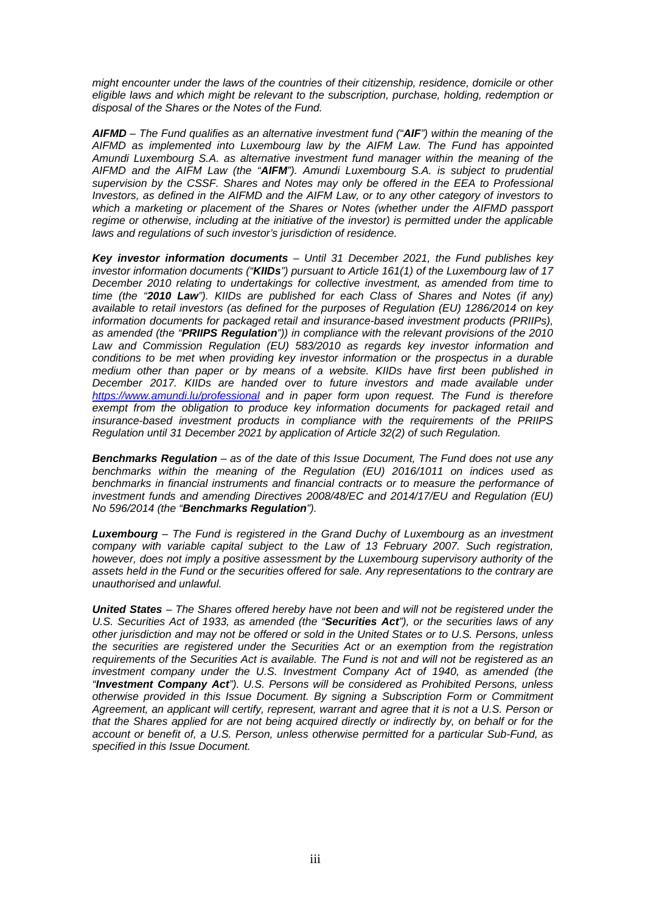*might encounter under the laws of the countries of their citizenship, residence, domicile or other eligible laws and which might be relevant to the subscription, purchase, holding, redemption or disposal of the Shares or the Notes of the Fund.* 

*AIFMD – The Fund qualifies as an alternative investment fund ("AIF") within the meaning of the AIFMD as implemented into Luxembourg law by the AIFM Law. The Fund has appointed Amundi Luxembourg S.A. as alternative investment fund manager within the meaning of the AIFMD and the AIFM Law (the "AIFM"). Amundi Luxembourg S.A. is subject to prudential supervision by the CSSF. Shares and Notes may only be offered in the EEA to Professional Investors, as defined in the AIFMD and the AIFM Law, or to any other category of investors to which a marketing or placement of the Shares or Notes (whether under the AIFMD passport regime or otherwise, including at the initiative of the investor) is permitted under the applicable laws and regulations of such investor's jurisdiction of residence.* 

*Key investor information documents – Until 31 December 2021, the Fund publishes key investor information documents ("KIIDs") pursuant to Article 161(1) of the Luxembourg law of 17 December 2010 relating to undertakings for collective investment, as amended from time to time (the "2010 Law"). KIIDs are published for each Class of Shares and Notes (if any) available to retail investors (as defined for the purposes of Regulation (EU) 1286/2014 on key information documents for packaged retail and insurance-based investment products (PRIIPs), as amended (the "PRIIPS Regulation")) in compliance with the relevant provisions of the 2010 Law and Commission Regulation (EU) 583/2010 as regards key investor information and conditions to be met when providing key investor information or the prospectus in a durable medium other than paper or by means of a website. KIIDs have first been published in December 2017. KIIDs are handed over to future investors and made available under https://www.amundi.lu/professional and in paper form upon request. The Fund is therefore exempt from the obligation to produce key information documents for packaged retail and insurance-based investment products in compliance with the requirements of the PRIIPS Regulation until 31 December 2021 by application of Article 32(2) of such Regulation.* 

*Benchmarks Regulation – as of the date of this Issue Document, The Fund does not use any benchmarks within the meaning of the Regulation (EU) 2016/1011 on indices used as benchmarks in financial instruments and financial contracts or to measure the performance of investment funds and amending Directives 2008/48/EC and 2014/17/EU and Regulation (EU) No 596/2014 (the "Benchmarks Regulation").* 

*Luxembourg – The Fund is registered in the Grand Duchy of Luxembourg as an investment company with variable capital subject to the Law of 13 February 2007. Such registration, however, does not imply a positive assessment by the Luxembourg supervisory authority of the assets held in the Fund or the securities offered for sale. Any representations to the contrary are unauthorised and unlawful.* 

*United States – The Shares offered hereby have not been and will not be registered under the U.S. Securities Act of 1933, as amended (the "Securities Act"), or the securities laws of any other jurisdiction and may not be offered or sold in the United States or to U.S. Persons, unless the securities are registered under the Securities Act or an exemption from the registration requirements of the Securities Act is available. The Fund is not and will not be registered as an investment company under the U.S. Investment Company Act of 1940, as amended (the "Investment Company Act"). U.S. Persons will be considered as Prohibited Persons, unless otherwise provided in this Issue Document. By signing a Subscription Form or Commitment Agreement, an applicant will certify, represent, warrant and agree that it is not a U.S. Person or that the Shares applied for are not being acquired directly or indirectly by, on behalf or for the account or benefit of, a U.S. Person, unless otherwise permitted for a particular Sub-Fund, as specified in this Issue Document.*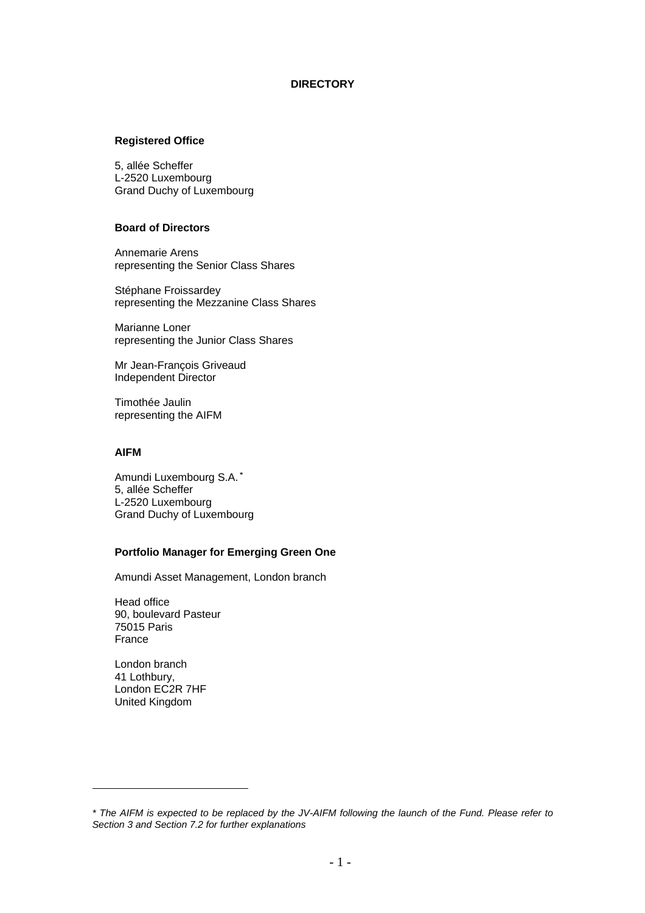#### **DIRECTORY**

#### **Registered Office**

5, allée Scheffer L-2520 Luxembourg Grand Duchy of Luxembourg

#### **Board of Directors**

Annemarie Arens representing the Senior Class Shares

Stéphane Froissardey representing the Mezzanine Class Shares

Marianne Loner representing the Junior Class Shares

Mr Jean-François Griveaud Independent Director

Timothée Jaulin representing the AIFM

#### **AIFM**

Amundi Luxembourg S.A. **\*** 5, allée Scheffer L-2520 Luxembourg Grand Duchy of Luxembourg

## **Portfolio Manager for Emerging Green One**

Amundi Asset Management, London branch

Head office 90, boulevard Pasteur 75015 Paris France

London branch 41 Lothbury, London EC2R 7HF United Kingdom

 $\overline{a}$ 

*<sup>\*</sup> The AIFM is expected to be replaced by the JV-AIFM following the launch of the Fund. Please refer to Section 3 and Section 7.2 for further explanations*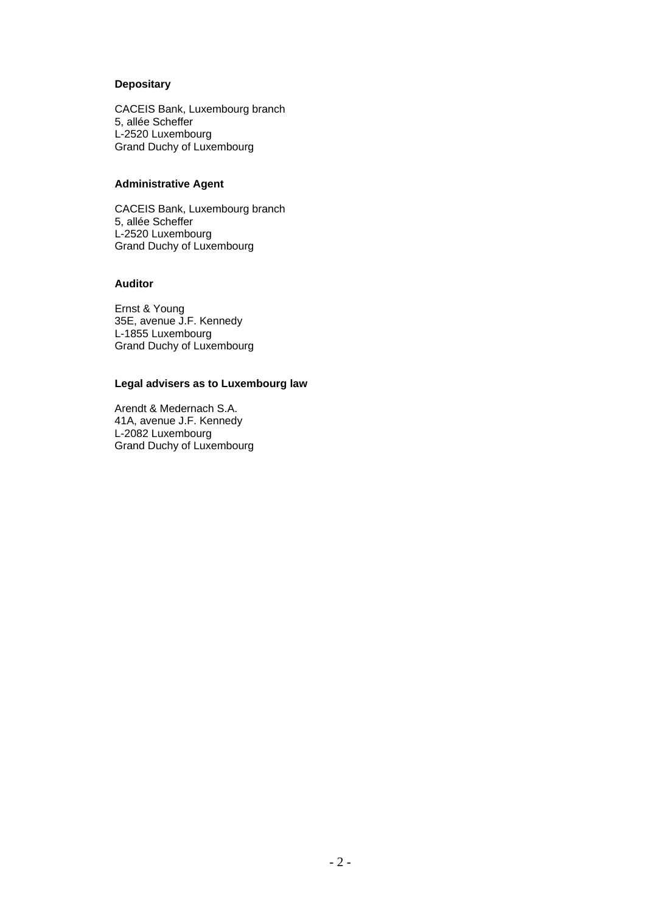## **Depositary**

CACEIS Bank, Luxembourg branch 5, allée Scheffer L-2520 Luxembourg Grand Duchy of Luxembourg

## **Administrative Agent**

CACEIS Bank, Luxembourg branch 5, allée Scheffer L-2520 Luxembourg Grand Duchy of Luxembourg

#### **Auditor**

Ernst & Young 35E, avenue J.F. Kennedy L-1855 Luxembourg Grand Duchy of Luxembourg

#### **Legal advisers as to Luxembourg law**

Arendt & Medernach S.A. 41A, avenue J.F. Kennedy L-2082 Luxembourg Grand Duchy of Luxembourg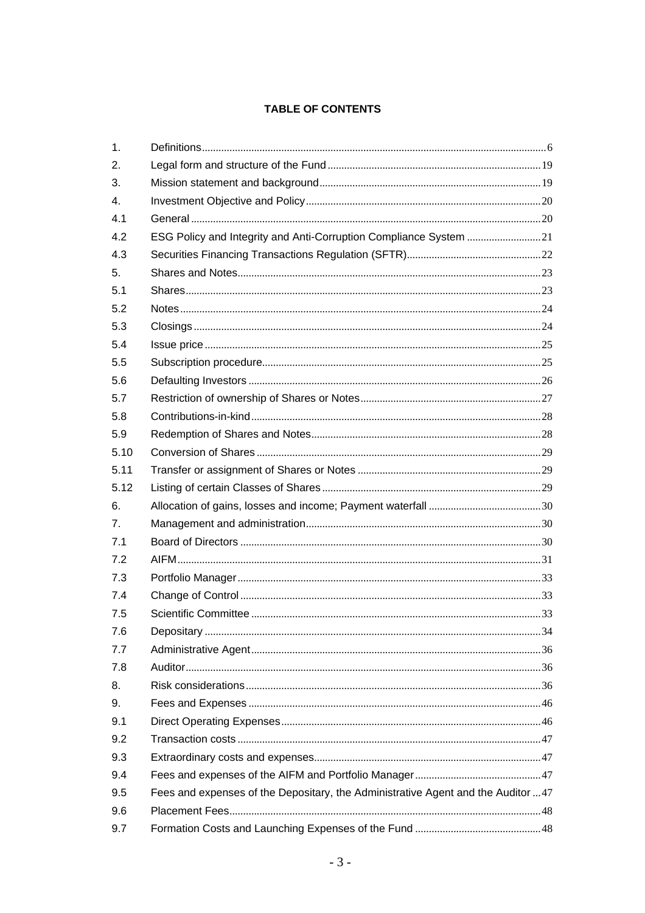## **TABLE OF CONTENTS**

| 1.   |                                                                                  |  |
|------|----------------------------------------------------------------------------------|--|
| 2.   |                                                                                  |  |
| 3.   |                                                                                  |  |
| 4.   |                                                                                  |  |
| 4.1  |                                                                                  |  |
| 4.2  | ESG Policy and Integrity and Anti-Corruption Compliance System 21                |  |
| 4.3  |                                                                                  |  |
| 5.   |                                                                                  |  |
| 5.1  |                                                                                  |  |
| 5.2  |                                                                                  |  |
| 5.3  |                                                                                  |  |
| 5.4  |                                                                                  |  |
| 5.5  |                                                                                  |  |
| 5.6  |                                                                                  |  |
| 5.7  |                                                                                  |  |
| 5.8  |                                                                                  |  |
| 5.9  |                                                                                  |  |
| 5.10 |                                                                                  |  |
| 5.11 |                                                                                  |  |
| 5.12 |                                                                                  |  |
| 6.   |                                                                                  |  |
| 7.   |                                                                                  |  |
| 7.1  |                                                                                  |  |
| 7.2  |                                                                                  |  |
| 7.3  |                                                                                  |  |
| 7.4  |                                                                                  |  |
| 7.5  |                                                                                  |  |
| 7.6  |                                                                                  |  |
| 7.7  |                                                                                  |  |
| 7.8  |                                                                                  |  |
| 8.   |                                                                                  |  |
| 9.   |                                                                                  |  |
| 9.1  |                                                                                  |  |
| 9.2  |                                                                                  |  |
| 9.3  |                                                                                  |  |
| 9.4  |                                                                                  |  |
| 9.5  | Fees and expenses of the Depositary, the Administrative Agent and the Auditor 47 |  |
| 9.6  |                                                                                  |  |
| 9.7  |                                                                                  |  |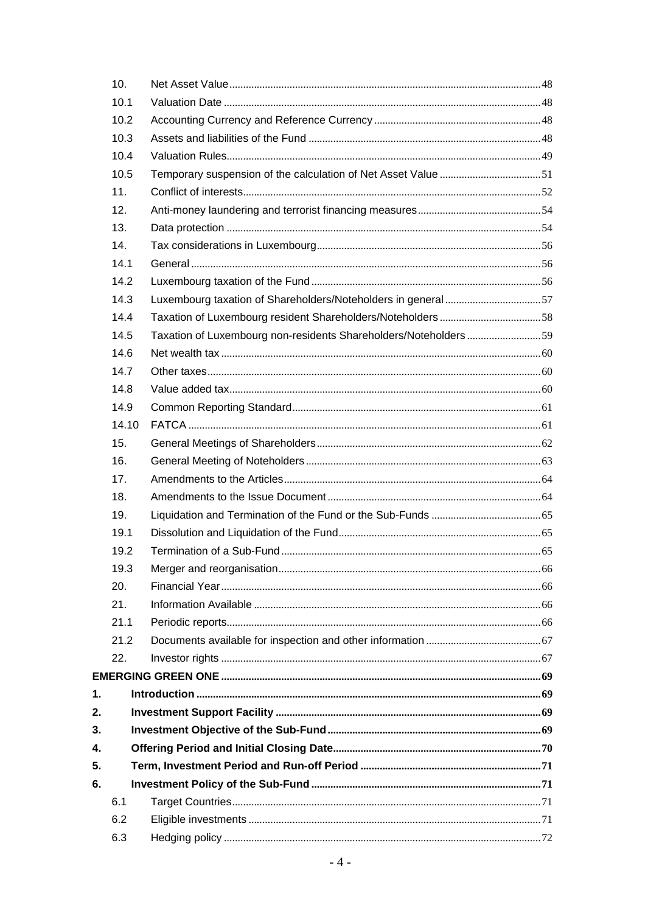|    | 10.   |                                                                 |  |
|----|-------|-----------------------------------------------------------------|--|
|    | 10.1  |                                                                 |  |
|    | 10.2  |                                                                 |  |
|    | 10.3  |                                                                 |  |
|    | 10.4  |                                                                 |  |
|    | 10.5  | Temporary suspension of the calculation of Net Asset Value 51   |  |
|    | 11.   |                                                                 |  |
|    | 12.   |                                                                 |  |
|    | 13.   |                                                                 |  |
|    | 14.   |                                                                 |  |
|    | 14.1  |                                                                 |  |
|    | 14.2  |                                                                 |  |
|    | 14.3  | Luxembourg taxation of Shareholders/Noteholders in general57    |  |
|    | 14.4  |                                                                 |  |
|    | 14.5  | Taxation of Luxembourg non-residents Shareholders/Noteholders59 |  |
|    | 14.6  |                                                                 |  |
|    | 14.7  |                                                                 |  |
|    | 14.8  |                                                                 |  |
|    | 14.9  |                                                                 |  |
|    | 14.10 |                                                                 |  |
|    | 15.   |                                                                 |  |
|    | 16.   |                                                                 |  |
|    | 17.   |                                                                 |  |
|    | 18.   |                                                                 |  |
|    | 19.   |                                                                 |  |
|    | 19.1  |                                                                 |  |
|    | 19.2  |                                                                 |  |
|    | 19.3  |                                                                 |  |
|    | 20.   |                                                                 |  |
|    | 21.   |                                                                 |  |
|    | 21.1  |                                                                 |  |
|    | 21.2  |                                                                 |  |
|    | 22.   |                                                                 |  |
|    |       |                                                                 |  |
| 1. |       |                                                                 |  |
| 2. |       |                                                                 |  |
| 3. |       |                                                                 |  |
| 4. |       |                                                                 |  |
| 5. |       |                                                                 |  |
| 6. |       |                                                                 |  |
|    | 6.1   |                                                                 |  |
|    | 6.2   |                                                                 |  |
|    | 6.3   |                                                                 |  |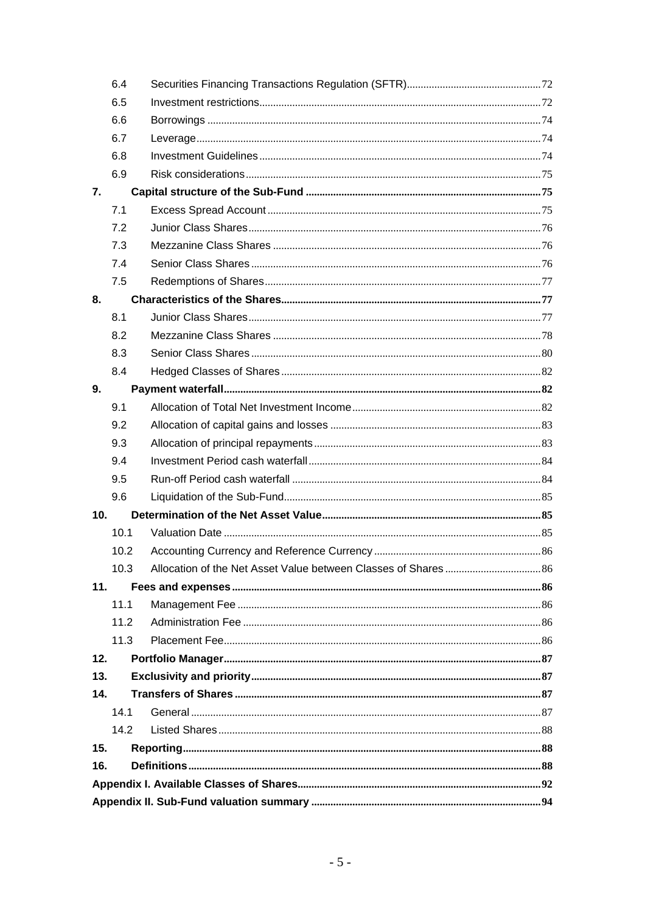|                 | 6.4  |  |
|-----------------|------|--|
|                 | 6.5  |  |
|                 | 6.6  |  |
|                 | 6.7  |  |
|                 | 6.8  |  |
|                 | 6.9  |  |
| 7.              |      |  |
|                 | 7.1  |  |
|                 | 7.2  |  |
|                 | 7.3  |  |
|                 | 7.4  |  |
|                 | 7.5  |  |
| 8.              |      |  |
|                 | 8.1  |  |
|                 | 8.2  |  |
|                 | 8.3  |  |
|                 | 8.4  |  |
| 9.              |      |  |
|                 | 9.1  |  |
|                 | 9.2  |  |
|                 | 9.3  |  |
|                 | 9.4  |  |
|                 | 9.5  |  |
|                 | 9.6  |  |
| 10 <sub>1</sub> |      |  |
|                 | 10.1 |  |
|                 | 10.2 |  |
|                 | 10.3 |  |
| 11.             |      |  |
|                 | 11.1 |  |
|                 | 11.2 |  |
|                 | 11.3 |  |
| 12.             |      |  |
| 13.             |      |  |
| 14.             |      |  |
|                 | 14.1 |  |
|                 | 14.2 |  |
| 15.             |      |  |
| 16.             |      |  |
|                 |      |  |
|                 |      |  |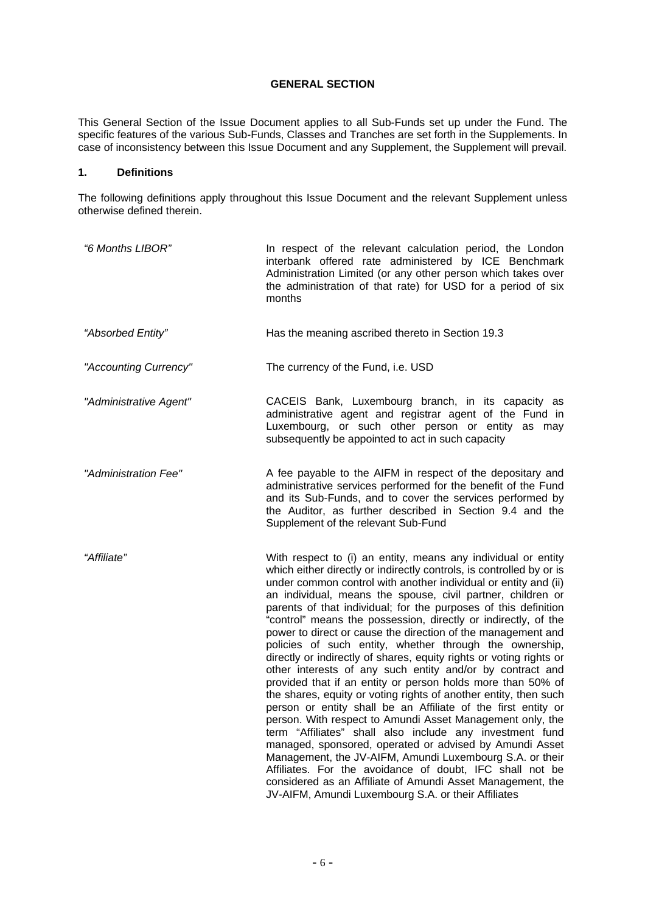## **GENERAL SECTION**

This General Section of the Issue Document applies to all Sub-Funds set up under the Fund. The specific features of the various Sub-Funds, Classes and Tranches are set forth in the Supplements. In case of inconsistency between this Issue Document and any Supplement, the Supplement will prevail.

## **1. Definitions**

The following definitions apply throughout this Issue Document and the relevant Supplement unless otherwise defined therein.

| "6 Months LIBOR"       | In respect of the relevant calculation period, the London<br>interbank offered rate administered by ICE Benchmark<br>Administration Limited (or any other person which takes over<br>the administration of that rate) for USD for a period of six<br>months                                                                                                                                                                                                                                                                                                                                                                                                                                                                                                                                                                                                                                                                                                                                                                                                                                                                                                                                                                                                                                                      |
|------------------------|------------------------------------------------------------------------------------------------------------------------------------------------------------------------------------------------------------------------------------------------------------------------------------------------------------------------------------------------------------------------------------------------------------------------------------------------------------------------------------------------------------------------------------------------------------------------------------------------------------------------------------------------------------------------------------------------------------------------------------------------------------------------------------------------------------------------------------------------------------------------------------------------------------------------------------------------------------------------------------------------------------------------------------------------------------------------------------------------------------------------------------------------------------------------------------------------------------------------------------------------------------------------------------------------------------------|
| "Absorbed Entity"      | Has the meaning ascribed thereto in Section 19.3                                                                                                                                                                                                                                                                                                                                                                                                                                                                                                                                                                                                                                                                                                                                                                                                                                                                                                                                                                                                                                                                                                                                                                                                                                                                 |
| "Accounting Currency"  | The currency of the Fund, i.e. USD                                                                                                                                                                                                                                                                                                                                                                                                                                                                                                                                                                                                                                                                                                                                                                                                                                                                                                                                                                                                                                                                                                                                                                                                                                                                               |
| "Administrative Agent" | CACEIS Bank, Luxembourg branch, in its capacity as<br>administrative agent and registrar agent of the Fund in<br>Luxembourg, or such other person or entity as may<br>subsequently be appointed to act in such capacity                                                                                                                                                                                                                                                                                                                                                                                                                                                                                                                                                                                                                                                                                                                                                                                                                                                                                                                                                                                                                                                                                          |
| "Administration Fee"   | A fee payable to the AIFM in respect of the depositary and<br>administrative services performed for the benefit of the Fund<br>and its Sub-Funds, and to cover the services performed by<br>the Auditor, as further described in Section 9.4 and the<br>Supplement of the relevant Sub-Fund                                                                                                                                                                                                                                                                                                                                                                                                                                                                                                                                                                                                                                                                                                                                                                                                                                                                                                                                                                                                                      |
| "Affiliate"            | With respect to (i) an entity, means any individual or entity<br>which either directly or indirectly controls, is controlled by or is<br>under common control with another individual or entity and (ii)<br>an individual, means the spouse, civil partner, children or<br>parents of that individual; for the purposes of this definition<br>"control" means the possession, directly or indirectly, of the<br>power to direct or cause the direction of the management and<br>policies of such entity, whether through the ownership,<br>directly or indirectly of shares, equity rights or voting rights or<br>other interests of any such entity and/or by contract and<br>provided that if an entity or person holds more than 50% of<br>the shares, equity or voting rights of another entity, then such<br>person or entity shall be an Affiliate of the first entity or<br>person. With respect to Amundi Asset Management only, the<br>term "Affiliates" shall also include any investment fund<br>managed, sponsored, operated or advised by Amundi Asset<br>Management, the JV-AIFM, Amundi Luxembourg S.A. or their<br>Affiliates. For the avoidance of doubt, IFC shall not be<br>considered as an Affiliate of Amundi Asset Management, the<br>JV-AIFM, Amundi Luxembourg S.A. or their Affiliates |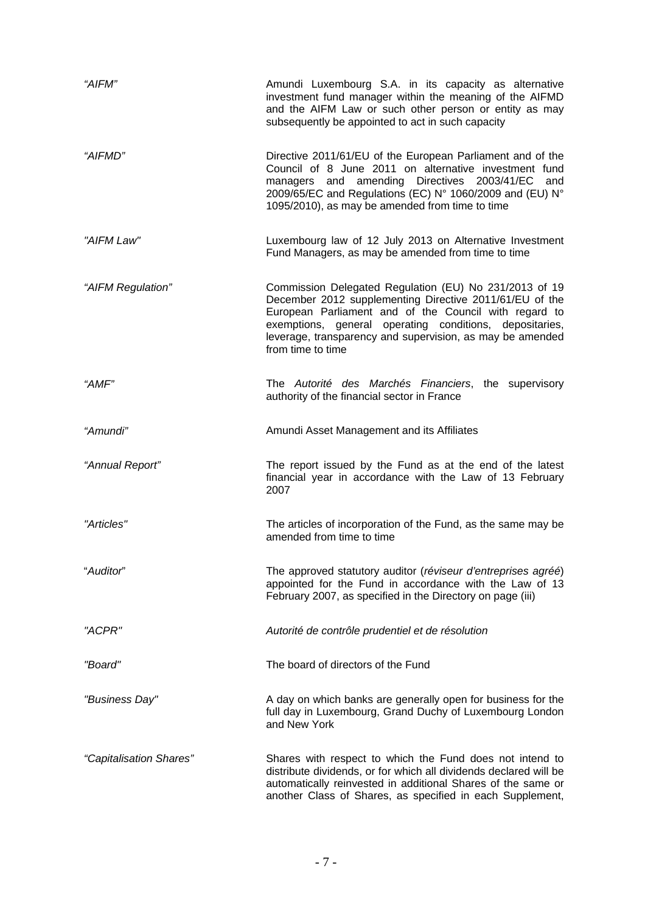| "AIFM"                  | Amundi Luxembourg S.A. in its capacity as alternative<br>investment fund manager within the meaning of the AIFMD<br>and the AIFM Law or such other person or entity as may<br>subsequently be appointed to act in such capacity                                                                                         |
|-------------------------|-------------------------------------------------------------------------------------------------------------------------------------------------------------------------------------------------------------------------------------------------------------------------------------------------------------------------|
| "AIFMD"                 | Directive 2011/61/EU of the European Parliament and of the<br>Council of 8 June 2011 on alternative investment fund<br>managers and amending Directives 2003/41/EC<br>and<br>2009/65/EC and Regulations (EC) N° 1060/2009 and (EU) N°<br>1095/2010), as may be amended from time to time                                |
| "AIFM Law"              | Luxembourg law of 12 July 2013 on Alternative Investment<br>Fund Managers, as may be amended from time to time                                                                                                                                                                                                          |
| "AIFM Regulation"       | Commission Delegated Regulation (EU) No 231/2013 of 19<br>December 2012 supplementing Directive 2011/61/EU of the<br>European Parliament and of the Council with regard to<br>exemptions, general operating conditions, depositaries,<br>leverage, transparency and supervision, as may be amended<br>from time to time |
| "AMF"                   | The Autorité des Marchés Financiers, the supervisory<br>authority of the financial sector in France                                                                                                                                                                                                                     |
| "Amundi"                | Amundi Asset Management and its Affiliates                                                                                                                                                                                                                                                                              |
| "Annual Report"         | The report issued by the Fund as at the end of the latest<br>financial year in accordance with the Law of 13 February<br>2007                                                                                                                                                                                           |
| "Articles"              | The articles of incorporation of the Fund, as the same may be<br>amended from time to time                                                                                                                                                                                                                              |
| "Auditor"               | The approved statutory auditor (réviseur d'entreprises agréé)<br>appointed for the Fund in accordance with the Law of 13<br>February 2007, as specified in the Directory on page (iii)                                                                                                                                  |
| "ACPR"                  | Autorité de contrôle prudentiel et de résolution                                                                                                                                                                                                                                                                        |
| "Board"                 | The board of directors of the Fund                                                                                                                                                                                                                                                                                      |
| "Business Day"          | A day on which banks are generally open for business for the<br>full day in Luxembourg, Grand Duchy of Luxembourg London<br>and New York                                                                                                                                                                                |
| "Capitalisation Shares" | Shares with respect to which the Fund does not intend to<br>distribute dividends, or for which all dividends declared will be<br>automatically reinvested in additional Shares of the same or<br>another Class of Shares, as specified in each Supplement,                                                              |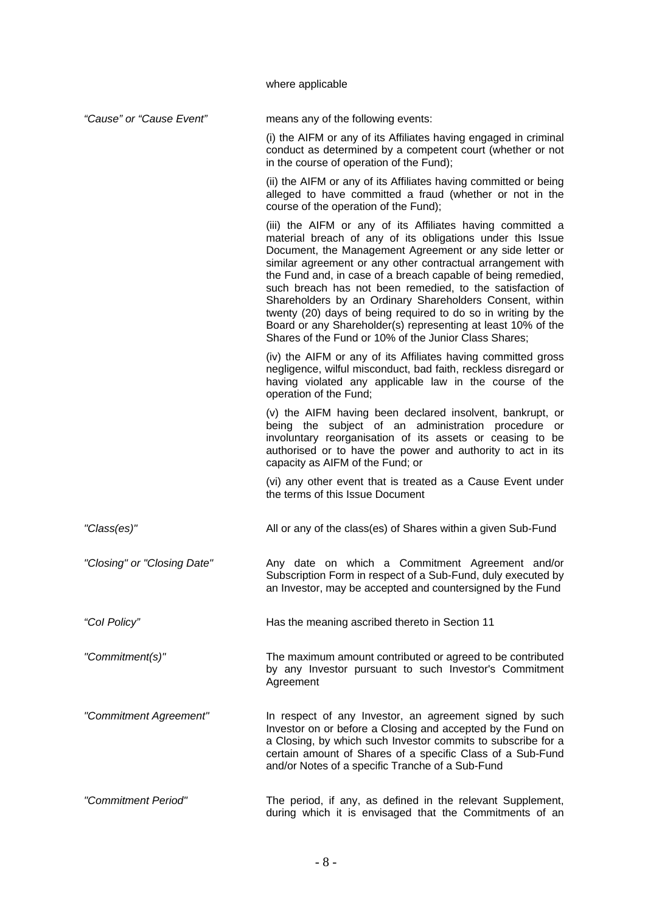where applicable

| "Cause" or "Cause Event"    | means any of the following events:                                                                                                                                                                                                                                                                                                                                                                                                                                                                                                                                                                                                     |
|-----------------------------|----------------------------------------------------------------------------------------------------------------------------------------------------------------------------------------------------------------------------------------------------------------------------------------------------------------------------------------------------------------------------------------------------------------------------------------------------------------------------------------------------------------------------------------------------------------------------------------------------------------------------------------|
|                             | (i) the AIFM or any of its Affiliates having engaged in criminal<br>conduct as determined by a competent court (whether or not<br>in the course of operation of the Fund);                                                                                                                                                                                                                                                                                                                                                                                                                                                             |
|                             | (ii) the AIFM or any of its Affiliates having committed or being<br>alleged to have committed a fraud (whether or not in the<br>course of the operation of the Fund);                                                                                                                                                                                                                                                                                                                                                                                                                                                                  |
|                             | (iii) the AIFM or any of its Affiliates having committed a<br>material breach of any of its obligations under this Issue<br>Document, the Management Agreement or any side letter or<br>similar agreement or any other contractual arrangement with<br>the Fund and, in case of a breach capable of being remedied,<br>such breach has not been remedied, to the satisfaction of<br>Shareholders by an Ordinary Shareholders Consent, within<br>twenty (20) days of being required to do so in writing by the<br>Board or any Shareholder(s) representing at least 10% of the<br>Shares of the Fund or 10% of the Junior Class Shares; |
|                             | (iv) the AIFM or any of its Affiliates having committed gross<br>negligence, wilful misconduct, bad faith, reckless disregard or<br>having violated any applicable law in the course of the<br>operation of the Fund;                                                                                                                                                                                                                                                                                                                                                                                                                  |
|                             | (v) the AIFM having been declared insolvent, bankrupt, or<br>being the subject of an administration procedure or<br>involuntary reorganisation of its assets or ceasing to be<br>authorised or to have the power and authority to act in its<br>capacity as AIFM of the Fund; or                                                                                                                                                                                                                                                                                                                                                       |
|                             | (vi) any other event that is treated as a Cause Event under<br>the terms of this Issue Document                                                                                                                                                                                                                                                                                                                                                                                                                                                                                                                                        |
| "Class(es)"                 | All or any of the class(es) of Shares within a given Sub-Fund                                                                                                                                                                                                                                                                                                                                                                                                                                                                                                                                                                          |
| "Closing" or "Closing Date" | Any date on which a Commitment Agreement and/or<br>Subscription Form in respect of a Sub-Fund, duly executed by<br>an Investor, may be accepted and countersigned by the Fund                                                                                                                                                                                                                                                                                                                                                                                                                                                          |
| "Col Policy"                | Has the meaning ascribed thereto in Section 11                                                                                                                                                                                                                                                                                                                                                                                                                                                                                                                                                                                         |
| "Commitment(s)"             | The maximum amount contributed or agreed to be contributed<br>by any Investor pursuant to such Investor's Commitment<br>Agreement                                                                                                                                                                                                                                                                                                                                                                                                                                                                                                      |
| "Commitment Agreement"      | In respect of any Investor, an agreement signed by such<br>Investor on or before a Closing and accepted by the Fund on<br>a Closing, by which such Investor commits to subscribe for a<br>certain amount of Shares of a specific Class of a Sub-Fund<br>and/or Notes of a specific Tranche of a Sub-Fund                                                                                                                                                                                                                                                                                                                               |
| "Commitment Period"         | The period, if any, as defined in the relevant Supplement,<br>during which it is envisaged that the Commitments of an                                                                                                                                                                                                                                                                                                                                                                                                                                                                                                                  |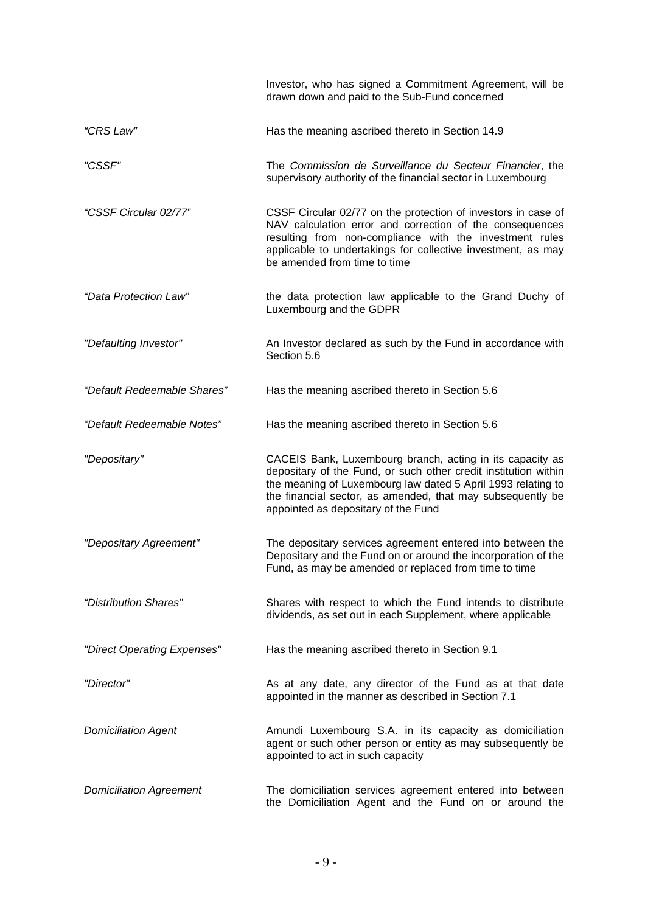|                                | Investor, who has signed a Commitment Agreement, will be<br>drawn down and paid to the Sub-Fund concerned                                                                                                                                                                                         |
|--------------------------------|---------------------------------------------------------------------------------------------------------------------------------------------------------------------------------------------------------------------------------------------------------------------------------------------------|
| "CRS Law"                      | Has the meaning ascribed thereto in Section 14.9                                                                                                                                                                                                                                                  |
| "CSSF"                         | The Commission de Surveillance du Secteur Financier, the<br>supervisory authority of the financial sector in Luxembourg                                                                                                                                                                           |
| "CSSF Circular 02/77"          | CSSF Circular 02/77 on the protection of investors in case of<br>NAV calculation error and correction of the consequences<br>resulting from non-compliance with the investment rules<br>applicable to undertakings for collective investment, as may<br>be amended from time to time              |
| "Data Protection Law"          | the data protection law applicable to the Grand Duchy of<br>Luxembourg and the GDPR                                                                                                                                                                                                               |
| "Defaulting Investor"          | An Investor declared as such by the Fund in accordance with<br>Section 5.6                                                                                                                                                                                                                        |
| "Default Redeemable Shares"    | Has the meaning ascribed thereto in Section 5.6                                                                                                                                                                                                                                                   |
| "Default Redeemable Notes"     | Has the meaning ascribed thereto in Section 5.6                                                                                                                                                                                                                                                   |
| "Depositary"                   | CACEIS Bank, Luxembourg branch, acting in its capacity as<br>depositary of the Fund, or such other credit institution within<br>the meaning of Luxembourg law dated 5 April 1993 relating to<br>the financial sector, as amended, that may subsequently be<br>appointed as depositary of the Fund |
| "Depositary Agreement"         | The depositary services agreement entered into between the<br>Depositary and the Fund on or around the incorporation of the<br>Fund, as may be amended or replaced from time to time                                                                                                              |
| "Distribution Shares"          | Shares with respect to which the Fund intends to distribute<br>dividends, as set out in each Supplement, where applicable                                                                                                                                                                         |
| "Direct Operating Expenses"    | Has the meaning ascribed thereto in Section 9.1                                                                                                                                                                                                                                                   |
| "Director"                     | As at any date, any director of the Fund as at that date<br>appointed in the manner as described in Section 7.1                                                                                                                                                                                   |
| <b>Domiciliation Agent</b>     | Amundi Luxembourg S.A. in its capacity as domiciliation<br>agent or such other person or entity as may subsequently be<br>appointed to act in such capacity                                                                                                                                       |
| <b>Domiciliation Agreement</b> | The domiciliation services agreement entered into between<br>the Domiciliation Agent and the Fund on or around the                                                                                                                                                                                |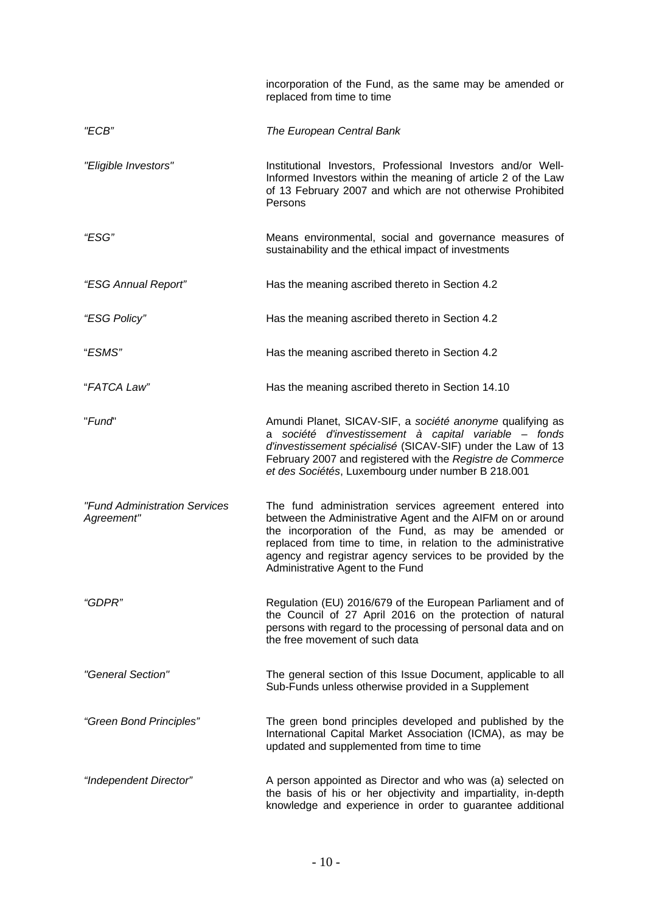|                                             | incorporation of the Fund, as the same may be amended or<br>replaced from time to time                                                                                                                                                                                                                                                          |
|---------------------------------------------|-------------------------------------------------------------------------------------------------------------------------------------------------------------------------------------------------------------------------------------------------------------------------------------------------------------------------------------------------|
| "ECB"                                       | The European Central Bank                                                                                                                                                                                                                                                                                                                       |
| "Eligible Investors"                        | Institutional Investors, Professional Investors and/or Well-<br>Informed Investors within the meaning of article 2 of the Law<br>of 13 February 2007 and which are not otherwise Prohibited<br>Persons                                                                                                                                          |
| "ESG"                                       | Means environmental, social and governance measures of<br>sustainability and the ethical impact of investments                                                                                                                                                                                                                                  |
| "ESG Annual Report"                         | Has the meaning ascribed thereto in Section 4.2                                                                                                                                                                                                                                                                                                 |
| "ESG Policy"                                | Has the meaning ascribed thereto in Section 4.2                                                                                                                                                                                                                                                                                                 |
| "ESMS"                                      | Has the meaning ascribed thereto in Section 4.2                                                                                                                                                                                                                                                                                                 |
| "FATCA Law"                                 | Has the meaning ascribed thereto in Section 14.10                                                                                                                                                                                                                                                                                               |
| "Fund"                                      | Amundi Planet, SICAV-SIF, a société anonyme qualifying as<br>société d'investissement à capital variable - fonds<br>а<br>d'investissement spécialisé (SICAV-SIF) under the Law of 13<br>February 2007 and registered with the Registre de Commerce<br>et des Sociétés, Luxembourg under number B 218.001                                        |
| "Fund Administration Services<br>Agreement" | The fund administration services agreement entered into<br>between the Administrative Agent and the AIFM on or around<br>the incorporation of the Fund, as may be amended or<br>replaced from time to time, in relation to the administrative<br>agency and registrar agency services to be provided by the<br>Administrative Agent to the Fund |
| "GDPR"                                      | Regulation (EU) 2016/679 of the European Parliament and of<br>the Council of 27 April 2016 on the protection of natural<br>persons with regard to the processing of personal data and on<br>the free movement of such data                                                                                                                      |
| "General Section"                           | The general section of this Issue Document, applicable to all<br>Sub-Funds unless otherwise provided in a Supplement                                                                                                                                                                                                                            |
| "Green Bond Principles"                     | The green bond principles developed and published by the<br>International Capital Market Association (ICMA), as may be<br>updated and supplemented from time to time                                                                                                                                                                            |
| "Independent Director"                      | A person appointed as Director and who was (a) selected on<br>the basis of his or her objectivity and impartiality, in-depth<br>knowledge and experience in order to guarantee additional                                                                                                                                                       |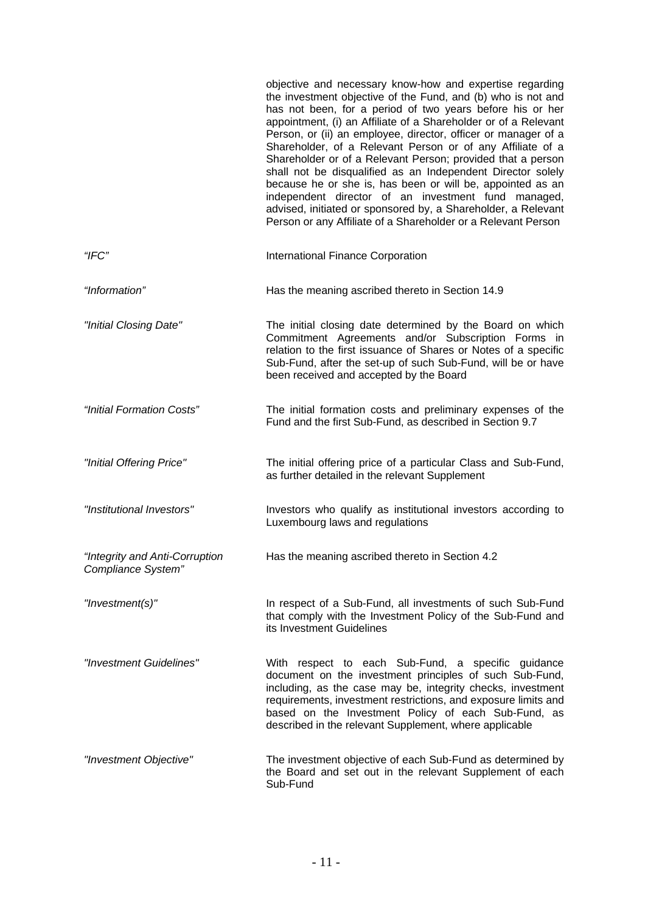|                                                      | objective and necessary know-how and expertise regarding<br>the investment objective of the Fund, and (b) who is not and<br>has not been, for a period of two years before his or her<br>appointment, (i) an Affiliate of a Shareholder or of a Relevant<br>Person, or (ii) an employee, director, officer or manager of a<br>Shareholder, of a Relevant Person or of any Affiliate of a<br>Shareholder or of a Relevant Person; provided that a person<br>shall not be disqualified as an Independent Director solely<br>because he or she is, has been or will be, appointed as an<br>independent director of an investment fund managed,<br>advised, initiated or sponsored by, a Shareholder, a Relevant<br>Person or any Affiliate of a Shareholder or a Relevant Person |
|------------------------------------------------------|-------------------------------------------------------------------------------------------------------------------------------------------------------------------------------------------------------------------------------------------------------------------------------------------------------------------------------------------------------------------------------------------------------------------------------------------------------------------------------------------------------------------------------------------------------------------------------------------------------------------------------------------------------------------------------------------------------------------------------------------------------------------------------|
| "IFC"                                                | International Finance Corporation                                                                                                                                                                                                                                                                                                                                                                                                                                                                                                                                                                                                                                                                                                                                             |
| "Information"                                        | Has the meaning ascribed thereto in Section 14.9                                                                                                                                                                                                                                                                                                                                                                                                                                                                                                                                                                                                                                                                                                                              |
| "Initial Closing Date"                               | The initial closing date determined by the Board on which<br>Commitment Agreements and/or Subscription Forms in<br>relation to the first issuance of Shares or Notes of a specific<br>Sub-Fund, after the set-up of such Sub-Fund, will be or have<br>been received and accepted by the Board                                                                                                                                                                                                                                                                                                                                                                                                                                                                                 |
| "Initial Formation Costs"                            | The initial formation costs and preliminary expenses of the<br>Fund and the first Sub-Fund, as described in Section 9.7                                                                                                                                                                                                                                                                                                                                                                                                                                                                                                                                                                                                                                                       |
| "Initial Offering Price"                             | The initial offering price of a particular Class and Sub-Fund,<br>as further detailed in the relevant Supplement                                                                                                                                                                                                                                                                                                                                                                                                                                                                                                                                                                                                                                                              |
| "Institutional Investors"                            | Investors who qualify as institutional investors according to<br>Luxembourg laws and regulations                                                                                                                                                                                                                                                                                                                                                                                                                                                                                                                                                                                                                                                                              |
| "Integrity and Anti-Corruption<br>Compliance System" | Has the meaning ascribed thereto in Section 4.2                                                                                                                                                                                                                                                                                                                                                                                                                                                                                                                                                                                                                                                                                                                               |
| "Investment(s)"                                      | In respect of a Sub-Fund, all investments of such Sub-Fund<br>that comply with the Investment Policy of the Sub-Fund and<br>its Investment Guidelines                                                                                                                                                                                                                                                                                                                                                                                                                                                                                                                                                                                                                         |
| "Investment Guidelines"                              | With respect to each Sub-Fund, a specific guidance<br>document on the investment principles of such Sub-Fund,<br>including, as the case may be, integrity checks, investment<br>requirements, investment restrictions, and exposure limits and<br>based on the Investment Policy of each Sub-Fund, as<br>described in the relevant Supplement, where applicable                                                                                                                                                                                                                                                                                                                                                                                                               |
| "Investment Objective"                               | The investment objective of each Sub-Fund as determined by<br>the Board and set out in the relevant Supplement of each<br>Sub-Fund                                                                                                                                                                                                                                                                                                                                                                                                                                                                                                                                                                                                                                            |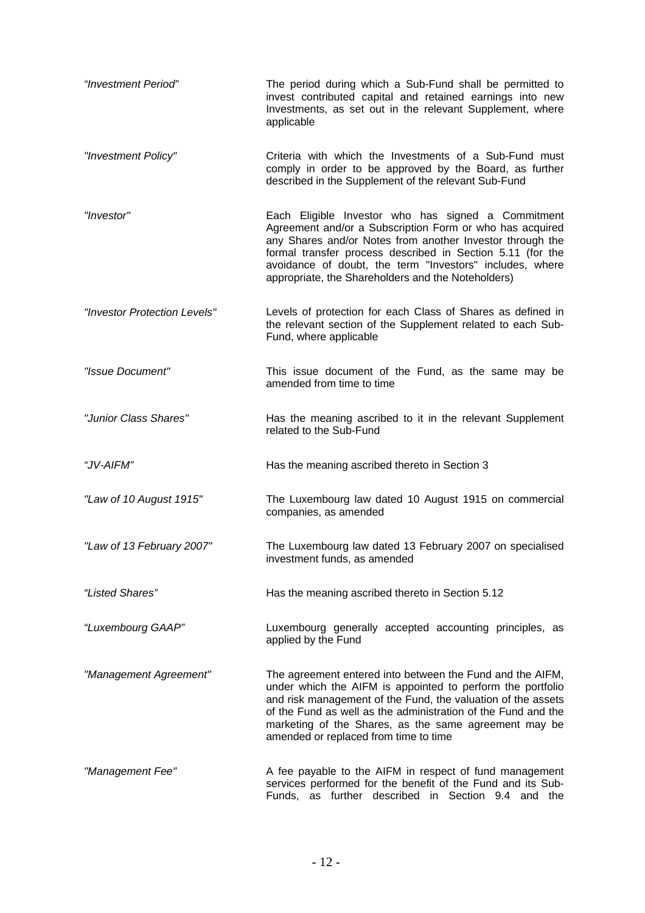| "Investment Period"          | The period during which a Sub-Fund shall be permitted to<br>invest contributed capital and retained earnings into new<br>Investments, as set out in the relevant Supplement, where<br>applicable                                                                                                                                                            |
|------------------------------|-------------------------------------------------------------------------------------------------------------------------------------------------------------------------------------------------------------------------------------------------------------------------------------------------------------------------------------------------------------|
| "Investment Policy"          | Criteria with which the Investments of a Sub-Fund must<br>comply in order to be approved by the Board, as further<br>described in the Supplement of the relevant Sub-Fund                                                                                                                                                                                   |
| "Investor"                   | Each Eligible Investor who has signed a Commitment<br>Agreement and/or a Subscription Form or who has acquired<br>any Shares and/or Notes from another Investor through the<br>formal transfer process described in Section 5.11 (for the<br>avoidance of doubt, the term "Investors" includes, where<br>appropriate, the Shareholders and the Noteholders) |
| "Investor Protection Levels" | Levels of protection for each Class of Shares as defined in<br>the relevant section of the Supplement related to each Sub-<br>Fund, where applicable                                                                                                                                                                                                        |
| "Issue Document"             | This issue document of the Fund, as the same may be<br>amended from time to time                                                                                                                                                                                                                                                                            |
| "Junior Class Shares"        | Has the meaning ascribed to it in the relevant Supplement<br>related to the Sub-Fund                                                                                                                                                                                                                                                                        |
| "JV-AIFM"                    | Has the meaning ascribed thereto in Section 3                                                                                                                                                                                                                                                                                                               |
| "Law of 10 August 1915"      | The Luxembourg law dated 10 August 1915 on commercial<br>companies, as amended                                                                                                                                                                                                                                                                              |
| "Law of 13 February 2007"    | The Luxembourg law dated 13 February 2007 on specialised<br>investment funds, as amended                                                                                                                                                                                                                                                                    |
| "Listed Shares"              | Has the meaning ascribed thereto in Section 5.12                                                                                                                                                                                                                                                                                                            |
| "Luxembourg GAAP"            | Luxembourg generally accepted accounting principles, as<br>applied by the Fund                                                                                                                                                                                                                                                                              |
| "Management Agreement"       | The agreement entered into between the Fund and the AIFM,<br>under which the AIFM is appointed to perform the portfolio<br>and risk management of the Fund, the valuation of the assets<br>of the Fund as well as the administration of the Fund and the<br>marketing of the Shares, as the same agreement may be<br>amended or replaced from time to time  |
| "Management Fee"             | A fee payable to the AIFM in respect of fund management<br>services performed for the benefit of the Fund and its Sub-<br>Funds, as further described in Section 9.4 and the                                                                                                                                                                                |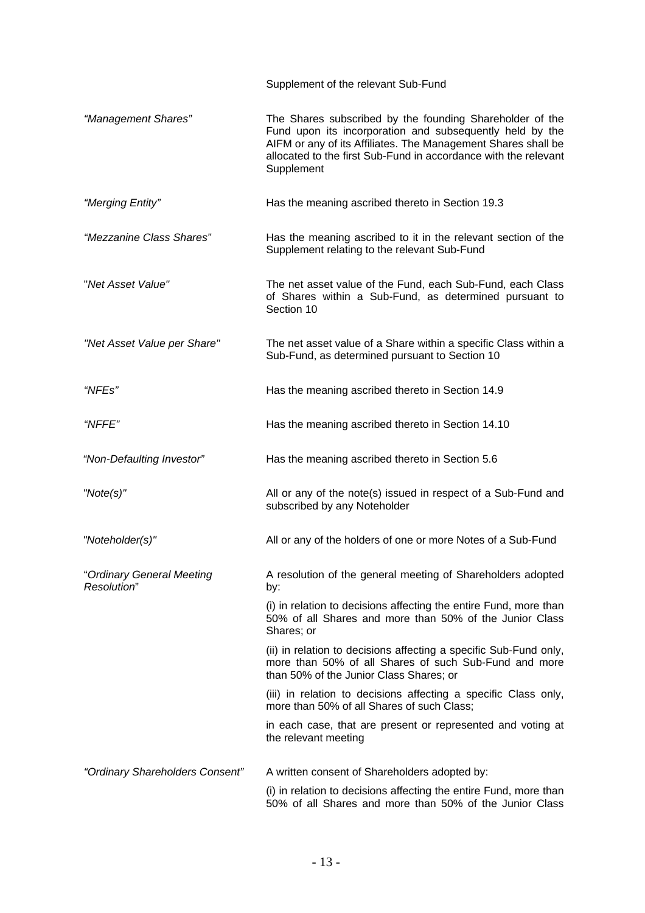|                                          | Supplement of the relevant Sub-Fund                                                                                                                                                                                                                                    |
|------------------------------------------|------------------------------------------------------------------------------------------------------------------------------------------------------------------------------------------------------------------------------------------------------------------------|
| "Management Shares"                      | The Shares subscribed by the founding Shareholder of the<br>Fund upon its incorporation and subsequently held by the<br>AIFM or any of its Affiliates. The Management Shares shall be<br>allocated to the first Sub-Fund in accordance with the relevant<br>Supplement |
| "Merging Entity"                         | Has the meaning ascribed thereto in Section 19.3                                                                                                                                                                                                                       |
| "Mezzanine Class Shares"                 | Has the meaning ascribed to it in the relevant section of the<br>Supplement relating to the relevant Sub-Fund                                                                                                                                                          |
| "Net Asset Value"                        | The net asset value of the Fund, each Sub-Fund, each Class<br>of Shares within a Sub-Fund, as determined pursuant to<br>Section 10                                                                                                                                     |
| "Net Asset Value per Share"              | The net asset value of a Share within a specific Class within a<br>Sub-Fund, as determined pursuant to Section 10                                                                                                                                                      |
| "NFEs"                                   | Has the meaning ascribed thereto in Section 14.9                                                                                                                                                                                                                       |
| "NFFE"                                   | Has the meaning ascribed thereto in Section 14.10                                                                                                                                                                                                                      |
| "Non-Defaulting Investor"                | Has the meaning ascribed thereto in Section 5.6                                                                                                                                                                                                                        |
| "Note(s)"                                | All or any of the note(s) issued in respect of a Sub-Fund and<br>subscribed by any Noteholder                                                                                                                                                                          |
| "Noteholder(s)"                          | All or any of the holders of one or more Notes of a Sub-Fund                                                                                                                                                                                                           |
| "Ordinary General Meeting<br>Resolution" | A resolution of the general meeting of Shareholders adopted<br>by:                                                                                                                                                                                                     |
|                                          | (i) in relation to decisions affecting the entire Fund, more than<br>50% of all Shares and more than 50% of the Junior Class<br>Shares; or                                                                                                                             |
|                                          | (ii) in relation to decisions affecting a specific Sub-Fund only,<br>more than 50% of all Shares of such Sub-Fund and more<br>than 50% of the Junior Class Shares; or                                                                                                  |
|                                          | (iii) in relation to decisions affecting a specific Class only,<br>more than 50% of all Shares of such Class;                                                                                                                                                          |
|                                          | in each case, that are present or represented and voting at<br>the relevant meeting                                                                                                                                                                                    |
| "Ordinary Shareholders Consent"          | A written consent of Shareholders adopted by:                                                                                                                                                                                                                          |
|                                          | (i) in relation to decisions affecting the entire Fund, more than<br>50% of all Shares and more than 50% of the Junior Class                                                                                                                                           |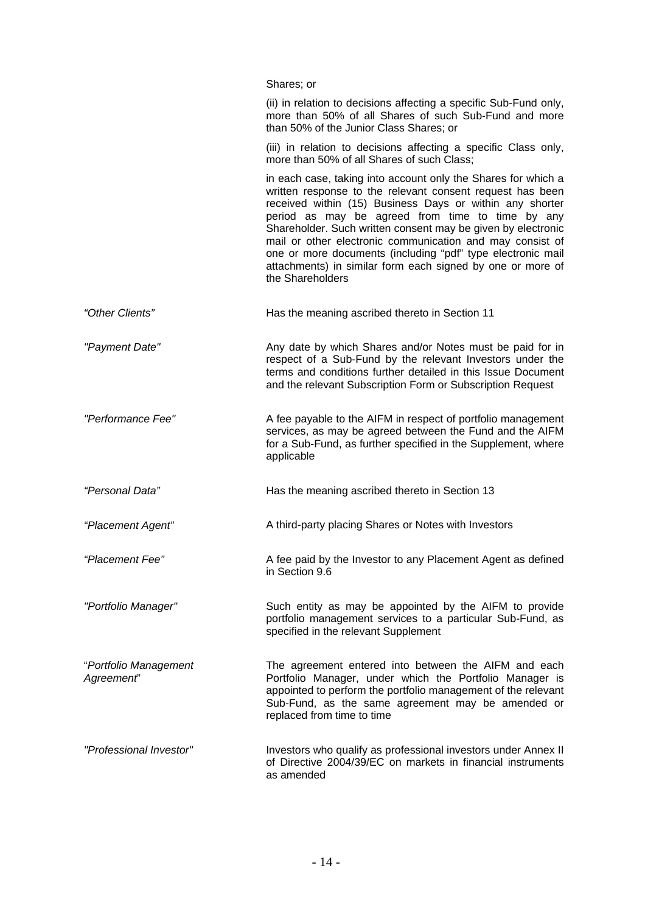|                                     | Shares; or                                                                                                                                                                                                                                                                                                                                                                                                                                                                                                               |
|-------------------------------------|--------------------------------------------------------------------------------------------------------------------------------------------------------------------------------------------------------------------------------------------------------------------------------------------------------------------------------------------------------------------------------------------------------------------------------------------------------------------------------------------------------------------------|
|                                     | (ii) in relation to decisions affecting a specific Sub-Fund only,<br>more than 50% of all Shares of such Sub-Fund and more<br>than 50% of the Junior Class Shares; or                                                                                                                                                                                                                                                                                                                                                    |
|                                     | (iii) in relation to decisions affecting a specific Class only,<br>more than 50% of all Shares of such Class;                                                                                                                                                                                                                                                                                                                                                                                                            |
|                                     | in each case, taking into account only the Shares for which a<br>written response to the relevant consent request has been<br>received within (15) Business Days or within any shorter<br>period as may be agreed from time to time by any<br>Shareholder. Such written consent may be given by electronic<br>mail or other electronic communication and may consist of<br>one or more documents (including "pdf" type electronic mail<br>attachments) in similar form each signed by one or more of<br>the Shareholders |
| "Other Clients"                     | Has the meaning ascribed thereto in Section 11                                                                                                                                                                                                                                                                                                                                                                                                                                                                           |
| "Payment Date"                      | Any date by which Shares and/or Notes must be paid for in<br>respect of a Sub-Fund by the relevant Investors under the<br>terms and conditions further detailed in this Issue Document<br>and the relevant Subscription Form or Subscription Request                                                                                                                                                                                                                                                                     |
| "Performance Fee"                   | A fee payable to the AIFM in respect of portfolio management<br>services, as may be agreed between the Fund and the AIFM<br>for a Sub-Fund, as further specified in the Supplement, where<br>applicable                                                                                                                                                                                                                                                                                                                  |
| "Personal Data"                     | Has the meaning ascribed thereto in Section 13                                                                                                                                                                                                                                                                                                                                                                                                                                                                           |
| "Placement Agent"                   | A third-party placing Shares or Notes with Investors                                                                                                                                                                                                                                                                                                                                                                                                                                                                     |
| "Placement Fee"                     | A fee paid by the Investor to any Placement Agent as defined<br>in Section 9.6                                                                                                                                                                                                                                                                                                                                                                                                                                           |
| "Portfolio Manager"                 | Such entity as may be appointed by the AIFM to provide<br>portfolio management services to a particular Sub-Fund, as<br>specified in the relevant Supplement                                                                                                                                                                                                                                                                                                                                                             |
| "Portfolio Management<br>Agreement" | The agreement entered into between the AIFM and each<br>Portfolio Manager, under which the Portfolio Manager is<br>appointed to perform the portfolio management of the relevant<br>Sub-Fund, as the same agreement may be amended or<br>replaced from time to time                                                                                                                                                                                                                                                      |
| "Professional Investor"             | Investors who qualify as professional investors under Annex II<br>of Directive 2004/39/EC on markets in financial instruments<br>as amended                                                                                                                                                                                                                                                                                                                                                                              |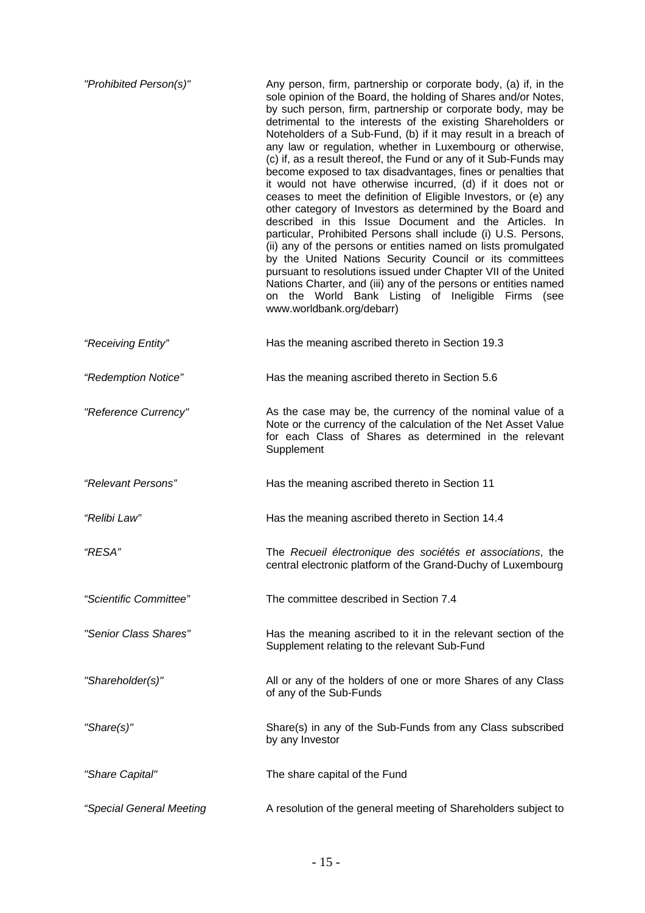| "Prohibited Person(s)"   | Any person, firm, partnership or corporate body, (a) if, in the<br>sole opinion of the Board, the holding of Shares and/or Notes,<br>by such person, firm, partnership or corporate body, may be<br>detrimental to the interests of the existing Shareholders or<br>Noteholders of a Sub-Fund, (b) if it may result in a breach of<br>any law or regulation, whether in Luxembourg or otherwise,<br>(c) if, as a result thereof, the Fund or any of it Sub-Funds may<br>become exposed to tax disadvantages, fines or penalties that<br>it would not have otherwise incurred, (d) if it does not or<br>ceases to meet the definition of Eligible Investors, or (e) any<br>other category of Investors as determined by the Board and<br>described in this Issue Document and the Articles. In<br>particular, Prohibited Persons shall include (i) U.S. Persons,<br>(ii) any of the persons or entities named on lists promulgated<br>by the United Nations Security Council or its committees<br>pursuant to resolutions issued under Chapter VII of the United<br>Nations Charter, and (iii) any of the persons or entities named<br>on the World Bank Listing of Ineligible Firms<br>(see<br>www.worldbank.org/debarr) |
|--------------------------|--------------------------------------------------------------------------------------------------------------------------------------------------------------------------------------------------------------------------------------------------------------------------------------------------------------------------------------------------------------------------------------------------------------------------------------------------------------------------------------------------------------------------------------------------------------------------------------------------------------------------------------------------------------------------------------------------------------------------------------------------------------------------------------------------------------------------------------------------------------------------------------------------------------------------------------------------------------------------------------------------------------------------------------------------------------------------------------------------------------------------------------------------------------------------------------------------------------------------|
| "Receiving Entity"       | Has the meaning ascribed thereto in Section 19.3                                                                                                                                                                                                                                                                                                                                                                                                                                                                                                                                                                                                                                                                                                                                                                                                                                                                                                                                                                                                                                                                                                                                                                         |
| "Redemption Notice"      | Has the meaning ascribed thereto in Section 5.6                                                                                                                                                                                                                                                                                                                                                                                                                                                                                                                                                                                                                                                                                                                                                                                                                                                                                                                                                                                                                                                                                                                                                                          |
| "Reference Currency"     | As the case may be, the currency of the nominal value of a<br>Note or the currency of the calculation of the Net Asset Value<br>for each Class of Shares as determined in the relevant<br>Supplement                                                                                                                                                                                                                                                                                                                                                                                                                                                                                                                                                                                                                                                                                                                                                                                                                                                                                                                                                                                                                     |
| "Relevant Persons"       | Has the meaning ascribed thereto in Section 11                                                                                                                                                                                                                                                                                                                                                                                                                                                                                                                                                                                                                                                                                                                                                                                                                                                                                                                                                                                                                                                                                                                                                                           |
| "Relibi Law              | Has the meaning ascribed thereto in Section 14.4                                                                                                                                                                                                                                                                                                                                                                                                                                                                                                                                                                                                                                                                                                                                                                                                                                                                                                                                                                                                                                                                                                                                                                         |
| "RESA"                   | The Recueil électronique des sociétés et associations, the<br>central electronic platform of the Grand-Duchy of Luxembourg                                                                                                                                                                                                                                                                                                                                                                                                                                                                                                                                                                                                                                                                                                                                                                                                                                                                                                                                                                                                                                                                                               |
| "Scientific Committee"   | The committee described in Section 7.4                                                                                                                                                                                                                                                                                                                                                                                                                                                                                                                                                                                                                                                                                                                                                                                                                                                                                                                                                                                                                                                                                                                                                                                   |
| "Senior Class Shares"    | Has the meaning ascribed to it in the relevant section of the<br>Supplement relating to the relevant Sub-Fund                                                                                                                                                                                                                                                                                                                                                                                                                                                                                                                                                                                                                                                                                                                                                                                                                                                                                                                                                                                                                                                                                                            |
| "Shareholder(s)"         | All or any of the holders of one or more Shares of any Class<br>of any of the Sub-Funds                                                                                                                                                                                                                                                                                                                                                                                                                                                                                                                                                                                                                                                                                                                                                                                                                                                                                                                                                                                                                                                                                                                                  |
| "Share(s)"               | Share(s) in any of the Sub-Funds from any Class subscribed<br>by any Investor                                                                                                                                                                                                                                                                                                                                                                                                                                                                                                                                                                                                                                                                                                                                                                                                                                                                                                                                                                                                                                                                                                                                            |
| "Share Capital"          | The share capital of the Fund                                                                                                                                                                                                                                                                                                                                                                                                                                                                                                                                                                                                                                                                                                                                                                                                                                                                                                                                                                                                                                                                                                                                                                                            |
| "Special General Meeting | A resolution of the general meeting of Shareholders subject to                                                                                                                                                                                                                                                                                                                                                                                                                                                                                                                                                                                                                                                                                                                                                                                                                                                                                                                                                                                                                                                                                                                                                           |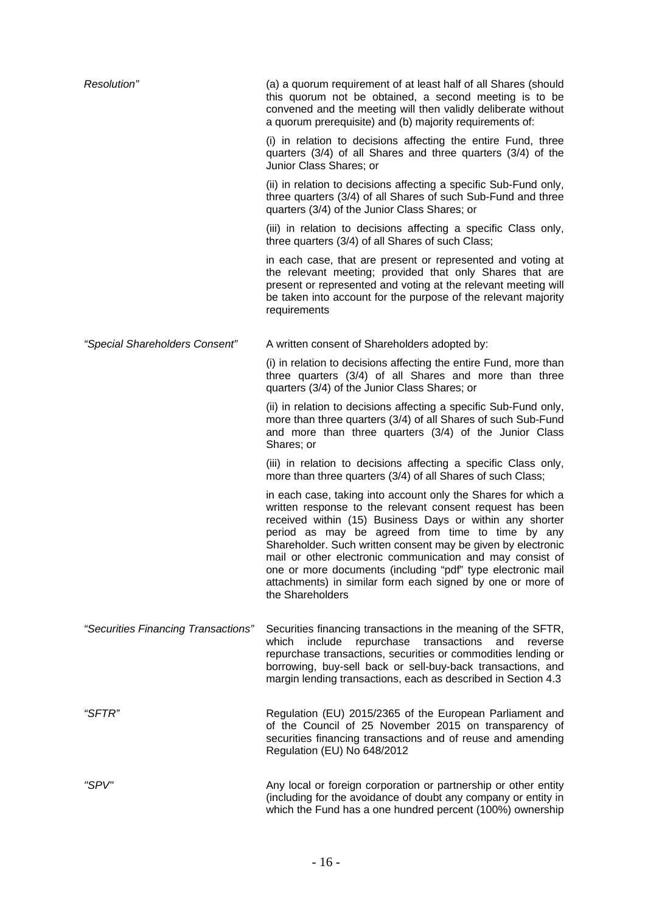| Resolution"                         | (a) a quorum requirement of at least half of all Shares (should<br>this quorum not be obtained, a second meeting is to be<br>convened and the meeting will then validly deliberate without<br>a quorum prerequisite) and (b) majority requirements of:                                                                                                                                                                                                                                                                   |
|-------------------------------------|--------------------------------------------------------------------------------------------------------------------------------------------------------------------------------------------------------------------------------------------------------------------------------------------------------------------------------------------------------------------------------------------------------------------------------------------------------------------------------------------------------------------------|
|                                     | (i) in relation to decisions affecting the entire Fund, three<br>quarters $(3/4)$ of all Shares and three quarters $(3/4)$ of the<br>Junior Class Shares; or                                                                                                                                                                                                                                                                                                                                                             |
|                                     | (ii) in relation to decisions affecting a specific Sub-Fund only,<br>three quarters (3/4) of all Shares of such Sub-Fund and three<br>quarters (3/4) of the Junior Class Shares; or                                                                                                                                                                                                                                                                                                                                      |
|                                     | (iii) in relation to decisions affecting a specific Class only,<br>three quarters (3/4) of all Shares of such Class;                                                                                                                                                                                                                                                                                                                                                                                                     |
|                                     | in each case, that are present or represented and voting at<br>the relevant meeting; provided that only Shares that are<br>present or represented and voting at the relevant meeting will<br>be taken into account for the purpose of the relevant majority<br>requirements                                                                                                                                                                                                                                              |
| "Special Shareholders Consent"      | A written consent of Shareholders adopted by:                                                                                                                                                                                                                                                                                                                                                                                                                                                                            |
|                                     | (i) in relation to decisions affecting the entire Fund, more than<br>three quarters (3/4) of all Shares and more than three<br>quarters (3/4) of the Junior Class Shares; or                                                                                                                                                                                                                                                                                                                                             |
|                                     | (ii) in relation to decisions affecting a specific Sub-Fund only,<br>more than three quarters (3/4) of all Shares of such Sub-Fund<br>and more than three quarters (3/4) of the Junior Class<br>Shares; or                                                                                                                                                                                                                                                                                                               |
|                                     | (iii) in relation to decisions affecting a specific Class only,<br>more than three quarters (3/4) of all Shares of such Class;                                                                                                                                                                                                                                                                                                                                                                                           |
|                                     | in each case, taking into account only the Shares for which a<br>written response to the relevant consent request has been<br>received within (15) Business Days or within any shorter<br>period as may be agreed from time to time by any<br>Shareholder. Such written consent may be given by electronic<br>mail or other electronic communication and may consist of<br>one or more documents (including "pdf" type electronic mail<br>attachments) in similar form each signed by one or more of<br>the Shareholders |
| "Securities Financing Transactions" | Securities financing transactions in the meaning of the SFTR,<br>repurchase<br>which<br>include<br>transactions<br>and<br>reverse<br>repurchase transactions, securities or commodities lending or<br>borrowing, buy-sell back or sell-buy-back transactions, and<br>margin lending transactions, each as described in Section 4.3                                                                                                                                                                                       |
| "SFTR"                              | Regulation (EU) 2015/2365 of the European Parliament and<br>of the Council of 25 November 2015 on transparency of<br>securities financing transactions and of reuse and amending<br>Regulation (EU) No 648/2012                                                                                                                                                                                                                                                                                                          |
| "SPV"                               | Any local or foreign corporation or partnership or other entity<br>(including for the avoidance of doubt any company or entity in<br>which the Fund has a one hundred percent (100%) ownership                                                                                                                                                                                                                                                                                                                           |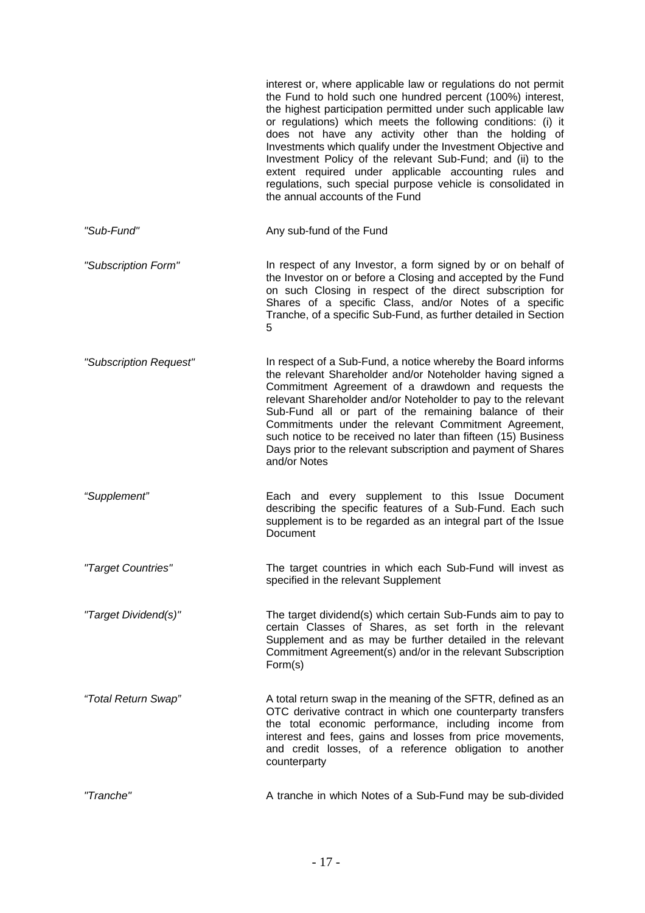|                        | interest or, where applicable law or regulations do not permit<br>the Fund to hold such one hundred percent (100%) interest,<br>the highest participation permitted under such applicable law<br>or regulations) which meets the following conditions: (i) it<br>does not have any activity other than the holding of<br>Investments which qualify under the Investment Objective and<br>Investment Policy of the relevant Sub-Fund; and (ii) to the<br>extent required under applicable accounting rules and<br>regulations, such special purpose vehicle is consolidated in<br>the annual accounts of the Fund |
|------------------------|------------------------------------------------------------------------------------------------------------------------------------------------------------------------------------------------------------------------------------------------------------------------------------------------------------------------------------------------------------------------------------------------------------------------------------------------------------------------------------------------------------------------------------------------------------------------------------------------------------------|
| "Sub-Fund"             | Any sub-fund of the Fund                                                                                                                                                                                                                                                                                                                                                                                                                                                                                                                                                                                         |
| "Subscription Form"    | In respect of any Investor, a form signed by or on behalf of<br>the Investor on or before a Closing and accepted by the Fund<br>on such Closing in respect of the direct subscription for<br>Shares of a specific Class, and/or Notes of a specific<br>Tranche, of a specific Sub-Fund, as further detailed in Section<br>5                                                                                                                                                                                                                                                                                      |
| "Subscription Request" | In respect of a Sub-Fund, a notice whereby the Board informs<br>the relevant Shareholder and/or Noteholder having signed a<br>Commitment Agreement of a drawdown and requests the<br>relevant Shareholder and/or Noteholder to pay to the relevant<br>Sub-Fund all or part of the remaining balance of their<br>Commitments under the relevant Commitment Agreement,<br>such notice to be received no later than fifteen (15) Business<br>Days prior to the relevant subscription and payment of Shares<br>and/or Notes                                                                                          |
| "Supplement"           | Each and every supplement to this Issue Document<br>describing the specific features of a Sub-Fund. Each such<br>supplement is to be regarded as an integral part of the Issue<br>Document                                                                                                                                                                                                                                                                                                                                                                                                                       |
| "Target Countries"     | The target countries in which each Sub-Fund will invest as<br>specified in the relevant Supplement                                                                                                                                                                                                                                                                                                                                                                                                                                                                                                               |
| "Target Dividend(s)"   | The target dividend(s) which certain Sub-Funds aim to pay to<br>certain Classes of Shares, as set forth in the relevant<br>Supplement and as may be further detailed in the relevant<br>Commitment Agreement(s) and/or in the relevant Subscription<br>Form(s)                                                                                                                                                                                                                                                                                                                                                   |
| "Total Return Swap"    | A total return swap in the meaning of the SFTR, defined as an<br>OTC derivative contract in which one counterparty transfers<br>the total economic performance, including income from<br>interest and fees, gains and losses from price movements,<br>and credit losses, of a reference obligation to another<br>counterparty                                                                                                                                                                                                                                                                                    |
| "Tranche"              | A tranche in which Notes of a Sub-Fund may be sub-divided                                                                                                                                                                                                                                                                                                                                                                                                                                                                                                                                                        |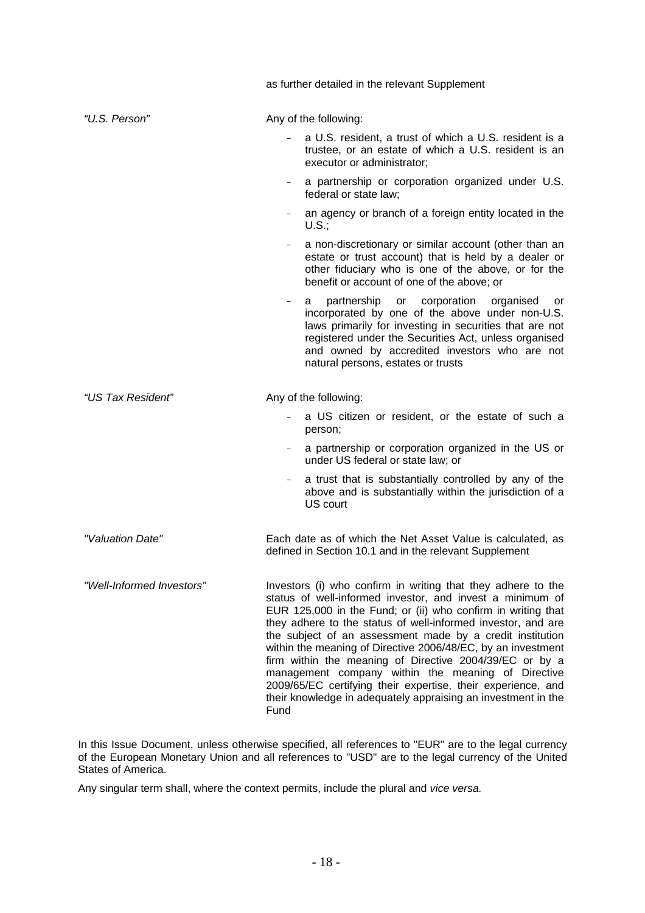|                           | as further detailed in the relevant Supplement                                                                                                                                                                                                                                                                                                                                                                                                                                                                                                                                                                                                   |
|---------------------------|--------------------------------------------------------------------------------------------------------------------------------------------------------------------------------------------------------------------------------------------------------------------------------------------------------------------------------------------------------------------------------------------------------------------------------------------------------------------------------------------------------------------------------------------------------------------------------------------------------------------------------------------------|
| "U.S. Person"             | Any of the following:                                                                                                                                                                                                                                                                                                                                                                                                                                                                                                                                                                                                                            |
|                           | a U.S. resident, a trust of which a U.S. resident is a<br>trustee, or an estate of which a U.S. resident is an<br>executor or administrator;                                                                                                                                                                                                                                                                                                                                                                                                                                                                                                     |
|                           | a partnership or corporation organized under U.S.<br>federal or state law;                                                                                                                                                                                                                                                                                                                                                                                                                                                                                                                                                                       |
|                           | an agency or branch of a foreign entity located in the<br>U.S.:                                                                                                                                                                                                                                                                                                                                                                                                                                                                                                                                                                                  |
|                           | a non-discretionary or similar account (other than an<br>$-$<br>estate or trust account) that is held by a dealer or<br>other fiduciary who is one of the above, or for the<br>benefit or account of one of the above; or                                                                                                                                                                                                                                                                                                                                                                                                                        |
|                           | partnership or corporation<br>organised<br>a<br>or<br>incorporated by one of the above under non-U.S.<br>laws primarily for investing in securities that are not<br>registered under the Securities Act, unless organised<br>and owned by accredited investors who are not<br>natural persons, estates or trusts                                                                                                                                                                                                                                                                                                                                 |
| "US Tax Resident"         | Any of the following:                                                                                                                                                                                                                                                                                                                                                                                                                                                                                                                                                                                                                            |
|                           | a US citizen or resident, or the estate of such a<br>person;                                                                                                                                                                                                                                                                                                                                                                                                                                                                                                                                                                                     |
|                           | a partnership or corporation organized in the US or<br>under US federal or state law; or                                                                                                                                                                                                                                                                                                                                                                                                                                                                                                                                                         |
|                           | a trust that is substantially controlled by any of the<br>$-$<br>above and is substantially within the jurisdiction of a<br>US court                                                                                                                                                                                                                                                                                                                                                                                                                                                                                                             |
| "Valuation Date"          | Each date as of which the Net Asset Value is calculated, as<br>defined in Section 10.1 and in the relevant Supplement                                                                                                                                                                                                                                                                                                                                                                                                                                                                                                                            |
| "Well-Informed Investors" | Investors (i) who confirm in writing that they adhere to the<br>status of well-informed investor, and invest a minimum of<br>EUR 125,000 in the Fund; or (ii) who confirm in writing that<br>they adhere to the status of well-informed investor, and are<br>the subject of an assessment made by a credit institution<br>within the meaning of Directive 2006/48/EC, by an investment<br>firm within the meaning of Directive 2004/39/EC or by a<br>management company within the meaning of Directive<br>2009/65/EC certifying their expertise, their experience, and<br>their knowledge in adequately appraising an investment in the<br>Fund |

In this Issue Document, unless otherwise specified, all references to "EUR" are to the legal currency of the European Monetary Union and all references to "USD" are to the legal currency of the United States of America.

Any singular term shall, where the context permits, include the plural and *vice versa.*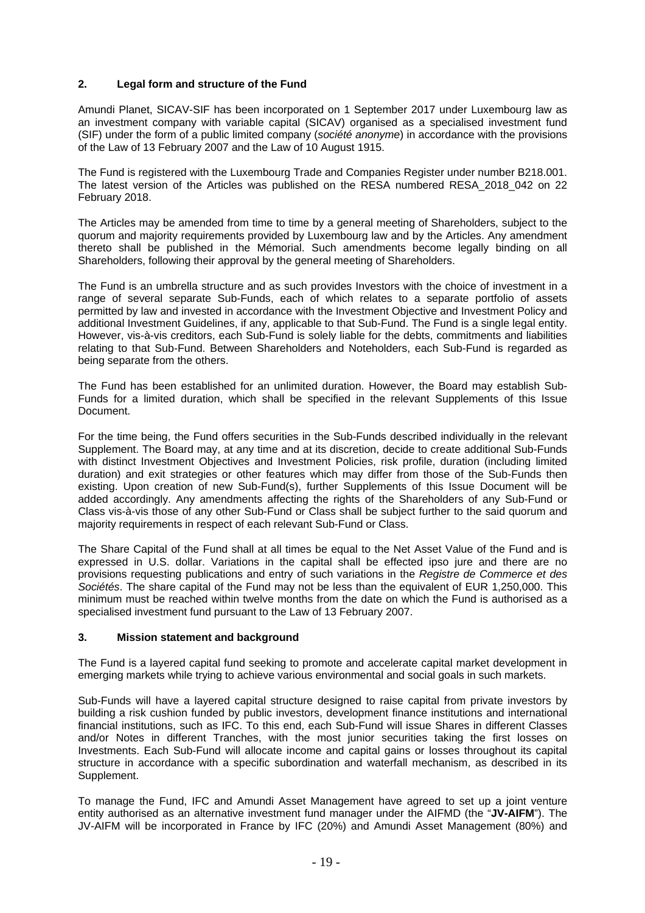## **2. Legal form and structure of the Fund**

Amundi Planet, SICAV-SIF has been incorporated on 1 September 2017 under Luxembourg law as an investment company with variable capital (SICAV) organised as a specialised investment fund (SIF) under the form of a public limited company (*société anonyme*) in accordance with the provisions of the Law of 13 February 2007 and the Law of 10 August 1915.

The Fund is registered with the Luxembourg Trade and Companies Register under number B218.001. The latest version of the Articles was published on the RESA numbered RESA\_2018\_042 on 22 February 2018.

The Articles may be amended from time to time by a general meeting of Shareholders, subject to the quorum and majority requirements provided by Luxembourg law and by the Articles. Any amendment thereto shall be published in the Mémorial. Such amendments become legally binding on all Shareholders, following their approval by the general meeting of Shareholders.

The Fund is an umbrella structure and as such provides Investors with the choice of investment in a range of several separate Sub-Funds, each of which relates to a separate portfolio of assets permitted by law and invested in accordance with the Investment Objective and Investment Policy and additional Investment Guidelines, if any, applicable to that Sub-Fund. The Fund is a single legal entity. However, vis-à-vis creditors, each Sub-Fund is solely liable for the debts, commitments and liabilities relating to that Sub-Fund. Between Shareholders and Noteholders, each Sub-Fund is regarded as being separate from the others.

The Fund has been established for an unlimited duration. However, the Board may establish Sub-Funds for a limited duration, which shall be specified in the relevant Supplements of this Issue Document.

For the time being, the Fund offers securities in the Sub-Funds described individually in the relevant Supplement. The Board may, at any time and at its discretion, decide to create additional Sub-Funds with distinct Investment Objectives and Investment Policies, risk profile, duration (including limited duration) and exit strategies or other features which may differ from those of the Sub-Funds then existing. Upon creation of new Sub-Fund(s), further Supplements of this Issue Document will be added accordingly. Any amendments affecting the rights of the Shareholders of any Sub-Fund or Class vis-à-vis those of any other Sub-Fund or Class shall be subject further to the said quorum and majority requirements in respect of each relevant Sub-Fund or Class.

The Share Capital of the Fund shall at all times be equal to the Net Asset Value of the Fund and is expressed in U.S. dollar. Variations in the capital shall be effected ipso jure and there are no provisions requesting publications and entry of such variations in the *Registre de Commerce et des Sociétés*. The share capital of the Fund may not be less than the equivalent of EUR 1,250,000. This minimum must be reached within twelve months from the date on which the Fund is authorised as a specialised investment fund pursuant to the Law of 13 February 2007.

## **3. Mission statement and background**

The Fund is a layered capital fund seeking to promote and accelerate capital market development in emerging markets while trying to achieve various environmental and social goals in such markets.

Sub-Funds will have a layered capital structure designed to raise capital from private investors by building a risk cushion funded by public investors, development finance institutions and international financial institutions, such as IFC. To this end, each Sub-Fund will issue Shares in different Classes and/or Notes in different Tranches, with the most junior securities taking the first losses on Investments. Each Sub-Fund will allocate income and capital gains or losses throughout its capital structure in accordance with a specific subordination and waterfall mechanism, as described in its Supplement.

To manage the Fund, IFC and Amundi Asset Management have agreed to set up a joint venture entity authorised as an alternative investment fund manager under the AIFMD (the "**JV-AIFM**"). The JV-AIFM will be incorporated in France by IFC (20%) and Amundi Asset Management (80%) and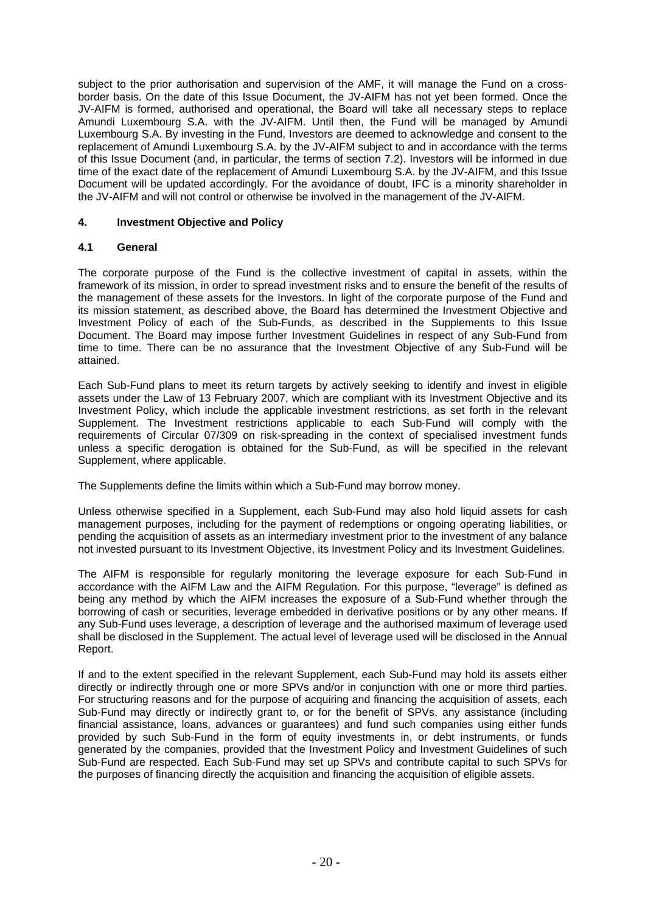subject to the prior authorisation and supervision of the AMF, it will manage the Fund on a crossborder basis. On the date of this Issue Document, the JV-AIFM has not yet been formed. Once the JV-AIFM is formed, authorised and operational, the Board will take all necessary steps to replace Amundi Luxembourg S.A. with the JV-AIFM. Until then, the Fund will be managed by Amundi Luxembourg S.A. By investing in the Fund, Investors are deemed to acknowledge and consent to the replacement of Amundi Luxembourg S.A. by the JV-AIFM subject to and in accordance with the terms of this Issue Document (and, in particular, the terms of section 7.2). Investors will be informed in due time of the exact date of the replacement of Amundi Luxembourg S.A. by the JV-AIFM, and this Issue Document will be updated accordingly. For the avoidance of doubt, IFC is a minority shareholder in the JV-AIFM and will not control or otherwise be involved in the management of the JV-AIFM.

## **4. Investment Objective and Policy**

## **4.1 General**

The corporate purpose of the Fund is the collective investment of capital in assets, within the framework of its mission, in order to spread investment risks and to ensure the benefit of the results of the management of these assets for the Investors. In light of the corporate purpose of the Fund and its mission statement, as described above, the Board has determined the Investment Objective and Investment Policy of each of the Sub-Funds, as described in the Supplements to this Issue Document. The Board may impose further Investment Guidelines in respect of any Sub-Fund from time to time. There can be no assurance that the Investment Objective of any Sub-Fund will be attained.

Each Sub-Fund plans to meet its return targets by actively seeking to identify and invest in eligible assets under the Law of 13 February 2007, which are compliant with its Investment Objective and its Investment Policy, which include the applicable investment restrictions, as set forth in the relevant Supplement. The Investment restrictions applicable to each Sub-Fund will comply with the requirements of Circular 07/309 on risk-spreading in the context of specialised investment funds unless a specific derogation is obtained for the Sub-Fund, as will be specified in the relevant Supplement, where applicable.

The Supplements define the limits within which a Sub-Fund may borrow money.

Unless otherwise specified in a Supplement, each Sub-Fund may also hold liquid assets for cash management purposes, including for the payment of redemptions or ongoing operating liabilities, or pending the acquisition of assets as an intermediary investment prior to the investment of any balance not invested pursuant to its Investment Objective, its Investment Policy and its Investment Guidelines.

The AIFM is responsible for regularly monitoring the leverage exposure for each Sub-Fund in accordance with the AIFM Law and the AIFM Regulation. For this purpose, "leverage" is defined as being any method by which the AIFM increases the exposure of a Sub-Fund whether through the borrowing of cash or securities, leverage embedded in derivative positions or by any other means. If any Sub-Fund uses leverage, a description of leverage and the authorised maximum of leverage used shall be disclosed in the Supplement. The actual level of leverage used will be disclosed in the Annual Report.

If and to the extent specified in the relevant Supplement, each Sub-Fund may hold its assets either directly or indirectly through one or more SPVs and/or in conjunction with one or more third parties. For structuring reasons and for the purpose of acquiring and financing the acquisition of assets, each Sub-Fund may directly or indirectly grant to, or for the benefit of SPVs, any assistance (including financial assistance, loans, advances or guarantees) and fund such companies using either funds provided by such Sub-Fund in the form of equity investments in, or debt instruments, or funds generated by the companies, provided that the Investment Policy and Investment Guidelines of such Sub-Fund are respected. Each Sub-Fund may set up SPVs and contribute capital to such SPVs for the purposes of financing directly the acquisition and financing the acquisition of eligible assets.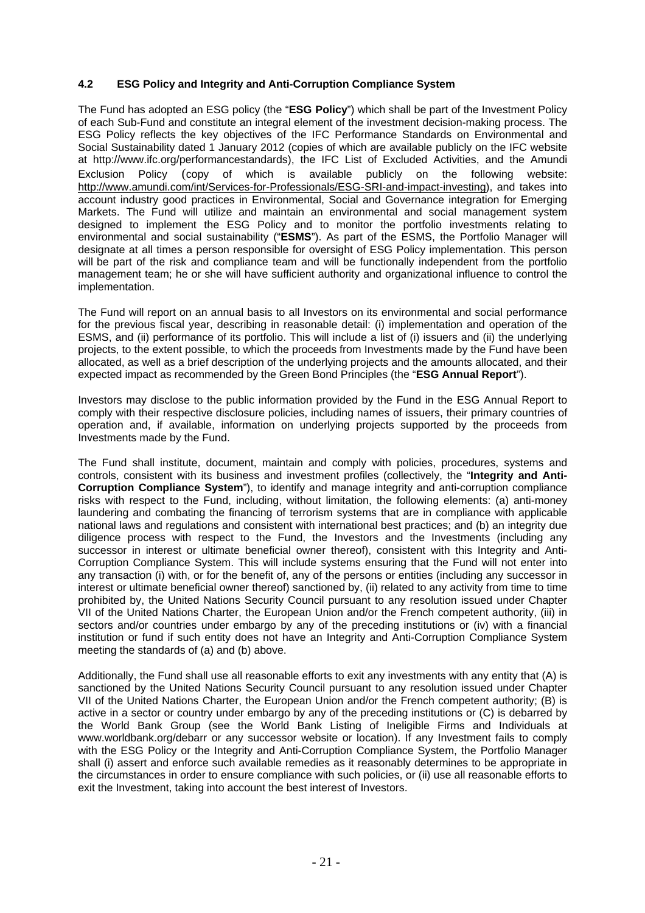## **4.2 ESG Policy and Integrity and Anti-Corruption Compliance System**

The Fund has adopted an ESG policy (the "**ESG Policy**") which shall be part of the Investment Policy of each Sub-Fund and constitute an integral element of the investment decision-making process. The ESG Policy reflects the key objectives of the IFC Performance Standards on Environmental and Social Sustainability dated 1 January 2012 (copies of which are available publicly on the IFC website at http://www.ifc.org/performancestandards), the IFC List of Excluded Activities, and the Amundi Exclusion Policy (copy of which is available publicly on the following website: http://www.amundi.com/int/Services-for-Professionals/ESG-SRI-and-impact-investing), and takes into account industry good practices in Environmental, Social and Governance integration for Emerging Markets. The Fund will utilize and maintain an environmental and social management system designed to implement the ESG Policy and to monitor the portfolio investments relating to environmental and social sustainability ("**ESMS**"). As part of the ESMS, the Portfolio Manager will designate at all times a person responsible for oversight of ESG Policy implementation. This person will be part of the risk and compliance team and will be functionally independent from the portfolio management team; he or she will have sufficient authority and organizational influence to control the implementation.

The Fund will report on an annual basis to all Investors on its environmental and social performance for the previous fiscal year, describing in reasonable detail: (i) implementation and operation of the ESMS, and (ii) performance of its portfolio. This will include a list of (i) issuers and (ii) the underlying projects, to the extent possible, to which the proceeds from Investments made by the Fund have been allocated, as well as a brief description of the underlying projects and the amounts allocated, and their expected impact as recommended by the Green Bond Principles (the "**ESG Annual Report**").

Investors may disclose to the public information provided by the Fund in the ESG Annual Report to comply with their respective disclosure policies, including names of issuers, their primary countries of operation and, if available, information on underlying projects supported by the proceeds from Investments made by the Fund.

The Fund shall institute, document, maintain and comply with policies, procedures, systems and controls, consistent with its business and investment profiles (collectively, the "**Integrity and Anti-Corruption Compliance System**"), to identify and manage integrity and anti-corruption compliance risks with respect to the Fund, including, without limitation, the following elements: (a) anti-money laundering and combating the financing of terrorism systems that are in compliance with applicable national laws and regulations and consistent with international best practices; and (b) an integrity due diligence process with respect to the Fund, the Investors and the Investments (including any successor in interest or ultimate beneficial owner thereof), consistent with this Integrity and Anti-Corruption Compliance System. This will include systems ensuring that the Fund will not enter into any transaction (i) with, or for the benefit of, any of the persons or entities (including any successor in interest or ultimate beneficial owner thereof) sanctioned by, (ii) related to any activity from time to time prohibited by, the United Nations Security Council pursuant to any resolution issued under Chapter VII of the United Nations Charter, the European Union and/or the French competent authority, (iii) in sectors and/or countries under embargo by any of the preceding institutions or (iv) with a financial institution or fund if such entity does not have an Integrity and Anti-Corruption Compliance System meeting the standards of (a) and (b) above.

Additionally, the Fund shall use all reasonable efforts to exit any investments with any entity that (A) is sanctioned by the United Nations Security Council pursuant to any resolution issued under Chapter VII of the United Nations Charter, the European Union and/or the French competent authority; (B) is active in a sector or country under embargo by any of the preceding institutions or (C) is debarred by the World Bank Group (see the World Bank Listing of Ineligible Firms and Individuals at www.worldbank.org/debarr or any successor website or location). If any Investment fails to comply with the ESG Policy or the Integrity and Anti-Corruption Compliance System, the Portfolio Manager shall (i) assert and enforce such available remedies as it reasonably determines to be appropriate in the circumstances in order to ensure compliance with such policies, or (ii) use all reasonable efforts to exit the Investment, taking into account the best interest of Investors.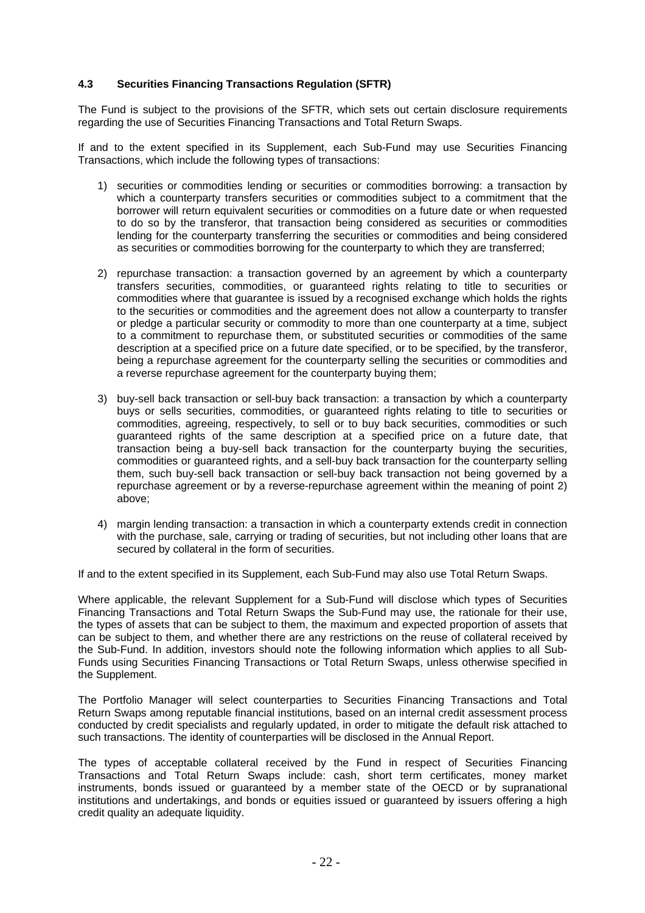## **4.3 Securities Financing Transactions Regulation (SFTR)**

The Fund is subject to the provisions of the SFTR, which sets out certain disclosure requirements regarding the use of Securities Financing Transactions and Total Return Swaps.

If and to the extent specified in its Supplement, each Sub-Fund may use Securities Financing Transactions, which include the following types of transactions:

- 1) securities or commodities lending or securities or commodities borrowing: a transaction by which a counterparty transfers securities or commodities subject to a commitment that the borrower will return equivalent securities or commodities on a future date or when requested to do so by the transferor, that transaction being considered as securities or commodities lending for the counterparty transferring the securities or commodities and being considered as securities or commodities borrowing for the counterparty to which they are transferred;
- 2) repurchase transaction: a transaction governed by an agreement by which a counterparty transfers securities, commodities, or guaranteed rights relating to title to securities or commodities where that guarantee is issued by a recognised exchange which holds the rights to the securities or commodities and the agreement does not allow a counterparty to transfer or pledge a particular security or commodity to more than one counterparty at a time, subject to a commitment to repurchase them, or substituted securities or commodities of the same description at a specified price on a future date specified, or to be specified, by the transferor, being a repurchase agreement for the counterparty selling the securities or commodities and a reverse repurchase agreement for the counterparty buying them;
- 3) buy-sell back transaction or sell-buy back transaction: a transaction by which a counterparty buys or sells securities, commodities, or guaranteed rights relating to title to securities or commodities, agreeing, respectively, to sell or to buy back securities, commodities or such guaranteed rights of the same description at a specified price on a future date, that transaction being a buy-sell back transaction for the counterparty buying the securities, commodities or guaranteed rights, and a sell-buy back transaction for the counterparty selling them, such buy-sell back transaction or sell-buy back transaction not being governed by a repurchase agreement or by a reverse-repurchase agreement within the meaning of point 2) above;
- 4) margin lending transaction: a transaction in which a counterparty extends credit in connection with the purchase, sale, carrying or trading of securities, but not including other loans that are secured by collateral in the form of securities.

If and to the extent specified in its Supplement, each Sub-Fund may also use Total Return Swaps.

Where applicable, the relevant Supplement for a Sub-Fund will disclose which types of Securities Financing Transactions and Total Return Swaps the Sub-Fund may use, the rationale for their use, the types of assets that can be subject to them, the maximum and expected proportion of assets that can be subject to them, and whether there are any restrictions on the reuse of collateral received by the Sub-Fund. In addition, investors should note the following information which applies to all Sub-Funds using Securities Financing Transactions or Total Return Swaps, unless otherwise specified in the Supplement.

The Portfolio Manager will select counterparties to Securities Financing Transactions and Total Return Swaps among reputable financial institutions, based on an internal credit assessment process conducted by credit specialists and regularly updated, in order to mitigate the default risk attached to such transactions. The identity of counterparties will be disclosed in the Annual Report.

The types of acceptable collateral received by the Fund in respect of Securities Financing Transactions and Total Return Swaps include: cash, short term certificates, money market instruments, bonds issued or guaranteed by a member state of the OECD or by supranational institutions and undertakings, and bonds or equities issued or guaranteed by issuers offering a high credit quality an adequate liquidity.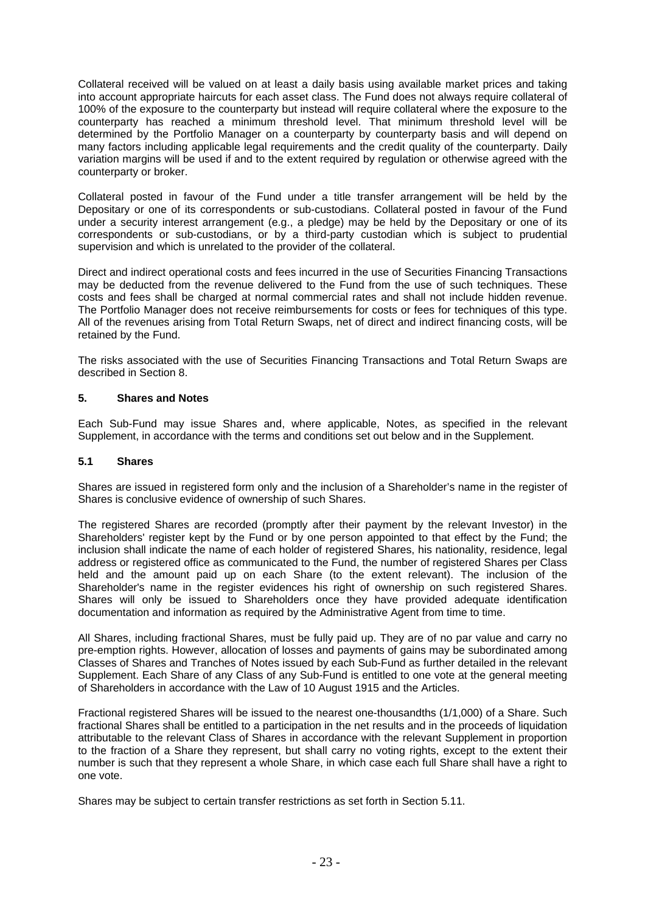Collateral received will be valued on at least a daily basis using available market prices and taking into account appropriate haircuts for each asset class. The Fund does not always require collateral of 100% of the exposure to the counterparty but instead will require collateral where the exposure to the counterparty has reached a minimum threshold level. That minimum threshold level will be determined by the Portfolio Manager on a counterparty by counterparty basis and will depend on many factors including applicable legal requirements and the credit quality of the counterparty. Daily variation margins will be used if and to the extent required by regulation or otherwise agreed with the counterparty or broker.

Collateral posted in favour of the Fund under a title transfer arrangement will be held by the Depositary or one of its correspondents or sub-custodians. Collateral posted in favour of the Fund under a security interest arrangement (e.g., a pledge) may be held by the Depositary or one of its correspondents or sub-custodians, or by a third-party custodian which is subject to prudential supervision and which is unrelated to the provider of the collateral.

Direct and indirect operational costs and fees incurred in the use of Securities Financing Transactions may be deducted from the revenue delivered to the Fund from the use of such techniques. These costs and fees shall be charged at normal commercial rates and shall not include hidden revenue. The Portfolio Manager does not receive reimbursements for costs or fees for techniques of this type. All of the revenues arising from Total Return Swaps, net of direct and indirect financing costs, will be retained by the Fund.

The risks associated with the use of Securities Financing Transactions and Total Return Swaps are described in Section 8.

## **5. Shares and Notes**

Each Sub-Fund may issue Shares and, where applicable, Notes, as specified in the relevant Supplement, in accordance with the terms and conditions set out below and in the Supplement.

#### **5.1 Shares**

Shares are issued in registered form only and the inclusion of a Shareholder's name in the register of Shares is conclusive evidence of ownership of such Shares.

The registered Shares are recorded (promptly after their payment by the relevant Investor) in the Shareholders' register kept by the Fund or by one person appointed to that effect by the Fund; the inclusion shall indicate the name of each holder of registered Shares, his nationality, residence, legal address or registered office as communicated to the Fund, the number of registered Shares per Class held and the amount paid up on each Share (to the extent relevant). The inclusion of the Shareholder's name in the register evidences his right of ownership on such registered Shares. Shares will only be issued to Shareholders once they have provided adequate identification documentation and information as required by the Administrative Agent from time to time.

All Shares, including fractional Shares, must be fully paid up. They are of no par value and carry no pre-emption rights. However, allocation of losses and payments of gains may be subordinated among Classes of Shares and Tranches of Notes issued by each Sub-Fund as further detailed in the relevant Supplement. Each Share of any Class of any Sub-Fund is entitled to one vote at the general meeting of Shareholders in accordance with the Law of 10 August 1915 and the Articles.

Fractional registered Shares will be issued to the nearest one-thousandths (1/1,000) of a Share. Such fractional Shares shall be entitled to a participation in the net results and in the proceeds of liquidation attributable to the relevant Class of Shares in accordance with the relevant Supplement in proportion to the fraction of a Share they represent, but shall carry no voting rights, except to the extent their number is such that they represent a whole Share, in which case each full Share shall have a right to one vote.

Shares may be subject to certain transfer restrictions as set forth in Section 5.11.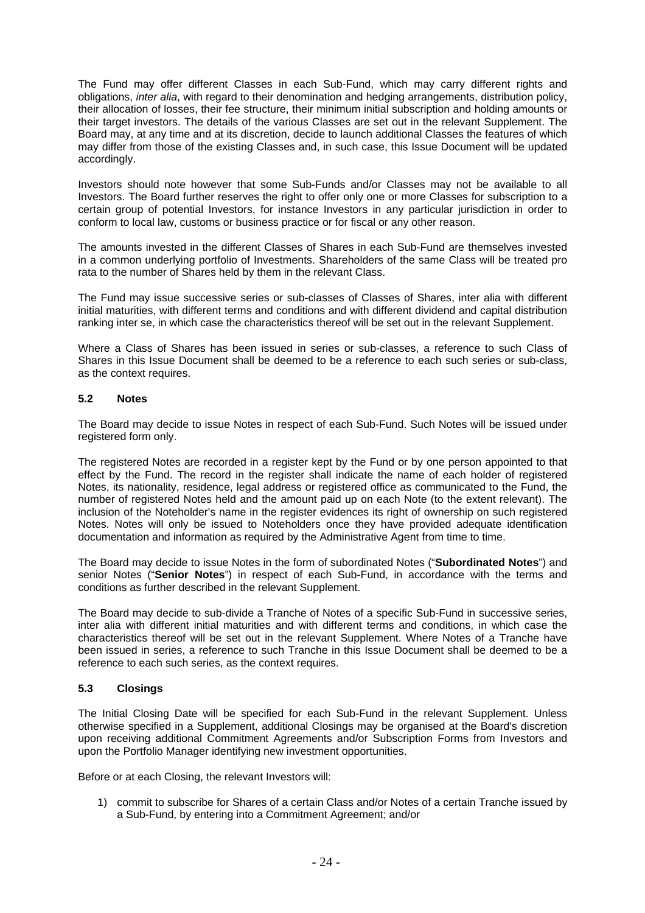The Fund may offer different Classes in each Sub-Fund, which may carry different rights and obligations, *inter alia*, with regard to their denomination and hedging arrangements, distribution policy, their allocation of losses, their fee structure, their minimum initial subscription and holding amounts or their target investors. The details of the various Classes are set out in the relevant Supplement. The Board may, at any time and at its discretion, decide to launch additional Classes the features of which may differ from those of the existing Classes and, in such case, this Issue Document will be updated accordingly.

Investors should note however that some Sub-Funds and/or Classes may not be available to all Investors. The Board further reserves the right to offer only one or more Classes for subscription to a certain group of potential Investors, for instance Investors in any particular jurisdiction in order to conform to local law, customs or business practice or for fiscal or any other reason.

The amounts invested in the different Classes of Shares in each Sub-Fund are themselves invested in a common underlying portfolio of Investments. Shareholders of the same Class will be treated pro rata to the number of Shares held by them in the relevant Class.

The Fund may issue successive series or sub-classes of Classes of Shares, inter alia with different initial maturities, with different terms and conditions and with different dividend and capital distribution ranking inter se, in which case the characteristics thereof will be set out in the relevant Supplement.

Where a Class of Shares has been issued in series or sub-classes, a reference to such Class of Shares in this Issue Document shall be deemed to be a reference to each such series or sub-class, as the context requires.

## **5.2 Notes**

The Board may decide to issue Notes in respect of each Sub-Fund. Such Notes will be issued under registered form only.

The registered Notes are recorded in a register kept by the Fund or by one person appointed to that effect by the Fund. The record in the register shall indicate the name of each holder of registered Notes, its nationality, residence, legal address or registered office as communicated to the Fund, the number of registered Notes held and the amount paid up on each Note (to the extent relevant). The inclusion of the Noteholder's name in the register evidences its right of ownership on such registered Notes. Notes will only be issued to Noteholders once they have provided adequate identification documentation and information as required by the Administrative Agent from time to time.

The Board may decide to issue Notes in the form of subordinated Notes ("**Subordinated Notes**") and senior Notes ("**Senior Notes**") in respect of each Sub-Fund, in accordance with the terms and conditions as further described in the relevant Supplement.

The Board may decide to sub-divide a Tranche of Notes of a specific Sub-Fund in successive series, inter alia with different initial maturities and with different terms and conditions, in which case the characteristics thereof will be set out in the relevant Supplement. Where Notes of a Tranche have been issued in series, a reference to such Tranche in this Issue Document shall be deemed to be a reference to each such series, as the context requires.

#### **5.3 Closings**

The Initial Closing Date will be specified for each Sub-Fund in the relevant Supplement. Unless otherwise specified in a Supplement, additional Closings may be organised at the Board's discretion upon receiving additional Commitment Agreements and/or Subscription Forms from Investors and upon the Portfolio Manager identifying new investment opportunities.

Before or at each Closing, the relevant Investors will:

1) commit to subscribe for Shares of a certain Class and/or Notes of a certain Tranche issued by a Sub-Fund, by entering into a Commitment Agreement; and/or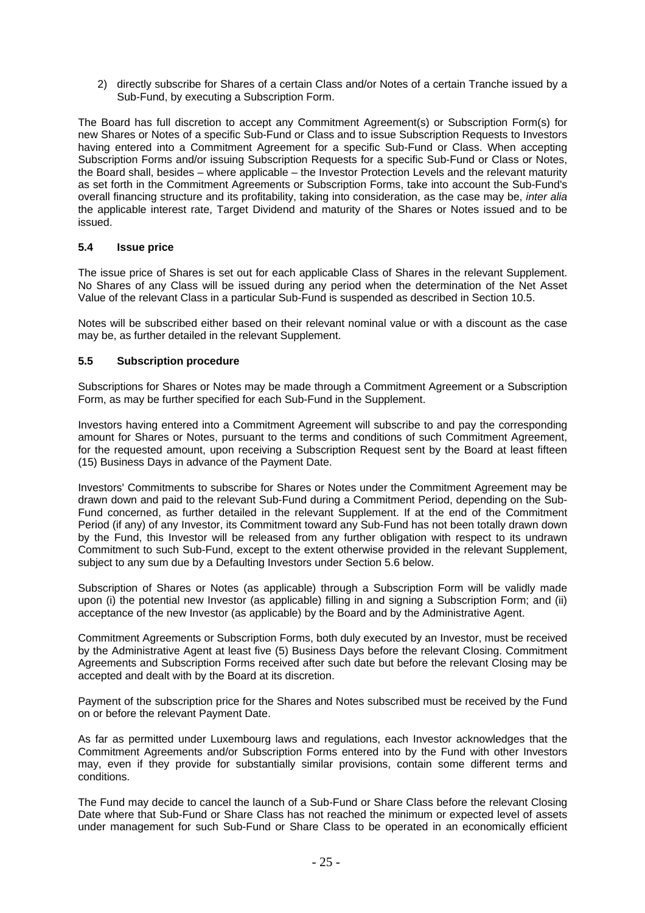2) directly subscribe for Shares of a certain Class and/or Notes of a certain Tranche issued by a Sub-Fund, by executing a Subscription Form.

The Board has full discretion to accept any Commitment Agreement(s) or Subscription Form(s) for new Shares or Notes of a specific Sub-Fund or Class and to issue Subscription Requests to Investors having entered into a Commitment Agreement for a specific Sub-Fund or Class. When accepting Subscription Forms and/or issuing Subscription Requests for a specific Sub-Fund or Class or Notes, the Board shall, besides – where applicable – the Investor Protection Levels and the relevant maturity as set forth in the Commitment Agreements or Subscription Forms, take into account the Sub-Fund's overall financing structure and its profitability, taking into consideration, as the case may be, *inter alia* the applicable interest rate, Target Dividend and maturity of the Shares or Notes issued and to be issued.

## **5.4 Issue price**

The issue price of Shares is set out for each applicable Class of Shares in the relevant Supplement. No Shares of any Class will be issued during any period when the determination of the Net Asset Value of the relevant Class in a particular Sub-Fund is suspended as described in Section 10.5.

Notes will be subscribed either based on their relevant nominal value or with a discount as the case may be, as further detailed in the relevant Supplement.

### **5.5 Subscription procedure**

Subscriptions for Shares or Notes may be made through a Commitment Agreement or a Subscription Form, as may be further specified for each Sub-Fund in the Supplement.

Investors having entered into a Commitment Agreement will subscribe to and pay the corresponding amount for Shares or Notes, pursuant to the terms and conditions of such Commitment Agreement, for the requested amount, upon receiving a Subscription Request sent by the Board at least fifteen (15) Business Days in advance of the Payment Date.

Investors' Commitments to subscribe for Shares or Notes under the Commitment Agreement may be drawn down and paid to the relevant Sub-Fund during a Commitment Period, depending on the Sub-Fund concerned, as further detailed in the relevant Supplement. If at the end of the Commitment Period (if any) of any Investor, its Commitment toward any Sub-Fund has not been totally drawn down by the Fund, this Investor will be released from any further obligation with respect to its undrawn Commitment to such Sub-Fund, except to the extent otherwise provided in the relevant Supplement, subject to any sum due by a Defaulting Investors under Section 5.6 below.

Subscription of Shares or Notes (as applicable) through a Subscription Form will be validly made upon (i) the potential new Investor (as applicable) filling in and signing a Subscription Form; and (ii) acceptance of the new Investor (as applicable) by the Board and by the Administrative Agent.

Commitment Agreements or Subscription Forms, both duly executed by an Investor, must be received by the Administrative Agent at least five (5) Business Days before the relevant Closing. Commitment Agreements and Subscription Forms received after such date but before the relevant Closing may be accepted and dealt with by the Board at its discretion.

Payment of the subscription price for the Shares and Notes subscribed must be received by the Fund on or before the relevant Payment Date.

As far as permitted under Luxembourg laws and regulations, each Investor acknowledges that the Commitment Agreements and/or Subscription Forms entered into by the Fund with other Investors may, even if they provide for substantially similar provisions, contain some different terms and conditions.

The Fund may decide to cancel the launch of a Sub-Fund or Share Class before the relevant Closing Date where that Sub-Fund or Share Class has not reached the minimum or expected level of assets under management for such Sub-Fund or Share Class to be operated in an economically efficient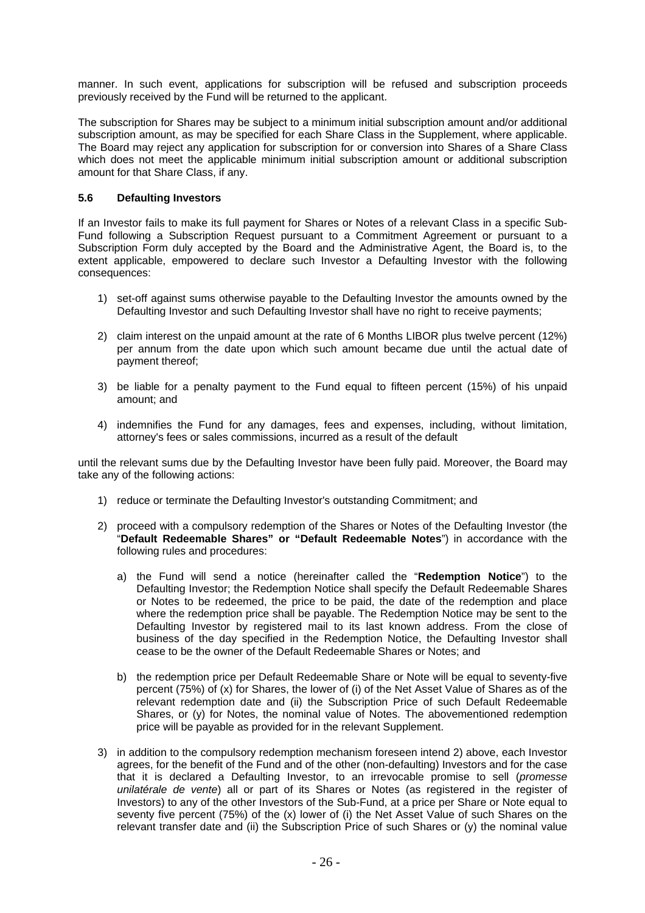manner. In such event, applications for subscription will be refused and subscription proceeds previously received by the Fund will be returned to the applicant.

The subscription for Shares may be subject to a minimum initial subscription amount and/or additional subscription amount, as may be specified for each Share Class in the Supplement, where applicable. The Board may reject any application for subscription for or conversion into Shares of a Share Class which does not meet the applicable minimum initial subscription amount or additional subscription amount for that Share Class, if any.

#### **5.6 Defaulting Investors**

If an Investor fails to make its full payment for Shares or Notes of a relevant Class in a specific Sub-Fund following a Subscription Request pursuant to a Commitment Agreement or pursuant to a Subscription Form duly accepted by the Board and the Administrative Agent, the Board is, to the extent applicable, empowered to declare such Investor a Defaulting Investor with the following consequences:

- 1) set-off against sums otherwise payable to the Defaulting Investor the amounts owned by the Defaulting Investor and such Defaulting Investor shall have no right to receive payments;
- 2) claim interest on the unpaid amount at the rate of 6 Months LIBOR plus twelve percent (12%) per annum from the date upon which such amount became due until the actual date of payment thereof;
- 3) be liable for a penalty payment to the Fund equal to fifteen percent (15%) of his unpaid amount; and
- 4) indemnifies the Fund for any damages, fees and expenses, including, without limitation, attorney's fees or sales commissions, incurred as a result of the default

until the relevant sums due by the Defaulting Investor have been fully paid. Moreover, the Board may take any of the following actions:

- 1) reduce or terminate the Defaulting Investor's outstanding Commitment; and
- 2) proceed with a compulsory redemption of the Shares or Notes of the Defaulting Investor (the "**Default Redeemable Shares" or "Default Redeemable Notes**") in accordance with the following rules and procedures:
	- a) the Fund will send a notice (hereinafter called the "**Redemption Notice**") to the Defaulting Investor; the Redemption Notice shall specify the Default Redeemable Shares or Notes to be redeemed, the price to be paid, the date of the redemption and place where the redemption price shall be payable. The Redemption Notice may be sent to the Defaulting Investor by registered mail to its last known address. From the close of business of the day specified in the Redemption Notice, the Defaulting Investor shall cease to be the owner of the Default Redeemable Shares or Notes; and
	- b) the redemption price per Default Redeemable Share or Note will be equal to seventy-five percent (75%) of (x) for Shares, the lower of (i) of the Net Asset Value of Shares as of the relevant redemption date and (ii) the Subscription Price of such Default Redeemable Shares, or (y) for Notes, the nominal value of Notes. The abovementioned redemption price will be payable as provided for in the relevant Supplement.
- 3) in addition to the compulsory redemption mechanism foreseen intend 2) above, each Investor agrees, for the benefit of the Fund and of the other (non-defaulting) Investors and for the case that it is declared a Defaulting Investor, to an irrevocable promise to sell (*promesse unilatérale de vente*) all or part of its Shares or Notes (as registered in the register of Investors) to any of the other Investors of the Sub-Fund, at a price per Share or Note equal to seventy five percent (75%) of the (x) lower of (i) the Net Asset Value of such Shares on the relevant transfer date and (ii) the Subscription Price of such Shares or (y) the nominal value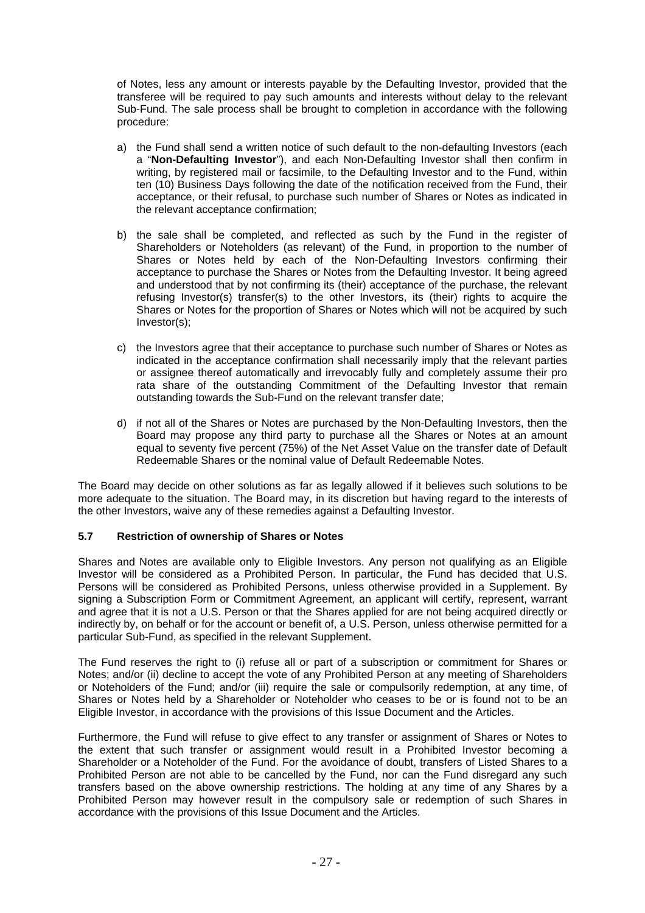of Notes, less any amount or interests payable by the Defaulting Investor, provided that the transferee will be required to pay such amounts and interests without delay to the relevant Sub-Fund. The sale process shall be brought to completion in accordance with the following procedure:

- a) the Fund shall send a written notice of such default to the non-defaulting Investors (each a "**Non-Defaulting Investor**"), and each Non-Defaulting Investor shall then confirm in writing, by registered mail or facsimile, to the Defaulting Investor and to the Fund, within ten (10) Business Days following the date of the notification received from the Fund, their acceptance, or their refusal, to purchase such number of Shares or Notes as indicated in the relevant acceptance confirmation;
- b) the sale shall be completed, and reflected as such by the Fund in the register of Shareholders or Noteholders (as relevant) of the Fund, in proportion to the number of Shares or Notes held by each of the Non-Defaulting Investors confirming their acceptance to purchase the Shares or Notes from the Defaulting Investor. It being agreed and understood that by not confirming its (their) acceptance of the purchase, the relevant refusing Investor(s) transfer(s) to the other Investors, its (their) rights to acquire the Shares or Notes for the proportion of Shares or Notes which will not be acquired by such Investor(s);
- c) the Investors agree that their acceptance to purchase such number of Shares or Notes as indicated in the acceptance confirmation shall necessarily imply that the relevant parties or assignee thereof automatically and irrevocably fully and completely assume their pro rata share of the outstanding Commitment of the Defaulting Investor that remain outstanding towards the Sub-Fund on the relevant transfer date;
- d) if not all of the Shares or Notes are purchased by the Non-Defaulting Investors, then the Board may propose any third party to purchase all the Shares or Notes at an amount equal to seventy five percent (75%) of the Net Asset Value on the transfer date of Default Redeemable Shares or the nominal value of Default Redeemable Notes.

The Board may decide on other solutions as far as legally allowed if it believes such solutions to be more adequate to the situation. The Board may, in its discretion but having regard to the interests of the other Investors, waive any of these remedies against a Defaulting Investor.

#### **5.7 Restriction of ownership of Shares or Notes**

Shares and Notes are available only to Eligible Investors. Any person not qualifying as an Eligible Investor will be considered as a Prohibited Person. In particular, the Fund has decided that U.S. Persons will be considered as Prohibited Persons, unless otherwise provided in a Supplement. By signing a Subscription Form or Commitment Agreement, an applicant will certify, represent, warrant and agree that it is not a U.S. Person or that the Shares applied for are not being acquired directly or indirectly by, on behalf or for the account or benefit of, a U.S. Person, unless otherwise permitted for a particular Sub-Fund, as specified in the relevant Supplement.

The Fund reserves the right to (i) refuse all or part of a subscription or commitment for Shares or Notes; and/or (ii) decline to accept the vote of any Prohibited Person at any meeting of Shareholders or Noteholders of the Fund; and/or (iii) require the sale or compulsorily redemption, at any time, of Shares or Notes held by a Shareholder or Noteholder who ceases to be or is found not to be an Eligible Investor, in accordance with the provisions of this Issue Document and the Articles.

Furthermore, the Fund will refuse to give effect to any transfer or assignment of Shares or Notes to the extent that such transfer or assignment would result in a Prohibited Investor becoming a Shareholder or a Noteholder of the Fund. For the avoidance of doubt, transfers of Listed Shares to a Prohibited Person are not able to be cancelled by the Fund, nor can the Fund disregard any such transfers based on the above ownership restrictions. The holding at any time of any Shares by a Prohibited Person may however result in the compulsory sale or redemption of such Shares in accordance with the provisions of this Issue Document and the Articles.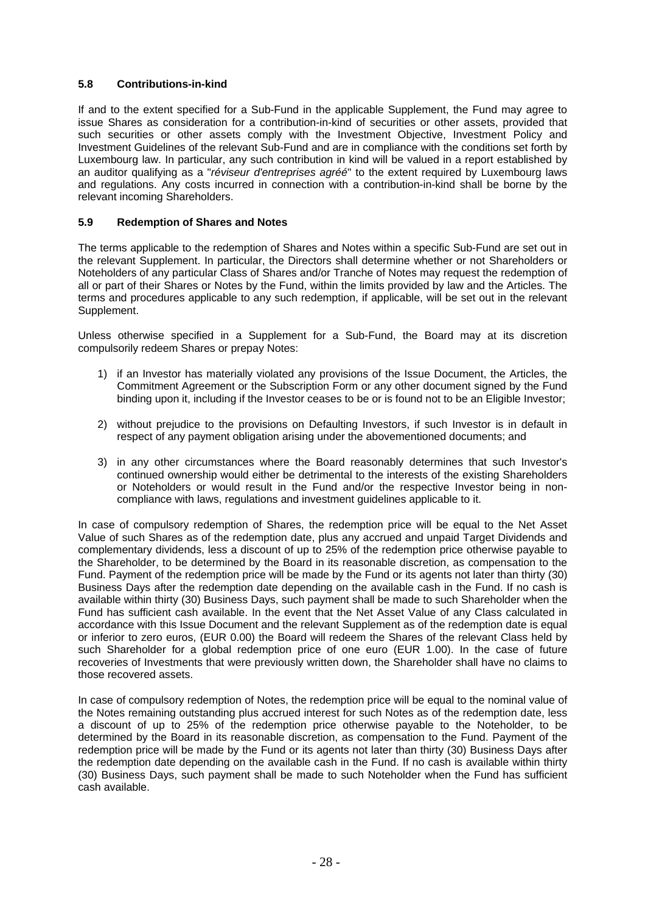## **5.8 Contributions-in-kind**

If and to the extent specified for a Sub-Fund in the applicable Supplement, the Fund may agree to issue Shares as consideration for a contribution-in-kind of securities or other assets, provided that such securities or other assets comply with the Investment Objective, Investment Policy and Investment Guidelines of the relevant Sub-Fund and are in compliance with the conditions set forth by Luxembourg law. In particular, any such contribution in kind will be valued in a report established by an auditor qualifying as a "*réviseur d'entreprises agréé*" to the extent required by Luxembourg laws and regulations. Any costs incurred in connection with a contribution-in-kind shall be borne by the relevant incoming Shareholders.

## **5.9 Redemption of Shares and Notes**

The terms applicable to the redemption of Shares and Notes within a specific Sub-Fund are set out in the relevant Supplement. In particular, the Directors shall determine whether or not Shareholders or Noteholders of any particular Class of Shares and/or Tranche of Notes may request the redemption of all or part of their Shares or Notes by the Fund, within the limits provided by law and the Articles. The terms and procedures applicable to any such redemption, if applicable, will be set out in the relevant Supplement.

Unless otherwise specified in a Supplement for a Sub-Fund, the Board may at its discretion compulsorily redeem Shares or prepay Notes:

- 1) if an Investor has materially violated any provisions of the Issue Document, the Articles, the Commitment Agreement or the Subscription Form or any other document signed by the Fund binding upon it, including if the Investor ceases to be or is found not to be an Eligible Investor;
- 2) without prejudice to the provisions on Defaulting Investors, if such Investor is in default in respect of any payment obligation arising under the abovementioned documents; and
- 3) in any other circumstances where the Board reasonably determines that such Investor's continued ownership would either be detrimental to the interests of the existing Shareholders or Noteholders or would result in the Fund and/or the respective Investor being in noncompliance with laws, regulations and investment guidelines applicable to it.

In case of compulsory redemption of Shares, the redemption price will be equal to the Net Asset Value of such Shares as of the redemption date, plus any accrued and unpaid Target Dividends and complementary dividends, less a discount of up to 25% of the redemption price otherwise payable to the Shareholder, to be determined by the Board in its reasonable discretion, as compensation to the Fund. Payment of the redemption price will be made by the Fund or its agents not later than thirty (30) Business Days after the redemption date depending on the available cash in the Fund. If no cash is available within thirty (30) Business Days, such payment shall be made to such Shareholder when the Fund has sufficient cash available. In the event that the Net Asset Value of any Class calculated in accordance with this Issue Document and the relevant Supplement as of the redemption date is equal or inferior to zero euros, (EUR 0.00) the Board will redeem the Shares of the relevant Class held by such Shareholder for a global redemption price of one euro (EUR 1.00). In the case of future recoveries of Investments that were previously written down, the Shareholder shall have no claims to those recovered assets.

In case of compulsory redemption of Notes, the redemption price will be equal to the nominal value of the Notes remaining outstanding plus accrued interest for such Notes as of the redemption date, less a discount of up to 25% of the redemption price otherwise payable to the Noteholder, to be determined by the Board in its reasonable discretion, as compensation to the Fund. Payment of the redemption price will be made by the Fund or its agents not later than thirty (30) Business Days after the redemption date depending on the available cash in the Fund. If no cash is available within thirty (30) Business Days, such payment shall be made to such Noteholder when the Fund has sufficient cash available.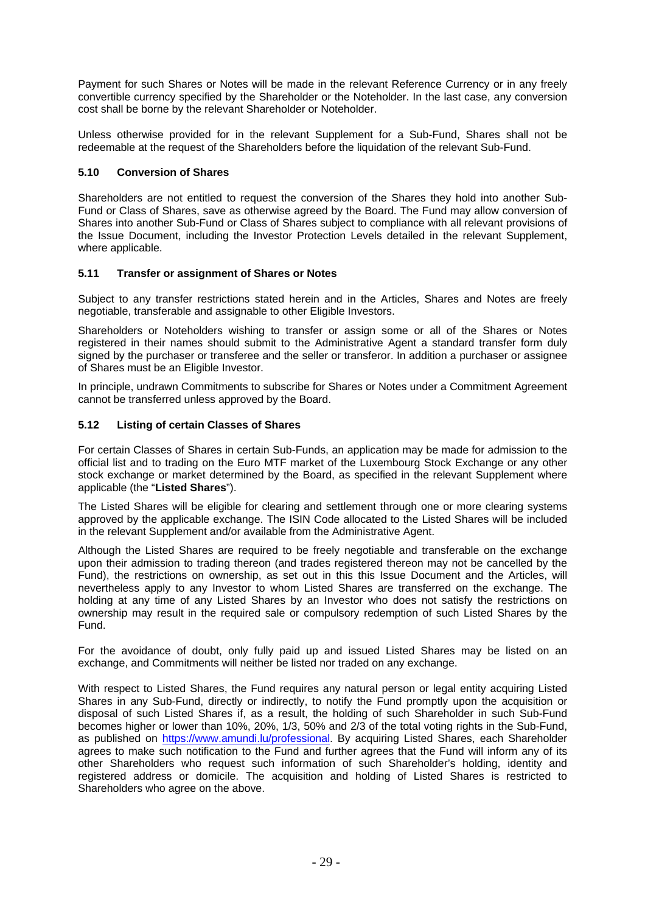Payment for such Shares or Notes will be made in the relevant Reference Currency or in any freely convertible currency specified by the Shareholder or the Noteholder. In the last case, any conversion cost shall be borne by the relevant Shareholder or Noteholder.

Unless otherwise provided for in the relevant Supplement for a Sub-Fund, Shares shall not be redeemable at the request of the Shareholders before the liquidation of the relevant Sub-Fund.

## **5.10 Conversion of Shares**

Shareholders are not entitled to request the conversion of the Shares they hold into another Sub-Fund or Class of Shares, save as otherwise agreed by the Board. The Fund may allow conversion of Shares into another Sub-Fund or Class of Shares subject to compliance with all relevant provisions of the Issue Document, including the Investor Protection Levels detailed in the relevant Supplement, where applicable.

## **5.11 Transfer or assignment of Shares or Notes**

Subject to any transfer restrictions stated herein and in the Articles, Shares and Notes are freely negotiable, transferable and assignable to other Eligible Investors.

Shareholders or Noteholders wishing to transfer or assign some or all of the Shares or Notes registered in their names should submit to the Administrative Agent a standard transfer form duly signed by the purchaser or transferee and the seller or transferor. In addition a purchaser or assignee of Shares must be an Eligible Investor.

In principle, undrawn Commitments to subscribe for Shares or Notes under a Commitment Agreement cannot be transferred unless approved by the Board.

## **5.12 Listing of certain Classes of Shares**

For certain Classes of Shares in certain Sub-Funds, an application may be made for admission to the official list and to trading on the Euro MTF market of the Luxembourg Stock Exchange or any other stock exchange or market determined by the Board, as specified in the relevant Supplement where applicable (the "**Listed Shares**").

The Listed Shares will be eligible for clearing and settlement through one or more clearing systems approved by the applicable exchange. The ISIN Code allocated to the Listed Shares will be included in the relevant Supplement and/or available from the Administrative Agent.

Although the Listed Shares are required to be freely negotiable and transferable on the exchange upon their admission to trading thereon (and trades registered thereon may not be cancelled by the Fund), the restrictions on ownership, as set out in this this Issue Document and the Articles, will nevertheless apply to any Investor to whom Listed Shares are transferred on the exchange. The holding at any time of any Listed Shares by an Investor who does not satisfy the restrictions on ownership may result in the required sale or compulsory redemption of such Listed Shares by the Fund.

For the avoidance of doubt, only fully paid up and issued Listed Shares may be listed on an exchange, and Commitments will neither be listed nor traded on any exchange.

With respect to Listed Shares, the Fund requires any natural person or legal entity acquiring Listed Shares in any Sub-Fund, directly or indirectly, to notify the Fund promptly upon the acquisition or disposal of such Listed Shares if, as a result, the holding of such Shareholder in such Sub-Fund becomes higher or lower than 10%, 20%, 1/3, 50% and 2/3 of the total voting rights in the Sub-Fund, as published on https://www.amundi.lu/professional. By acquiring Listed Shares, each Shareholder agrees to make such notification to the Fund and further agrees that the Fund will inform any of its other Shareholders who request such information of such Shareholder's holding, identity and registered address or domicile. The acquisition and holding of Listed Shares is restricted to Shareholders who agree on the above.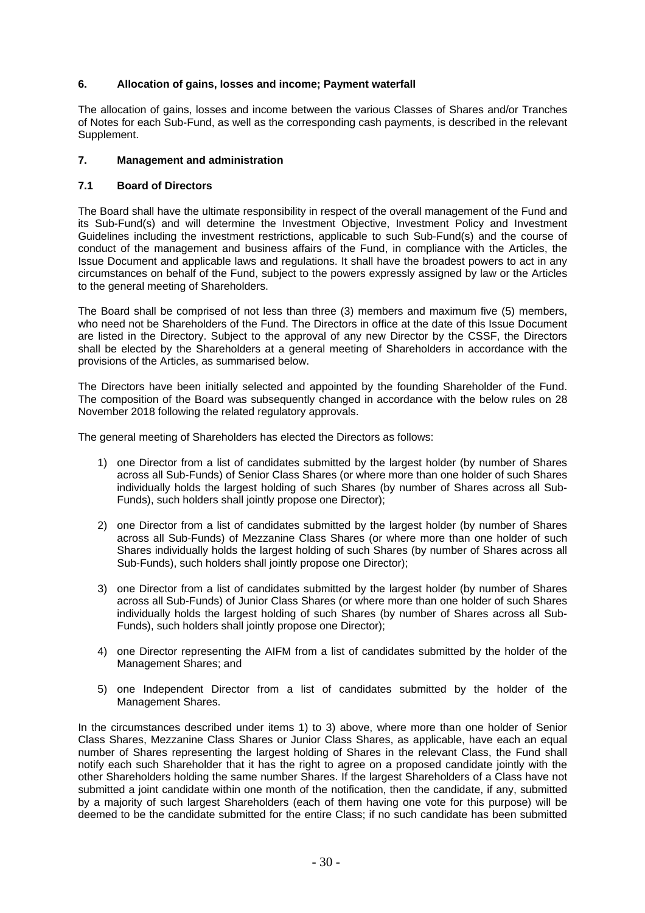## **6. Allocation of gains, losses and income; Payment waterfall**

The allocation of gains, losses and income between the various Classes of Shares and/or Tranches of Notes for each Sub-Fund, as well as the corresponding cash payments, is described in the relevant Supplement.

## **7. Management and administration**

## **7.1 Board of Directors**

The Board shall have the ultimate responsibility in respect of the overall management of the Fund and its Sub-Fund(s) and will determine the Investment Objective, Investment Policy and Investment Guidelines including the investment restrictions, applicable to such Sub-Fund(s) and the course of conduct of the management and business affairs of the Fund, in compliance with the Articles, the Issue Document and applicable laws and regulations. It shall have the broadest powers to act in any circumstances on behalf of the Fund, subject to the powers expressly assigned by law or the Articles to the general meeting of Shareholders.

The Board shall be comprised of not less than three (3) members and maximum five (5) members, who need not be Shareholders of the Fund. The Directors in office at the date of this Issue Document are listed in the Directory. Subject to the approval of any new Director by the CSSF, the Directors shall be elected by the Shareholders at a general meeting of Shareholders in accordance with the provisions of the Articles, as summarised below.

The Directors have been initially selected and appointed by the founding Shareholder of the Fund. The composition of the Board was subsequently changed in accordance with the below rules on 28 November 2018 following the related regulatory approvals.

The general meeting of Shareholders has elected the Directors as follows:

- 1) one Director from a list of candidates submitted by the largest holder (by number of Shares across all Sub-Funds) of Senior Class Shares (or where more than one holder of such Shares individually holds the largest holding of such Shares (by number of Shares across all Sub-Funds), such holders shall jointly propose one Director);
- 2) one Director from a list of candidates submitted by the largest holder (by number of Shares across all Sub-Funds) of Mezzanine Class Shares (or where more than one holder of such Shares individually holds the largest holding of such Shares (by number of Shares across all Sub-Funds), such holders shall jointly propose one Director);
- 3) one Director from a list of candidates submitted by the largest holder (by number of Shares across all Sub-Funds) of Junior Class Shares (or where more than one holder of such Shares individually holds the largest holding of such Shares (by number of Shares across all Sub-Funds), such holders shall jointly propose one Director);
- 4) one Director representing the AIFM from a list of candidates submitted by the holder of the Management Shares; and
- 5) one Independent Director from a list of candidates submitted by the holder of the Management Shares.

In the circumstances described under items 1) to 3) above, where more than one holder of Senior Class Shares, Mezzanine Class Shares or Junior Class Shares, as applicable, have each an equal number of Shares representing the largest holding of Shares in the relevant Class, the Fund shall notify each such Shareholder that it has the right to agree on a proposed candidate jointly with the other Shareholders holding the same number Shares. If the largest Shareholders of a Class have not submitted a joint candidate within one month of the notification, then the candidate, if any, submitted by a majority of such largest Shareholders (each of them having one vote for this purpose) will be deemed to be the candidate submitted for the entire Class; if no such candidate has been submitted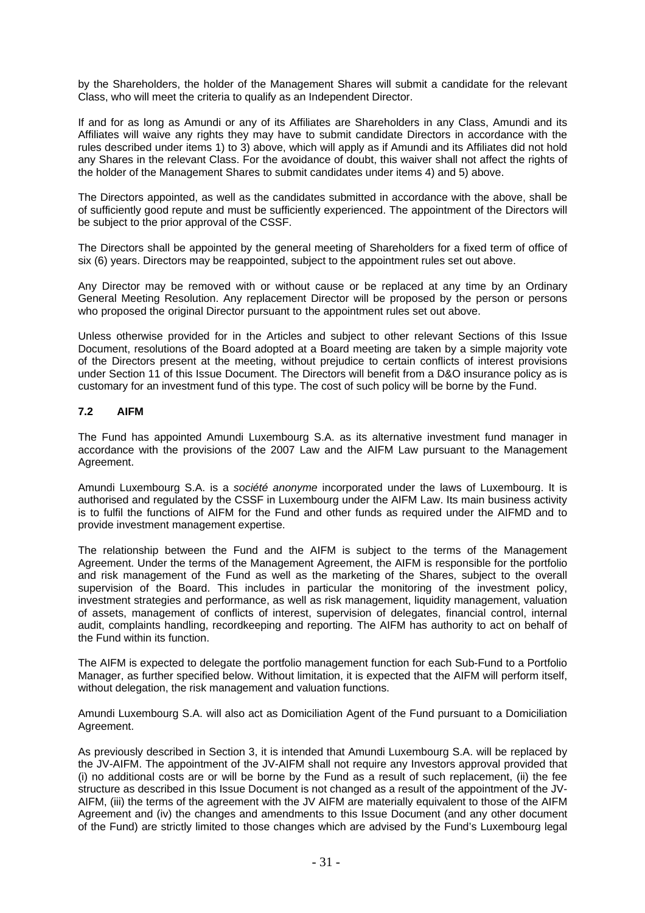by the Shareholders, the holder of the Management Shares will submit a candidate for the relevant Class, who will meet the criteria to qualify as an Independent Director.

If and for as long as Amundi or any of its Affiliates are Shareholders in any Class, Amundi and its Affiliates will waive any rights they may have to submit candidate Directors in accordance with the rules described under items 1) to 3) above, which will apply as if Amundi and its Affiliates did not hold any Shares in the relevant Class. For the avoidance of doubt, this waiver shall not affect the rights of the holder of the Management Shares to submit candidates under items 4) and 5) above.

The Directors appointed, as well as the candidates submitted in accordance with the above, shall be of sufficiently good repute and must be sufficiently experienced. The appointment of the Directors will be subject to the prior approval of the CSSF.

The Directors shall be appointed by the general meeting of Shareholders for a fixed term of office of six (6) years. Directors may be reappointed, subject to the appointment rules set out above.

Any Director may be removed with or without cause or be replaced at any time by an Ordinary General Meeting Resolution. Any replacement Director will be proposed by the person or persons who proposed the original Director pursuant to the appointment rules set out above.

Unless otherwise provided for in the Articles and subject to other relevant Sections of this Issue Document, resolutions of the Board adopted at a Board meeting are taken by a simple majority vote of the Directors present at the meeting, without prejudice to certain conflicts of interest provisions under Section 11 of this Issue Document. The Directors will benefit from a D&O insurance policy as is customary for an investment fund of this type. The cost of such policy will be borne by the Fund.

## **7.2 AIFM**

The Fund has appointed Amundi Luxembourg S.A. as its alternative investment fund manager in accordance with the provisions of the 2007 Law and the AIFM Law pursuant to the Management Agreement.

Amundi Luxembourg S.A. is a *société anonyme* incorporated under the laws of Luxembourg. It is authorised and regulated by the CSSF in Luxembourg under the AIFM Law. Its main business activity is to fulfil the functions of AIFM for the Fund and other funds as required under the AIFMD and to provide investment management expertise.

The relationship between the Fund and the AIFM is subject to the terms of the Management Agreement. Under the terms of the Management Agreement, the AIFM is responsible for the portfolio and risk management of the Fund as well as the marketing of the Shares, subject to the overall supervision of the Board. This includes in particular the monitoring of the investment policy, investment strategies and performance, as well as risk management, liquidity management, valuation of assets, management of conflicts of interest, supervision of delegates, financial control, internal audit, complaints handling, recordkeeping and reporting. The AIFM has authority to act on behalf of the Fund within its function.

The AIFM is expected to delegate the portfolio management function for each Sub-Fund to a Portfolio Manager, as further specified below. Without limitation, it is expected that the AIFM will perform itself, without delegation, the risk management and valuation functions.

Amundi Luxembourg S.A. will also act as Domiciliation Agent of the Fund pursuant to a Domiciliation Agreement.

As previously described in Section 3, it is intended that Amundi Luxembourg S.A. will be replaced by the JV-AIFM. The appointment of the JV-AIFM shall not require any Investors approval provided that (i) no additional costs are or will be borne by the Fund as a result of such replacement, (ii) the fee structure as described in this Issue Document is not changed as a result of the appointment of the JV-AIFM, (iii) the terms of the agreement with the JV AIFM are materially equivalent to those of the AIFM Agreement and (iv) the changes and amendments to this Issue Document (and any other document of the Fund) are strictly limited to those changes which are advised by the Fund's Luxembourg legal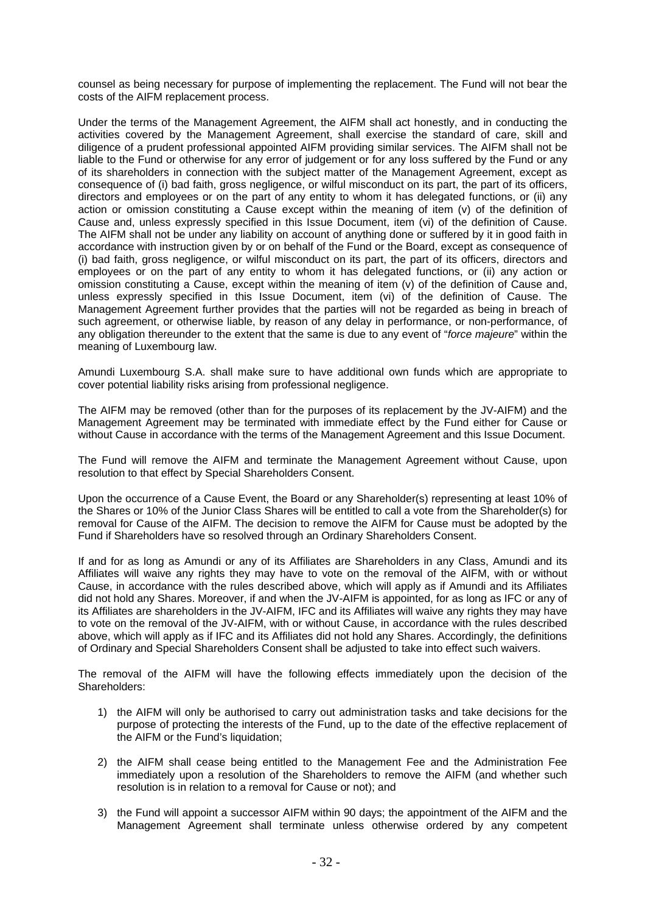counsel as being necessary for purpose of implementing the replacement. The Fund will not bear the costs of the AIFM replacement process.

Under the terms of the Management Agreement, the AIFM shall act honestly, and in conducting the activities covered by the Management Agreement, shall exercise the standard of care, skill and diligence of a prudent professional appointed AIFM providing similar services. The AIFM shall not be liable to the Fund or otherwise for any error of judgement or for any loss suffered by the Fund or any of its shareholders in connection with the subject matter of the Management Agreement, except as consequence of (i) bad faith, gross negligence, or wilful misconduct on its part, the part of its officers, directors and employees or on the part of any entity to whom it has delegated functions, or (ii) any action or omission constituting a Cause except within the meaning of item (v) of the definition of Cause and, unless expressly specified in this Issue Document, item (vi) of the definition of Cause. The AIFM shall not be under any liability on account of anything done or suffered by it in good faith in accordance with instruction given by or on behalf of the Fund or the Board, except as consequence of (i) bad faith, gross negligence, or wilful misconduct on its part, the part of its officers, directors and employees or on the part of any entity to whom it has delegated functions, or (ii) any action or omission constituting a Cause, except within the meaning of item (v) of the definition of Cause and, unless expressly specified in this Issue Document, item (vi) of the definition of Cause. The Management Agreement further provides that the parties will not be regarded as being in breach of such agreement, or otherwise liable, by reason of any delay in performance, or non-performance, of any obligation thereunder to the extent that the same is due to any event of "*force majeure*" within the meaning of Luxembourg law.

Amundi Luxembourg S.A. shall make sure to have additional own funds which are appropriate to cover potential liability risks arising from professional negligence.

The AIFM may be removed (other than for the purposes of its replacement by the JV-AIFM) and the Management Agreement may be terminated with immediate effect by the Fund either for Cause or without Cause in accordance with the terms of the Management Agreement and this Issue Document.

The Fund will remove the AIFM and terminate the Management Agreement without Cause, upon resolution to that effect by Special Shareholders Consent.

Upon the occurrence of a Cause Event, the Board or any Shareholder(s) representing at least 10% of the Shares or 10% of the Junior Class Shares will be entitled to call a vote from the Shareholder(s) for removal for Cause of the AIFM. The decision to remove the AIFM for Cause must be adopted by the Fund if Shareholders have so resolved through an Ordinary Shareholders Consent.

If and for as long as Amundi or any of its Affiliates are Shareholders in any Class, Amundi and its Affiliates will waive any rights they may have to vote on the removal of the AIFM, with or without Cause, in accordance with the rules described above, which will apply as if Amundi and its Affiliates did not hold any Shares. Moreover, if and when the JV-AIFM is appointed, for as long as IFC or any of its Affiliates are shareholders in the JV-AIFM, IFC and its Affiliates will waive any rights they may have to vote on the removal of the JV-AIFM, with or without Cause, in accordance with the rules described above, which will apply as if IFC and its Affiliates did not hold any Shares. Accordingly, the definitions of Ordinary and Special Shareholders Consent shall be adjusted to take into effect such waivers.

The removal of the AIFM will have the following effects immediately upon the decision of the Shareholders:

- 1) the AIFM will only be authorised to carry out administration tasks and take decisions for the purpose of protecting the interests of the Fund, up to the date of the effective replacement of the AIFM or the Fund's liquidation;
- 2) the AIFM shall cease being entitled to the Management Fee and the Administration Fee immediately upon a resolution of the Shareholders to remove the AIFM (and whether such resolution is in relation to a removal for Cause or not); and
- 3) the Fund will appoint a successor AIFM within 90 days; the appointment of the AIFM and the Management Agreement shall terminate unless otherwise ordered by any competent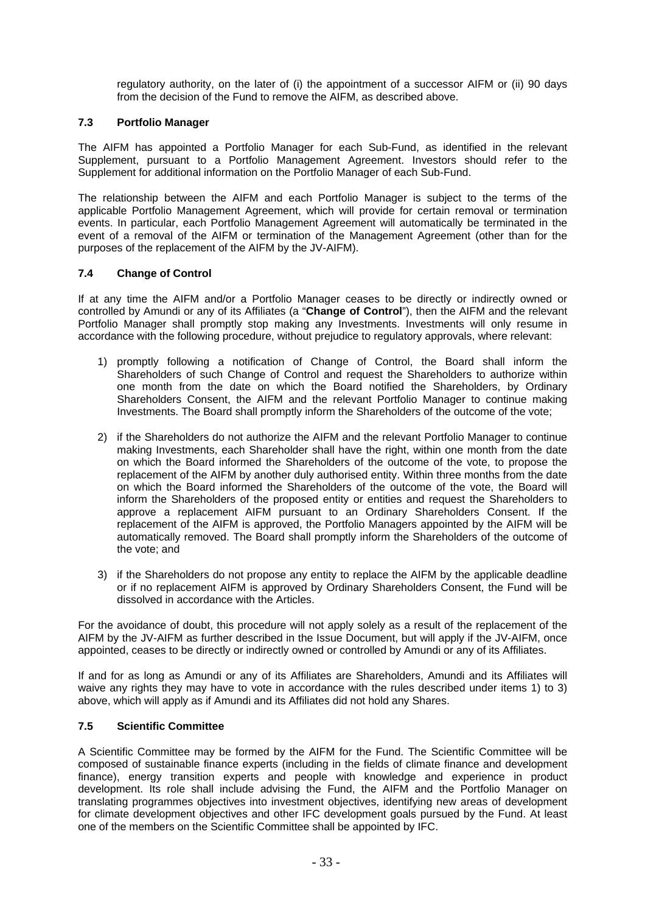regulatory authority, on the later of (i) the appointment of a successor AIFM or (ii) 90 days from the decision of the Fund to remove the AIFM, as described above.

## **7.3 Portfolio Manager**

The AIFM has appointed a Portfolio Manager for each Sub-Fund, as identified in the relevant Supplement, pursuant to a Portfolio Management Agreement. Investors should refer to the Supplement for additional information on the Portfolio Manager of each Sub-Fund.

The relationship between the AIFM and each Portfolio Manager is subject to the terms of the applicable Portfolio Management Agreement, which will provide for certain removal or termination events. In particular, each Portfolio Management Agreement will automatically be terminated in the event of a removal of the AIFM or termination of the Management Agreement (other than for the purposes of the replacement of the AIFM by the JV-AIFM).

## **7.4 Change of Control**

If at any time the AIFM and/or a Portfolio Manager ceases to be directly or indirectly owned or controlled by Amundi or any of its Affiliates (a "**Change of Control**"), then the AIFM and the relevant Portfolio Manager shall promptly stop making any Investments. Investments will only resume in accordance with the following procedure, without prejudice to regulatory approvals, where relevant:

- 1) promptly following a notification of Change of Control, the Board shall inform the Shareholders of such Change of Control and request the Shareholders to authorize within one month from the date on which the Board notified the Shareholders, by Ordinary Shareholders Consent, the AIFM and the relevant Portfolio Manager to continue making Investments. The Board shall promptly inform the Shareholders of the outcome of the vote;
- 2) if the Shareholders do not authorize the AIFM and the relevant Portfolio Manager to continue making Investments, each Shareholder shall have the right, within one month from the date on which the Board informed the Shareholders of the outcome of the vote, to propose the replacement of the AIFM by another duly authorised entity. Within three months from the date on which the Board informed the Shareholders of the outcome of the vote, the Board will inform the Shareholders of the proposed entity or entities and request the Shareholders to approve a replacement AIFM pursuant to an Ordinary Shareholders Consent. If the replacement of the AIFM is approved, the Portfolio Managers appointed by the AIFM will be automatically removed. The Board shall promptly inform the Shareholders of the outcome of the vote; and
- 3) if the Shareholders do not propose any entity to replace the AIFM by the applicable deadline or if no replacement AIFM is approved by Ordinary Shareholders Consent, the Fund will be dissolved in accordance with the Articles.

For the avoidance of doubt, this procedure will not apply solely as a result of the replacement of the AIFM by the JV-AIFM as further described in the Issue Document, but will apply if the JV-AIFM, once appointed, ceases to be directly or indirectly owned or controlled by Amundi or any of its Affiliates.

If and for as long as Amundi or any of its Affiliates are Shareholders, Amundi and its Affiliates will waive any rights they may have to vote in accordance with the rules described under items 1) to 3) above, which will apply as if Amundi and its Affiliates did not hold any Shares.

#### **7.5 Scientific Committee**

A Scientific Committee may be formed by the AIFM for the Fund. The Scientific Committee will be composed of sustainable finance experts (including in the fields of climate finance and development finance), energy transition experts and people with knowledge and experience in product development. Its role shall include advising the Fund, the AIFM and the Portfolio Manager on translating programmes objectives into investment objectives, identifying new areas of development for climate development objectives and other IFC development goals pursued by the Fund. At least one of the members on the Scientific Committee shall be appointed by IFC.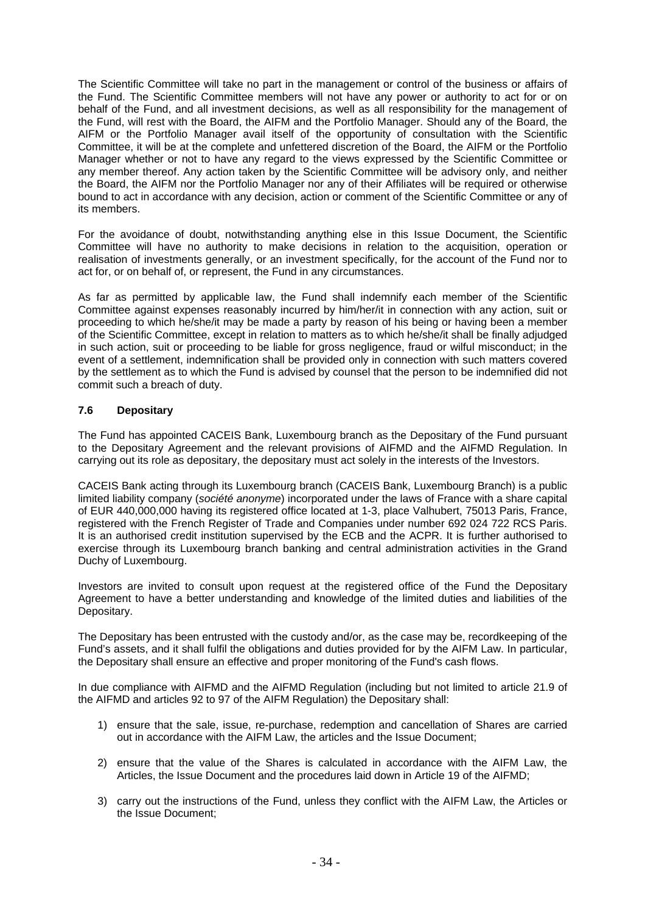The Scientific Committee will take no part in the management or control of the business or affairs of the Fund. The Scientific Committee members will not have any power or authority to act for or on behalf of the Fund, and all investment decisions, as well as all responsibility for the management of the Fund, will rest with the Board, the AIFM and the Portfolio Manager. Should any of the Board, the AIFM or the Portfolio Manager avail itself of the opportunity of consultation with the Scientific Committee, it will be at the complete and unfettered discretion of the Board, the AIFM or the Portfolio Manager whether or not to have any regard to the views expressed by the Scientific Committee or any member thereof. Any action taken by the Scientific Committee will be advisory only, and neither the Board, the AIFM nor the Portfolio Manager nor any of their Affiliates will be required or otherwise bound to act in accordance with any decision, action or comment of the Scientific Committee or any of its members.

For the avoidance of doubt, notwithstanding anything else in this Issue Document, the Scientific Committee will have no authority to make decisions in relation to the acquisition, operation or realisation of investments generally, or an investment specifically, for the account of the Fund nor to act for, or on behalf of, or represent, the Fund in any circumstances.

As far as permitted by applicable law, the Fund shall indemnify each member of the Scientific Committee against expenses reasonably incurred by him/her/it in connection with any action, suit or proceeding to which he/she/it may be made a party by reason of his being or having been a member of the Scientific Committee, except in relation to matters as to which he/she/it shall be finally adjudged in such action, suit or proceeding to be liable for gross negligence, fraud or wilful misconduct; in the event of a settlement, indemnification shall be provided only in connection with such matters covered by the settlement as to which the Fund is advised by counsel that the person to be indemnified did not commit such a breach of duty.

# **7.6 Depositary**

The Fund has appointed CACEIS Bank, Luxembourg branch as the Depositary of the Fund pursuant to the Depositary Agreement and the relevant provisions of AIFMD and the AIFMD Regulation. In carrying out its role as depositary, the depositary must act solely in the interests of the Investors.

CACEIS Bank acting through its Luxembourg branch (CACEIS Bank, Luxembourg Branch) is a public limited liability company (*société anonyme*) incorporated under the laws of France with a share capital of EUR 440,000,000 having its registered office located at 1-3, place Valhubert, 75013 Paris, France, registered with the French Register of Trade and Companies under number 692 024 722 RCS Paris. It is an authorised credit institution supervised by the ECB and the ACPR. It is further authorised to exercise through its Luxembourg branch banking and central administration activities in the Grand Duchy of Luxembourg.

Investors are invited to consult upon request at the registered office of the Fund the Depositary Agreement to have a better understanding and knowledge of the limited duties and liabilities of the Depositary.

The Depositary has been entrusted with the custody and/or, as the case may be, recordkeeping of the Fund's assets, and it shall fulfil the obligations and duties provided for by the AIFM Law. In particular, the Depositary shall ensure an effective and proper monitoring of the Fund's cash flows.

In due compliance with AIFMD and the AIFMD Regulation (including but not limited to article 21.9 of the AIFMD and articles 92 to 97 of the AIFM Regulation) the Depositary shall:

- 1) ensure that the sale, issue, re-purchase, redemption and cancellation of Shares are carried out in accordance with the AIFM Law, the articles and the Issue Document;
- 2) ensure that the value of the Shares is calculated in accordance with the AIFM Law, the Articles, the Issue Document and the procedures laid down in Article 19 of the AIFMD;
- 3) carry out the instructions of the Fund, unless they conflict with the AIFM Law, the Articles or the Issue Document;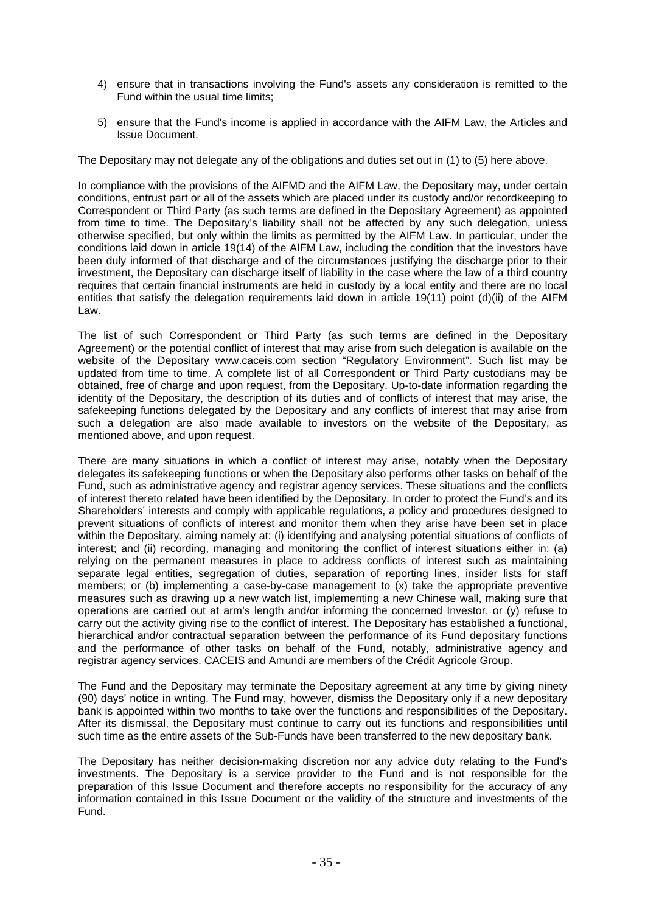- 4) ensure that in transactions involving the Fund's assets any consideration is remitted to the Fund within the usual time limits;
- 5) ensure that the Fund's income is applied in accordance with the AIFM Law, the Articles and Issue Document.

The Depositary may not delegate any of the obligations and duties set out in (1) to (5) here above.

In compliance with the provisions of the AIFMD and the AIFM Law, the Depositary may, under certain conditions, entrust part or all of the assets which are placed under its custody and/or recordkeeping to Correspondent or Third Party (as such terms are defined in the Depositary Agreement) as appointed from time to time. The Depositary's liability shall not be affected by any such delegation, unless otherwise specified, but only within the limits as permitted by the AIFM Law. In particular, under the conditions laid down in article 19(14) of the AIFM Law, including the condition that the investors have been duly informed of that discharge and of the circumstances justifying the discharge prior to their investment, the Depositary can discharge itself of liability in the case where the law of a third country requires that certain financial instruments are held in custody by a local entity and there are no local entities that satisfy the delegation requirements laid down in article 19(11) point (d)(ii) of the AIFM Law.

The list of such Correspondent or Third Party (as such terms are defined in the Depositary Agreement) or the potential conflict of interest that may arise from such delegation is available on the website of the Depositary www.caceis.com section "Regulatory Environment". Such list may be updated from time to time. A complete list of all Correspondent or Third Party custodians may be obtained, free of charge and upon request, from the Depositary. Up-to-date information regarding the identity of the Depositary, the description of its duties and of conflicts of interest that may arise, the safekeeping functions delegated by the Depositary and any conflicts of interest that may arise from such a delegation are also made available to investors on the website of the Depositary, as mentioned above, and upon request.

There are many situations in which a conflict of interest may arise, notably when the Depositary delegates its safekeeping functions or when the Depositary also performs other tasks on behalf of the Fund, such as administrative agency and registrar agency services. These situations and the conflicts of interest thereto related have been identified by the Depositary. In order to protect the Fund's and its Shareholders' interests and comply with applicable regulations, a policy and procedures designed to prevent situations of conflicts of interest and monitor them when they arise have been set in place within the Depositary, aiming namely at: (i) identifying and analysing potential situations of conflicts of interest; and (ii) recording, managing and monitoring the conflict of interest situations either in: (a) relying on the permanent measures in place to address conflicts of interest such as maintaining separate legal entities, segregation of duties, separation of reporting lines, insider lists for staff members; or (b) implementing a case-by-case management to (x) take the appropriate preventive measures such as drawing up a new watch list, implementing a new Chinese wall, making sure that operations are carried out at arm's length and/or informing the concerned Investor, or (y) refuse to carry out the activity giving rise to the conflict of interest. The Depositary has established a functional, hierarchical and/or contractual separation between the performance of its Fund depositary functions and the performance of other tasks on behalf of the Fund, notably, administrative agency and registrar agency services. CACEIS and Amundi are members of the Crédit Agricole Group.

The Fund and the Depositary may terminate the Depositary agreement at any time by giving ninety (90) days' notice in writing. The Fund may, however, dismiss the Depositary only if a new depositary bank is appointed within two months to take over the functions and responsibilities of the Depositary. After its dismissal, the Depositary must continue to carry out its functions and responsibilities until such time as the entire assets of the Sub-Funds have been transferred to the new depositary bank.

The Depositary has neither decision-making discretion nor any advice duty relating to the Fund's investments. The Depositary is a service provider to the Fund and is not responsible for the preparation of this Issue Document and therefore accepts no responsibility for the accuracy of any information contained in this Issue Document or the validity of the structure and investments of the Fund.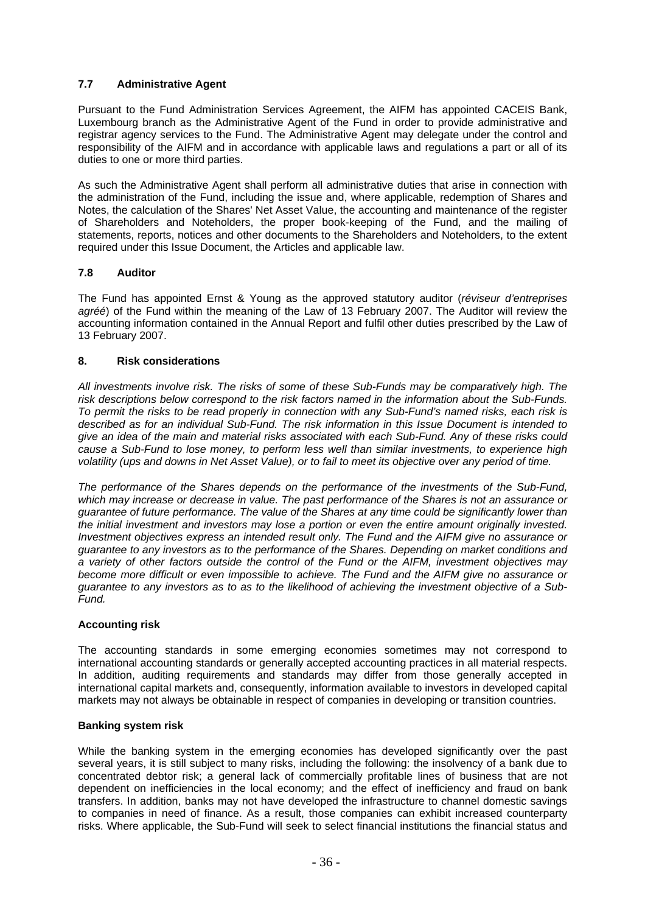# **7.7 Administrative Agent**

Pursuant to the Fund Administration Services Agreement, the AIFM has appointed CACEIS Bank, Luxembourg branch as the Administrative Agent of the Fund in order to provide administrative and registrar agency services to the Fund. The Administrative Agent may delegate under the control and responsibility of the AIFM and in accordance with applicable laws and regulations a part or all of its duties to one or more third parties.

As such the Administrative Agent shall perform all administrative duties that arise in connection with the administration of the Fund, including the issue and, where applicable, redemption of Shares and Notes, the calculation of the Shares' Net Asset Value, the accounting and maintenance of the register of Shareholders and Noteholders, the proper book-keeping of the Fund, and the mailing of statements, reports, notices and other documents to the Shareholders and Noteholders, to the extent required under this Issue Document, the Articles and applicable law.

# **7.8 Auditor**

The Fund has appointed Ernst & Young as the approved statutory auditor (*réviseur d'entreprises agréé*) of the Fund within the meaning of the Law of 13 February 2007. The Auditor will review the accounting information contained in the Annual Report and fulfil other duties prescribed by the Law of 13 February 2007.

## **8. Risk considerations**

*All investments involve risk. The risks of some of these Sub-Funds may be comparatively high. The risk descriptions below correspond to the risk factors named in the information about the Sub-Funds. To permit the risks to be read properly in connection with any Sub-Fund's named risks, each risk is described as for an individual Sub-Fund. The risk information in this Issue Document is intended to give an idea of the main and material risks associated with each Sub-Fund. Any of these risks could cause a Sub-Fund to lose money, to perform less well than similar investments, to experience high volatility (ups and downs in Net Asset Value), or to fail to meet its objective over any period of time.* 

*The performance of the Shares depends on the performance of the investments of the Sub-Fund, which may increase or decrease in value. The past performance of the Shares is not an assurance or guarantee of future performance. The value of the Shares at any time could be significantly lower than the initial investment and investors may lose a portion or even the entire amount originally invested. Investment objectives express an intended result only. The Fund and the AIFM give no assurance or guarantee to any investors as to the performance of the Shares. Depending on market conditions and a variety of other factors outside the control of the Fund or the AIFM, investment objectives may become more difficult or even impossible to achieve. The Fund and the AIFM give no assurance or guarantee to any investors as to as to the likelihood of achieving the investment objective of a Sub-Fund.* 

## **Accounting risk**

The accounting standards in some emerging economies sometimes may not correspond to international accounting standards or generally accepted accounting practices in all material respects. In addition, auditing requirements and standards may differ from those generally accepted in international capital markets and, consequently, information available to investors in developed capital markets may not always be obtainable in respect of companies in developing or transition countries.

## **Banking system risk**

While the banking system in the emerging economies has developed significantly over the past several years, it is still subject to many risks, including the following: the insolvency of a bank due to concentrated debtor risk; a general lack of commercially profitable lines of business that are not dependent on inefficiencies in the local economy; and the effect of inefficiency and fraud on bank transfers. In addition, banks may not have developed the infrastructure to channel domestic savings to companies in need of finance. As a result, those companies can exhibit increased counterparty risks. Where applicable, the Sub-Fund will seek to select financial institutions the financial status and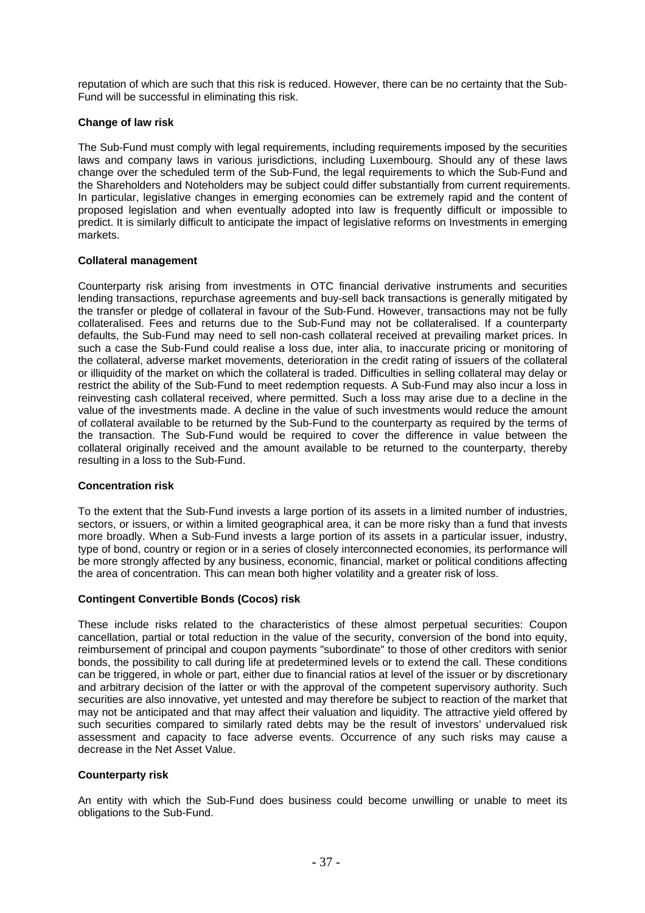reputation of which are such that this risk is reduced. However, there can be no certainty that the Sub-Fund will be successful in eliminating this risk.

## **Change of law risk**

The Sub-Fund must comply with legal requirements, including requirements imposed by the securities laws and company laws in various jurisdictions, including Luxembourg. Should any of these laws change over the scheduled term of the Sub-Fund, the legal requirements to which the Sub-Fund and the Shareholders and Noteholders may be subject could differ substantially from current requirements. In particular, legislative changes in emerging economies can be extremely rapid and the content of proposed legislation and when eventually adopted into law is frequently difficult or impossible to predict. It is similarly difficult to anticipate the impact of legislative reforms on Investments in emerging markets.

## **Collateral management**

Counterparty risk arising from investments in OTC financial derivative instruments and securities lending transactions, repurchase agreements and buy-sell back transactions is generally mitigated by the transfer or pledge of collateral in favour of the Sub-Fund. However, transactions may not be fully collateralised. Fees and returns due to the Sub-Fund may not be collateralised. If a counterparty defaults, the Sub-Fund may need to sell non-cash collateral received at prevailing market prices. In such a case the Sub-Fund could realise a loss due, inter alia, to inaccurate pricing or monitoring of the collateral, adverse market movements, deterioration in the credit rating of issuers of the collateral or illiquidity of the market on which the collateral is traded. Difficulties in selling collateral may delay or restrict the ability of the Sub-Fund to meet redemption requests. A Sub-Fund may also incur a loss in reinvesting cash collateral received, where permitted. Such a loss may arise due to a decline in the value of the investments made. A decline in the value of such investments would reduce the amount of collateral available to be returned by the Sub-Fund to the counterparty as required by the terms of the transaction. The Sub-Fund would be required to cover the difference in value between the collateral originally received and the amount available to be returned to the counterparty, thereby resulting in a loss to the Sub-Fund.

## **Concentration risk**

To the extent that the Sub-Fund invests a large portion of its assets in a limited number of industries, sectors, or issuers, or within a limited geographical area, it can be more risky than a fund that invests more broadly. When a Sub-Fund invests a large portion of its assets in a particular issuer, industry, type of bond, country or region or in a series of closely interconnected economies, its performance will be more strongly affected by any business, economic, financial, market or political conditions affecting the area of concentration. This can mean both higher volatility and a greater risk of loss.

## **Contingent Convertible Bonds (Cocos) risk**

These include risks related to the characteristics of these almost perpetual securities: Coupon cancellation, partial or total reduction in the value of the security, conversion of the bond into equity, reimbursement of principal and coupon payments "subordinate" to those of other creditors with senior bonds, the possibility to call during life at predetermined levels or to extend the call. These conditions can be triggered, in whole or part, either due to financial ratios at level of the issuer or by discretionary and arbitrary decision of the latter or with the approval of the competent supervisory authority. Such securities are also innovative, yet untested and may therefore be subject to reaction of the market that may not be anticipated and that may affect their valuation and liquidity. The attractive yield offered by such securities compared to similarly rated debts may be the result of investors' undervalued risk assessment and capacity to face adverse events. Occurrence of any such risks may cause a decrease in the Net Asset Value.

#### **Counterparty risk**

An entity with which the Sub-Fund does business could become unwilling or unable to meet its obligations to the Sub-Fund.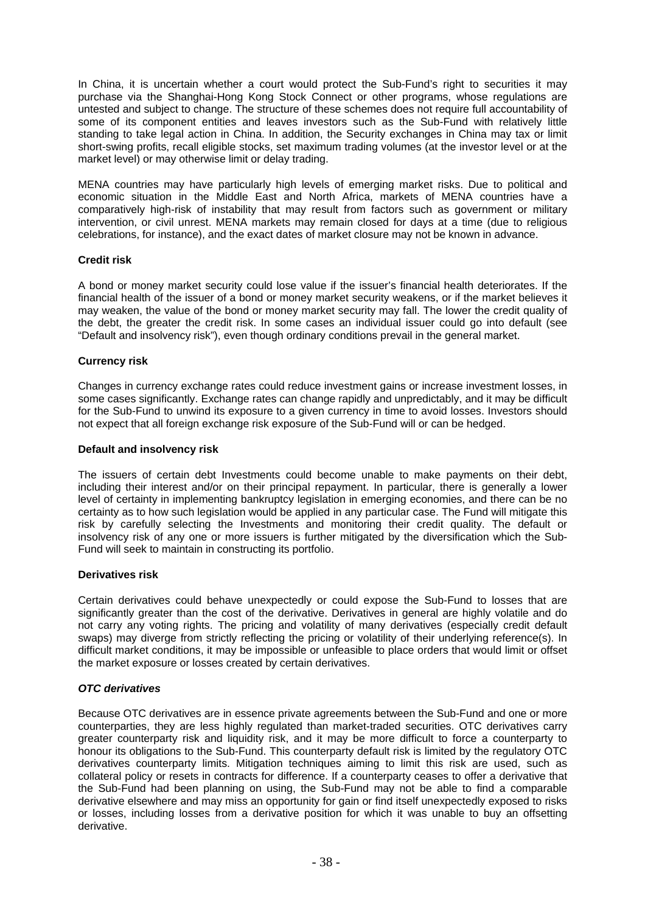In China, it is uncertain whether a court would protect the Sub-Fund's right to securities it may purchase via the Shanghai-Hong Kong Stock Connect or other programs, whose regulations are untested and subject to change. The structure of these schemes does not require full accountability of some of its component entities and leaves investors such as the Sub-Fund with relatively little standing to take legal action in China. In addition, the Security exchanges in China may tax or limit short-swing profits, recall eligible stocks, set maximum trading volumes (at the investor level or at the market level) or may otherwise limit or delay trading.

MENA countries may have particularly high levels of emerging market risks. Due to political and economic situation in the Middle East and North Africa, markets of MENA countries have a comparatively high-risk of instability that may result from factors such as government or military intervention, or civil unrest. MENA markets may remain closed for days at a time (due to religious celebrations, for instance), and the exact dates of market closure may not be known in advance.

# **Credit risk**

A bond or money market security could lose value if the issuer's financial health deteriorates. If the financial health of the issuer of a bond or money market security weakens, or if the market believes it may weaken, the value of the bond or money market security may fall. The lower the credit quality of the debt, the greater the credit risk. In some cases an individual issuer could go into default (see "Default and insolvency risk"), even though ordinary conditions prevail in the general market.

## **Currency risk**

Changes in currency exchange rates could reduce investment gains or increase investment losses, in some cases significantly. Exchange rates can change rapidly and unpredictably, and it may be difficult for the Sub-Fund to unwind its exposure to a given currency in time to avoid losses. Investors should not expect that all foreign exchange risk exposure of the Sub-Fund will or can be hedged.

## **Default and insolvency risk**

The issuers of certain debt Investments could become unable to make payments on their debt, including their interest and/or on their principal repayment. In particular, there is generally a lower level of certainty in implementing bankruptcy legislation in emerging economies, and there can be no certainty as to how such legislation would be applied in any particular case. The Fund will mitigate this risk by carefully selecting the Investments and monitoring their credit quality. The default or insolvency risk of any one or more issuers is further mitigated by the diversification which the Sub-Fund will seek to maintain in constructing its portfolio.

## **Derivatives risk**

Certain derivatives could behave unexpectedly or could expose the Sub-Fund to losses that are significantly greater than the cost of the derivative. Derivatives in general are highly volatile and do not carry any voting rights. The pricing and volatility of many derivatives (especially credit default swaps) may diverge from strictly reflecting the pricing or volatility of their underlying reference(s). In difficult market conditions, it may be impossible or unfeasible to place orders that would limit or offset the market exposure or losses created by certain derivatives.

## *OTC derivatives*

Because OTC derivatives are in essence private agreements between the Sub-Fund and one or more counterparties, they are less highly regulated than market-traded securities. OTC derivatives carry greater counterparty risk and liquidity risk, and it may be more difficult to force a counterparty to honour its obligations to the Sub-Fund. This counterparty default risk is limited by the regulatory OTC derivatives counterparty limits. Mitigation techniques aiming to limit this risk are used, such as collateral policy or resets in contracts for difference. If a counterparty ceases to offer a derivative that the Sub-Fund had been planning on using, the Sub-Fund may not be able to find a comparable derivative elsewhere and may miss an opportunity for gain or find itself unexpectedly exposed to risks or losses, including losses from a derivative position for which it was unable to buy an offsetting derivative.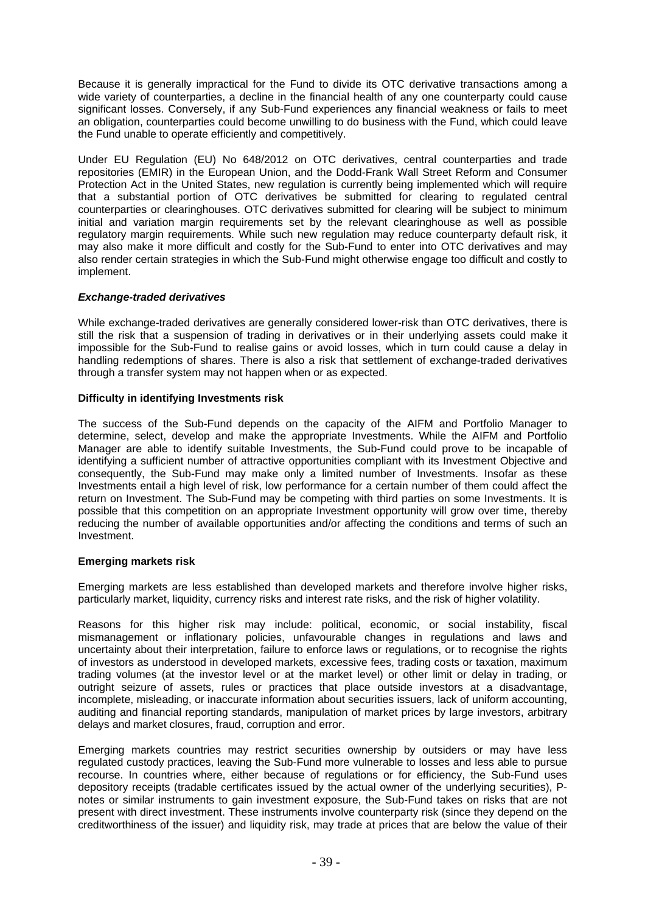Because it is generally impractical for the Fund to divide its OTC derivative transactions among a wide variety of counterparties, a decline in the financial health of any one counterparty could cause significant losses. Conversely, if any Sub-Fund experiences any financial weakness or fails to meet an obligation, counterparties could become unwilling to do business with the Fund, which could leave the Fund unable to operate efficiently and competitively.

Under EU Regulation (EU) No 648/2012 on OTC derivatives, central counterparties and trade repositories (EMIR) in the European Union, and the Dodd-Frank Wall Street Reform and Consumer Protection Act in the United States, new regulation is currently being implemented which will require that a substantial portion of OTC derivatives be submitted for clearing to regulated central counterparties or clearinghouses. OTC derivatives submitted for clearing will be subject to minimum initial and variation margin requirements set by the relevant clearinghouse as well as possible regulatory margin requirements. While such new regulation may reduce counterparty default risk, it may also make it more difficult and costly for the Sub-Fund to enter into OTC derivatives and may also render certain strategies in which the Sub-Fund might otherwise engage too difficult and costly to implement.

## *Exchange-traded derivatives*

While exchange-traded derivatives are generally considered lower-risk than OTC derivatives, there is still the risk that a suspension of trading in derivatives or in their underlying assets could make it impossible for the Sub-Fund to realise gains or avoid losses, which in turn could cause a delay in handling redemptions of shares. There is also a risk that settlement of exchange-traded derivatives through a transfer system may not happen when or as expected.

## **Difficulty in identifying Investments risk**

The success of the Sub-Fund depends on the capacity of the AIFM and Portfolio Manager to determine, select, develop and make the appropriate Investments. While the AIFM and Portfolio Manager are able to identify suitable Investments, the Sub-Fund could prove to be incapable of identifying a sufficient number of attractive opportunities compliant with its Investment Objective and consequently, the Sub-Fund may make only a limited number of Investments. Insofar as these Investments entail a high level of risk, low performance for a certain number of them could affect the return on Investment. The Sub-Fund may be competing with third parties on some Investments. It is possible that this competition on an appropriate Investment opportunity will grow over time, thereby reducing the number of available opportunities and/or affecting the conditions and terms of such an Investment.

## **Emerging markets risk**

Emerging markets are less established than developed markets and therefore involve higher risks, particularly market, liquidity, currency risks and interest rate risks, and the risk of higher volatility.

Reasons for this higher risk may include: political, economic, or social instability, fiscal mismanagement or inflationary policies, unfavourable changes in regulations and laws and uncertainty about their interpretation, failure to enforce laws or regulations, or to recognise the rights of investors as understood in developed markets, excessive fees, trading costs or taxation, maximum trading volumes (at the investor level or at the market level) or other limit or delay in trading, or outright seizure of assets, rules or practices that place outside investors at a disadvantage, incomplete, misleading, or inaccurate information about securities issuers, lack of uniform accounting, auditing and financial reporting standards, manipulation of market prices by large investors, arbitrary delays and market closures, fraud, corruption and error.

Emerging markets countries may restrict securities ownership by outsiders or may have less regulated custody practices, leaving the Sub-Fund more vulnerable to losses and less able to pursue recourse. In countries where, either because of regulations or for efficiency, the Sub-Fund uses depository receipts (tradable certificates issued by the actual owner of the underlying securities), Pnotes or similar instruments to gain investment exposure, the Sub-Fund takes on risks that are not present with direct investment. These instruments involve counterparty risk (since they depend on the creditworthiness of the issuer) and liquidity risk, may trade at prices that are below the value of their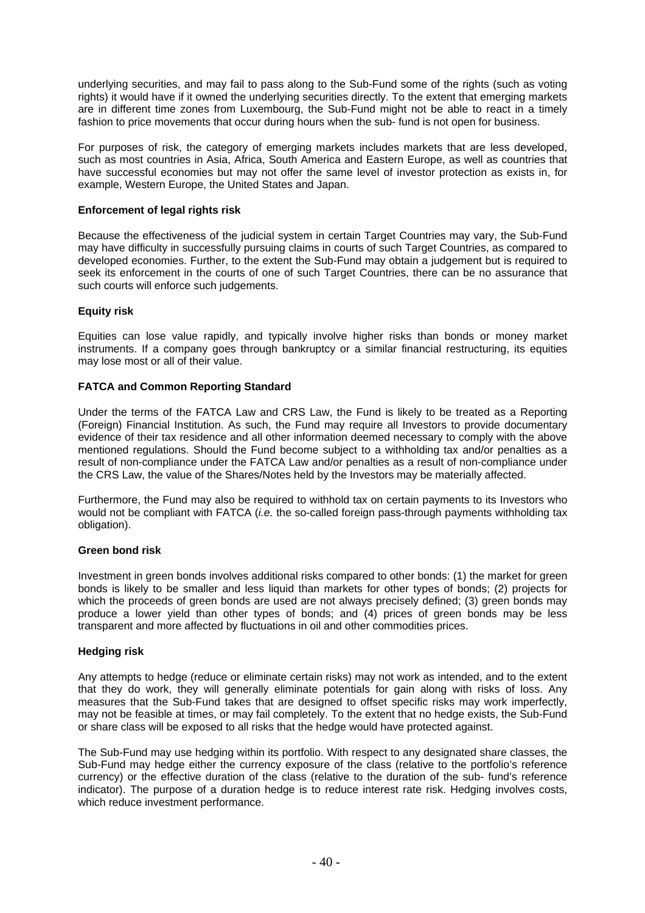underlying securities, and may fail to pass along to the Sub-Fund some of the rights (such as voting rights) it would have if it owned the underlying securities directly. To the extent that emerging markets are in different time zones from Luxembourg, the Sub-Fund might not be able to react in a timely fashion to price movements that occur during hours when the sub- fund is not open for business.

For purposes of risk, the category of emerging markets includes markets that are less developed, such as most countries in Asia, Africa, South America and Eastern Europe, as well as countries that have successful economies but may not offer the same level of investor protection as exists in, for example, Western Europe, the United States and Japan.

## **Enforcement of legal rights risk**

Because the effectiveness of the judicial system in certain Target Countries may vary, the Sub-Fund may have difficulty in successfully pursuing claims in courts of such Target Countries, as compared to developed economies. Further, to the extent the Sub-Fund may obtain a judgement but is required to seek its enforcement in the courts of one of such Target Countries, there can be no assurance that such courts will enforce such judgements.

# **Equity risk**

Equities can lose value rapidly, and typically involve higher risks than bonds or money market instruments. If a company goes through bankruptcy or a similar financial restructuring, its equities may lose most or all of their value.

# **FATCA and Common Reporting Standard**

Under the terms of the FATCA Law and CRS Law, the Fund is likely to be treated as a Reporting (Foreign) Financial Institution. As such, the Fund may require all Investors to provide documentary evidence of their tax residence and all other information deemed necessary to comply with the above mentioned regulations. Should the Fund become subject to a withholding tax and/or penalties as a result of non-compliance under the FATCA Law and/or penalties as a result of non-compliance under the CRS Law, the value of the Shares/Notes held by the Investors may be materially affected.

Furthermore, the Fund may also be required to withhold tax on certain payments to its Investors who would not be compliant with FATCA (*i.e.* the so-called foreign pass-through payments withholding tax obligation).

## **Green bond risk**

Investment in green bonds involves additional risks compared to other bonds: (1) the market for green bonds is likely to be smaller and less liquid than markets for other types of bonds; (2) projects for which the proceeds of green bonds are used are not always precisely defined; (3) green bonds may produce a lower yield than other types of bonds; and (4) prices of green bonds may be less transparent and more affected by fluctuations in oil and other commodities prices.

## **Hedging risk**

Any attempts to hedge (reduce or eliminate certain risks) may not work as intended, and to the extent that they do work, they will generally eliminate potentials for gain along with risks of loss. Any measures that the Sub-Fund takes that are designed to offset specific risks may work imperfectly, may not be feasible at times, or may fail completely. To the extent that no hedge exists, the Sub-Fund or share class will be exposed to all risks that the hedge would have protected against.

The Sub-Fund may use hedging within its portfolio. With respect to any designated share classes, the Sub-Fund may hedge either the currency exposure of the class (relative to the portfolio's reference currency) or the effective duration of the class (relative to the duration of the sub- fund's reference indicator). The purpose of a duration hedge is to reduce interest rate risk. Hedging involves costs, which reduce investment performance.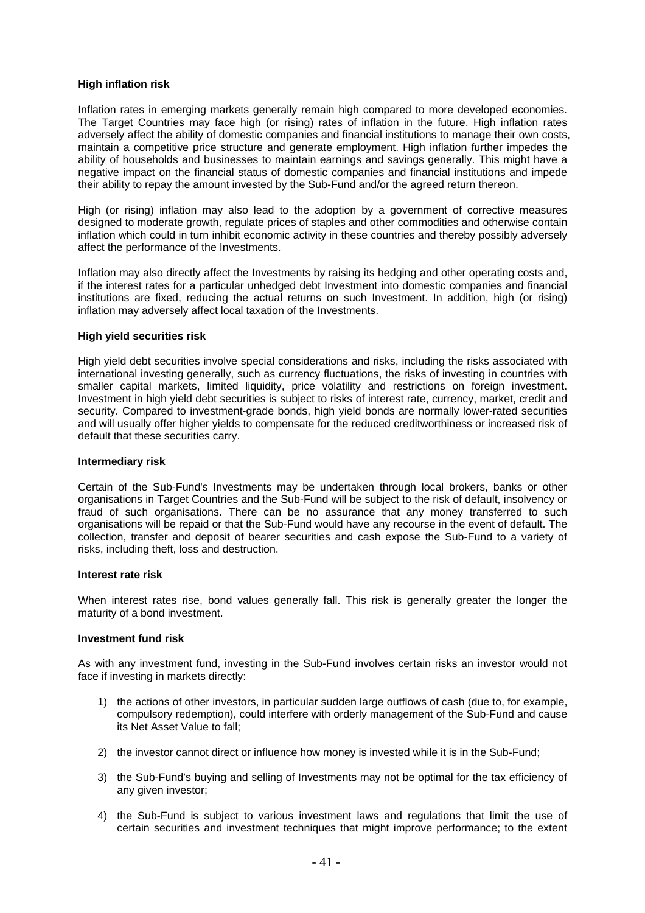#### **High inflation risk**

Inflation rates in emerging markets generally remain high compared to more developed economies. The Target Countries may face high (or rising) rates of inflation in the future. High inflation rates adversely affect the ability of domestic companies and financial institutions to manage their own costs, maintain a competitive price structure and generate employment. High inflation further impedes the ability of households and businesses to maintain earnings and savings generally. This might have a negative impact on the financial status of domestic companies and financial institutions and impede their ability to repay the amount invested by the Sub-Fund and/or the agreed return thereon.

High (or rising) inflation may also lead to the adoption by a government of corrective measures designed to moderate growth, regulate prices of staples and other commodities and otherwise contain inflation which could in turn inhibit economic activity in these countries and thereby possibly adversely affect the performance of the Investments.

Inflation may also directly affect the Investments by raising its hedging and other operating costs and, if the interest rates for a particular unhedged debt Investment into domestic companies and financial institutions are fixed, reducing the actual returns on such Investment. In addition, high (or rising) inflation may adversely affect local taxation of the Investments.

#### **High yield securities risk**

High yield debt securities involve special considerations and risks, including the risks associated with international investing generally, such as currency fluctuations, the risks of investing in countries with smaller capital markets, limited liquidity, price volatility and restrictions on foreign investment. Investment in high yield debt securities is subject to risks of interest rate, currency, market, credit and security. Compared to investment-grade bonds, high yield bonds are normally lower-rated securities and will usually offer higher yields to compensate for the reduced creditworthiness or increased risk of default that these securities carry.

#### **Intermediary risk**

Certain of the Sub-Fund's Investments may be undertaken through local brokers, banks or other organisations in Target Countries and the Sub-Fund will be subject to the risk of default, insolvency or fraud of such organisations. There can be no assurance that any money transferred to such organisations will be repaid or that the Sub-Fund would have any recourse in the event of default. The collection, transfer and deposit of bearer securities and cash expose the Sub-Fund to a variety of risks, including theft, loss and destruction.

#### **Interest rate risk**

When interest rates rise, bond values generally fall. This risk is generally greater the longer the maturity of a bond investment.

#### **Investment fund risk**

As with any investment fund, investing in the Sub-Fund involves certain risks an investor would not face if investing in markets directly:

- 1) the actions of other investors, in particular sudden large outflows of cash (due to, for example, compulsory redemption), could interfere with orderly management of the Sub-Fund and cause its Net Asset Value to fall;
- 2) the investor cannot direct or influence how money is invested while it is in the Sub-Fund;
- 3) the Sub-Fund's buying and selling of Investments may not be optimal for the tax efficiency of any given investor;
- 4) the Sub-Fund is subject to various investment laws and regulations that limit the use of certain securities and investment techniques that might improve performance; to the extent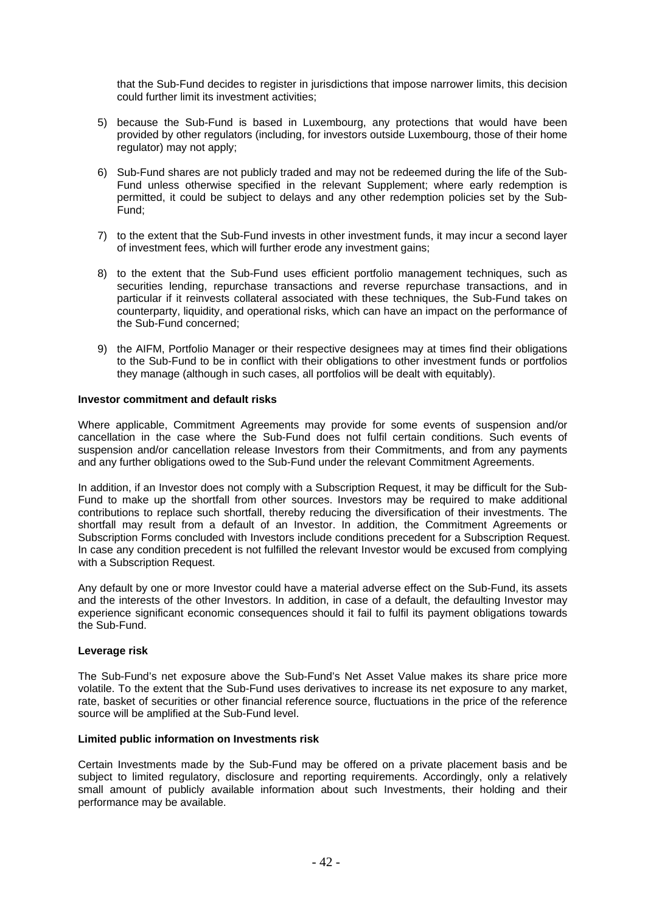that the Sub-Fund decides to register in jurisdictions that impose narrower limits, this decision could further limit its investment activities;

- 5) because the Sub-Fund is based in Luxembourg, any protections that would have been provided by other regulators (including, for investors outside Luxembourg, those of their home regulator) may not apply;
- 6) Sub-Fund shares are not publicly traded and may not be redeemed during the life of the Sub-Fund unless otherwise specified in the relevant Supplement; where early redemption is permitted, it could be subject to delays and any other redemption policies set by the Sub-Fund;
- 7) to the extent that the Sub-Fund invests in other investment funds, it may incur a second layer of investment fees, which will further erode any investment gains;
- 8) to the extent that the Sub-Fund uses efficient portfolio management techniques, such as securities lending, repurchase transactions and reverse repurchase transactions, and in particular if it reinvests collateral associated with these techniques, the Sub-Fund takes on counterparty, liquidity, and operational risks, which can have an impact on the performance of the Sub-Fund concerned;
- 9) the AIFM, Portfolio Manager or their respective designees may at times find their obligations to the Sub-Fund to be in conflict with their obligations to other investment funds or portfolios they manage (although in such cases, all portfolios will be dealt with equitably).

#### **Investor commitment and default risks**

Where applicable, Commitment Agreements may provide for some events of suspension and/or cancellation in the case where the Sub-Fund does not fulfil certain conditions. Such events of suspension and/or cancellation release Investors from their Commitments, and from any payments and any further obligations owed to the Sub-Fund under the relevant Commitment Agreements.

In addition, if an Investor does not comply with a Subscription Request, it may be difficult for the Sub-Fund to make up the shortfall from other sources. Investors may be required to make additional contributions to replace such shortfall, thereby reducing the diversification of their investments. The shortfall may result from a default of an Investor. In addition, the Commitment Agreements or Subscription Forms concluded with Investors include conditions precedent for a Subscription Request. In case any condition precedent is not fulfilled the relevant Investor would be excused from complying with a Subscription Request.

Any default by one or more Investor could have a material adverse effect on the Sub-Fund, its assets and the interests of the other Investors. In addition, in case of a default, the defaulting Investor may experience significant economic consequences should it fail to fulfil its payment obligations towards the Sub-Fund.

## **Leverage risk**

The Sub-Fund's net exposure above the Sub-Fund's Net Asset Value makes its share price more volatile. To the extent that the Sub-Fund uses derivatives to increase its net exposure to any market, rate, basket of securities or other financial reference source, fluctuations in the price of the reference source will be amplified at the Sub-Fund level.

## **Limited public information on Investments risk**

Certain Investments made by the Sub-Fund may be offered on a private placement basis and be subject to limited regulatory, disclosure and reporting requirements. Accordingly, only a relatively small amount of publicly available information about such Investments, their holding and their performance may be available.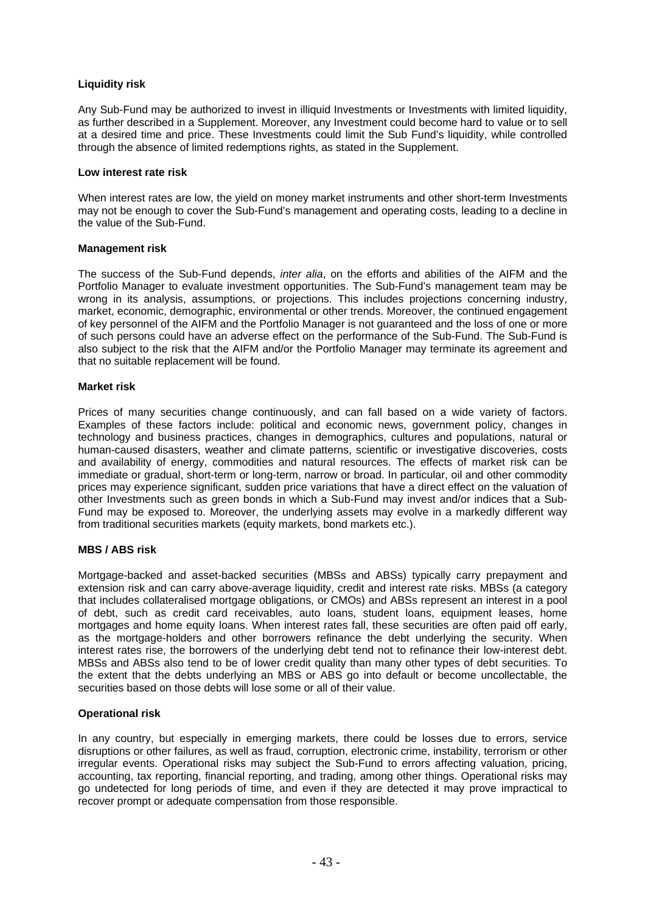## **Liquidity risk**

Any Sub-Fund may be authorized to invest in illiquid Investments or Investments with limited liquidity, as further described in a Supplement. Moreover, any Investment could become hard to value or to sell at a desired time and price. These Investments could limit the Sub Fund's liquidity, while controlled through the absence of limited redemptions rights, as stated in the Supplement.

#### **Low interest rate risk**

When interest rates are low, the yield on money market instruments and other short-term Investments may not be enough to cover the Sub-Fund's management and operating costs, leading to a decline in the value of the Sub-Fund.

#### **Management risk**

The success of the Sub-Fund depends, *inter alia*, on the efforts and abilities of the AIFM and the Portfolio Manager to evaluate investment opportunities. The Sub-Fund's management team may be wrong in its analysis, assumptions, or projections. This includes projections concerning industry, market, economic, demographic, environmental or other trends. Moreover, the continued engagement of key personnel of the AIFM and the Portfolio Manager is not guaranteed and the loss of one or more of such persons could have an adverse effect on the performance of the Sub-Fund. The Sub-Fund is also subject to the risk that the AIFM and/or the Portfolio Manager may terminate its agreement and that no suitable replacement will be found.

#### **Market risk**

Prices of many securities change continuously, and can fall based on a wide variety of factors. Examples of these factors include: political and economic news, government policy, changes in technology and business practices, changes in demographics, cultures and populations, natural or human-caused disasters, weather and climate patterns, scientific or investigative discoveries, costs and availability of energy, commodities and natural resources. The effects of market risk can be immediate or gradual, short-term or long-term, narrow or broad. In particular, oil and other commodity prices may experience significant, sudden price variations that have a direct effect on the valuation of other Investments such as green bonds in which a Sub-Fund may invest and/or indices that a Sub-Fund may be exposed to. Moreover, the underlying assets may evolve in a markedly different way from traditional securities markets (equity markets, bond markets etc.).

## **MBS / ABS risk**

Mortgage-backed and asset-backed securities (MBSs and ABSs) typically carry prepayment and extension risk and can carry above-average liquidity, credit and interest rate risks. MBSs (a category that includes collateralised mortgage obligations, or CMOs) and ABSs represent an interest in a pool of debt, such as credit card receivables, auto loans, student loans, equipment leases, home mortgages and home equity loans. When interest rates fall, these securities are often paid off early, as the mortgage-holders and other borrowers refinance the debt underlying the security. When interest rates rise, the borrowers of the underlying debt tend not to refinance their low-interest debt. MBSs and ABSs also tend to be of lower credit quality than many other types of debt securities. To the extent that the debts underlying an MBS or ABS go into default or become uncollectable, the securities based on those debts will lose some or all of their value.

## **Operational risk**

In any country, but especially in emerging markets, there could be losses due to errors, service disruptions or other failures, as well as fraud, corruption, electronic crime, instability, terrorism or other irregular events. Operational risks may subject the Sub-Fund to errors affecting valuation, pricing, accounting, tax reporting, financial reporting, and trading, among other things. Operational risks may go undetected for long periods of time, and even if they are detected it may prove impractical to recover prompt or adequate compensation from those responsible.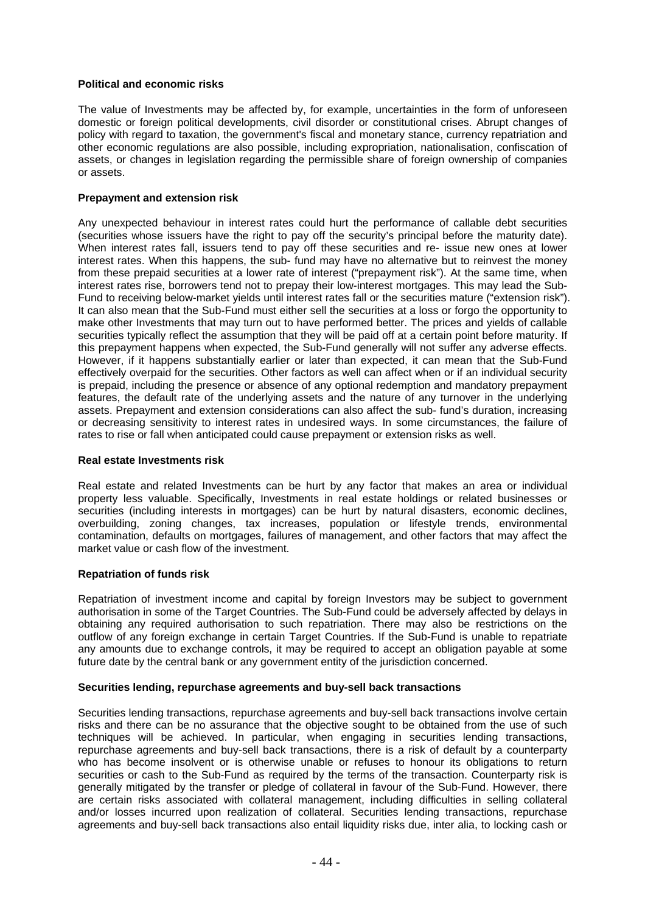## **Political and economic risks**

The value of Investments may be affected by, for example, uncertainties in the form of unforeseen domestic or foreign political developments, civil disorder or constitutional crises. Abrupt changes of policy with regard to taxation, the government's fiscal and monetary stance, currency repatriation and other economic regulations are also possible, including expropriation, nationalisation, confiscation of assets, or changes in legislation regarding the permissible share of foreign ownership of companies or assets.

#### **Prepayment and extension risk**

Any unexpected behaviour in interest rates could hurt the performance of callable debt securities (securities whose issuers have the right to pay off the security's principal before the maturity date). When interest rates fall, issuers tend to pay off these securities and re- issue new ones at lower interest rates. When this happens, the sub- fund may have no alternative but to reinvest the money from these prepaid securities at a lower rate of interest ("prepayment risk"). At the same time, when interest rates rise, borrowers tend not to prepay their low-interest mortgages. This may lead the Sub-Fund to receiving below-market yields until interest rates fall or the securities mature ("extension risk"). It can also mean that the Sub-Fund must either sell the securities at a loss or forgo the opportunity to make other Investments that may turn out to have performed better. The prices and yields of callable securities typically reflect the assumption that they will be paid off at a certain point before maturity. If this prepayment happens when expected, the Sub-Fund generally will not suffer any adverse effects. However, if it happens substantially earlier or later than expected, it can mean that the Sub-Fund effectively overpaid for the securities. Other factors as well can affect when or if an individual security is prepaid, including the presence or absence of any optional redemption and mandatory prepayment features, the default rate of the underlying assets and the nature of any turnover in the underlying assets. Prepayment and extension considerations can also affect the sub- fund's duration, increasing or decreasing sensitivity to interest rates in undesired ways. In some circumstances, the failure of rates to rise or fall when anticipated could cause prepayment or extension risks as well.

#### **Real estate Investments risk**

Real estate and related Investments can be hurt by any factor that makes an area or individual property less valuable. Specifically, Investments in real estate holdings or related businesses or securities (including interests in mortgages) can be hurt by natural disasters, economic declines, overbuilding, zoning changes, tax increases, population or lifestyle trends, environmental contamination, defaults on mortgages, failures of management, and other factors that may affect the market value or cash flow of the investment.

#### **Repatriation of funds risk**

Repatriation of investment income and capital by foreign Investors may be subject to government authorisation in some of the Target Countries. The Sub-Fund could be adversely affected by delays in obtaining any required authorisation to such repatriation. There may also be restrictions on the outflow of any foreign exchange in certain Target Countries. If the Sub-Fund is unable to repatriate any amounts due to exchange controls, it may be required to accept an obligation payable at some future date by the central bank or any government entity of the jurisdiction concerned.

#### **Securities lending, repurchase agreements and buy-sell back transactions**

Securities lending transactions, repurchase agreements and buy-sell back transactions involve certain risks and there can be no assurance that the objective sought to be obtained from the use of such techniques will be achieved. In particular, when engaging in securities lending transactions, repurchase agreements and buy-sell back transactions, there is a risk of default by a counterparty who has become insolvent or is otherwise unable or refuses to honour its obligations to return securities or cash to the Sub-Fund as required by the terms of the transaction. Counterparty risk is generally mitigated by the transfer or pledge of collateral in favour of the Sub-Fund. However, there are certain risks associated with collateral management, including difficulties in selling collateral and/or losses incurred upon realization of collateral. Securities lending transactions, repurchase agreements and buy-sell back transactions also entail liquidity risks due, inter alia, to locking cash or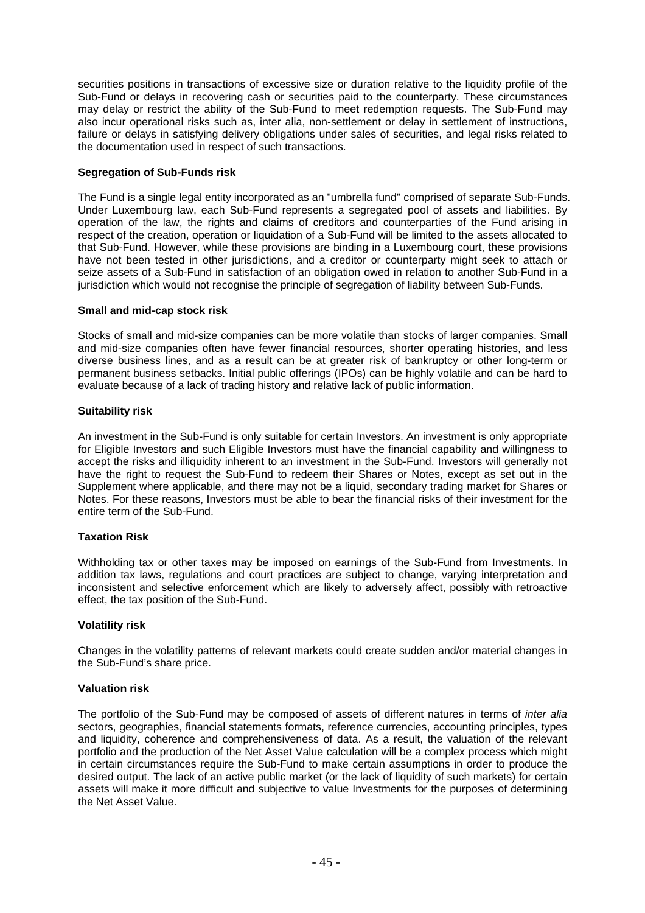securities positions in transactions of excessive size or duration relative to the liquidity profile of the Sub-Fund or delays in recovering cash or securities paid to the counterparty. These circumstances may delay or restrict the ability of the Sub-Fund to meet redemption requests. The Sub-Fund may also incur operational risks such as, inter alia, non-settlement or delay in settlement of instructions, failure or delays in satisfying delivery obligations under sales of securities, and legal risks related to the documentation used in respect of such transactions.

# **Segregation of Sub-Funds risk**

The Fund is a single legal entity incorporated as an "umbrella fund" comprised of separate Sub-Funds. Under Luxembourg law, each Sub-Fund represents a segregated pool of assets and liabilities. By operation of the law, the rights and claims of creditors and counterparties of the Fund arising in respect of the creation, operation or liquidation of a Sub-Fund will be limited to the assets allocated to that Sub-Fund. However, while these provisions are binding in a Luxembourg court, these provisions have not been tested in other jurisdictions, and a creditor or counterparty might seek to attach or seize assets of a Sub-Fund in satisfaction of an obligation owed in relation to another Sub-Fund in a jurisdiction which would not recognise the principle of segregation of liability between Sub-Funds.

## **Small and mid-cap stock risk**

Stocks of small and mid-size companies can be more volatile than stocks of larger companies. Small and mid-size companies often have fewer financial resources, shorter operating histories, and less diverse business lines, and as a result can be at greater risk of bankruptcy or other long-term or permanent business setbacks. Initial public offerings (IPOs) can be highly volatile and can be hard to evaluate because of a lack of trading history and relative lack of public information.

#### **Suitability risk**

An investment in the Sub-Fund is only suitable for certain Investors. An investment is only appropriate for Eligible Investors and such Eligible Investors must have the financial capability and willingness to accept the risks and illiquidity inherent to an investment in the Sub-Fund. Investors will generally not have the right to request the Sub-Fund to redeem their Shares or Notes, except as set out in the Supplement where applicable, and there may not be a liquid, secondary trading market for Shares or Notes. For these reasons, Investors must be able to bear the financial risks of their investment for the entire term of the Sub-Fund.

## **Taxation Risk**

Withholding tax or other taxes may be imposed on earnings of the Sub-Fund from Investments. In addition tax laws, regulations and court practices are subject to change, varying interpretation and inconsistent and selective enforcement which are likely to adversely affect, possibly with retroactive effect, the tax position of the Sub-Fund.

#### **Volatility risk**

Changes in the volatility patterns of relevant markets could create sudden and/or material changes in the Sub-Fund's share price.

#### **Valuation risk**

The portfolio of the Sub-Fund may be composed of assets of different natures in terms of *inter alia* sectors, geographies, financial statements formats, reference currencies, accounting principles, types and liquidity, coherence and comprehensiveness of data. As a result, the valuation of the relevant portfolio and the production of the Net Asset Value calculation will be a complex process which might in certain circumstances require the Sub-Fund to make certain assumptions in order to produce the desired output. The lack of an active public market (or the lack of liquidity of such markets) for certain assets will make it more difficult and subjective to value Investments for the purposes of determining the Net Asset Value.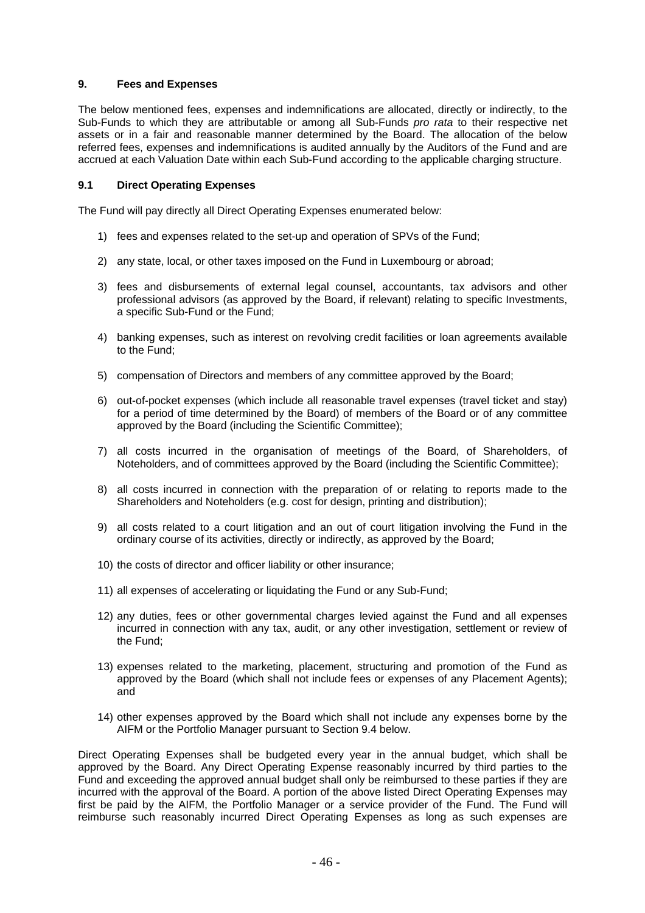## **9. Fees and Expenses**

The below mentioned fees, expenses and indemnifications are allocated, directly or indirectly, to the Sub-Funds to which they are attributable or among all Sub-Funds *pro rata* to their respective net assets or in a fair and reasonable manner determined by the Board. The allocation of the below referred fees, expenses and indemnifications is audited annually by the Auditors of the Fund and are accrued at each Valuation Date within each Sub-Fund according to the applicable charging structure.

## **9.1 Direct Operating Expenses**

The Fund will pay directly all Direct Operating Expenses enumerated below:

- 1) fees and expenses related to the set-up and operation of SPVs of the Fund;
- 2) any state, local, or other taxes imposed on the Fund in Luxembourg or abroad;
- 3) fees and disbursements of external legal counsel, accountants, tax advisors and other professional advisors (as approved by the Board, if relevant) relating to specific Investments, a specific Sub-Fund or the Fund;
- 4) banking expenses, such as interest on revolving credit facilities or loan agreements available to the Fund;
- 5) compensation of Directors and members of any committee approved by the Board;
- 6) out-of-pocket expenses (which include all reasonable travel expenses (travel ticket and stay) for a period of time determined by the Board) of members of the Board or of any committee approved by the Board (including the Scientific Committee);
- 7) all costs incurred in the organisation of meetings of the Board, of Shareholders, of Noteholders, and of committees approved by the Board (including the Scientific Committee);
- 8) all costs incurred in connection with the preparation of or relating to reports made to the Shareholders and Noteholders (e.g. cost for design, printing and distribution);
- 9) all costs related to a court litigation and an out of court litigation involving the Fund in the ordinary course of its activities, directly or indirectly, as approved by the Board;
- 10) the costs of director and officer liability or other insurance;
- 11) all expenses of accelerating or liquidating the Fund or any Sub-Fund;
- 12) any duties, fees or other governmental charges levied against the Fund and all expenses incurred in connection with any tax, audit, or any other investigation, settlement or review of the Fund;
- 13) expenses related to the marketing, placement, structuring and promotion of the Fund as approved by the Board (which shall not include fees or expenses of any Placement Agents); and
- 14) other expenses approved by the Board which shall not include any expenses borne by the AIFM or the Portfolio Manager pursuant to Section 9.4 below.

Direct Operating Expenses shall be budgeted every year in the annual budget, which shall be approved by the Board. Any Direct Operating Expense reasonably incurred by third parties to the Fund and exceeding the approved annual budget shall only be reimbursed to these parties if they are incurred with the approval of the Board. A portion of the above listed Direct Operating Expenses may first be paid by the AIFM, the Portfolio Manager or a service provider of the Fund. The Fund will reimburse such reasonably incurred Direct Operating Expenses as long as such expenses are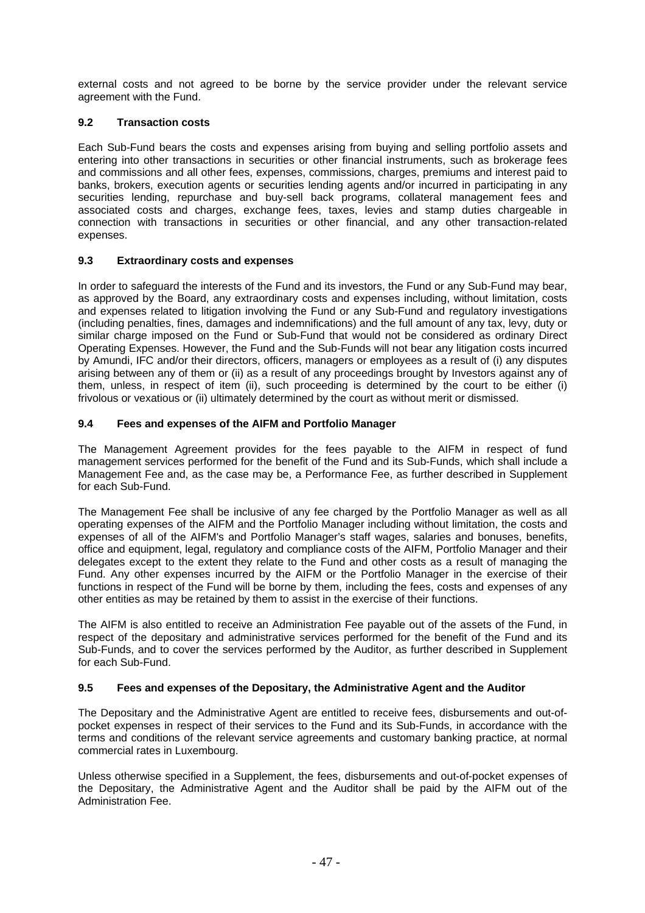external costs and not agreed to be borne by the service provider under the relevant service agreement with the Fund.

# **9.2 Transaction costs**

Each Sub-Fund bears the costs and expenses arising from buying and selling portfolio assets and entering into other transactions in securities or other financial instruments, such as brokerage fees and commissions and all other fees, expenses, commissions, charges, premiums and interest paid to banks, brokers, execution agents or securities lending agents and/or incurred in participating in any securities lending, repurchase and buy-sell back programs, collateral management fees and associated costs and charges, exchange fees, taxes, levies and stamp duties chargeable in connection with transactions in securities or other financial, and any other transaction-related expenses.

## **9.3 Extraordinary costs and expenses**

In order to safeguard the interests of the Fund and its investors, the Fund or any Sub-Fund may bear, as approved by the Board, any extraordinary costs and expenses including, without limitation, costs and expenses related to litigation involving the Fund or any Sub-Fund and regulatory investigations (including penalties, fines, damages and indemnifications) and the full amount of any tax, levy, duty or similar charge imposed on the Fund or Sub-Fund that would not be considered as ordinary Direct Operating Expenses. However, the Fund and the Sub-Funds will not bear any litigation costs incurred by Amundi, IFC and/or their directors, officers, managers or employees as a result of (i) any disputes arising between any of them or (ii) as a result of any proceedings brought by Investors against any of them, unless, in respect of item (ii), such proceeding is determined by the court to be either (i) frivolous or vexatious or (ii) ultimately determined by the court as without merit or dismissed.

# **9.4 Fees and expenses of the AIFM and Portfolio Manager**

The Management Agreement provides for the fees payable to the AIFM in respect of fund management services performed for the benefit of the Fund and its Sub-Funds, which shall include a Management Fee and, as the case may be, a Performance Fee, as further described in Supplement for each Sub-Fund.

The Management Fee shall be inclusive of any fee charged by the Portfolio Manager as well as all operating expenses of the AIFM and the Portfolio Manager including without limitation, the costs and expenses of all of the AIFM's and Portfolio Manager's staff wages, salaries and bonuses, benefits, office and equipment, legal, regulatory and compliance costs of the AIFM, Portfolio Manager and their delegates except to the extent they relate to the Fund and other costs as a result of managing the Fund. Any other expenses incurred by the AIFM or the Portfolio Manager in the exercise of their functions in respect of the Fund will be borne by them, including the fees, costs and expenses of any other entities as may be retained by them to assist in the exercise of their functions.

The AIFM is also entitled to receive an Administration Fee payable out of the assets of the Fund, in respect of the depositary and administrative services performed for the benefit of the Fund and its Sub-Funds, and to cover the services performed by the Auditor, as further described in Supplement for each Sub-Fund.

## **9.5 Fees and expenses of the Depositary, the Administrative Agent and the Auditor**

The Depositary and the Administrative Agent are entitled to receive fees, disbursements and out-ofpocket expenses in respect of their services to the Fund and its Sub-Funds, in accordance with the terms and conditions of the relevant service agreements and customary banking practice, at normal commercial rates in Luxembourg.

Unless otherwise specified in a Supplement, the fees, disbursements and out-of-pocket expenses of the Depositary, the Administrative Agent and the Auditor shall be paid by the AIFM out of the Administration Fee.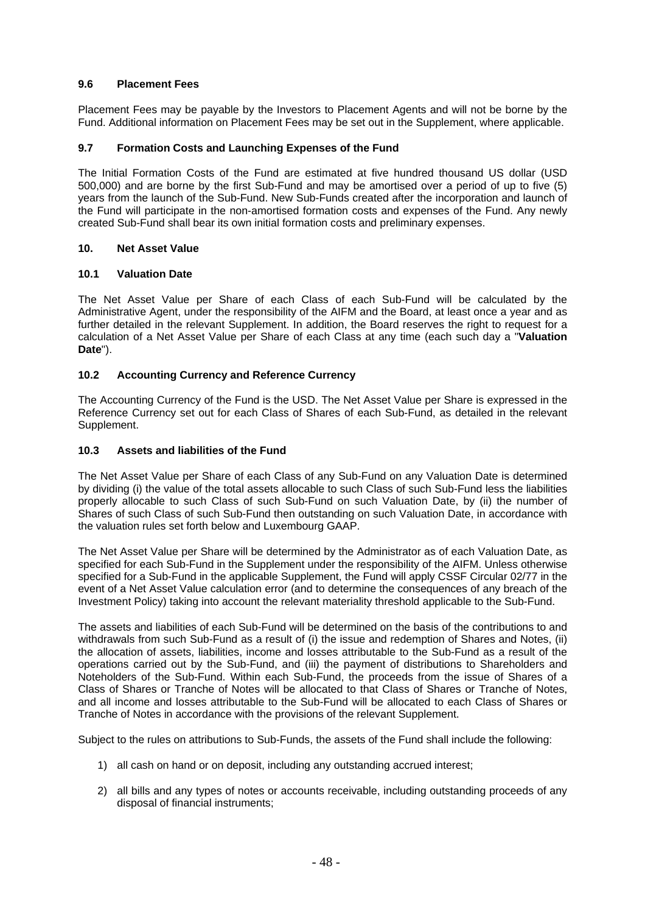# **9.6 Placement Fees**

Placement Fees may be payable by the Investors to Placement Agents and will not be borne by the Fund. Additional information on Placement Fees may be set out in the Supplement, where applicable.

# **9.7 Formation Costs and Launching Expenses of the Fund**

The Initial Formation Costs of the Fund are estimated at five hundred thousand US dollar (USD 500,000) and are borne by the first Sub-Fund and may be amortised over a period of up to five (5) years from the launch of the Sub-Fund. New Sub-Funds created after the incorporation and launch of the Fund will participate in the non-amortised formation costs and expenses of the Fund. Any newly created Sub-Fund shall bear its own initial formation costs and preliminary expenses.

## **10. Net Asset Value**

## **10.1 Valuation Date**

The Net Asset Value per Share of each Class of each Sub-Fund will be calculated by the Administrative Agent, under the responsibility of the AIFM and the Board, at least once a year and as further detailed in the relevant Supplement. In addition, the Board reserves the right to request for a calculation of a Net Asset Value per Share of each Class at any time (each such day a "**Valuation Date**").

# **10.2 Accounting Currency and Reference Currency**

The Accounting Currency of the Fund is the USD. The Net Asset Value per Share is expressed in the Reference Currency set out for each Class of Shares of each Sub-Fund, as detailed in the relevant Supplement.

## **10.3 Assets and liabilities of the Fund**

The Net Asset Value per Share of each Class of any Sub-Fund on any Valuation Date is determined by dividing (i) the value of the total assets allocable to such Class of such Sub-Fund less the liabilities properly allocable to such Class of such Sub-Fund on such Valuation Date, by (ii) the number of Shares of such Class of such Sub-Fund then outstanding on such Valuation Date, in accordance with the valuation rules set forth below and Luxembourg GAAP.

The Net Asset Value per Share will be determined by the Administrator as of each Valuation Date, as specified for each Sub-Fund in the Supplement under the responsibility of the AIFM. Unless otherwise specified for a Sub-Fund in the applicable Supplement, the Fund will apply CSSF Circular 02/77 in the event of a Net Asset Value calculation error (and to determine the consequences of any breach of the Investment Policy) taking into account the relevant materiality threshold applicable to the Sub-Fund.

The assets and liabilities of each Sub-Fund will be determined on the basis of the contributions to and withdrawals from such Sub-Fund as a result of (i) the issue and redemption of Shares and Notes, (ii) the allocation of assets, liabilities, income and losses attributable to the Sub-Fund as a result of the operations carried out by the Sub-Fund, and (iii) the payment of distributions to Shareholders and Noteholders of the Sub-Fund. Within each Sub-Fund, the proceeds from the issue of Shares of a Class of Shares or Tranche of Notes will be allocated to that Class of Shares or Tranche of Notes, and all income and losses attributable to the Sub-Fund will be allocated to each Class of Shares or Tranche of Notes in accordance with the provisions of the relevant Supplement.

Subject to the rules on attributions to Sub-Funds, the assets of the Fund shall include the following:

- 1) all cash on hand or on deposit, including any outstanding accrued interest;
- 2) all bills and any types of notes or accounts receivable, including outstanding proceeds of any disposal of financial instruments;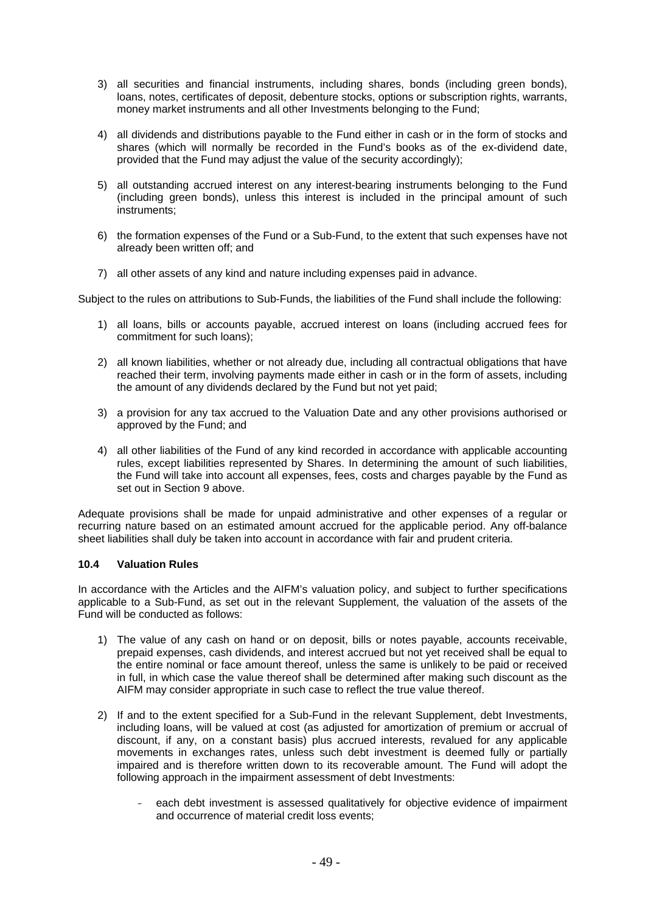- 3) all securities and financial instruments, including shares, bonds (including green bonds), loans, notes, certificates of deposit, debenture stocks, options or subscription rights, warrants, money market instruments and all other Investments belonging to the Fund;
- 4) all dividends and distributions payable to the Fund either in cash or in the form of stocks and shares (which will normally be recorded in the Fund's books as of the ex-dividend date, provided that the Fund may adjust the value of the security accordingly);
- 5) all outstanding accrued interest on any interest-bearing instruments belonging to the Fund (including green bonds), unless this interest is included in the principal amount of such instruments;
- 6) the formation expenses of the Fund or a Sub-Fund, to the extent that such expenses have not already been written off; and
- 7) all other assets of any kind and nature including expenses paid in advance.

Subject to the rules on attributions to Sub-Funds, the liabilities of the Fund shall include the following:

- 1) all loans, bills or accounts payable, accrued interest on loans (including accrued fees for commitment for such loans);
- 2) all known liabilities, whether or not already due, including all contractual obligations that have reached their term, involving payments made either in cash or in the form of assets, including the amount of any dividends declared by the Fund but not yet paid;
- 3) a provision for any tax accrued to the Valuation Date and any other provisions authorised or approved by the Fund; and
- 4) all other liabilities of the Fund of any kind recorded in accordance with applicable accounting rules, except liabilities represented by Shares. In determining the amount of such liabilities, the Fund will take into account all expenses, fees, costs and charges payable by the Fund as set out in Section 9 above.

Adequate provisions shall be made for unpaid administrative and other expenses of a regular or recurring nature based on an estimated amount accrued for the applicable period. Any off-balance sheet liabilities shall duly be taken into account in accordance with fair and prudent criteria.

## **10.4 Valuation Rules**

In accordance with the Articles and the AIFM's valuation policy, and subject to further specifications applicable to a Sub-Fund, as set out in the relevant Supplement, the valuation of the assets of the Fund will be conducted as follows:

- 1) The value of any cash on hand or on deposit, bills or notes payable, accounts receivable, prepaid expenses, cash dividends, and interest accrued but not yet received shall be equal to the entire nominal or face amount thereof, unless the same is unlikely to be paid or received in full, in which case the value thereof shall be determined after making such discount as the AIFM may consider appropriate in such case to reflect the true value thereof.
- 2) If and to the extent specified for a Sub-Fund in the relevant Supplement, debt Investments, including loans, will be valued at cost (as adjusted for amortization of premium or accrual of discount, if any, on a constant basis) plus accrued interests, revalued for any applicable movements in exchanges rates, unless such debt investment is deemed fully or partially impaired and is therefore written down to its recoverable amount. The Fund will adopt the following approach in the impairment assessment of debt Investments:
	- each debt investment is assessed qualitatively for objective evidence of impairment and occurrence of material credit loss events;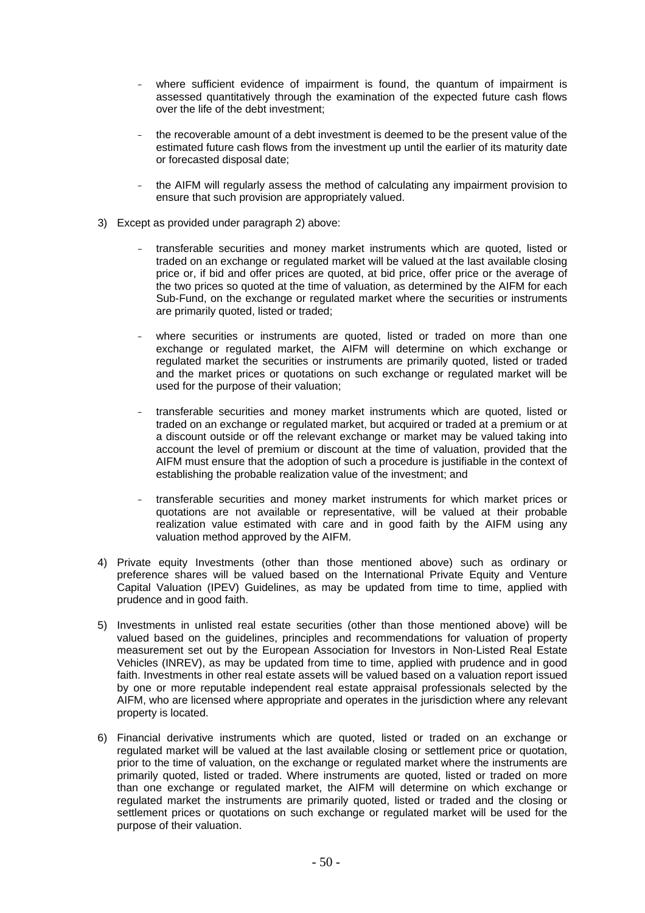- where sufficient evidence of impairment is found, the quantum of impairment is assessed quantitatively through the examination of the expected future cash flows over the life of the debt investment;
- the recoverable amount of a debt investment is deemed to be the present value of the estimated future cash flows from the investment up until the earlier of its maturity date or forecasted disposal date;
- the AIFM will regularly assess the method of calculating any impairment provision to ensure that such provision are appropriately valued.
- 3) Except as provided under paragraph 2) above:
	- transferable securities and money market instruments which are quoted, listed or traded on an exchange or regulated market will be valued at the last available closing price or, if bid and offer prices are quoted, at bid price, offer price or the average of the two prices so quoted at the time of valuation, as determined by the AIFM for each Sub-Fund, on the exchange or regulated market where the securities or instruments are primarily quoted, listed or traded;
	- where securities or instruments are quoted, listed or traded on more than one exchange or regulated market, the AIFM will determine on which exchange or regulated market the securities or instruments are primarily quoted, listed or traded and the market prices or quotations on such exchange or regulated market will be used for the purpose of their valuation;
	- transferable securities and money market instruments which are quoted, listed or traded on an exchange or regulated market, but acquired or traded at a premium or at a discount outside or off the relevant exchange or market may be valued taking into account the level of premium or discount at the time of valuation, provided that the AIFM must ensure that the adoption of such a procedure is justifiable in the context of establishing the probable realization value of the investment; and
	- transferable securities and money market instruments for which market prices or quotations are not available or representative, will be valued at their probable realization value estimated with care and in good faith by the AIFM using any valuation method approved by the AIFM.
- 4) Private equity Investments (other than those mentioned above) such as ordinary or preference shares will be valued based on the International Private Equity and Venture Capital Valuation (IPEV) Guidelines, as may be updated from time to time, applied with prudence and in good faith.
- 5) Investments in unlisted real estate securities (other than those mentioned above) will be valued based on the guidelines, principles and recommendations for valuation of property measurement set out by the European Association for Investors in Non-Listed Real Estate Vehicles (INREV), as may be updated from time to time, applied with prudence and in good faith. Investments in other real estate assets will be valued based on a valuation report issued by one or more reputable independent real estate appraisal professionals selected by the AIFM, who are licensed where appropriate and operates in the jurisdiction where any relevant property is located.
- 6) Financial derivative instruments which are quoted, listed or traded on an exchange or regulated market will be valued at the last available closing or settlement price or quotation, prior to the time of valuation, on the exchange or regulated market where the instruments are primarily quoted, listed or traded. Where instruments are quoted, listed or traded on more than one exchange or regulated market, the AIFM will determine on which exchange or regulated market the instruments are primarily quoted, listed or traded and the closing or settlement prices or quotations on such exchange or regulated market will be used for the purpose of their valuation.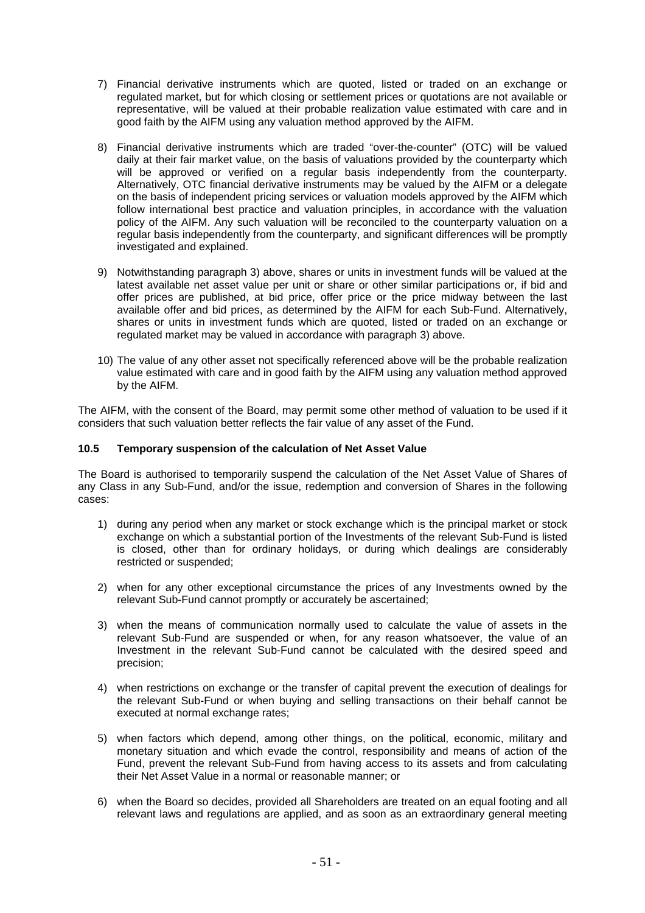- 7) Financial derivative instruments which are quoted, listed or traded on an exchange or regulated market, but for which closing or settlement prices or quotations are not available or representative, will be valued at their probable realization value estimated with care and in good faith by the AIFM using any valuation method approved by the AIFM.
- 8) Financial derivative instruments which are traded "over-the-counter" (OTC) will be valued daily at their fair market value, on the basis of valuations provided by the counterparty which will be approved or verified on a regular basis independently from the counterparty. Alternatively, OTC financial derivative instruments may be valued by the AIFM or a delegate on the basis of independent pricing services or valuation models approved by the AIFM which follow international best practice and valuation principles, in accordance with the valuation policy of the AIFM. Any such valuation will be reconciled to the counterparty valuation on a regular basis independently from the counterparty, and significant differences will be promptly investigated and explained.
- 9) Notwithstanding paragraph 3) above, shares or units in investment funds will be valued at the latest available net asset value per unit or share or other similar participations or, if bid and offer prices are published, at bid price, offer price or the price midway between the last available offer and bid prices, as determined by the AIFM for each Sub-Fund. Alternatively, shares or units in investment funds which are quoted, listed or traded on an exchange or regulated market may be valued in accordance with paragraph 3) above.
- 10) The value of any other asset not specifically referenced above will be the probable realization value estimated with care and in good faith by the AIFM using any valuation method approved by the AIFM.

The AIFM, with the consent of the Board, may permit some other method of valuation to be used if it considers that such valuation better reflects the fair value of any asset of the Fund.

## **10.5 Temporary suspension of the calculation of Net Asset Value**

The Board is authorised to temporarily suspend the calculation of the Net Asset Value of Shares of any Class in any Sub-Fund, and/or the issue, redemption and conversion of Shares in the following cases:

- 1) during any period when any market or stock exchange which is the principal market or stock exchange on which a substantial portion of the Investments of the relevant Sub-Fund is listed is closed, other than for ordinary holidays, or during which dealings are considerably restricted or suspended;
- 2) when for any other exceptional circumstance the prices of any Investments owned by the relevant Sub-Fund cannot promptly or accurately be ascertained;
- 3) when the means of communication normally used to calculate the value of assets in the relevant Sub-Fund are suspended or when, for any reason whatsoever, the value of an Investment in the relevant Sub-Fund cannot be calculated with the desired speed and precision;
- 4) when restrictions on exchange or the transfer of capital prevent the execution of dealings for the relevant Sub-Fund or when buying and selling transactions on their behalf cannot be executed at normal exchange rates;
- 5) when factors which depend, among other things, on the political, economic, military and monetary situation and which evade the control, responsibility and means of action of the Fund, prevent the relevant Sub-Fund from having access to its assets and from calculating their Net Asset Value in a normal or reasonable manner; or
- 6) when the Board so decides, provided all Shareholders are treated on an equal footing and all relevant laws and regulations are applied, and as soon as an extraordinary general meeting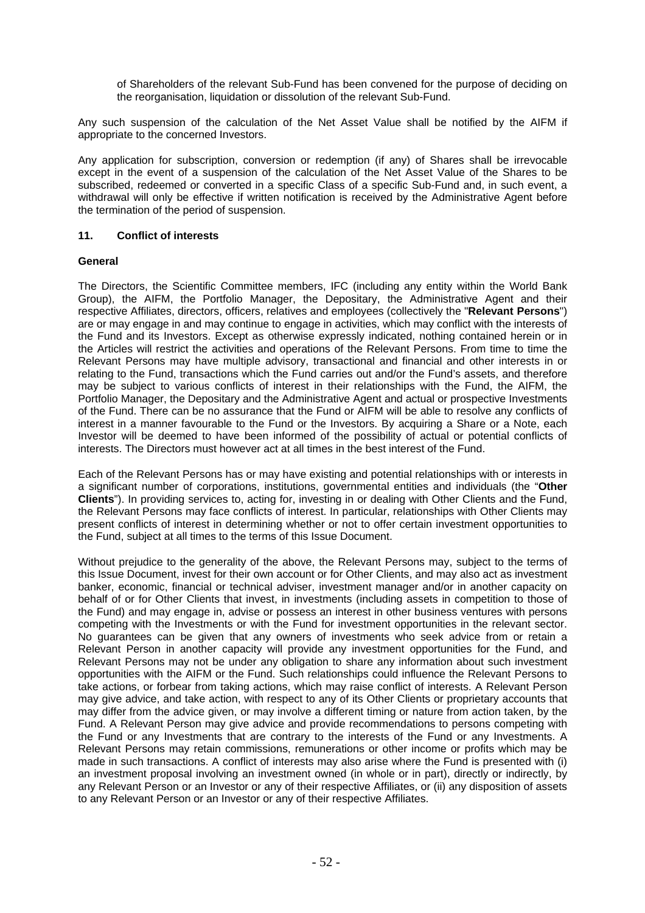of Shareholders of the relevant Sub-Fund has been convened for the purpose of deciding on the reorganisation, liquidation or dissolution of the relevant Sub-Fund.

Any such suspension of the calculation of the Net Asset Value shall be notified by the AIFM if appropriate to the concerned Investors.

Any application for subscription, conversion or redemption (if any) of Shares shall be irrevocable except in the event of a suspension of the calculation of the Net Asset Value of the Shares to be subscribed, redeemed or converted in a specific Class of a specific Sub-Fund and, in such event, a withdrawal will only be effective if written notification is received by the Administrative Agent before the termination of the period of suspension.

## **11. Conflict of interests**

## **General**

The Directors, the Scientific Committee members, IFC (including any entity within the World Bank Group), the AIFM, the Portfolio Manager, the Depositary, the Administrative Agent and their respective Affiliates, directors, officers, relatives and employees (collectively the "**Relevant Persons**") are or may engage in and may continue to engage in activities, which may conflict with the interests of the Fund and its Investors. Except as otherwise expressly indicated, nothing contained herein or in the Articles will restrict the activities and operations of the Relevant Persons. From time to time the Relevant Persons may have multiple advisory, transactional and financial and other interests in or relating to the Fund, transactions which the Fund carries out and/or the Fund's assets, and therefore may be subject to various conflicts of interest in their relationships with the Fund, the AIFM, the Portfolio Manager, the Depositary and the Administrative Agent and actual or prospective Investments of the Fund. There can be no assurance that the Fund or AIFM will be able to resolve any conflicts of interest in a manner favourable to the Fund or the Investors. By acquiring a Share or a Note, each Investor will be deemed to have been informed of the possibility of actual or potential conflicts of interests. The Directors must however act at all times in the best interest of the Fund.

Each of the Relevant Persons has or may have existing and potential relationships with or interests in a significant number of corporations, institutions, governmental entities and individuals (the "**Other Clients**"). In providing services to, acting for, investing in or dealing with Other Clients and the Fund, the Relevant Persons may face conflicts of interest. In particular, relationships with Other Clients may present conflicts of interest in determining whether or not to offer certain investment opportunities to the Fund, subject at all times to the terms of this Issue Document.

Without prejudice to the generality of the above, the Relevant Persons may, subject to the terms of this Issue Document, invest for their own account or for Other Clients, and may also act as investment banker, economic, financial or technical adviser, investment manager and/or in another capacity on behalf of or for Other Clients that invest, in investments (including assets in competition to those of the Fund) and may engage in, advise or possess an interest in other business ventures with persons competing with the Investments or with the Fund for investment opportunities in the relevant sector. No guarantees can be given that any owners of investments who seek advice from or retain a Relevant Person in another capacity will provide any investment opportunities for the Fund, and Relevant Persons may not be under any obligation to share any information about such investment opportunities with the AIFM or the Fund. Such relationships could influence the Relevant Persons to take actions, or forbear from taking actions, which may raise conflict of interests. A Relevant Person may give advice, and take action, with respect to any of its Other Clients or proprietary accounts that may differ from the advice given, or may involve a different timing or nature from action taken, by the Fund. A Relevant Person may give advice and provide recommendations to persons competing with the Fund or any Investments that are contrary to the interests of the Fund or any Investments. A Relevant Persons may retain commissions, remunerations or other income or profits which may be made in such transactions. A conflict of interests may also arise where the Fund is presented with (i) an investment proposal involving an investment owned (in whole or in part), directly or indirectly, by any Relevant Person or an Investor or any of their respective Affiliates, or (ii) any disposition of assets to any Relevant Person or an Investor or any of their respective Affiliates.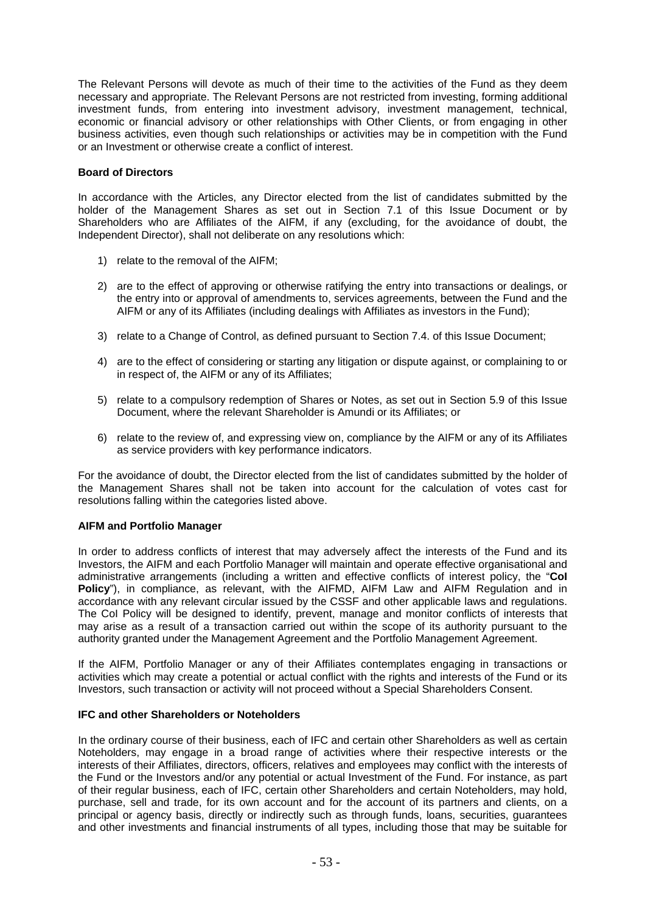The Relevant Persons will devote as much of their time to the activities of the Fund as they deem necessary and appropriate. The Relevant Persons are not restricted from investing, forming additional investment funds, from entering into investment advisory, investment management, technical, economic or financial advisory or other relationships with Other Clients, or from engaging in other business activities, even though such relationships or activities may be in competition with the Fund or an Investment or otherwise create a conflict of interest.

## **Board of Directors**

In accordance with the Articles, any Director elected from the list of candidates submitted by the holder of the Management Shares as set out in Section 7.1 of this Issue Document or by Shareholders who are Affiliates of the AIFM, if any (excluding, for the avoidance of doubt, the Independent Director), shall not deliberate on any resolutions which:

- 1) relate to the removal of the AIFM;
- 2) are to the effect of approving or otherwise ratifying the entry into transactions or dealings, or the entry into or approval of amendments to, services agreements, between the Fund and the AIFM or any of its Affiliates (including dealings with Affiliates as investors in the Fund);
- 3) relate to a Change of Control, as defined pursuant to Section 7.4. of this Issue Document;
- 4) are to the effect of considering or starting any litigation or dispute against, or complaining to or in respect of, the AIFM or any of its Affiliates;
- 5) relate to a compulsory redemption of Shares or Notes, as set out in Section 5.9 of this Issue Document, where the relevant Shareholder is Amundi or its Affiliates; or
- 6) relate to the review of, and expressing view on, compliance by the AIFM or any of its Affiliates as service providers with key performance indicators.

For the avoidance of doubt, the Director elected from the list of candidates submitted by the holder of the Management Shares shall not be taken into account for the calculation of votes cast for resolutions falling within the categories listed above.

## **AIFM and Portfolio Manager**

In order to address conflicts of interest that may adversely affect the interests of the Fund and its Investors, the AIFM and each Portfolio Manager will maintain and operate effective organisational and administrative arrangements (including a written and effective conflicts of interest policy, the "**CoI Policy**"), in compliance, as relevant, with the AIFMD, AIFM Law and AIFM Regulation and in accordance with any relevant circular issued by the CSSF and other applicable laws and regulations. The CoI Policy will be designed to identify, prevent, manage and monitor conflicts of interests that may arise as a result of a transaction carried out within the scope of its authority pursuant to the authority granted under the Management Agreement and the Portfolio Management Agreement.

If the AIFM, Portfolio Manager or any of their Affiliates contemplates engaging in transactions or activities which may create a potential or actual conflict with the rights and interests of the Fund or its Investors, such transaction or activity will not proceed without a Special Shareholders Consent.

## **IFC and other Shareholders or Noteholders**

In the ordinary course of their business, each of IFC and certain other Shareholders as well as certain Noteholders, may engage in a broad range of activities where their respective interests or the interests of their Affiliates, directors, officers, relatives and employees may conflict with the interests of the Fund or the Investors and/or any potential or actual Investment of the Fund. For instance, as part of their regular business, each of IFC, certain other Shareholders and certain Noteholders, may hold, purchase, sell and trade, for its own account and for the account of its partners and clients, on a principal or agency basis, directly or indirectly such as through funds, loans, securities, guarantees and other investments and financial instruments of all types, including those that may be suitable for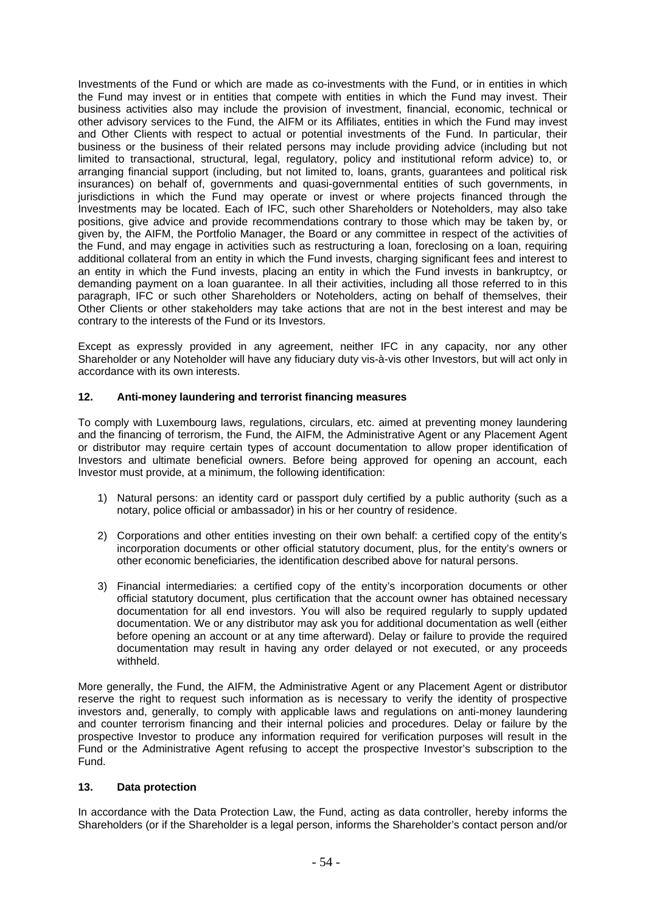Investments of the Fund or which are made as co-investments with the Fund, or in entities in which the Fund may invest or in entities that compete with entities in which the Fund may invest. Their business activities also may include the provision of investment, financial, economic, technical or other advisory services to the Fund, the AIFM or its Affiliates, entities in which the Fund may invest and Other Clients with respect to actual or potential investments of the Fund. In particular, their business or the business of their related persons may include providing advice (including but not limited to transactional, structural, legal, regulatory, policy and institutional reform advice) to, or arranging financial support (including, but not limited to, loans, grants, guarantees and political risk insurances) on behalf of, governments and quasi-governmental entities of such governments, in jurisdictions in which the Fund may operate or invest or where projects financed through the Investments may be located. Each of IFC, such other Shareholders or Noteholders, may also take positions, give advice and provide recommendations contrary to those which may be taken by, or given by, the AIFM, the Portfolio Manager, the Board or any committee in respect of the activities of the Fund, and may engage in activities such as restructuring a loan, foreclosing on a loan, requiring additional collateral from an entity in which the Fund invests, charging significant fees and interest to an entity in which the Fund invests, placing an entity in which the Fund invests in bankruptcy, or demanding payment on a loan guarantee. In all their activities, including all those referred to in this paragraph, IFC or such other Shareholders or Noteholders, acting on behalf of themselves, their Other Clients or other stakeholders may take actions that are not in the best interest and may be contrary to the interests of the Fund or its Investors.

Except as expressly provided in any agreement, neither IFC in any capacity, nor any other Shareholder or any Noteholder will have any fiduciary duty vis-à-vis other Investors, but will act only in accordance with its own interests.

# **12. Anti-money laundering and terrorist financing measures**

To comply with Luxembourg laws, regulations, circulars, etc. aimed at preventing money laundering and the financing of terrorism, the Fund, the AIFM, the Administrative Agent or any Placement Agent or distributor may require certain types of account documentation to allow proper identification of Investors and ultimate beneficial owners. Before being approved for opening an account, each Investor must provide, at a minimum, the following identification:

- 1) Natural persons: an identity card or passport duly certified by a public authority (such as a notary, police official or ambassador) in his or her country of residence.
- 2) Corporations and other entities investing on their own behalf: a certified copy of the entity's incorporation documents or other official statutory document, plus, for the entity's owners or other economic beneficiaries, the identification described above for natural persons.
- 3) Financial intermediaries: a certified copy of the entity's incorporation documents or other official statutory document, plus certification that the account owner has obtained necessary documentation for all end investors. You will also be required regularly to supply updated documentation. We or any distributor may ask you for additional documentation as well (either before opening an account or at any time afterward). Delay or failure to provide the required documentation may result in having any order delayed or not executed, or any proceeds withheld.

More generally, the Fund, the AIFM, the Administrative Agent or any Placement Agent or distributor reserve the right to request such information as is necessary to verify the identity of prospective investors and, generally, to comply with applicable laws and regulations on anti-money laundering and counter terrorism financing and their internal policies and procedures. Delay or failure by the prospective Investor to produce any information required for verification purposes will result in the Fund or the Administrative Agent refusing to accept the prospective Investor's subscription to the Fund.

## **13. Data protection**

In accordance with the Data Protection Law, the Fund, acting as data controller, hereby informs the Shareholders (or if the Shareholder is a legal person, informs the Shareholder's contact person and/or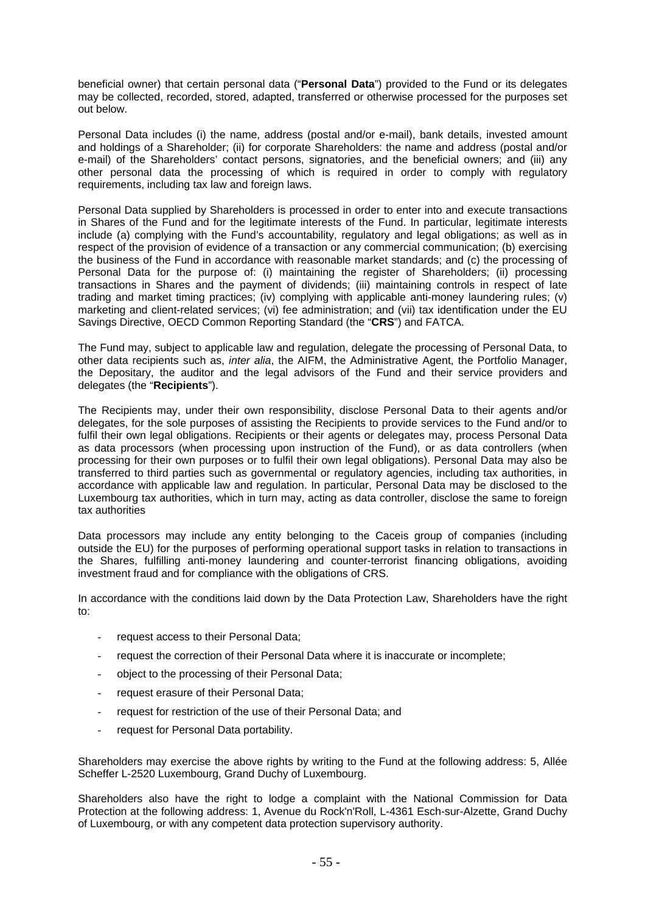beneficial owner) that certain personal data ("**Personal Data**") provided to the Fund or its delegates may be collected, recorded, stored, adapted, transferred or otherwise processed for the purposes set out below.

Personal Data includes (i) the name, address (postal and/or e-mail), bank details, invested amount and holdings of a Shareholder; (ii) for corporate Shareholders: the name and address (postal and/or e-mail) of the Shareholders' contact persons, signatories, and the beneficial owners; and (iii) any other personal data the processing of which is required in order to comply with regulatory requirements, including tax law and foreign laws.

Personal Data supplied by Shareholders is processed in order to enter into and execute transactions in Shares of the Fund and for the legitimate interests of the Fund. In particular, legitimate interests include (a) complying with the Fund's accountability, regulatory and legal obligations; as well as in respect of the provision of evidence of a transaction or any commercial communication; (b) exercising the business of the Fund in accordance with reasonable market standards; and (c) the processing of Personal Data for the purpose of: (i) maintaining the register of Shareholders; (ii) processing transactions in Shares and the payment of dividends; (iii) maintaining controls in respect of late trading and market timing practices; (iv) complying with applicable anti-money laundering rules; (v) marketing and client-related services; (vi) fee administration; and (vii) tax identification under the EU Savings Directive, OECD Common Reporting Standard (the "**CRS**") and FATCA.

The Fund may, subject to applicable law and regulation, delegate the processing of Personal Data, to other data recipients such as, *inter alia*, the AIFM, the Administrative Agent, the Portfolio Manager, the Depositary, the auditor and the legal advisors of the Fund and their service providers and delegates (the "**Recipients**").

The Recipients may, under their own responsibility, disclose Personal Data to their agents and/or delegates, for the sole purposes of assisting the Recipients to provide services to the Fund and/or to fulfil their own legal obligations. Recipients or their agents or delegates may, process Personal Data as data processors (when processing upon instruction of the Fund), or as data controllers (when processing for their own purposes or to fulfil their own legal obligations). Personal Data may also be transferred to third parties such as governmental or regulatory agencies, including tax authorities, in accordance with applicable law and regulation. In particular, Personal Data may be disclosed to the Luxembourg tax authorities, which in turn may, acting as data controller, disclose the same to foreign tax authorities

Data processors may include any entity belonging to the Caceis group of companies (including outside the EU) for the purposes of performing operational support tasks in relation to transactions in the Shares, fulfilling anti-money laundering and counter-terrorist financing obligations, avoiding investment fraud and for compliance with the obligations of CRS.

In accordance with the conditions laid down by the Data Protection Law, Shareholders have the right to:

- request access to their Personal Data;
- request the correction of their Personal Data where it is inaccurate or incomplete;
- object to the processing of their Personal Data;
- request erasure of their Personal Data;
- request for restriction of the use of their Personal Data; and
- request for Personal Data portability.

Shareholders may exercise the above rights by writing to the Fund at the following address: 5, Allée Scheffer L-2520 Luxembourg, Grand Duchy of Luxembourg.

Shareholders also have the right to lodge a complaint with the National Commission for Data Protection at the following address: 1, Avenue du Rock'n'Roll, L-4361 Esch-sur-Alzette, Grand Duchy of Luxembourg, or with any competent data protection supervisory authority.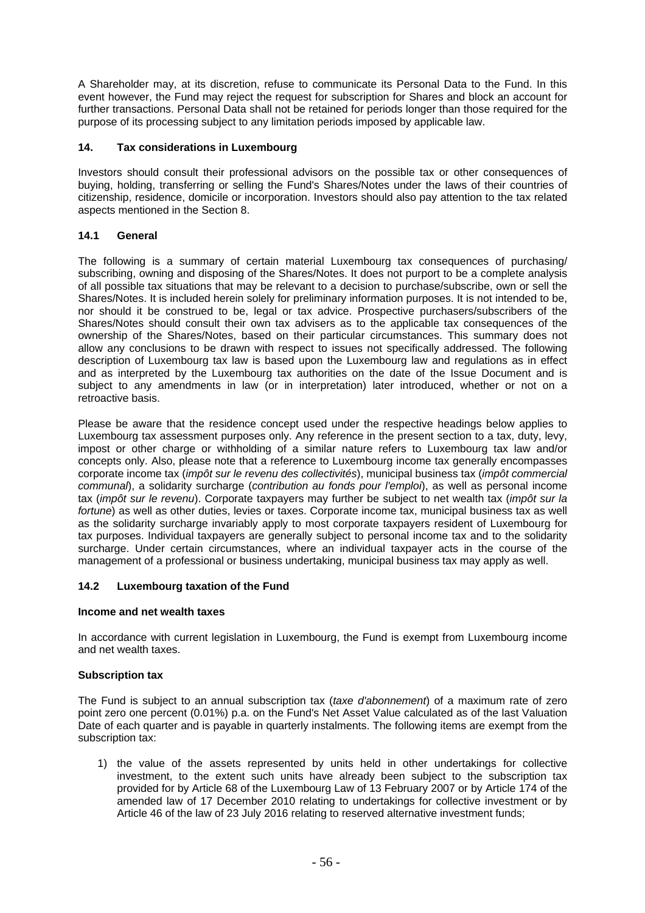A Shareholder may, at its discretion, refuse to communicate its Personal Data to the Fund. In this event however, the Fund may reject the request for subscription for Shares and block an account for further transactions. Personal Data shall not be retained for periods longer than those required for the purpose of its processing subject to any limitation periods imposed by applicable law.

# **14. Tax considerations in Luxembourg**

Investors should consult their professional advisors on the possible tax or other consequences of buying, holding, transferring or selling the Fund's Shares/Notes under the laws of their countries of citizenship, residence, domicile or incorporation. Investors should also pay attention to the tax related aspects mentioned in the Section 8.

# **14.1 General**

The following is a summary of certain material Luxembourg tax consequences of purchasing/ subscribing, owning and disposing of the Shares/Notes. It does not purport to be a complete analysis of all possible tax situations that may be relevant to a decision to purchase/subscribe, own or sell the Shares/Notes. It is included herein solely for preliminary information purposes. It is not intended to be, nor should it be construed to be, legal or tax advice. Prospective purchasers/subscribers of the Shares/Notes should consult their own tax advisers as to the applicable tax consequences of the ownership of the Shares/Notes, based on their particular circumstances. This summary does not allow any conclusions to be drawn with respect to issues not specifically addressed. The following description of Luxembourg tax law is based upon the Luxembourg law and regulations as in effect and as interpreted by the Luxembourg tax authorities on the date of the Issue Document and is subject to any amendments in law (or in interpretation) later introduced, whether or not on a retroactive basis.

Please be aware that the residence concept used under the respective headings below applies to Luxembourg tax assessment purposes only. Any reference in the present section to a tax, duty, levy, impost or other charge or withholding of a similar nature refers to Luxembourg tax law and/or concepts only. Also, please note that a reference to Luxembourg income tax generally encompasses corporate income tax (*impôt sur le revenu des collectivités*), municipal business tax (*impôt commercial communal*), a solidarity surcharge (*contribution au fonds pour l'emploi*), as well as personal income tax (*impôt sur le revenu*). Corporate taxpayers may further be subject to net wealth tax (*impôt sur la fortune*) as well as other duties, levies or taxes. Corporate income tax, municipal business tax as well as the solidarity surcharge invariably apply to most corporate taxpayers resident of Luxembourg for tax purposes. Individual taxpayers are generally subject to personal income tax and to the solidarity surcharge. Under certain circumstances, where an individual taxpayer acts in the course of the management of a professional or business undertaking, municipal business tax may apply as well.

# **14.2 Luxembourg taxation of the Fund**

## **Income and net wealth taxes**

In accordance with current legislation in Luxembourg, the Fund is exempt from Luxembourg income and net wealth taxes.

## **Subscription tax**

The Fund is subject to an annual subscription tax (*taxe d'abonnement*) of a maximum rate of zero point zero one percent (0.01%) p.a. on the Fund's Net Asset Value calculated as of the last Valuation Date of each quarter and is payable in quarterly instalments. The following items are exempt from the subscription tax:

1) the value of the assets represented by units held in other undertakings for collective investment, to the extent such units have already been subject to the subscription tax provided for by Article 68 of the Luxembourg Law of 13 February 2007 or by Article 174 of the amended law of 17 December 2010 relating to undertakings for collective investment or by Article 46 of the law of 23 July 2016 relating to reserved alternative investment funds;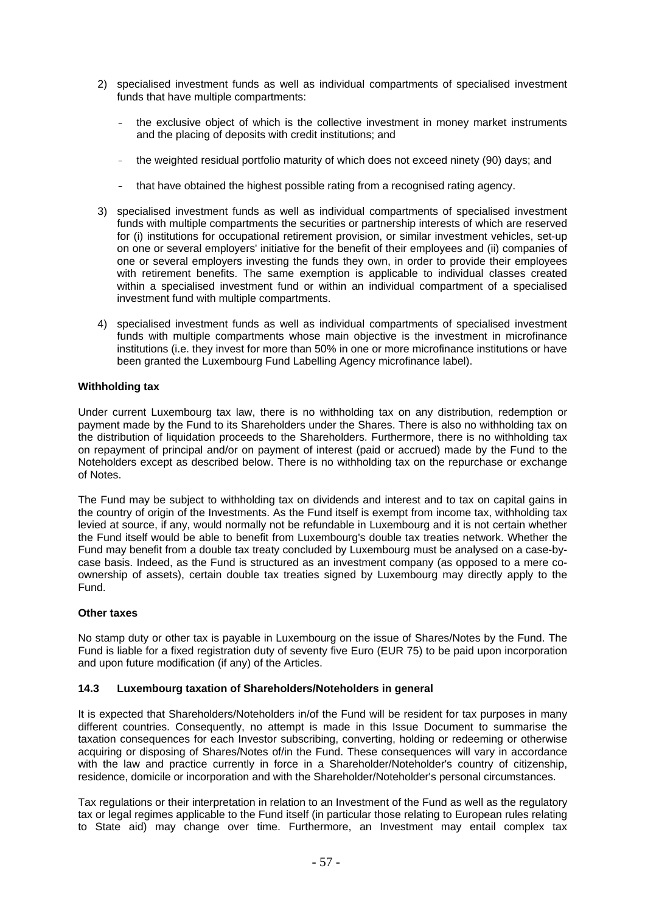- 2) specialised investment funds as well as individual compartments of specialised investment funds that have multiple compartments:
	- the exclusive object of which is the collective investment in money market instruments and the placing of deposits with credit institutions; and
	- the weighted residual portfolio maturity of which does not exceed ninety (90) days; and
	- that have obtained the highest possible rating from a recognised rating agency.
- 3) specialised investment funds as well as individual compartments of specialised investment funds with multiple compartments the securities or partnership interests of which are reserved for (i) institutions for occupational retirement provision, or similar investment vehicles, set-up on one or several employers' initiative for the benefit of their employees and (ii) companies of one or several employers investing the funds they own, in order to provide their employees with retirement benefits. The same exemption is applicable to individual classes created within a specialised investment fund or within an individual compartment of a specialised investment fund with multiple compartments.
- 4) specialised investment funds as well as individual compartments of specialised investment funds with multiple compartments whose main objective is the investment in microfinance institutions (i.e. they invest for more than 50% in one or more microfinance institutions or have been granted the Luxembourg Fund Labelling Agency microfinance label).

## **Withholding tax**

Under current Luxembourg tax law, there is no withholding tax on any distribution, redemption or payment made by the Fund to its Shareholders under the Shares. There is also no withholding tax on the distribution of liquidation proceeds to the Shareholders. Furthermore, there is no withholding tax on repayment of principal and/or on payment of interest (paid or accrued) made by the Fund to the Noteholders except as described below. There is no withholding tax on the repurchase or exchange of Notes.

The Fund may be subject to withholding tax on dividends and interest and to tax on capital gains in the country of origin of the Investments. As the Fund itself is exempt from income tax, withholding tax levied at source, if any, would normally not be refundable in Luxembourg and it is not certain whether the Fund itself would be able to benefit from Luxembourg's double tax treaties network. Whether the Fund may benefit from a double tax treaty concluded by Luxembourg must be analysed on a case-bycase basis. Indeed, as the Fund is structured as an investment company (as opposed to a mere coownership of assets), certain double tax treaties signed by Luxembourg may directly apply to the Fund.

#### **Other taxes**

No stamp duty or other tax is payable in Luxembourg on the issue of Shares/Notes by the Fund. The Fund is liable for a fixed registration duty of seventy five Euro (EUR 75) to be paid upon incorporation and upon future modification (if any) of the Articles.

#### **14.3 Luxembourg taxation of Shareholders/Noteholders in general**

It is expected that Shareholders/Noteholders in/of the Fund will be resident for tax purposes in many different countries. Consequently, no attempt is made in this Issue Document to summarise the taxation consequences for each Investor subscribing, converting, holding or redeeming or otherwise acquiring or disposing of Shares/Notes of/in the Fund. These consequences will vary in accordance with the law and practice currently in force in a Shareholder/Noteholder's country of citizenship, residence, domicile or incorporation and with the Shareholder/Noteholder's personal circumstances.

Tax regulations or their interpretation in relation to an Investment of the Fund as well as the regulatory tax or legal regimes applicable to the Fund itself (in particular those relating to European rules relating to State aid) may change over time. Furthermore, an Investment may entail complex tax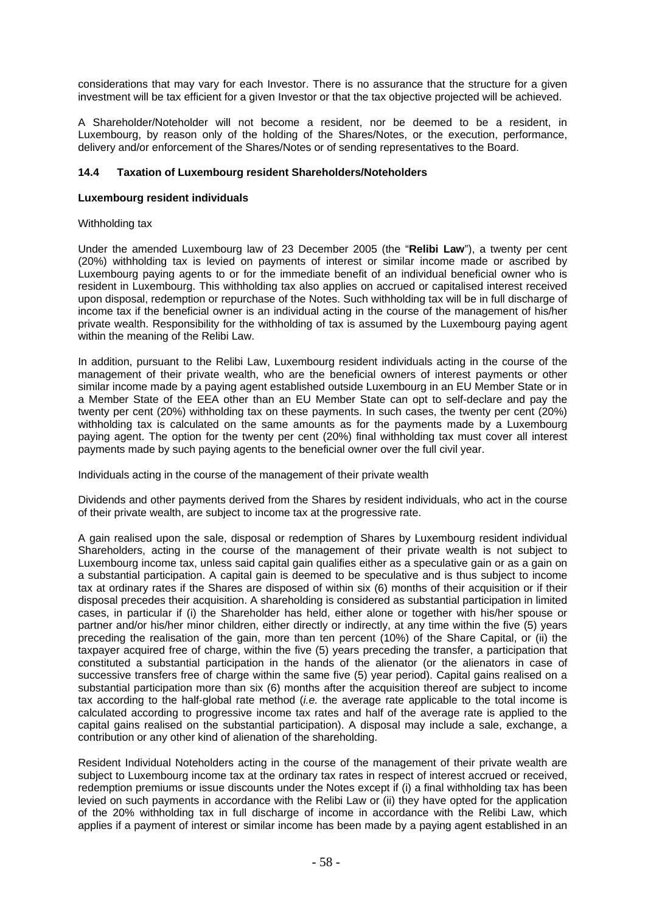considerations that may vary for each Investor. There is no assurance that the structure for a given investment will be tax efficient for a given Investor or that the tax objective projected will be achieved.

A Shareholder/Noteholder will not become a resident, nor be deemed to be a resident, in Luxembourg, by reason only of the holding of the Shares/Notes, or the execution, performance, delivery and/or enforcement of the Shares/Notes or of sending representatives to the Board.

## **14.4 Taxation of Luxembourg resident Shareholders/Noteholders**

## **Luxembourg resident individuals**

## Withholding tax

Under the amended Luxembourg law of 23 December 2005 (the "**Relibi Law**"), a twenty per cent (20%) withholding tax is levied on payments of interest or similar income made or ascribed by Luxembourg paying agents to or for the immediate benefit of an individual beneficial owner who is resident in Luxembourg. This withholding tax also applies on accrued or capitalised interest received upon disposal, redemption or repurchase of the Notes. Such withholding tax will be in full discharge of income tax if the beneficial owner is an individual acting in the course of the management of his/her private wealth. Responsibility for the withholding of tax is assumed by the Luxembourg paying agent within the meaning of the Relibi Law.

In addition, pursuant to the Relibi Law, Luxembourg resident individuals acting in the course of the management of their private wealth, who are the beneficial owners of interest payments or other similar income made by a paying agent established outside Luxembourg in an EU Member State or in a Member State of the EEA other than an EU Member State can opt to self-declare and pay the twenty per cent (20%) withholding tax on these payments. In such cases, the twenty per cent (20%) withholding tax is calculated on the same amounts as for the payments made by a Luxembourg paying agent. The option for the twenty per cent (20%) final withholding tax must cover all interest payments made by such paying agents to the beneficial owner over the full civil year.

Individuals acting in the course of the management of their private wealth

Dividends and other payments derived from the Shares by resident individuals, who act in the course of their private wealth, are subject to income tax at the progressive rate.

A gain realised upon the sale, disposal or redemption of Shares by Luxembourg resident individual Shareholders, acting in the course of the management of their private wealth is not subject to Luxembourg income tax, unless said capital gain qualifies either as a speculative gain or as a gain on a substantial participation. A capital gain is deemed to be speculative and is thus subject to income tax at ordinary rates if the Shares are disposed of within six (6) months of their acquisition or if their disposal precedes their acquisition. A shareholding is considered as substantial participation in limited cases, in particular if (i) the Shareholder has held, either alone or together with his/her spouse or partner and/or his/her minor children, either directly or indirectly, at any time within the five (5) years preceding the realisation of the gain, more than ten percent (10%) of the Share Capital, or (ii) the taxpayer acquired free of charge, within the five (5) years preceding the transfer, a participation that constituted a substantial participation in the hands of the alienator (or the alienators in case of successive transfers free of charge within the same five (5) year period). Capital gains realised on a substantial participation more than six (6) months after the acquisition thereof are subject to income tax according to the half-global rate method (*i.e.* the average rate applicable to the total income is calculated according to progressive income tax rates and half of the average rate is applied to the capital gains realised on the substantial participation). A disposal may include a sale, exchange, a contribution or any other kind of alienation of the shareholding.

Resident Individual Noteholders acting in the course of the management of their private wealth are subject to Luxembourg income tax at the ordinary tax rates in respect of interest accrued or received, redemption premiums or issue discounts under the Notes except if (i) a final withholding tax has been levied on such payments in accordance with the Relibi Law or (ii) they have opted for the application of the 20% withholding tax in full discharge of income in accordance with the Relibi Law, which applies if a payment of interest or similar income has been made by a paying agent established in an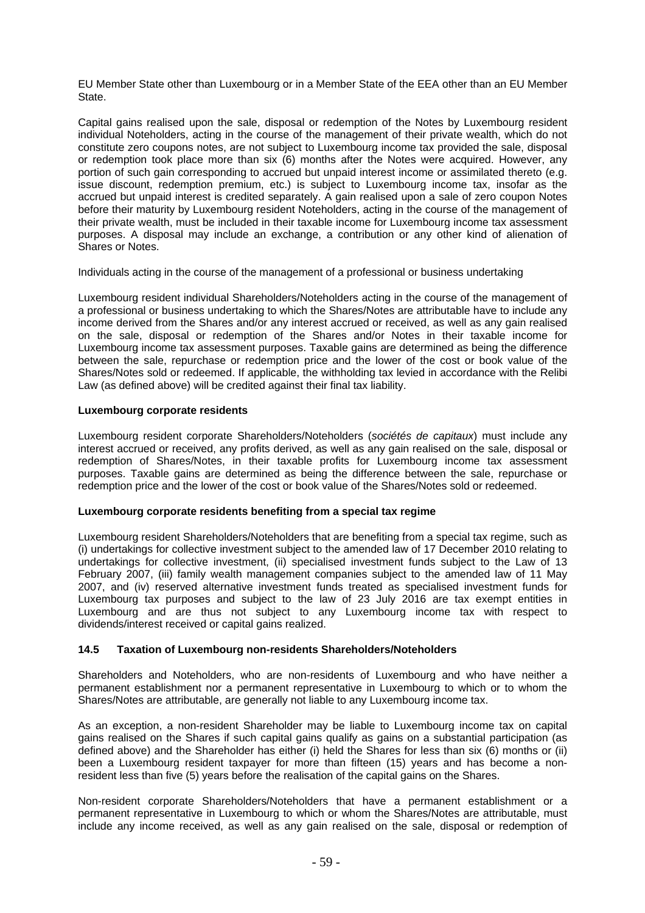EU Member State other than Luxembourg or in a Member State of the EEA other than an EU Member State.

Capital gains realised upon the sale, disposal or redemption of the Notes by Luxembourg resident individual Noteholders, acting in the course of the management of their private wealth, which do not constitute zero coupons notes, are not subject to Luxembourg income tax provided the sale, disposal or redemption took place more than six (6) months after the Notes were acquired. However, any portion of such gain corresponding to accrued but unpaid interest income or assimilated thereto (e.g. issue discount, redemption premium, etc.) is subject to Luxembourg income tax, insofar as the accrued but unpaid interest is credited separately. A gain realised upon a sale of zero coupon Notes before their maturity by Luxembourg resident Noteholders, acting in the course of the management of their private wealth, must be included in their taxable income for Luxembourg income tax assessment purposes. A disposal may include an exchange, a contribution or any other kind of alienation of Shares or Notes.

Individuals acting in the course of the management of a professional or business undertaking

Luxembourg resident individual Shareholders/Noteholders acting in the course of the management of a professional or business undertaking to which the Shares/Notes are attributable have to include any income derived from the Shares and/or any interest accrued or received, as well as any gain realised on the sale, disposal or redemption of the Shares and/or Notes in their taxable income for Luxembourg income tax assessment purposes. Taxable gains are determined as being the difference between the sale, repurchase or redemption price and the lower of the cost or book value of the Shares/Notes sold or redeemed. If applicable, the withholding tax levied in accordance with the Relibi Law (as defined above) will be credited against their final tax liability.

## **Luxembourg corporate residents**

Luxembourg resident corporate Shareholders/Noteholders (*sociétés de capitaux*) must include any interest accrued or received, any profits derived, as well as any gain realised on the sale, disposal or redemption of Shares/Notes, in their taxable profits for Luxembourg income tax assessment purposes. Taxable gains are determined as being the difference between the sale, repurchase or redemption price and the lower of the cost or book value of the Shares/Notes sold or redeemed.

## **Luxembourg corporate residents benefiting from a special tax regime**

Luxembourg resident Shareholders/Noteholders that are benefiting from a special tax regime, such as (i) undertakings for collective investment subject to the amended law of 17 December 2010 relating to undertakings for collective investment, (ii) specialised investment funds subject to the Law of 13 February 2007, (iii) family wealth management companies subject to the amended law of 11 May 2007, and (iv) reserved alternative investment funds treated as specialised investment funds for Luxembourg tax purposes and subject to the law of 23 July 2016 are tax exempt entities in Luxembourg and are thus not subject to any Luxembourg income tax with respect to dividends/interest received or capital gains realized.

## **14.5 Taxation of Luxembourg non-residents Shareholders/Noteholders**

Shareholders and Noteholders, who are non-residents of Luxembourg and who have neither a permanent establishment nor a permanent representative in Luxembourg to which or to whom the Shares/Notes are attributable, are generally not liable to any Luxembourg income tax.

As an exception, a non-resident Shareholder may be liable to Luxembourg income tax on capital gains realised on the Shares if such capital gains qualify as gains on a substantial participation (as defined above) and the Shareholder has either (i) held the Shares for less than six (6) months or (ii) been a Luxembourg resident taxpayer for more than fifteen (15) years and has become a nonresident less than five (5) years before the realisation of the capital gains on the Shares.

Non-resident corporate Shareholders/Noteholders that have a permanent establishment or a permanent representative in Luxembourg to which or whom the Shares/Notes are attributable, must include any income received, as well as any gain realised on the sale, disposal or redemption of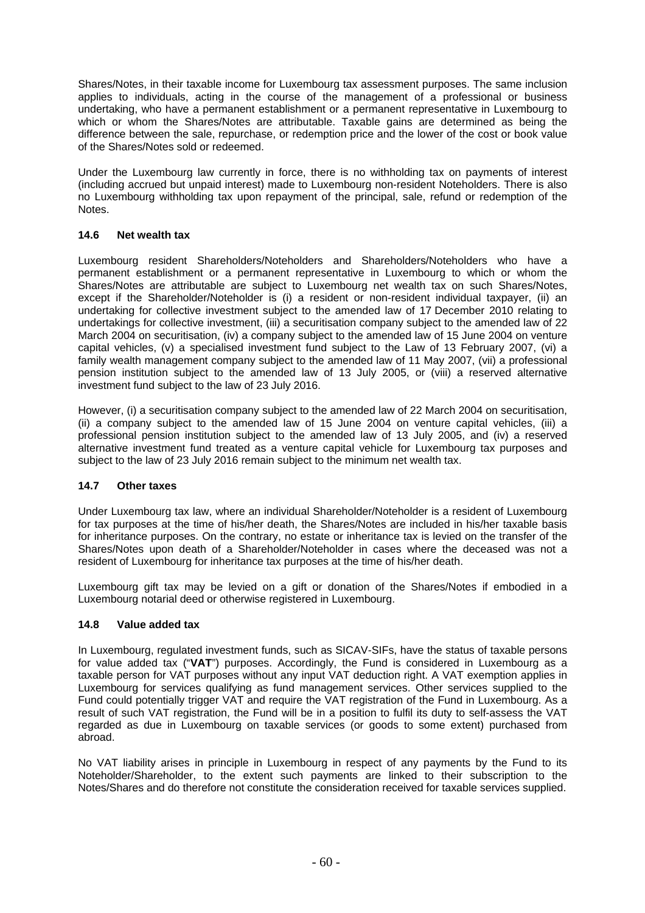Shares/Notes, in their taxable income for Luxembourg tax assessment purposes. The same inclusion applies to individuals, acting in the course of the management of a professional or business undertaking, who have a permanent establishment or a permanent representative in Luxembourg to which or whom the Shares/Notes are attributable. Taxable gains are determined as being the difference between the sale, repurchase, or redemption price and the lower of the cost or book value of the Shares/Notes sold or redeemed.

Under the Luxembourg law currently in force, there is no withholding tax on payments of interest (including accrued but unpaid interest) made to Luxembourg non-resident Noteholders. There is also no Luxembourg withholding tax upon repayment of the principal, sale, refund or redemption of the Notes.

# **14.6 Net wealth tax**

Luxembourg resident Shareholders/Noteholders and Shareholders/Noteholders who have a permanent establishment or a permanent representative in Luxembourg to which or whom the Shares/Notes are attributable are subject to Luxembourg net wealth tax on such Shares/Notes, except if the Shareholder/Noteholder is (i) a resident or non-resident individual taxpayer, (ii) an undertaking for collective investment subject to the amended law of 17 December 2010 relating to undertakings for collective investment, (iii) a securitisation company subject to the amended law of 22 March 2004 on securitisation, (iv) a company subject to the amended law of 15 June 2004 on venture capital vehicles, (v) a specialised investment fund subject to the Law of 13 February 2007, (vi) a family wealth management company subject to the amended law of 11 May 2007, (vii) a professional pension institution subject to the amended law of 13 July 2005, or (viii) a reserved alternative investment fund subject to the law of 23 July 2016.

However, (i) a securitisation company subject to the amended law of 22 March 2004 on securitisation, (ii) a company subject to the amended law of 15 June 2004 on venture capital vehicles, (iii) a professional pension institution subject to the amended law of 13 July 2005, and (iv) a reserved alternative investment fund treated as a venture capital vehicle for Luxembourg tax purposes and subject to the law of 23 July 2016 remain subject to the minimum net wealth tax.

# **14.7 Other taxes**

Under Luxembourg tax law, where an individual Shareholder/Noteholder is a resident of Luxembourg for tax purposes at the time of his/her death, the Shares/Notes are included in his/her taxable basis for inheritance purposes. On the contrary, no estate or inheritance tax is levied on the transfer of the Shares/Notes upon death of a Shareholder/Noteholder in cases where the deceased was not a resident of Luxembourg for inheritance tax purposes at the time of his/her death.

Luxembourg gift tax may be levied on a gift or donation of the Shares/Notes if embodied in a Luxembourg notarial deed or otherwise registered in Luxembourg.

## **14.8 Value added tax**

In Luxembourg, regulated investment funds, such as SICAV-SIFs, have the status of taxable persons for value added tax ("**VAT**") purposes. Accordingly, the Fund is considered in Luxembourg as a taxable person for VAT purposes without any input VAT deduction right. A VAT exemption applies in Luxembourg for services qualifying as fund management services. Other services supplied to the Fund could potentially trigger VAT and require the VAT registration of the Fund in Luxembourg. As a result of such VAT registration, the Fund will be in a position to fulfil its duty to self-assess the VAT regarded as due in Luxembourg on taxable services (or goods to some extent) purchased from abroad.

No VAT liability arises in principle in Luxembourg in respect of any payments by the Fund to its Noteholder/Shareholder, to the extent such payments are linked to their subscription to the Notes/Shares and do therefore not constitute the consideration received for taxable services supplied.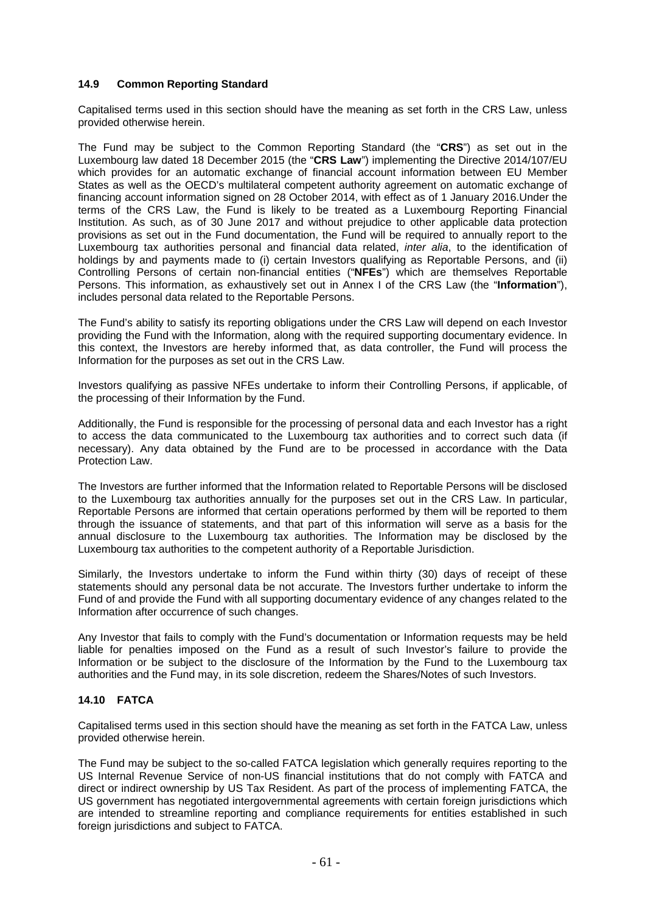# **14.9 Common Reporting Standard**

Capitalised terms used in this section should have the meaning as set forth in the CRS Law, unless provided otherwise herein.

The Fund may be subject to the Common Reporting Standard (the "**CRS**") as set out in the Luxembourg law dated 18 December 2015 (the "**CRS Law**") implementing the Directive 2014/107/EU which provides for an automatic exchange of financial account information between EU Member States as well as the OECD's multilateral competent authority agreement on automatic exchange of financing account information signed on 28 October 2014, with effect as of 1 January 2016.Under the terms of the CRS Law, the Fund is likely to be treated as a Luxembourg Reporting Financial Institution. As such, as of 30 June 2017 and without prejudice to other applicable data protection provisions as set out in the Fund documentation, the Fund will be required to annually report to the Luxembourg tax authorities personal and financial data related, *inter alia*, to the identification of holdings by and payments made to (i) certain Investors qualifying as Reportable Persons, and (ii) Controlling Persons of certain non-financial entities ("**NFEs**") which are themselves Reportable Persons. This information, as exhaustively set out in Annex I of the CRS Law (the "**Information**"), includes personal data related to the Reportable Persons.

The Fund's ability to satisfy its reporting obligations under the CRS Law will depend on each Investor providing the Fund with the Information, along with the required supporting documentary evidence. In this context, the Investors are hereby informed that, as data controller, the Fund will process the Information for the purposes as set out in the CRS Law.

Investors qualifying as passive NFEs undertake to inform their Controlling Persons, if applicable, of the processing of their Information by the Fund.

Additionally, the Fund is responsible for the processing of personal data and each Investor has a right to access the data communicated to the Luxembourg tax authorities and to correct such data (if necessary). Any data obtained by the Fund are to be processed in accordance with the Data Protection Law.

The Investors are further informed that the Information related to Reportable Persons will be disclosed to the Luxembourg tax authorities annually for the purposes set out in the CRS Law. In particular, Reportable Persons are informed that certain operations performed by them will be reported to them through the issuance of statements, and that part of this information will serve as a basis for the annual disclosure to the Luxembourg tax authorities. The Information may be disclosed by the Luxembourg tax authorities to the competent authority of a Reportable Jurisdiction.

Similarly, the Investors undertake to inform the Fund within thirty (30) days of receipt of these statements should any personal data be not accurate. The Investors further undertake to inform the Fund of and provide the Fund with all supporting documentary evidence of any changes related to the Information after occurrence of such changes.

Any Investor that fails to comply with the Fund's documentation or Information requests may be held liable for penalties imposed on the Fund as a result of such Investor's failure to provide the Information or be subject to the disclosure of the Information by the Fund to the Luxembourg tax authorities and the Fund may, in its sole discretion, redeem the Shares/Notes of such Investors.

## **14.10 FATCA**

Capitalised terms used in this section should have the meaning as set forth in the FATCA Law, unless provided otherwise herein.

The Fund may be subject to the so-called FATCA legislation which generally requires reporting to the US Internal Revenue Service of non-US financial institutions that do not comply with FATCA and direct or indirect ownership by US Tax Resident. As part of the process of implementing FATCA, the US government has negotiated intergovernmental agreements with certain foreign jurisdictions which are intended to streamline reporting and compliance requirements for entities established in such foreign jurisdictions and subject to FATCA.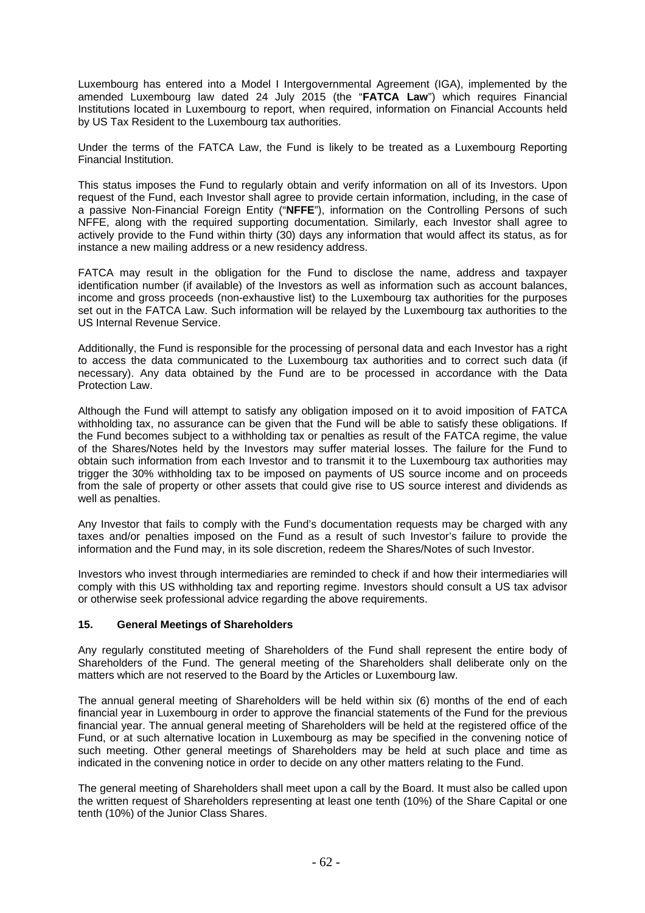Luxembourg has entered into a Model I Intergovernmental Agreement (IGA), implemented by the amended Luxembourg law dated 24 July 2015 (the "**FATCA Law**") which requires Financial Institutions located in Luxembourg to report, when required, information on Financial Accounts held by US Tax Resident to the Luxembourg tax authorities.

Under the terms of the FATCA Law, the Fund is likely to be treated as a Luxembourg Reporting Financial Institution.

This status imposes the Fund to regularly obtain and verify information on all of its Investors. Upon request of the Fund, each Investor shall agree to provide certain information, including, in the case of a passive Non-Financial Foreign Entity ("**NFFE**"), information on the Controlling Persons of such NFFE, along with the required supporting documentation. Similarly, each Investor shall agree to actively provide to the Fund within thirty (30) days any information that would affect its status, as for instance a new mailing address or a new residency address.

FATCA may result in the obligation for the Fund to disclose the name, address and taxpayer identification number (if available) of the Investors as well as information such as account balances, income and gross proceeds (non-exhaustive list) to the Luxembourg tax authorities for the purposes set out in the FATCA Law. Such information will be relayed by the Luxembourg tax authorities to the US Internal Revenue Service.

Additionally, the Fund is responsible for the processing of personal data and each Investor has a right to access the data communicated to the Luxembourg tax authorities and to correct such data (if necessary). Any data obtained by the Fund are to be processed in accordance with the Data Protection Law.

Although the Fund will attempt to satisfy any obligation imposed on it to avoid imposition of FATCA withholding tax, no assurance can be given that the Fund will be able to satisfy these obligations. If the Fund becomes subject to a withholding tax or penalties as result of the FATCA regime, the value of the Shares/Notes held by the Investors may suffer material losses. The failure for the Fund to obtain such information from each Investor and to transmit it to the Luxembourg tax authorities may trigger the 30% withholding tax to be imposed on payments of US source income and on proceeds from the sale of property or other assets that could give rise to US source interest and dividends as well as penalties.

Any Investor that fails to comply with the Fund's documentation requests may be charged with any taxes and/or penalties imposed on the Fund as a result of such Investor's failure to provide the information and the Fund may, in its sole discretion, redeem the Shares/Notes of such Investor.

Investors who invest through intermediaries are reminded to check if and how their intermediaries will comply with this US withholding tax and reporting regime. Investors should consult a US tax advisor or otherwise seek professional advice regarding the above requirements.

# **15. General Meetings of Shareholders**

Any regularly constituted meeting of Shareholders of the Fund shall represent the entire body of Shareholders of the Fund. The general meeting of the Shareholders shall deliberate only on the matters which are not reserved to the Board by the Articles or Luxembourg law.

The annual general meeting of Shareholders will be held within six (6) months of the end of each financial year in Luxembourg in order to approve the financial statements of the Fund for the previous financial year. The annual general meeting of Shareholders will be held at the registered office of the Fund, or at such alternative location in Luxembourg as may be specified in the convening notice of such meeting. Other general meetings of Shareholders may be held at such place and time as indicated in the convening notice in order to decide on any other matters relating to the Fund.

The general meeting of Shareholders shall meet upon a call by the Board. It must also be called upon the written request of Shareholders representing at least one tenth (10%) of the Share Capital or one tenth (10%) of the Junior Class Shares.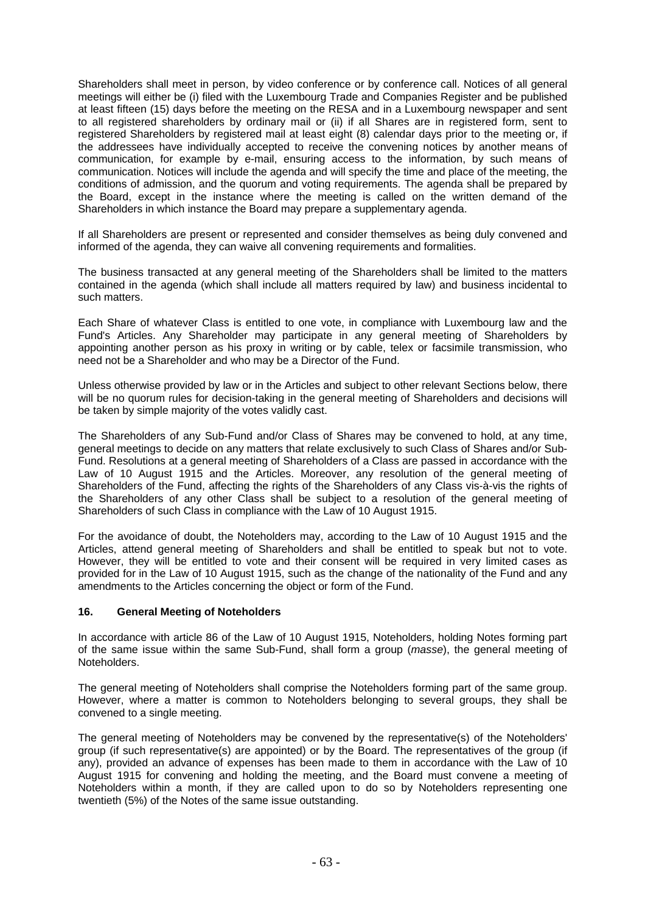Shareholders shall meet in person, by video conference or by conference call. Notices of all general meetings will either be (i) filed with the Luxembourg Trade and Companies Register and be published at least fifteen (15) days before the meeting on the RESA and in a Luxembourg newspaper and sent to all registered shareholders by ordinary mail or (ii) if all Shares are in registered form, sent to registered Shareholders by registered mail at least eight (8) calendar days prior to the meeting or, if the addressees have individually accepted to receive the convening notices by another means of communication, for example by e-mail, ensuring access to the information, by such means of communication. Notices will include the agenda and will specify the time and place of the meeting, the conditions of admission, and the quorum and voting requirements. The agenda shall be prepared by the Board, except in the instance where the meeting is called on the written demand of the Shareholders in which instance the Board may prepare a supplementary agenda.

If all Shareholders are present or represented and consider themselves as being duly convened and informed of the agenda, they can waive all convening requirements and formalities.

The business transacted at any general meeting of the Shareholders shall be limited to the matters contained in the agenda (which shall include all matters required by law) and business incidental to such matters.

Each Share of whatever Class is entitled to one vote, in compliance with Luxembourg law and the Fund's Articles. Any Shareholder may participate in any general meeting of Shareholders by appointing another person as his proxy in writing or by cable, telex or facsimile transmission, who need not be a Shareholder and who may be a Director of the Fund.

Unless otherwise provided by law or in the Articles and subject to other relevant Sections below, there will be no quorum rules for decision-taking in the general meeting of Shareholders and decisions will be taken by simple majority of the votes validly cast.

The Shareholders of any Sub-Fund and/or Class of Shares may be convened to hold, at any time, general meetings to decide on any matters that relate exclusively to such Class of Shares and/or Sub-Fund. Resolutions at a general meeting of Shareholders of a Class are passed in accordance with the Law of 10 August 1915 and the Articles. Moreover, any resolution of the general meeting of Shareholders of the Fund, affecting the rights of the Shareholders of any Class vis-à-vis the rights of the Shareholders of any other Class shall be subject to a resolution of the general meeting of Shareholders of such Class in compliance with the Law of 10 August 1915.

For the avoidance of doubt, the Noteholders may, according to the Law of 10 August 1915 and the Articles, attend general meeting of Shareholders and shall be entitled to speak but not to vote. However, they will be entitled to vote and their consent will be required in very limited cases as provided for in the Law of 10 August 1915, such as the change of the nationality of the Fund and any amendments to the Articles concerning the object or form of the Fund.

## **16. General Meeting of Noteholders**

In accordance with article 86 of the Law of 10 August 1915, Noteholders, holding Notes forming part of the same issue within the same Sub-Fund, shall form a group (*masse*), the general meeting of Noteholders.

The general meeting of Noteholders shall comprise the Noteholders forming part of the same group. However, where a matter is common to Noteholders belonging to several groups, they shall be convened to a single meeting.

The general meeting of Noteholders may be convened by the representative(s) of the Noteholders' group (if such representative(s) are appointed) or by the Board. The representatives of the group (if any), provided an advance of expenses has been made to them in accordance with the Law of 10 August 1915 for convening and holding the meeting, and the Board must convene a meeting of Noteholders within a month, if they are called upon to do so by Noteholders representing one twentieth (5%) of the Notes of the same issue outstanding.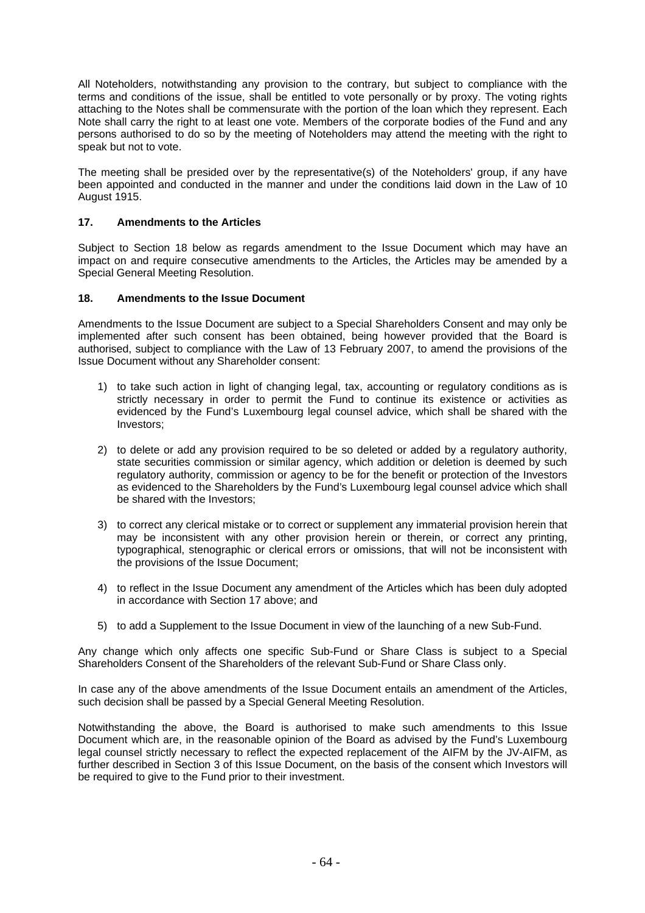All Noteholders, notwithstanding any provision to the contrary, but subject to compliance with the terms and conditions of the issue, shall be entitled to vote personally or by proxy. The voting rights attaching to the Notes shall be commensurate with the portion of the loan which they represent. Each Note shall carry the right to at least one vote. Members of the corporate bodies of the Fund and any persons authorised to do so by the meeting of Noteholders may attend the meeting with the right to speak but not to vote.

The meeting shall be presided over by the representative(s) of the Noteholders' group, if any have been appointed and conducted in the manner and under the conditions laid down in the Law of 10 August 1915.

# **17. Amendments to the Articles**

Subject to Section 18 below as regards amendment to the Issue Document which may have an impact on and require consecutive amendments to the Articles, the Articles may be amended by a Special General Meeting Resolution.

## **18. Amendments to the Issue Document**

Amendments to the Issue Document are subject to a Special Shareholders Consent and may only be implemented after such consent has been obtained, being however provided that the Board is authorised, subject to compliance with the Law of 13 February 2007, to amend the provisions of the Issue Document without any Shareholder consent:

- 1) to take such action in light of changing legal, tax, accounting or regulatory conditions as is strictly necessary in order to permit the Fund to continue its existence or activities as evidenced by the Fund's Luxembourg legal counsel advice, which shall be shared with the Investors;
- 2) to delete or add any provision required to be so deleted or added by a regulatory authority, state securities commission or similar agency, which addition or deletion is deemed by such regulatory authority, commission or agency to be for the benefit or protection of the Investors as evidenced to the Shareholders by the Fund's Luxembourg legal counsel advice which shall be shared with the Investors;
- 3) to correct any clerical mistake or to correct or supplement any immaterial provision herein that may be inconsistent with any other provision herein or therein, or correct any printing, typographical, stenographic or clerical errors or omissions, that will not be inconsistent with the provisions of the Issue Document;
- 4) to reflect in the Issue Document any amendment of the Articles which has been duly adopted in accordance with Section 17 above; and
- 5) to add a Supplement to the Issue Document in view of the launching of a new Sub-Fund.

Any change which only affects one specific Sub-Fund or Share Class is subject to a Special Shareholders Consent of the Shareholders of the relevant Sub-Fund or Share Class only.

In case any of the above amendments of the Issue Document entails an amendment of the Articles, such decision shall be passed by a Special General Meeting Resolution.

Notwithstanding the above, the Board is authorised to make such amendments to this Issue Document which are, in the reasonable opinion of the Board as advised by the Fund's Luxembourg legal counsel strictly necessary to reflect the expected replacement of the AIFM by the JV-AIFM, as further described in Section 3 of this Issue Document, on the basis of the consent which Investors will be required to give to the Fund prior to their investment.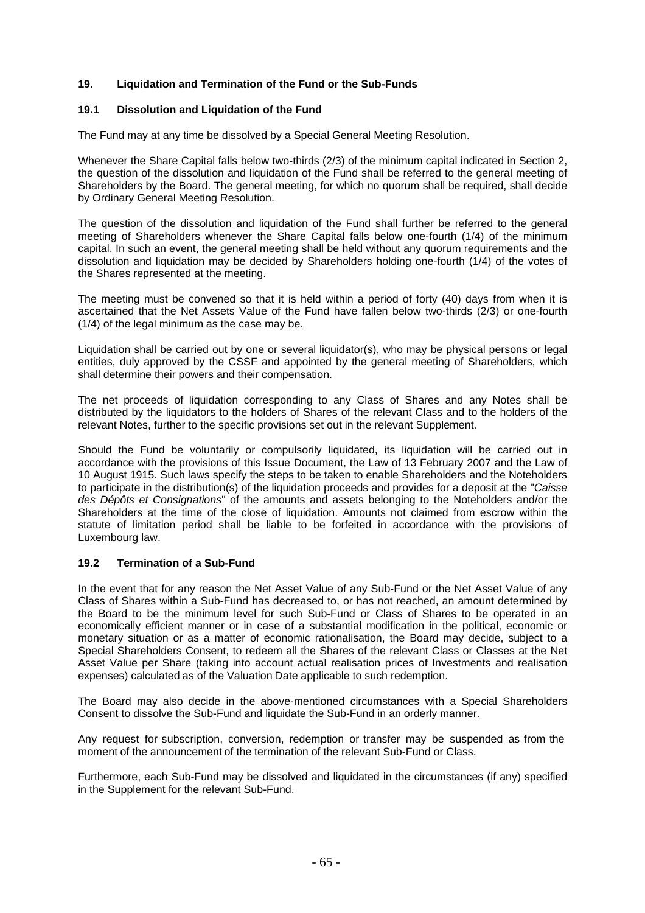# **19. Liquidation and Termination of the Fund or the Sub-Funds**

## **19.1 Dissolution and Liquidation of the Fund**

The Fund may at any time be dissolved by a Special General Meeting Resolution.

Whenever the Share Capital falls below two-thirds (2/3) of the minimum capital indicated in Section 2, the question of the dissolution and liquidation of the Fund shall be referred to the general meeting of Shareholders by the Board. The general meeting, for which no quorum shall be required, shall decide by Ordinary General Meeting Resolution.

The question of the dissolution and liquidation of the Fund shall further be referred to the general meeting of Shareholders whenever the Share Capital falls below one-fourth (1/4) of the minimum capital. In such an event, the general meeting shall be held without any quorum requirements and the dissolution and liquidation may be decided by Shareholders holding one-fourth (1/4) of the votes of the Shares represented at the meeting.

The meeting must be convened so that it is held within a period of forty (40) days from when it is ascertained that the Net Assets Value of the Fund have fallen below two-thirds (2/3) or one-fourth (1/4) of the legal minimum as the case may be.

Liquidation shall be carried out by one or several liquidator(s), who may be physical persons or legal entities, duly approved by the CSSF and appointed by the general meeting of Shareholders, which shall determine their powers and their compensation.

The net proceeds of liquidation corresponding to any Class of Shares and any Notes shall be distributed by the liquidators to the holders of Shares of the relevant Class and to the holders of the relevant Notes, further to the specific provisions set out in the relevant Supplement.

Should the Fund be voluntarily or compulsorily liquidated, its liquidation will be carried out in accordance with the provisions of this Issue Document, the Law of 13 February 2007 and the Law of 10 August 1915. Such laws specify the steps to be taken to enable Shareholders and the Noteholders to participate in the distribution(s) of the liquidation proceeds and provides for a deposit at the "*Caisse des Dépôts et Consignations*" of the amounts and assets belonging to the Noteholders and/or the Shareholders at the time of the close of liquidation. Amounts not claimed from escrow within the statute of limitation period shall be liable to be forfeited in accordance with the provisions of Luxembourg law.

## **19.2 Termination of a Sub-Fund**

In the event that for any reason the Net Asset Value of any Sub-Fund or the Net Asset Value of any Class of Shares within a Sub-Fund has decreased to, or has not reached, an amount determined by the Board to be the minimum level for such Sub-Fund or Class of Shares to be operated in an economically efficient manner or in case of a substantial modification in the political, economic or monetary situation or as a matter of economic rationalisation, the Board may decide, subject to a Special Shareholders Consent, to redeem all the Shares of the relevant Class or Classes at the Net Asset Value per Share (taking into account actual realisation prices of Investments and realisation expenses) calculated as of the Valuation Date applicable to such redemption.

The Board may also decide in the above-mentioned circumstances with a Special Shareholders Consent to dissolve the Sub-Fund and liquidate the Sub-Fund in an orderly manner.

Any request for subscription, conversion, redemption or transfer may be suspended as from the moment of the announcement of the termination of the relevant Sub-Fund or Class.

Furthermore, each Sub-Fund may be dissolved and liquidated in the circumstances (if any) specified in the Supplement for the relevant Sub-Fund.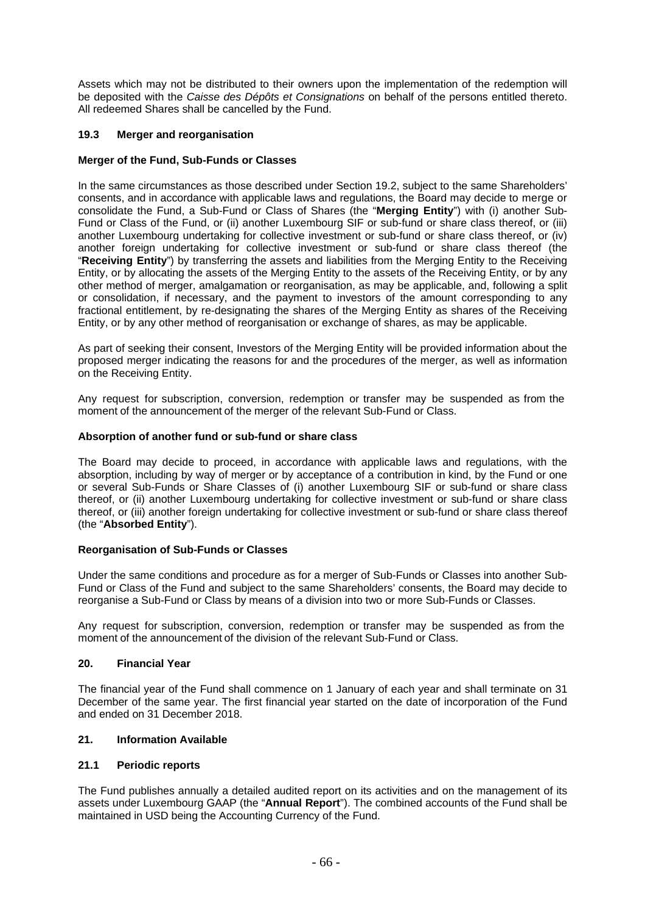Assets which may not be distributed to their owners upon the implementation of the redemption will be deposited with the *Caisse des Dépôts et Consignations* on behalf of the persons entitled thereto. All redeemed Shares shall be cancelled by the Fund.

## **19.3 Merger and reorganisation**

# **Merger of the Fund, Sub-Funds or Classes**

In the same circumstances as those described under Section 19.2, subject to the same Shareholders' consents, and in accordance with applicable laws and regulations, the Board may decide to merge or consolidate the Fund, a Sub-Fund or Class of Shares (the "**Merging Entity**") with (i) another Sub-Fund or Class of the Fund, or (ii) another Luxembourg SIF or sub-fund or share class thereof, or (iii) another Luxembourg undertaking for collective investment or sub-fund or share class thereof, or (iv) another foreign undertaking for collective investment or sub-fund or share class thereof (the "**Receiving Entity**") by transferring the assets and liabilities from the Merging Entity to the Receiving Entity, or by allocating the assets of the Merging Entity to the assets of the Receiving Entity, or by any other method of merger, amalgamation or reorganisation, as may be applicable, and, following a split or consolidation, if necessary, and the payment to investors of the amount corresponding to any fractional entitlement, by re-designating the shares of the Merging Entity as shares of the Receiving Entity, or by any other method of reorganisation or exchange of shares, as may be applicable.

As part of seeking their consent, Investors of the Merging Entity will be provided information about the proposed merger indicating the reasons for and the procedures of the merger, as well as information on the Receiving Entity.

Any request for subscription, conversion, redemption or transfer may be suspended as from the moment of the announcement of the merger of the relevant Sub-Fund or Class.

## **Absorption of another fund or sub-fund or share class**

The Board may decide to proceed, in accordance with applicable laws and regulations, with the absorption, including by way of merger or by acceptance of a contribution in kind, by the Fund or one or several Sub-Funds or Share Classes of (i) another Luxembourg SIF or sub-fund or share class thereof, or (ii) another Luxembourg undertaking for collective investment or sub-fund or share class thereof, or (iii) another foreign undertaking for collective investment or sub-fund or share class thereof (the "**Absorbed Entity**").

## **Reorganisation of Sub-Funds or Classes**

Under the same conditions and procedure as for a merger of Sub-Funds or Classes into another Sub-Fund or Class of the Fund and subject to the same Shareholders' consents, the Board may decide to reorganise a Sub-Fund or Class by means of a division into two or more Sub-Funds or Classes.

Any request for subscription, conversion, redemption or transfer may be suspended as from the moment of the announcement of the division of the relevant Sub-Fund or Class.

## **20. Financial Year**

The financial year of the Fund shall commence on 1 January of each year and shall terminate on 31 December of the same year. The first financial year started on the date of incorporation of the Fund and ended on 31 December 2018.

## **21. Information Available**

## **21.1 Periodic reports**

The Fund publishes annually a detailed audited report on its activities and on the management of its assets under Luxembourg GAAP (the "**Annual Report**"). The combined accounts of the Fund shall be maintained in USD being the Accounting Currency of the Fund.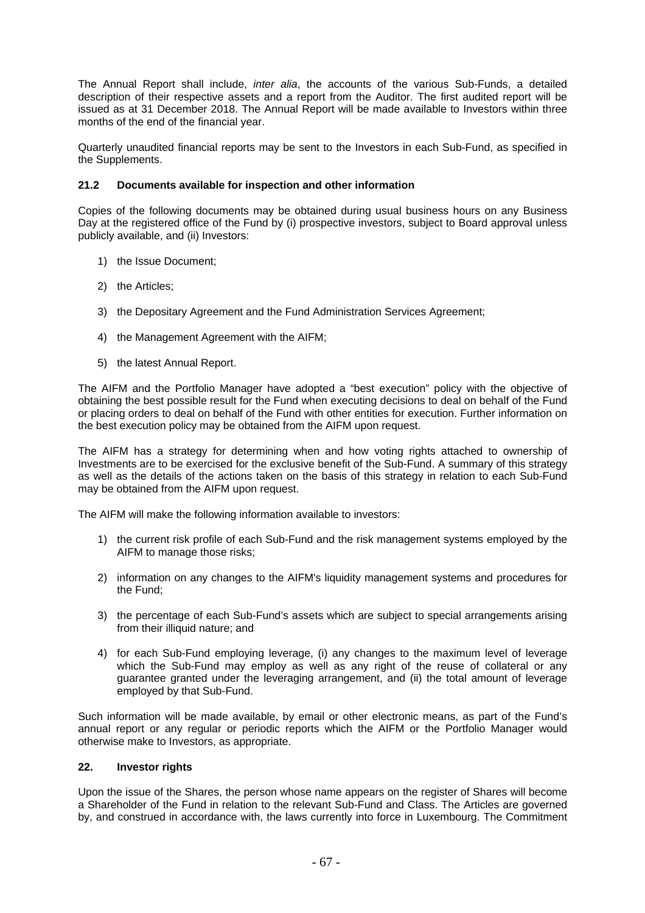The Annual Report shall include, *inter alia*, the accounts of the various Sub-Funds, a detailed description of their respective assets and a report from the Auditor. The first audited report will be issued as at 31 December 2018. The Annual Report will be made available to Investors within three months of the end of the financial year.

Quarterly unaudited financial reports may be sent to the Investors in each Sub-Fund, as specified in the Supplements.

## **21.2 Documents available for inspection and other information**

Copies of the following documents may be obtained during usual business hours on any Business Day at the registered office of the Fund by (i) prospective investors, subject to Board approval unless publicly available, and (ii) Investors:

- 1) the Issue Document;
- 2) the Articles;
- 3) the Depositary Agreement and the Fund Administration Services Agreement;
- 4) the Management Agreement with the AIFM;
- 5) the latest Annual Report.

The AIFM and the Portfolio Manager have adopted a "best execution" policy with the objective of obtaining the best possible result for the Fund when executing decisions to deal on behalf of the Fund or placing orders to deal on behalf of the Fund with other entities for execution. Further information on the best execution policy may be obtained from the AIFM upon request.

The AIFM has a strategy for determining when and how voting rights attached to ownership of Investments are to be exercised for the exclusive benefit of the Sub-Fund. A summary of this strategy as well as the details of the actions taken on the basis of this strategy in relation to each Sub-Fund may be obtained from the AIFM upon request.

The AIFM will make the following information available to investors:

- 1) the current risk profile of each Sub-Fund and the risk management systems employed by the AIFM to manage those risks;
- 2) information on any changes to the AIFM's liquidity management systems and procedures for the Fund;
- 3) the percentage of each Sub-Fund's assets which are subject to special arrangements arising from their illiquid nature; and
- 4) for each Sub-Fund employing leverage, (i) any changes to the maximum level of leverage which the Sub-Fund may employ as well as any right of the reuse of collateral or any guarantee granted under the leveraging arrangement, and (ii) the total amount of leverage employed by that Sub-Fund.

Such information will be made available, by email or other electronic means, as part of the Fund's annual report or any regular or periodic reports which the AIFM or the Portfolio Manager would otherwise make to Investors, as appropriate.

## **22. Investor rights**

Upon the issue of the Shares, the person whose name appears on the register of Shares will become a Shareholder of the Fund in relation to the relevant Sub-Fund and Class. The Articles are governed by, and construed in accordance with, the laws currently into force in Luxembourg. The Commitment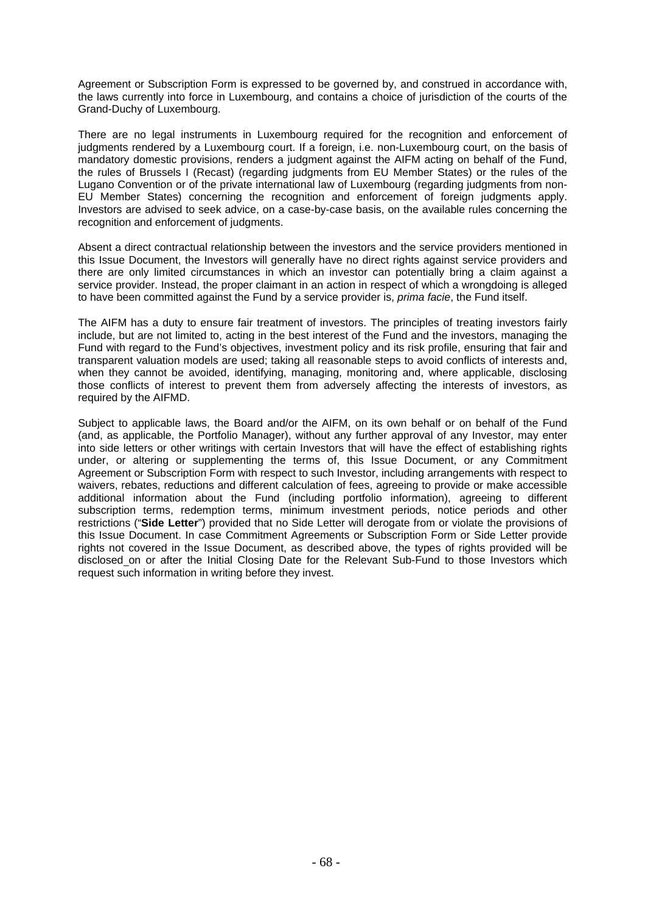Agreement or Subscription Form is expressed to be governed by, and construed in accordance with, the laws currently into force in Luxembourg, and contains a choice of jurisdiction of the courts of the Grand-Duchy of Luxembourg.

There are no legal instruments in Luxembourg required for the recognition and enforcement of judgments rendered by a Luxembourg court. If a foreign, i.e. non-Luxembourg court, on the basis of mandatory domestic provisions, renders a judgment against the AIFM acting on behalf of the Fund, the rules of Brussels I (Recast) (regarding judgments from EU Member States) or the rules of the Lugano Convention or of the private international law of Luxembourg (regarding judgments from non-EU Member States) concerning the recognition and enforcement of foreign judgments apply. Investors are advised to seek advice, on a case-by-case basis, on the available rules concerning the recognition and enforcement of judgments.

Absent a direct contractual relationship between the investors and the service providers mentioned in this Issue Document, the Investors will generally have no direct rights against service providers and there are only limited circumstances in which an investor can potentially bring a claim against a service provider. Instead, the proper claimant in an action in respect of which a wrongdoing is alleged to have been committed against the Fund by a service provider is, *prima facie*, the Fund itself.

The AIFM has a duty to ensure fair treatment of investors. The principles of treating investors fairly include, but are not limited to, acting in the best interest of the Fund and the investors, managing the Fund with regard to the Fund's objectives, investment policy and its risk profile, ensuring that fair and transparent valuation models are used; taking all reasonable steps to avoid conflicts of interests and, when they cannot be avoided, identifying, managing, monitoring and, where applicable, disclosing those conflicts of interest to prevent them from adversely affecting the interests of investors, as required by the AIFMD.

Subject to applicable laws, the Board and/or the AIFM, on its own behalf or on behalf of the Fund (and, as applicable, the Portfolio Manager), without any further approval of any Investor, may enter into side letters or other writings with certain Investors that will have the effect of establishing rights under, or altering or supplementing the terms of, this Issue Document, or any Commitment Agreement or Subscription Form with respect to such Investor, including arrangements with respect to waivers, rebates, reductions and different calculation of fees, agreeing to provide or make accessible additional information about the Fund (including portfolio information), agreeing to different subscription terms, redemption terms, minimum investment periods, notice periods and other restrictions ("**Side Letter**") provided that no Side Letter will derogate from or violate the provisions of this Issue Document. In case Commitment Agreements or Subscription Form or Side Letter provide rights not covered in the Issue Document, as described above, the types of rights provided will be disclosed on or after the Initial Closing Date for the Relevant Sub-Fund to those Investors which request such information in writing before they invest.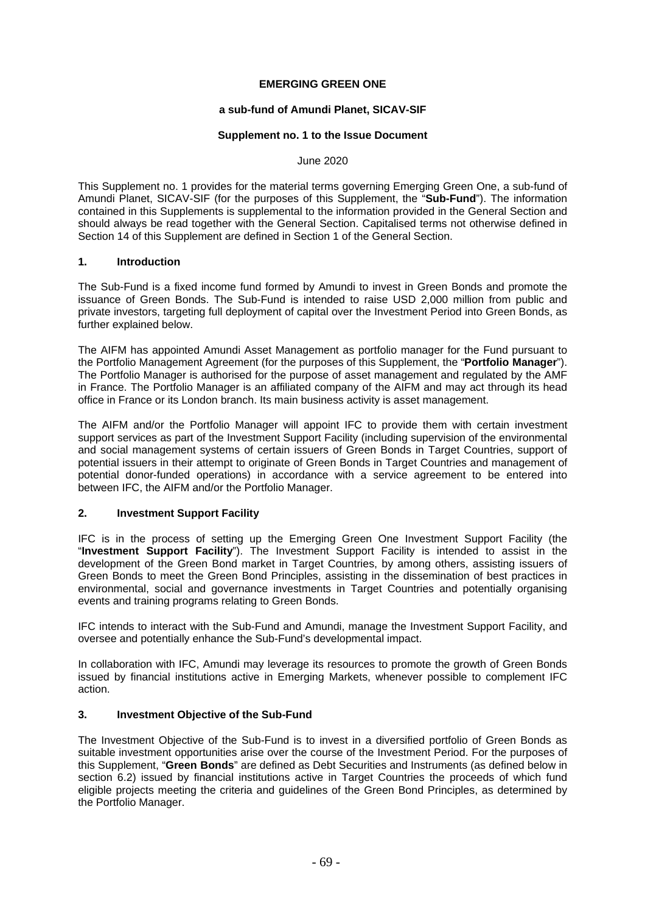### **EMERGING GREEN ONE**

#### **a sub-fund of Amundi Planet, SICAV-SIF**

#### **Supplement no. 1 to the Issue Document**

#### June 2020

This Supplement no. 1 provides for the material terms governing Emerging Green One, a sub-fund of Amundi Planet, SICAV-SIF (for the purposes of this Supplement, the "**Sub-Fund**"). The information contained in this Supplements is supplemental to the information provided in the General Section and should always be read together with the General Section. Capitalised terms not otherwise defined in Section 14 of this Supplement are defined in Section 1 of the General Section.

#### **1. Introduction**

The Sub-Fund is a fixed income fund formed by Amundi to invest in Green Bonds and promote the issuance of Green Bonds. The Sub-Fund is intended to raise USD 2,000 million from public and private investors, targeting full deployment of capital over the Investment Period into Green Bonds, as further explained below.

The AIFM has appointed Amundi Asset Management as portfolio manager for the Fund pursuant to the Portfolio Management Agreement (for the purposes of this Supplement, the "**Portfolio Manager**"). The Portfolio Manager is authorised for the purpose of asset management and regulated by the AMF in France. The Portfolio Manager is an affiliated company of the AIFM and may act through its head office in France or its London branch. Its main business activity is asset management.

The AIFM and/or the Portfolio Manager will appoint IFC to provide them with certain investment support services as part of the Investment Support Facility (including supervision of the environmental and social management systems of certain issuers of Green Bonds in Target Countries, support of potential issuers in their attempt to originate of Green Bonds in Target Countries and management of potential donor-funded operations) in accordance with a service agreement to be entered into between IFC, the AIFM and/or the Portfolio Manager.

#### **2. Investment Support Facility**

IFC is in the process of setting up the Emerging Green One Investment Support Facility (the "**Investment Support Facility**"). The Investment Support Facility is intended to assist in the development of the Green Bond market in Target Countries, by among others, assisting issuers of Green Bonds to meet the Green Bond Principles, assisting in the dissemination of best practices in environmental, social and governance investments in Target Countries and potentially organising events and training programs relating to Green Bonds.

IFC intends to interact with the Sub-Fund and Amundi, manage the Investment Support Facility, and oversee and potentially enhance the Sub-Fund's developmental impact.

In collaboration with IFC, Amundi may leverage its resources to promote the growth of Green Bonds issued by financial institutions active in Emerging Markets, whenever possible to complement IFC action.

## **3. Investment Objective of the Sub-Fund**

The Investment Objective of the Sub-Fund is to invest in a diversified portfolio of Green Bonds as suitable investment opportunities arise over the course of the Investment Period. For the purposes of this Supplement, "**Green Bonds**" are defined as Debt Securities and Instruments (as defined below in section 6.2) issued by financial institutions active in Target Countries the proceeds of which fund eligible projects meeting the criteria and guidelines of the Green Bond Principles, as determined by the Portfolio Manager.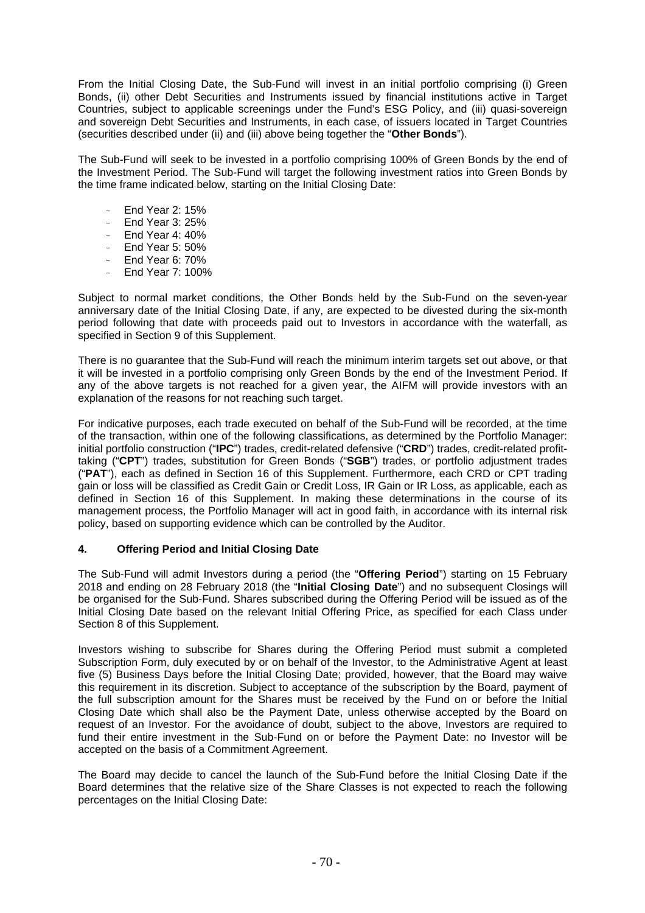From the Initial Closing Date, the Sub-Fund will invest in an initial portfolio comprising (i) Green Bonds, (ii) other Debt Securities and Instruments issued by financial institutions active in Target Countries, subject to applicable screenings under the Fund's ESG Policy, and (iii) quasi-sovereign and sovereign Debt Securities and Instruments, in each case, of issuers located in Target Countries (securities described under (ii) and (iii) above being together the "**Other Bonds**").

The Sub-Fund will seek to be invested in a portfolio comprising 100% of Green Bonds by the end of the Investment Period. The Sub-Fund will target the following investment ratios into Green Bonds by the time frame indicated below, starting on the Initial Closing Date:

- End Year 2: 15%
- End Year 3: 25%
- $-$  Fnd Year 4: 40%
- End Year 5: 50%
- End Year 6: 70%
- End Year 7: 100%

Subject to normal market conditions, the Other Bonds held by the Sub-Fund on the seven-year anniversary date of the Initial Closing Date, if any, are expected to be divested during the six-month period following that date with proceeds paid out to Investors in accordance with the waterfall, as specified in Section 9 of this Supplement.

There is no guarantee that the Sub-Fund will reach the minimum interim targets set out above, or that it will be invested in a portfolio comprising only Green Bonds by the end of the Investment Period. If any of the above targets is not reached for a given year, the AIFM will provide investors with an explanation of the reasons for not reaching such target.

For indicative purposes, each trade executed on behalf of the Sub-Fund will be recorded, at the time of the transaction, within one of the following classifications, as determined by the Portfolio Manager: initial portfolio construction ("**IPC**") trades, credit-related defensive ("**CRD**") trades, credit-related profittaking ("**CPT**") trades, substitution for Green Bonds ("**SGB**") trades, or portfolio adjustment trades ("**PAT**"), each as defined in Section 16 of this Supplement. Furthermore, each CRD or CPT trading gain or loss will be classified as Credit Gain or Credit Loss, IR Gain or IR Loss, as applicable, each as defined in Section 16 of this Supplement. In making these determinations in the course of its management process, the Portfolio Manager will act in good faith, in accordance with its internal risk policy, based on supporting evidence which can be controlled by the Auditor.

#### **4. Offering Period and Initial Closing Date**

The Sub-Fund will admit Investors during a period (the "**Offering Period**") starting on 15 February 2018 and ending on 28 February 2018 (the "**Initial Closing Date**") and no subsequent Closings will be organised for the Sub-Fund. Shares subscribed during the Offering Period will be issued as of the Initial Closing Date based on the relevant Initial Offering Price, as specified for each Class under Section 8 of this Supplement.

Investors wishing to subscribe for Shares during the Offering Period must submit a completed Subscription Form, duly executed by or on behalf of the Investor, to the Administrative Agent at least five (5) Business Days before the Initial Closing Date; provided, however, that the Board may waive this requirement in its discretion. Subject to acceptance of the subscription by the Board, payment of the full subscription amount for the Shares must be received by the Fund on or before the Initial Closing Date which shall also be the Payment Date, unless otherwise accepted by the Board on request of an Investor. For the avoidance of doubt, subject to the above, Investors are required to fund their entire investment in the Sub-Fund on or before the Payment Date: no Investor will be accepted on the basis of a Commitment Agreement.

The Board may decide to cancel the launch of the Sub-Fund before the Initial Closing Date if the Board determines that the relative size of the Share Classes is not expected to reach the following percentages on the Initial Closing Date: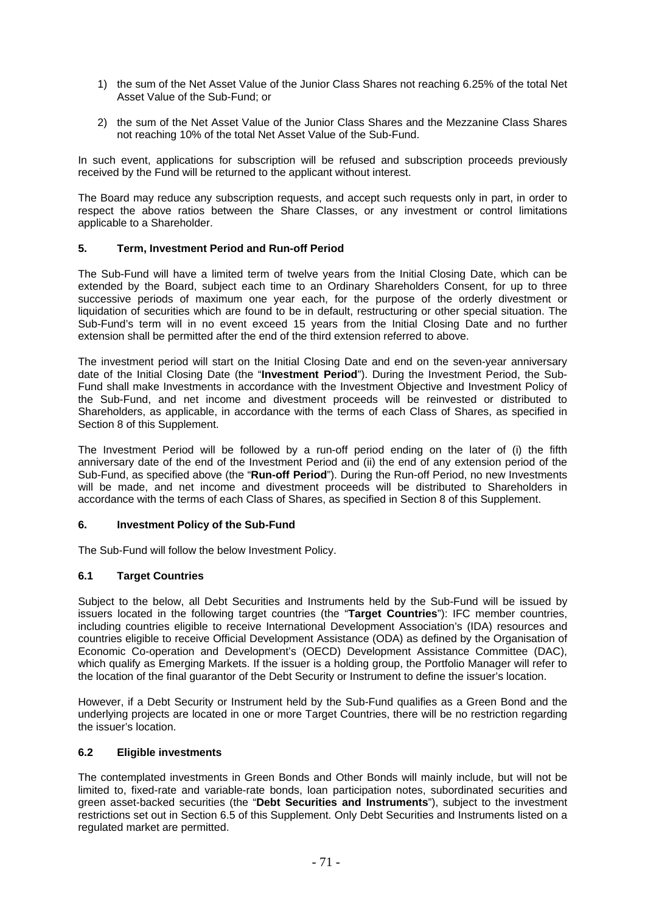- 1) the sum of the Net Asset Value of the Junior Class Shares not reaching 6.25% of the total Net Asset Value of the Sub-Fund; or
- 2) the sum of the Net Asset Value of the Junior Class Shares and the Mezzanine Class Shares not reaching 10% of the total Net Asset Value of the Sub-Fund.

In such event, applications for subscription will be refused and subscription proceeds previously received by the Fund will be returned to the applicant without interest.

The Board may reduce any subscription requests, and accept such requests only in part, in order to respect the above ratios between the Share Classes, or any investment or control limitations applicable to a Shareholder.

#### **5. Term, Investment Period and Run-off Period**

The Sub-Fund will have a limited term of twelve years from the Initial Closing Date, which can be extended by the Board, subject each time to an Ordinary Shareholders Consent, for up to three successive periods of maximum one year each, for the purpose of the orderly divestment or liquidation of securities which are found to be in default, restructuring or other special situation. The Sub-Fund's term will in no event exceed 15 years from the Initial Closing Date and no further extension shall be permitted after the end of the third extension referred to above.

The investment period will start on the Initial Closing Date and end on the seven-year anniversary date of the Initial Closing Date (the "**Investment Period**"). During the Investment Period, the Sub-Fund shall make Investments in accordance with the Investment Objective and Investment Policy of the Sub-Fund, and net income and divestment proceeds will be reinvested or distributed to Shareholders, as applicable, in accordance with the terms of each Class of Shares, as specified in Section 8 of this Supplement.

The Investment Period will be followed by a run-off period ending on the later of (i) the fifth anniversary date of the end of the Investment Period and (ii) the end of any extension period of the Sub-Fund, as specified above (the "**Run-off Period**"). During the Run-off Period, no new Investments will be made, and net income and divestment proceeds will be distributed to Shareholders in accordance with the terms of each Class of Shares, as specified in Section 8 of this Supplement.

#### **6. Investment Policy of the Sub-Fund**

The Sub-Fund will follow the below Investment Policy.

#### **6.1 Target Countries**

Subject to the below, all Debt Securities and Instruments held by the Sub-Fund will be issued by issuers located in the following target countries (the "**Target Countries**"): IFC member countries, including countries eligible to receive International Development Association's (IDA) resources and countries eligible to receive Official Development Assistance (ODA) as defined by the Organisation of Economic Co-operation and Development's (OECD) Development Assistance Committee (DAC), which qualify as Emerging Markets. If the issuer is a holding group, the Portfolio Manager will refer to the location of the final guarantor of the Debt Security or Instrument to define the issuer's location.

However, if a Debt Security or Instrument held by the Sub-Fund qualifies as a Green Bond and the underlying projects are located in one or more Target Countries, there will be no restriction regarding the issuer's location.

#### **6.2 Eligible investments**

The contemplated investments in Green Bonds and Other Bonds will mainly include, but will not be limited to, fixed-rate and variable-rate bonds, loan participation notes, subordinated securities and green asset-backed securities (the "**Debt Securities and Instruments**"), subject to the investment restrictions set out in Section 6.5 of this Supplement. Only Debt Securities and Instruments listed on a regulated market are permitted.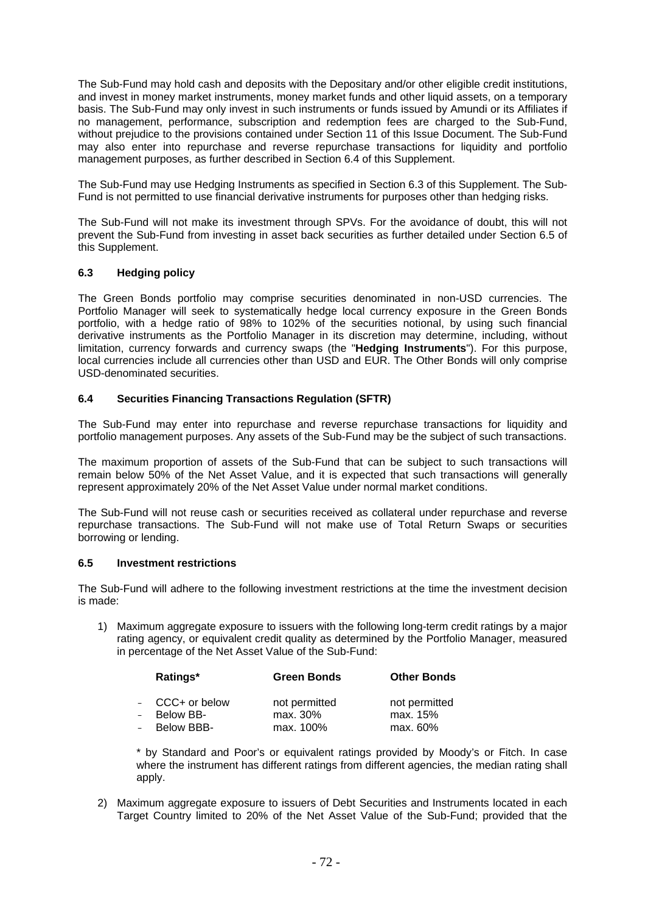The Sub-Fund may hold cash and deposits with the Depositary and/or other eligible credit institutions, and invest in money market instruments, money market funds and other liquid assets, on a temporary basis. The Sub-Fund may only invest in such instruments or funds issued by Amundi or its Affiliates if no management, performance, subscription and redemption fees are charged to the Sub-Fund, without prejudice to the provisions contained under Section 11 of this Issue Document. The Sub-Fund may also enter into repurchase and reverse repurchase transactions for liquidity and portfolio management purposes, as further described in Section 6.4 of this Supplement.

The Sub-Fund may use Hedging Instruments as specified in Section 6.3 of this Supplement. The Sub-Fund is not permitted to use financial derivative instruments for purposes other than hedging risks.

The Sub-Fund will not make its investment through SPVs. For the avoidance of doubt, this will not prevent the Sub-Fund from investing in asset back securities as further detailed under Section 6.5 of this Supplement.

#### **6.3 Hedging policy**

The Green Bonds portfolio may comprise securities denominated in non-USD currencies. The Portfolio Manager will seek to systematically hedge local currency exposure in the Green Bonds portfolio, with a hedge ratio of 98% to 102% of the securities notional, by using such financial derivative instruments as the Portfolio Manager in its discretion may determine, including, without limitation, currency forwards and currency swaps (the "**Hedging Instruments**"). For this purpose, local currencies include all currencies other than USD and EUR. The Other Bonds will only comprise USD-denominated securities.

### **6.4 Securities Financing Transactions Regulation (SFTR)**

The Sub-Fund may enter into repurchase and reverse repurchase transactions for liquidity and portfolio management purposes. Any assets of the Sub-Fund may be the subject of such transactions.

The maximum proportion of assets of the Sub-Fund that can be subject to such transactions will remain below 50% of the Net Asset Value, and it is expected that such transactions will generally represent approximately 20% of the Net Asset Value under normal market conditions.

The Sub-Fund will not reuse cash or securities received as collateral under repurchase and reverse repurchase transactions. The Sub-Fund will not make use of Total Return Swaps or securities borrowing or lending.

#### **6.5 Investment restrictions**

The Sub-Fund will adhere to the following investment restrictions at the time the investment decision is made:

1) Maximum aggregate exposure to issuers with the following long-term credit ratings by a major rating agency, or equivalent credit quality as determined by the Portfolio Manager, measured in percentage of the Net Asset Value of the Sub-Fund:

|          | Ratings*         | <b>Green Bonds</b> | <b>Other Bonds</b> |
|----------|------------------|--------------------|--------------------|
|          | $-CCC+$ or below | not permitted      | not permitted      |
| $\equiv$ | Below BB-        | max. 30%           | max. 15%           |
| $\sim$   | Below BBB-       | max. 100%          | max. 60%           |

\* by Standard and Poor's or equivalent ratings provided by Moody's or Fitch. In case where the instrument has different ratings from different agencies, the median rating shall apply.

2) Maximum aggregate exposure to issuers of Debt Securities and Instruments located in each Target Country limited to 20% of the Net Asset Value of the Sub-Fund; provided that the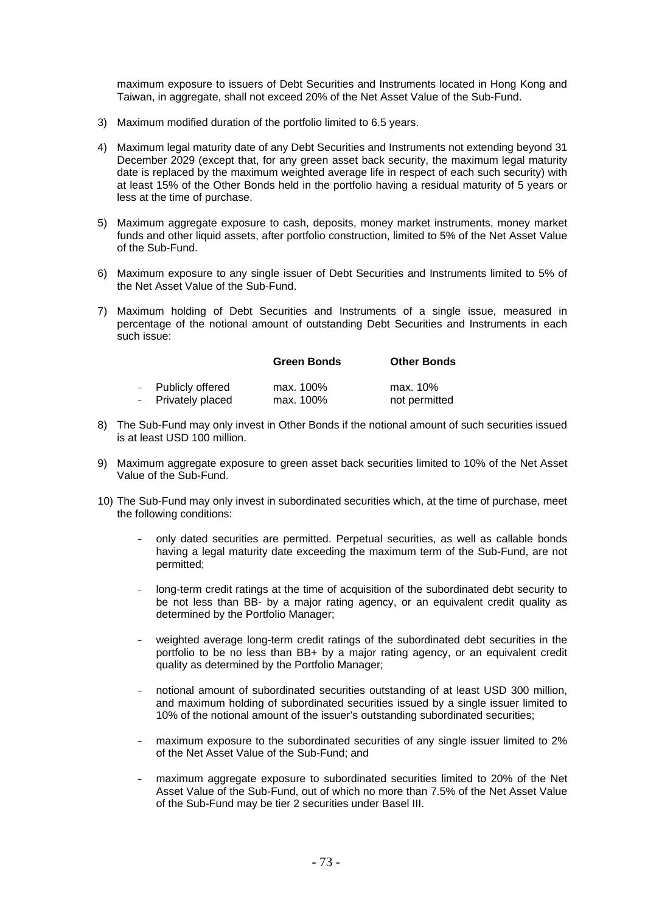maximum exposure to issuers of Debt Securities and Instruments located in Hong Kong and Taiwan, in aggregate, shall not exceed 20% of the Net Asset Value of the Sub-Fund.

- 3) Maximum modified duration of the portfolio limited to 6.5 years.
- 4) Maximum legal maturity date of any Debt Securities and Instruments not extending beyond 31 December 2029 (except that, for any green asset back security, the maximum legal maturity date is replaced by the maximum weighted average life in respect of each such security) with at least 15% of the Other Bonds held in the portfolio having a residual maturity of 5 years or less at the time of purchase.
- 5) Maximum aggregate exposure to cash, deposits, money market instruments, money market funds and other liquid assets, after portfolio construction, limited to 5% of the Net Asset Value of the Sub-Fund.
- 6) Maximum exposure to any single issuer of Debt Securities and Instruments limited to 5% of the Net Asset Value of the Sub-Fund.
- 7) Maximum holding of Debt Securities and Instruments of a single issue, measured in percentage of the notional amount of outstanding Debt Securities and Instruments in each such issue:

|                    | <b>Green Bonds</b> | <b>Other Bonds</b> |
|--------------------|--------------------|--------------------|
| - Publicly offered | max. 100%          | max. 10%           |
| - Privately placed | max. 100%          | not permitted      |

- 8) The Sub-Fund may only invest in Other Bonds if the notional amount of such securities issued is at least USD 100 million.
- 9) Maximum aggregate exposure to green asset back securities limited to 10% of the Net Asset Value of the Sub-Fund.
- 10) The Sub-Fund may only invest in subordinated securities which, at the time of purchase, meet the following conditions:
	- only dated securities are permitted. Perpetual securities, as well as callable bonds having a legal maturity date exceeding the maximum term of the Sub-Fund, are not permitted;
	- long-term credit ratings at the time of acquisition of the subordinated debt security to be not less than BB- by a major rating agency, or an equivalent credit quality as determined by the Portfolio Manager;
	- weighted average long-term credit ratings of the subordinated debt securities in the portfolio to be no less than BB+ by a major rating agency, or an equivalent credit quality as determined by the Portfolio Manager;
	- notional amount of subordinated securities outstanding of at least USD 300 million, and maximum holding of subordinated securities issued by a single issuer limited to 10% of the notional amount of the issuer's outstanding subordinated securities;
	- maximum exposure to the subordinated securities of any single issuer limited to 2% of the Net Asset Value of the Sub-Fund; and
	- maximum aggregate exposure to subordinated securities limited to 20% of the Net Asset Value of the Sub-Fund, out of which no more than 7.5% of the Net Asset Value of the Sub-Fund may be tier 2 securities under Basel III.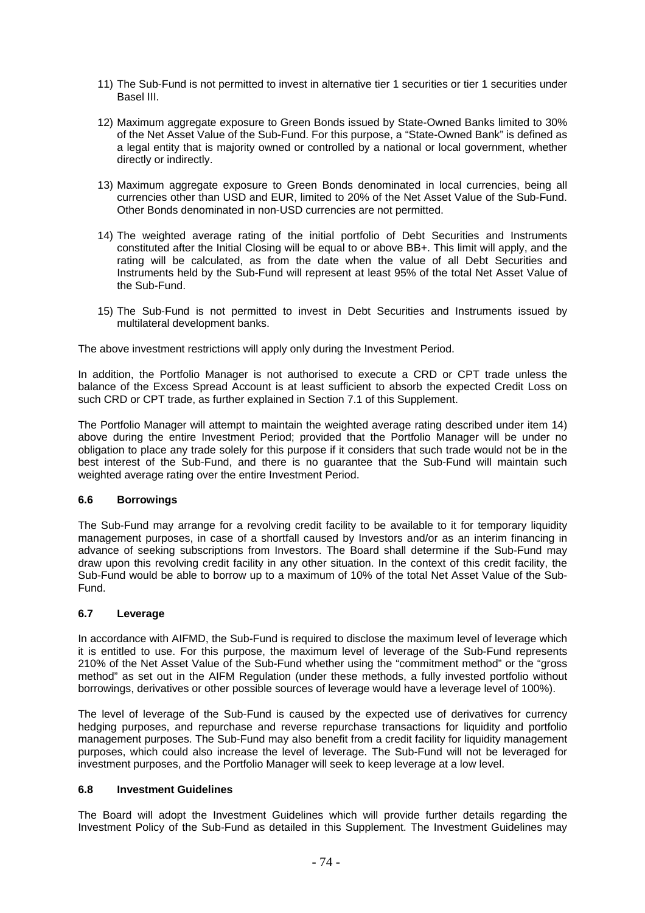- 11) The Sub-Fund is not permitted to invest in alternative tier 1 securities or tier 1 securities under Basel III.
- 12) Maximum aggregate exposure to Green Bonds issued by State-Owned Banks limited to 30% of the Net Asset Value of the Sub-Fund. For this purpose, a "State-Owned Bank" is defined as a legal entity that is majority owned or controlled by a national or local government, whether directly or indirectly.
- 13) Maximum aggregate exposure to Green Bonds denominated in local currencies, being all currencies other than USD and EUR, limited to 20% of the Net Asset Value of the Sub-Fund. Other Bonds denominated in non-USD currencies are not permitted.
- 14) The weighted average rating of the initial portfolio of Debt Securities and Instruments constituted after the Initial Closing will be equal to or above BB+. This limit will apply, and the rating will be calculated, as from the date when the value of all Debt Securities and Instruments held by the Sub-Fund will represent at least 95% of the total Net Asset Value of the Sub-Fund.
- 15) The Sub-Fund is not permitted to invest in Debt Securities and Instruments issued by multilateral development banks.

The above investment restrictions will apply only during the Investment Period.

In addition, the Portfolio Manager is not authorised to execute a CRD or CPT trade unless the balance of the Excess Spread Account is at least sufficient to absorb the expected Credit Loss on such CRD or CPT trade, as further explained in Section 7.1 of this Supplement.

The Portfolio Manager will attempt to maintain the weighted average rating described under item 14) above during the entire Investment Period; provided that the Portfolio Manager will be under no obligation to place any trade solely for this purpose if it considers that such trade would not be in the best interest of the Sub-Fund, and there is no guarantee that the Sub-Fund will maintain such weighted average rating over the entire Investment Period.

#### **6.6 Borrowings**

The Sub-Fund may arrange for a revolving credit facility to be available to it for temporary liquidity management purposes, in case of a shortfall caused by Investors and/or as an interim financing in advance of seeking subscriptions from Investors. The Board shall determine if the Sub-Fund may draw upon this revolving credit facility in any other situation. In the context of this credit facility, the Sub-Fund would be able to borrow up to a maximum of 10% of the total Net Asset Value of the Sub-Fund.

#### **6.7 Leverage**

In accordance with AIFMD, the Sub-Fund is required to disclose the maximum level of leverage which it is entitled to use. For this purpose, the maximum level of leverage of the Sub-Fund represents 210% of the Net Asset Value of the Sub-Fund whether using the "commitment method" or the "gross method" as set out in the AIFM Regulation (under these methods, a fully invested portfolio without borrowings, derivatives or other possible sources of leverage would have a leverage level of 100%).

The level of leverage of the Sub-Fund is caused by the expected use of derivatives for currency hedging purposes, and repurchase and reverse repurchase transactions for liquidity and portfolio management purposes. The Sub-Fund may also benefit from a credit facility for liquidity management purposes, which could also increase the level of leverage. The Sub-Fund will not be leveraged for investment purposes, and the Portfolio Manager will seek to keep leverage at a low level.

## **6.8 Investment Guidelines**

The Board will adopt the Investment Guidelines which will provide further details regarding the Investment Policy of the Sub-Fund as detailed in this Supplement. The Investment Guidelines may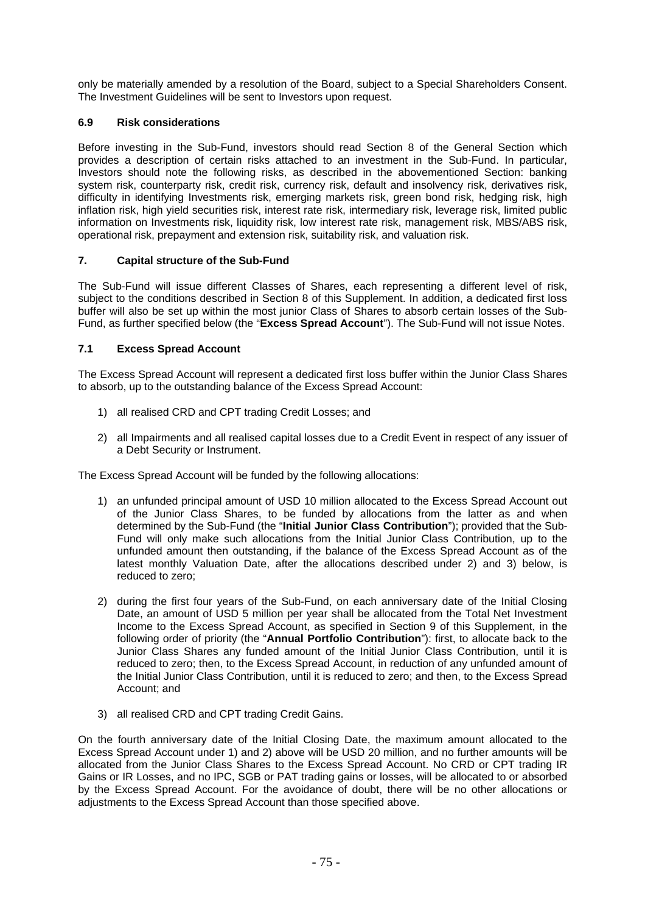only be materially amended by a resolution of the Board, subject to a Special Shareholders Consent. The Investment Guidelines will be sent to Investors upon request.

# **6.9 Risk considerations**

Before investing in the Sub-Fund, investors should read Section 8 of the General Section which provides a description of certain risks attached to an investment in the Sub-Fund. In particular, Investors should note the following risks, as described in the abovementioned Section: banking system risk, counterparty risk, credit risk, currency risk, default and insolvency risk, derivatives risk, difficulty in identifying Investments risk, emerging markets risk, green bond risk, hedging risk, high inflation risk, high yield securities risk, interest rate risk, intermediary risk, leverage risk, limited public information on Investments risk, liquidity risk, low interest rate risk, management risk, MBS/ABS risk, operational risk, prepayment and extension risk, suitability risk, and valuation risk.

### **7. Capital structure of the Sub-Fund**

The Sub-Fund will issue different Classes of Shares, each representing a different level of risk, subject to the conditions described in Section 8 of this Supplement. In addition, a dedicated first loss buffer will also be set up within the most junior Class of Shares to absorb certain losses of the Sub-Fund, as further specified below (the "**Excess Spread Account**"). The Sub-Fund will not issue Notes.

### **7.1 Excess Spread Account**

The Excess Spread Account will represent a dedicated first loss buffer within the Junior Class Shares to absorb, up to the outstanding balance of the Excess Spread Account:

- 1) all realised CRD and CPT trading Credit Losses; and
- 2) all Impairments and all realised capital losses due to a Credit Event in respect of any issuer of a Debt Security or Instrument.

The Excess Spread Account will be funded by the following allocations:

- 1) an unfunded principal amount of USD 10 million allocated to the Excess Spread Account out of the Junior Class Shares, to be funded by allocations from the latter as and when determined by the Sub-Fund (the "**Initial Junior Class Contribution**"); provided that the Sub-Fund will only make such allocations from the Initial Junior Class Contribution, up to the unfunded amount then outstanding, if the balance of the Excess Spread Account as of the latest monthly Valuation Date, after the allocations described under 2) and 3) below, is reduced to zero;
- 2) during the first four years of the Sub-Fund, on each anniversary date of the Initial Closing Date, an amount of USD 5 million per year shall be allocated from the Total Net Investment Income to the Excess Spread Account, as specified in Section 9 of this Supplement, in the following order of priority (the "**Annual Portfolio Contribution**"): first, to allocate back to the Junior Class Shares any funded amount of the Initial Junior Class Contribution, until it is reduced to zero; then, to the Excess Spread Account, in reduction of any unfunded amount of the Initial Junior Class Contribution, until it is reduced to zero; and then, to the Excess Spread Account; and
- 3) all realised CRD and CPT trading Credit Gains.

On the fourth anniversary date of the Initial Closing Date, the maximum amount allocated to the Excess Spread Account under 1) and 2) above will be USD 20 million, and no further amounts will be allocated from the Junior Class Shares to the Excess Spread Account. No CRD or CPT trading IR Gains or IR Losses, and no IPC, SGB or PAT trading gains or losses, will be allocated to or absorbed by the Excess Spread Account. For the avoidance of doubt, there will be no other allocations or adjustments to the Excess Spread Account than those specified above.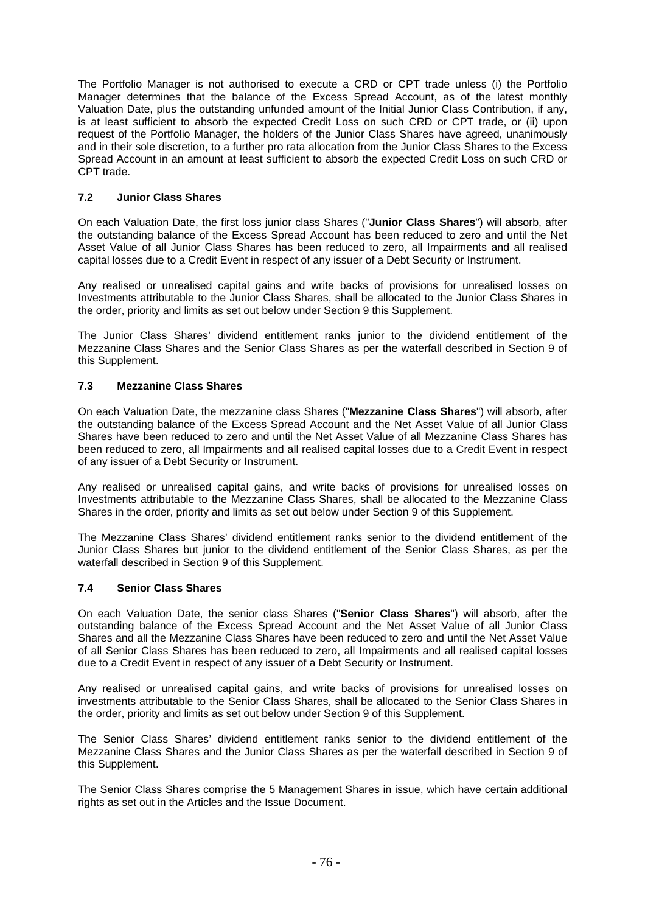The Portfolio Manager is not authorised to execute a CRD or CPT trade unless (i) the Portfolio Manager determines that the balance of the Excess Spread Account, as of the latest monthly Valuation Date, plus the outstanding unfunded amount of the Initial Junior Class Contribution, if any, is at least sufficient to absorb the expected Credit Loss on such CRD or CPT trade, or (ii) upon request of the Portfolio Manager, the holders of the Junior Class Shares have agreed, unanimously and in their sole discretion, to a further pro rata allocation from the Junior Class Shares to the Excess Spread Account in an amount at least sufficient to absorb the expected Credit Loss on such CRD or CPT trade.

## **7.2 Junior Class Shares**

On each Valuation Date, the first loss junior class Shares ("**Junior Class Shares**") will absorb, after the outstanding balance of the Excess Spread Account has been reduced to zero and until the Net Asset Value of all Junior Class Shares has been reduced to zero, all Impairments and all realised capital losses due to a Credit Event in respect of any issuer of a Debt Security or Instrument.

Any realised or unrealised capital gains and write backs of provisions for unrealised losses on Investments attributable to the Junior Class Shares, shall be allocated to the Junior Class Shares in the order, priority and limits as set out below under Section 9 this Supplement.

The Junior Class Shares' dividend entitlement ranks junior to the dividend entitlement of the Mezzanine Class Shares and the Senior Class Shares as per the waterfall described in Section 9 of this Supplement.

#### **7.3 Mezzanine Class Shares**

On each Valuation Date, the mezzanine class Shares ("**Mezzanine Class Shares**") will absorb, after the outstanding balance of the Excess Spread Account and the Net Asset Value of all Junior Class Shares have been reduced to zero and until the Net Asset Value of all Mezzanine Class Shares has been reduced to zero, all Impairments and all realised capital losses due to a Credit Event in respect of any issuer of a Debt Security or Instrument.

Any realised or unrealised capital gains, and write backs of provisions for unrealised losses on Investments attributable to the Mezzanine Class Shares, shall be allocated to the Mezzanine Class Shares in the order, priority and limits as set out below under Section 9 of this Supplement.

The Mezzanine Class Shares' dividend entitlement ranks senior to the dividend entitlement of the Junior Class Shares but junior to the dividend entitlement of the Senior Class Shares, as per the waterfall described in Section 9 of this Supplement.

#### **7.4 Senior Class Shares**

On each Valuation Date, the senior class Shares ("**Senior Class Shares**") will absorb, after the outstanding balance of the Excess Spread Account and the Net Asset Value of all Junior Class Shares and all the Mezzanine Class Shares have been reduced to zero and until the Net Asset Value of all Senior Class Shares has been reduced to zero, all Impairments and all realised capital losses due to a Credit Event in respect of any issuer of a Debt Security or Instrument.

Any realised or unrealised capital gains, and write backs of provisions for unrealised losses on investments attributable to the Senior Class Shares, shall be allocated to the Senior Class Shares in the order, priority and limits as set out below under Section 9 of this Supplement.

The Senior Class Shares' dividend entitlement ranks senior to the dividend entitlement of the Mezzanine Class Shares and the Junior Class Shares as per the waterfall described in Section 9 of this Supplement.

The Senior Class Shares comprise the 5 Management Shares in issue, which have certain additional rights as set out in the Articles and the Issue Document.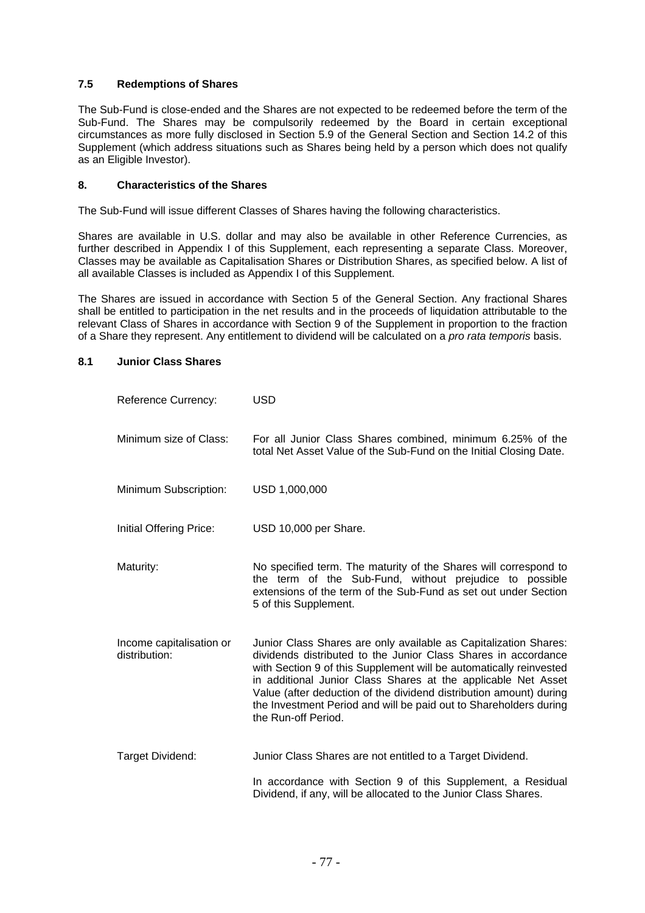### **7.5 Redemptions of Shares**

The Sub-Fund is close-ended and the Shares are not expected to be redeemed before the term of the Sub-Fund. The Shares may be compulsorily redeemed by the Board in certain exceptional circumstances as more fully disclosed in Section 5.9 of the General Section and Section 14.2 of this Supplement (which address situations such as Shares being held by a person which does not qualify as an Eligible Investor).

#### **8. Characteristics of the Shares**

The Sub-Fund will issue different Classes of Shares having the following characteristics.

Shares are available in U.S. dollar and may also be available in other Reference Currencies, as further described in Appendix I of this Supplement, each representing a separate Class. Moreover, Classes may be available as Capitalisation Shares or Distribution Shares, as specified below. A list of all available Classes is included as Appendix I of this Supplement.

The Shares are issued in accordance with Section 5 of the General Section. Any fractional Shares shall be entitled to participation in the net results and in the proceeds of liquidation attributable to the relevant Class of Shares in accordance with Section 9 of the Supplement in proportion to the fraction of a Share they represent. Any entitlement to dividend will be calculated on a *pro rata temporis* basis.

#### **8.1 Junior Class Shares**

| <b>Reference Currency:</b>                | USD                                                                                                                                                                                                                                                                                                                                                                                                                                         |
|-------------------------------------------|---------------------------------------------------------------------------------------------------------------------------------------------------------------------------------------------------------------------------------------------------------------------------------------------------------------------------------------------------------------------------------------------------------------------------------------------|
| Minimum size of Class:                    | For all Junior Class Shares combined, minimum 6.25% of the<br>total Net Asset Value of the Sub-Fund on the Initial Closing Date.                                                                                                                                                                                                                                                                                                            |
| Minimum Subscription:                     | USD 1,000,000                                                                                                                                                                                                                                                                                                                                                                                                                               |
| Initial Offering Price:                   | USD 10,000 per Share.                                                                                                                                                                                                                                                                                                                                                                                                                       |
| Maturity:                                 | No specified term. The maturity of the Shares will correspond to<br>the term of the Sub-Fund, without prejudice to possible<br>extensions of the term of the Sub-Fund as set out under Section<br>5 of this Supplement.                                                                                                                                                                                                                     |
| Income capitalisation or<br>distribution: | Junior Class Shares are only available as Capitalization Shares:<br>dividends distributed to the Junior Class Shares in accordance<br>with Section 9 of this Supplement will be automatically reinvested<br>in additional Junior Class Shares at the applicable Net Asset<br>Value (after deduction of the dividend distribution amount) during<br>the Investment Period and will be paid out to Shareholders during<br>the Run-off Period. |
| Target Dividend:                          | Junior Class Shares are not entitled to a Target Dividend.                                                                                                                                                                                                                                                                                                                                                                                  |
|                                           | In accordance with Section 9 of this Supplement, a Residual<br>Dividend, if any, will be allocated to the Junior Class Shares.                                                                                                                                                                                                                                                                                                              |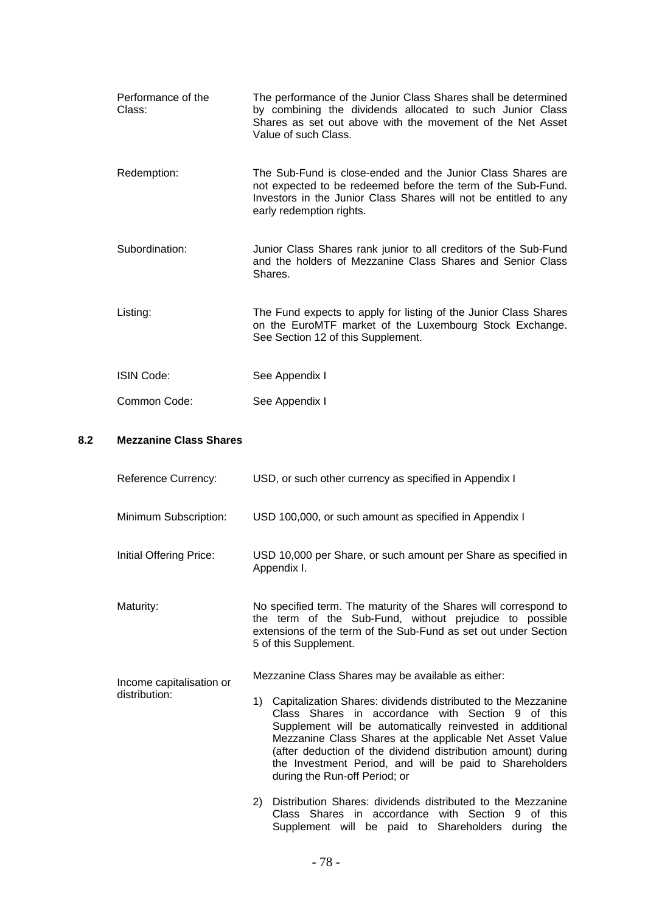- Performance of the Class: The performance of the Junior Class Shares shall be determined by combining the dividends allocated to such Junior Class Shares as set out above with the movement of the Net Asset Value of such Class. Redemption: The Sub-Fund is close-ended and the Junior Class Shares are not expected to be redeemed before the term of the Sub-Fund. Investors in the Junior Class Shares will not be entitled to any early redemption rights. Subordination: Junior Class Shares rank junior to all creditors of the Sub-Fund and the holders of Mezzanine Class Shares and Senior Class Shares. Listing: The Fund expects to apply for listing of the Junior Class Shares on the EuroMTF market of the Luxembourg Stock Exchange. See Section 12 of this Supplement. ISIN Code: See Appendix I
- Common Code: See Appendix I

### **8.2 Mezzanine Class Shares**

| Reference Currency:                       | USD, or such other currency as specified in Appendix I                                                                                                                                                                                                                                                                                                                                                                                                              |  |  |
|-------------------------------------------|---------------------------------------------------------------------------------------------------------------------------------------------------------------------------------------------------------------------------------------------------------------------------------------------------------------------------------------------------------------------------------------------------------------------------------------------------------------------|--|--|
| Minimum Subscription:                     | USD 100,000, or such amount as specified in Appendix I                                                                                                                                                                                                                                                                                                                                                                                                              |  |  |
| Initial Offering Price:                   | USD 10,000 per Share, or such amount per Share as specified in<br>Appendix I.                                                                                                                                                                                                                                                                                                                                                                                       |  |  |
| Maturity:                                 | No specified term. The maturity of the Shares will correspond to<br>the term of the Sub-Fund, without prejudice to possible<br>extensions of the term of the Sub-Fund as set out under Section<br>5 of this Supplement.                                                                                                                                                                                                                                             |  |  |
| Income capitalisation or<br>distribution: | Mezzanine Class Shares may be available as either:<br>Capitalization Shares: dividends distributed to the Mezzanine<br>1)<br>Class Shares in accordance with Section 9 of this<br>Supplement will be automatically reinvested in additional<br>Mezzanine Class Shares at the applicable Net Asset Value<br>(after deduction of the dividend distribution amount) during<br>the Investment Period, and will be paid to Shareholders<br>during the Run-off Period; or |  |  |
|                                           | Distribution Shares: dividends distributed to the Mezzanine<br>2)<br>Class Shares in accordance with Section<br>9 of<br>this<br>Supplement will be paid to Shareholders during<br>the                                                                                                                                                                                                                                                                               |  |  |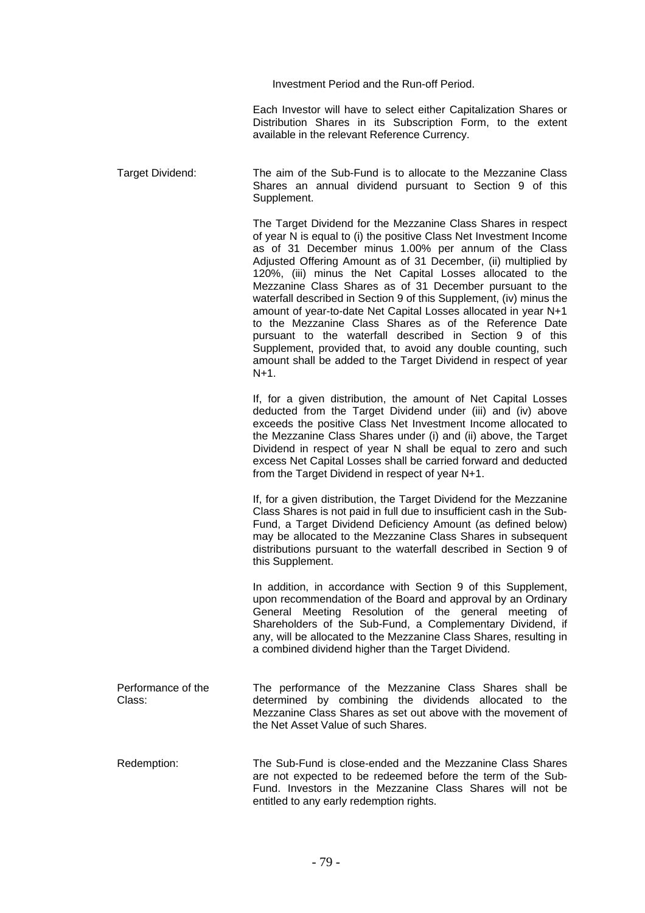Investment Period and the Run-off Period.

Each Investor will have to select either Capitalization Shares or Distribution Shares in its Subscription Form, to the extent available in the relevant Reference Currency.

Target Dividend: The aim of the Sub-Fund is to allocate to the Mezzanine Class Shares an annual dividend pursuant to Section 9 of this Supplement.

> The Target Dividend for the Mezzanine Class Shares in respect of year N is equal to (i) the positive Class Net Investment Income as of 31 December minus 1.00% per annum of the Class Adjusted Offering Amount as of 31 December, (ii) multiplied by 120%, (iii) minus the Net Capital Losses allocated to the Mezzanine Class Shares as of 31 December pursuant to the waterfall described in Section 9 of this Supplement, (iv) minus the amount of year-to-date Net Capital Losses allocated in year N+1 to the Mezzanine Class Shares as of the Reference Date pursuant to the waterfall described in Section 9 of this Supplement, provided that, to avoid any double counting, such amount shall be added to the Target Dividend in respect of year N+1.

> If, for a given distribution, the amount of Net Capital Losses deducted from the Target Dividend under (iii) and (iv) above exceeds the positive Class Net Investment Income allocated to the Mezzanine Class Shares under (i) and (ii) above, the Target Dividend in respect of year N shall be equal to zero and such excess Net Capital Losses shall be carried forward and deducted from the Target Dividend in respect of year N+1.

> If, for a given distribution, the Target Dividend for the Mezzanine Class Shares is not paid in full due to insufficient cash in the Sub-Fund, a Target Dividend Deficiency Amount (as defined below) may be allocated to the Mezzanine Class Shares in subsequent distributions pursuant to the waterfall described in Section 9 of this Supplement.

> In addition, in accordance with Section 9 of this Supplement, upon recommendation of the Board and approval by an Ordinary General Meeting Resolution of the general meeting of Shareholders of the Sub-Fund, a Complementary Dividend, if any, will be allocated to the Mezzanine Class Shares, resulting in a combined dividend higher than the Target Dividend.

Performance of the Class: The performance of the Mezzanine Class Shares shall be determined by combining the dividends allocated to the Mezzanine Class Shares as set out above with the movement of the Net Asset Value of such Shares.

Redemption: The Sub-Fund is close-ended and the Mezzanine Class Shares are not expected to be redeemed before the term of the Sub-Fund. Investors in the Mezzanine Class Shares will not be entitled to any early redemption rights.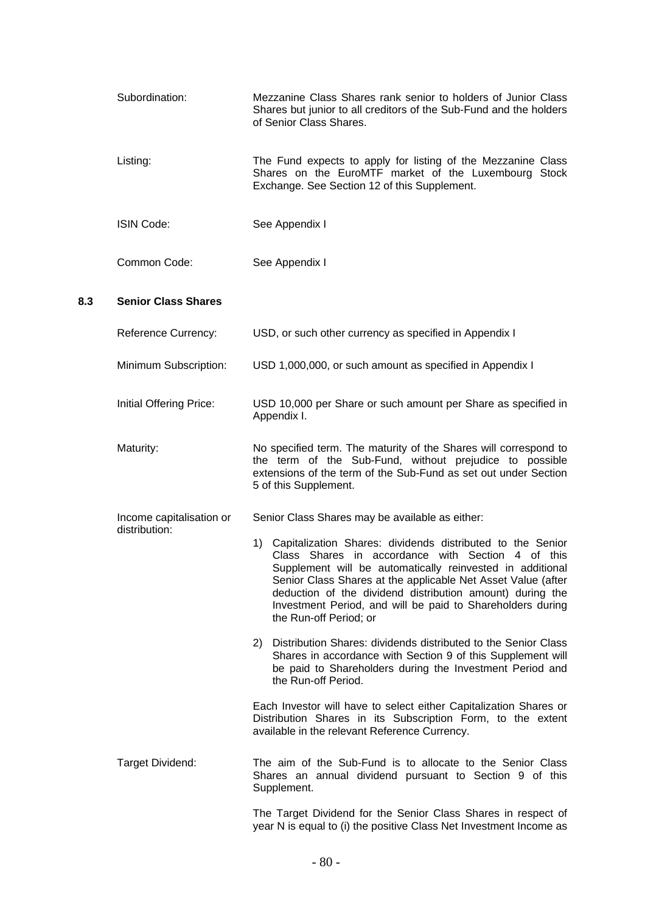|  | Subordination:                            | Mezzanine Class Shares rank senior to holders of Junior Class<br>Shares but junior to all creditors of the Sub-Fund and the holders<br>of Senior Class Shares.                                                                                                                                                                                                                                          |
|--|-------------------------------------------|---------------------------------------------------------------------------------------------------------------------------------------------------------------------------------------------------------------------------------------------------------------------------------------------------------------------------------------------------------------------------------------------------------|
|  | Listing:                                  | The Fund expects to apply for listing of the Mezzanine Class<br>Shares on the EuroMTF market of the Luxembourg Stock<br>Exchange. See Section 12 of this Supplement.                                                                                                                                                                                                                                    |
|  | <b>ISIN Code:</b>                         | See Appendix I                                                                                                                                                                                                                                                                                                                                                                                          |
|  | Common Code:                              | See Appendix I                                                                                                                                                                                                                                                                                                                                                                                          |
|  | <b>Senior Class Shares</b>                |                                                                                                                                                                                                                                                                                                                                                                                                         |
|  | <b>Reference Currency:</b>                | USD, or such other currency as specified in Appendix I                                                                                                                                                                                                                                                                                                                                                  |
|  | Minimum Subscription:                     | USD 1,000,000, or such amount as specified in Appendix I                                                                                                                                                                                                                                                                                                                                                |
|  | Initial Offering Price:                   | USD 10,000 per Share or such amount per Share as specified in<br>Appendix I.                                                                                                                                                                                                                                                                                                                            |
|  | Maturity:                                 | No specified term. The maturity of the Shares will correspond to<br>the term of the Sub-Fund, without prejudice to possible<br>extensions of the term of the Sub-Fund as set out under Section<br>5 of this Supplement.                                                                                                                                                                                 |
|  | Income capitalisation or<br>distribution: | Senior Class Shares may be available as either:                                                                                                                                                                                                                                                                                                                                                         |
|  |                                           | 1) Capitalization Shares: dividends distributed to the Senior<br>Class Shares in accordance with Section<br>4 of this<br>Supplement will be automatically reinvested in additional<br>Senior Class Shares at the applicable Net Asset Value (after<br>deduction of the dividend distribution amount) during the<br>Investment Period, and will be paid to Shareholders during<br>the Run-off Period; or |
|  |                                           | 2) Distribution Shares: dividends distributed to the Senior Class<br>Shares in accordance with Section 9 of this Supplement will<br>be paid to Shareholders during the Investment Period and<br>the Run-off Period.                                                                                                                                                                                     |
|  |                                           | Each Investor will have to select either Capitalization Shares or<br>Distribution Shares in its Subscription Form, to the extent<br>available in the relevant Reference Currency.                                                                                                                                                                                                                       |

**8.3** 

Target Dividend: The aim of the Sub-Fund is to allocate to the Senior Class Shares an annual dividend pursuant to Section 9 of this Supplement.

> The Target Dividend for the Senior Class Shares in respect of year N is equal to (i) the positive Class Net Investment Income as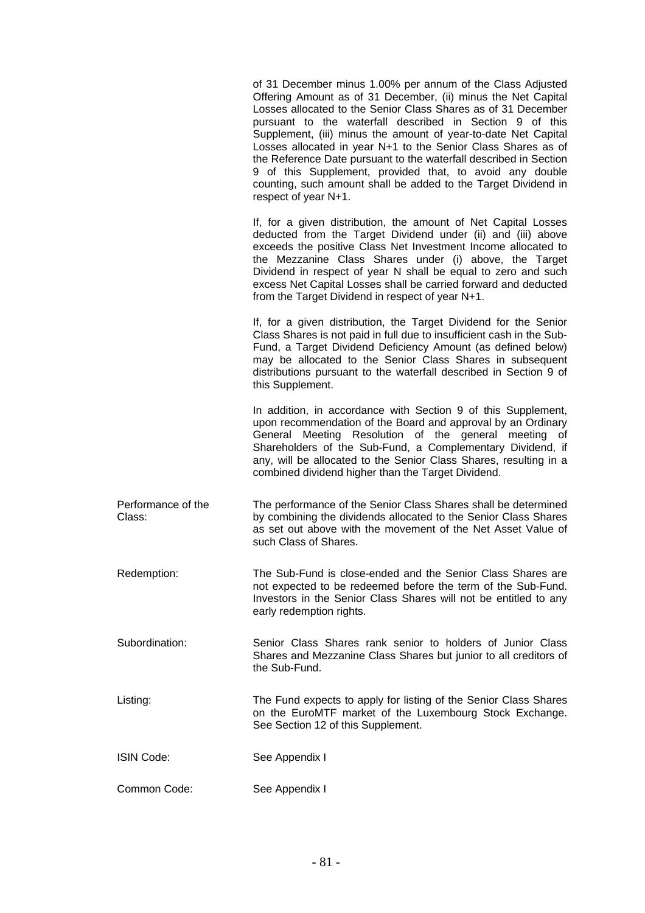|                              | of 31 December minus 1.00% per annum of the Class Adjusted<br>Offering Amount as of 31 December, (ii) minus the Net Capital<br>Losses allocated to the Senior Class Shares as of 31 December<br>pursuant to the waterfall described in Section 9 of this<br>Supplement, (iii) minus the amount of year-to-date Net Capital<br>Losses allocated in year N+1 to the Senior Class Shares as of<br>the Reference Date pursuant to the waterfall described in Section<br>9 of this Supplement, provided that, to avoid any double<br>counting, such amount shall be added to the Target Dividend in<br>respect of year N+1. |
|------------------------------|------------------------------------------------------------------------------------------------------------------------------------------------------------------------------------------------------------------------------------------------------------------------------------------------------------------------------------------------------------------------------------------------------------------------------------------------------------------------------------------------------------------------------------------------------------------------------------------------------------------------|
|                              | If, for a given distribution, the amount of Net Capital Losses<br>deducted from the Target Dividend under (ii) and (iii) above<br>exceeds the positive Class Net Investment Income allocated to<br>the Mezzanine Class Shares under (i) above, the Target<br>Dividend in respect of year N shall be equal to zero and such<br>excess Net Capital Losses shall be carried forward and deducted<br>from the Target Dividend in respect of year N+1.                                                                                                                                                                      |
|                              | If, for a given distribution, the Target Dividend for the Senior<br>Class Shares is not paid in full due to insufficient cash in the Sub-<br>Fund, a Target Dividend Deficiency Amount (as defined below)<br>may be allocated to the Senior Class Shares in subsequent<br>distributions pursuant to the waterfall described in Section 9 of<br>this Supplement.                                                                                                                                                                                                                                                        |
|                              | In addition, in accordance with Section 9 of this Supplement,<br>upon recommendation of the Board and approval by an Ordinary<br>General Meeting Resolution of the general meeting of<br>Shareholders of the Sub-Fund, a Complementary Dividend, if<br>any, will be allocated to the Senior Class Shares, resulting in a<br>combined dividend higher than the Target Dividend.                                                                                                                                                                                                                                         |
| Performance of the<br>Class: | The performance of the Senior Class Shares shall be determined<br>by combining the dividends allocated to the Senior Class Shares<br>as set out above with the movement of the Net Asset Value of<br>such Class of Shares.                                                                                                                                                                                                                                                                                                                                                                                             |
| Redemption:                  | The Sub-Fund is close-ended and the Senior Class Shares are<br>not expected to be redeemed before the term of the Sub-Fund.<br>Investors in the Senior Class Shares will not be entitled to any<br>early redemption rights.                                                                                                                                                                                                                                                                                                                                                                                            |
| Subordination:               | Senior Class Shares rank senior to holders of Junior Class<br>Shares and Mezzanine Class Shares but junior to all creditors of<br>the Sub-Fund.                                                                                                                                                                                                                                                                                                                                                                                                                                                                        |
| Listing:                     | The Fund expects to apply for listing of the Senior Class Shares<br>on the EuroMTF market of the Luxembourg Stock Exchange.<br>See Section 12 of this Supplement.                                                                                                                                                                                                                                                                                                                                                                                                                                                      |
| <b>ISIN Code:</b>            | See Appendix I                                                                                                                                                                                                                                                                                                                                                                                                                                                                                                                                                                                                         |
| Common Code:                 | See Appendix I                                                                                                                                                                                                                                                                                                                                                                                                                                                                                                                                                                                                         |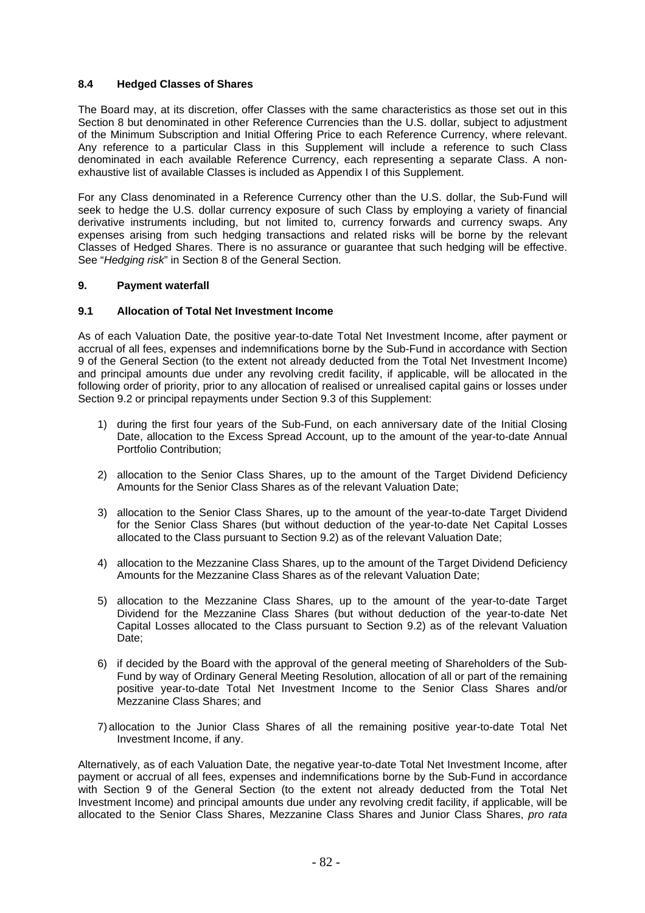### **8.4 Hedged Classes of Shares**

The Board may, at its discretion, offer Classes with the same characteristics as those set out in this Section 8 but denominated in other Reference Currencies than the U.S. dollar, subject to adjustment of the Minimum Subscription and Initial Offering Price to each Reference Currency, where relevant. Any reference to a particular Class in this Supplement will include a reference to such Class denominated in each available Reference Currency, each representing a separate Class. A nonexhaustive list of available Classes is included as Appendix I of this Supplement.

For any Class denominated in a Reference Currency other than the U.S. dollar, the Sub-Fund will seek to hedge the U.S. dollar currency exposure of such Class by employing a variety of financial derivative instruments including, but not limited to, currency forwards and currency swaps. Any expenses arising from such hedging transactions and related risks will be borne by the relevant Classes of Hedged Shares. There is no assurance or guarantee that such hedging will be effective. See "*Hedging risk*" in Section 8 of the General Section.

#### **9. Payment waterfall**

#### **9.1 Allocation of Total Net Investment Income**

As of each Valuation Date, the positive year-to-date Total Net Investment Income, after payment or accrual of all fees, expenses and indemnifications borne by the Sub-Fund in accordance with Section 9 of the General Section (to the extent not already deducted from the Total Net Investment Income) and principal amounts due under any revolving credit facility, if applicable, will be allocated in the following order of priority, prior to any allocation of realised or unrealised capital gains or losses under Section 9.2 or principal repayments under Section 9.3 of this Supplement:

- 1) during the first four years of the Sub-Fund, on each anniversary date of the Initial Closing Date, allocation to the Excess Spread Account, up to the amount of the year-to-date Annual Portfolio Contribution;
- 2) allocation to the Senior Class Shares, up to the amount of the Target Dividend Deficiency Amounts for the Senior Class Shares as of the relevant Valuation Date;
- 3) allocation to the Senior Class Shares, up to the amount of the year-to-date Target Dividend for the Senior Class Shares (but without deduction of the year-to-date Net Capital Losses allocated to the Class pursuant to Section 9.2) as of the relevant Valuation Date;
- 4) allocation to the Mezzanine Class Shares, up to the amount of the Target Dividend Deficiency Amounts for the Mezzanine Class Shares as of the relevant Valuation Date;
- 5) allocation to the Mezzanine Class Shares, up to the amount of the year-to-date Target Dividend for the Mezzanine Class Shares (but without deduction of the year-to-date Net Capital Losses allocated to the Class pursuant to Section 9.2) as of the relevant Valuation Date:
- 6) if decided by the Board with the approval of the general meeting of Shareholders of the Sub-Fund by way of Ordinary General Meeting Resolution, allocation of all or part of the remaining positive year-to-date Total Net Investment Income to the Senior Class Shares and/or Mezzanine Class Shares; and
- 7) allocation to the Junior Class Shares of all the remaining positive year-to-date Total Net Investment Income, if any.

Alternatively, as of each Valuation Date, the negative year-to-date Total Net Investment Income, after payment or accrual of all fees, expenses and indemnifications borne by the Sub-Fund in accordance with Section 9 of the General Section (to the extent not already deducted from the Total Net Investment Income) and principal amounts due under any revolving credit facility, if applicable, will be allocated to the Senior Class Shares, Mezzanine Class Shares and Junior Class Shares, *pro rata*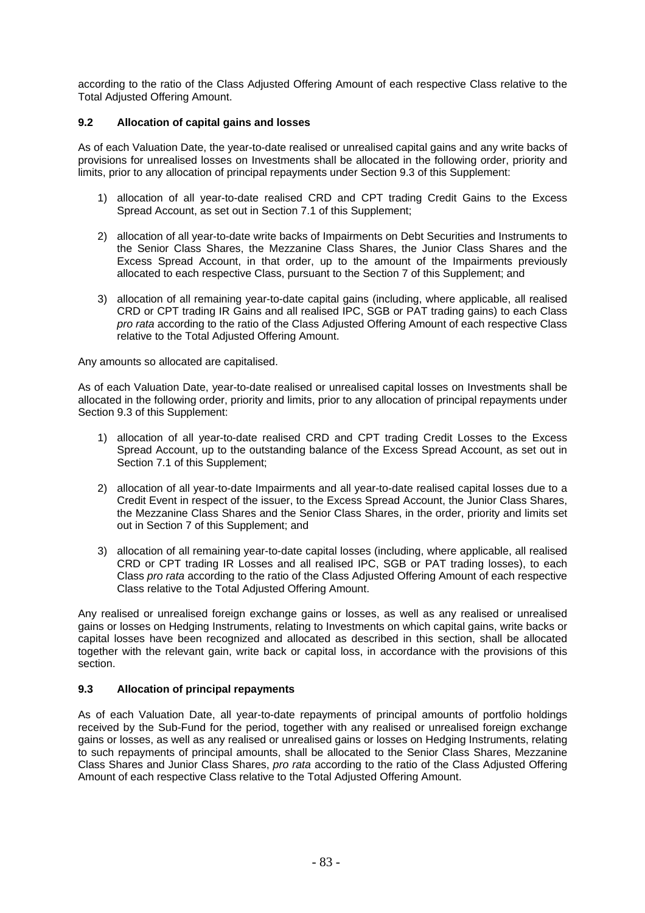according to the ratio of the Class Adjusted Offering Amount of each respective Class relative to the Total Adjusted Offering Amount.

### **9.2 Allocation of capital gains and losses**

As of each Valuation Date, the year-to-date realised or unrealised capital gains and any write backs of provisions for unrealised losses on Investments shall be allocated in the following order, priority and limits, prior to any allocation of principal repayments under Section 9.3 of this Supplement:

- 1) allocation of all year-to-date realised CRD and CPT trading Credit Gains to the Excess Spread Account, as set out in Section 7.1 of this Supplement;
- 2) allocation of all year-to-date write backs of Impairments on Debt Securities and Instruments to the Senior Class Shares, the Mezzanine Class Shares, the Junior Class Shares and the Excess Spread Account, in that order, up to the amount of the Impairments previously allocated to each respective Class, pursuant to the Section 7 of this Supplement; and
- 3) allocation of all remaining year-to-date capital gains (including, where applicable, all realised CRD or CPT trading IR Gains and all realised IPC, SGB or PAT trading gains) to each Class *pro rata* according to the ratio of the Class Adjusted Offering Amount of each respective Class relative to the Total Adjusted Offering Amount.

Any amounts so allocated are capitalised.

As of each Valuation Date, year-to-date realised or unrealised capital losses on Investments shall be allocated in the following order, priority and limits, prior to any allocation of principal repayments under Section 9.3 of this Supplement:

- 1) allocation of all year-to-date realised CRD and CPT trading Credit Losses to the Excess Spread Account, up to the outstanding balance of the Excess Spread Account, as set out in Section 7.1 of this Supplement;
- 2) allocation of all year-to-date Impairments and all year-to-date realised capital losses due to a Credit Event in respect of the issuer, to the Excess Spread Account, the Junior Class Shares, the Mezzanine Class Shares and the Senior Class Shares, in the order, priority and limits set out in Section 7 of this Supplement; and
- 3) allocation of all remaining year-to-date capital losses (including, where applicable, all realised CRD or CPT trading IR Losses and all realised IPC, SGB or PAT trading losses), to each Class *pro rata* according to the ratio of the Class Adjusted Offering Amount of each respective Class relative to the Total Adjusted Offering Amount.

Any realised or unrealised foreign exchange gains or losses, as well as any realised or unrealised gains or losses on Hedging Instruments, relating to Investments on which capital gains, write backs or capital losses have been recognized and allocated as described in this section, shall be allocated together with the relevant gain, write back or capital loss, in accordance with the provisions of this section.

#### **9.3 Allocation of principal repayments**

As of each Valuation Date, all year-to-date repayments of principal amounts of portfolio holdings received by the Sub-Fund for the period, together with any realised or unrealised foreign exchange gains or losses, as well as any realised or unrealised gains or losses on Hedging Instruments, relating to such repayments of principal amounts, shall be allocated to the Senior Class Shares, Mezzanine Class Shares and Junior Class Shares, *pro rata* according to the ratio of the Class Adjusted Offering Amount of each respective Class relative to the Total Adjusted Offering Amount.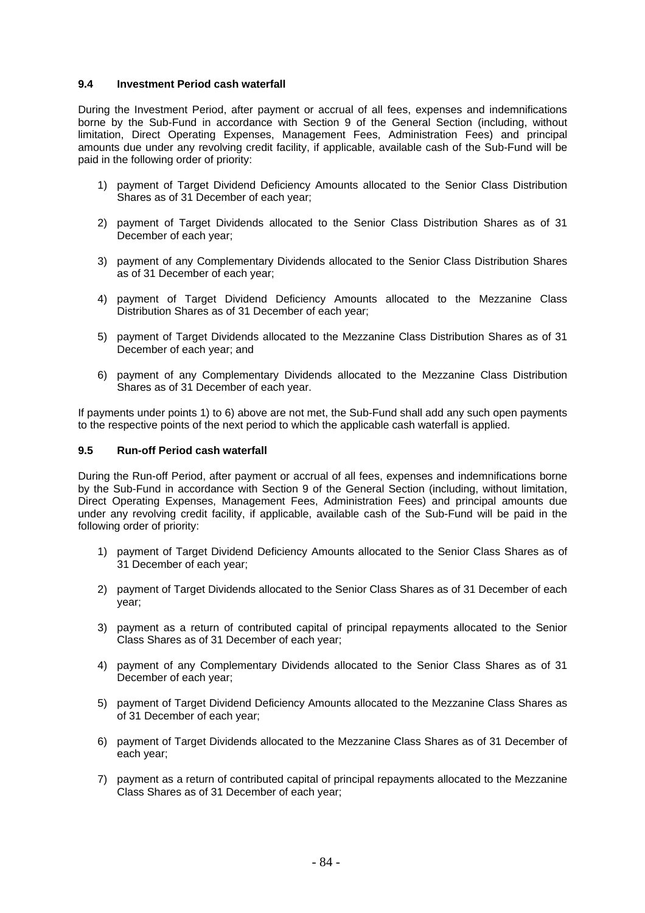#### **9.4 Investment Period cash waterfall**

During the Investment Period, after payment or accrual of all fees, expenses and indemnifications borne by the Sub-Fund in accordance with Section 9 of the General Section (including, without limitation, Direct Operating Expenses, Management Fees, Administration Fees) and principal amounts due under any revolving credit facility, if applicable, available cash of the Sub-Fund will be paid in the following order of priority:

- 1) payment of Target Dividend Deficiency Amounts allocated to the Senior Class Distribution Shares as of 31 December of each year;
- 2) payment of Target Dividends allocated to the Senior Class Distribution Shares as of 31 December of each year;
- 3) payment of any Complementary Dividends allocated to the Senior Class Distribution Shares as of 31 December of each year;
- 4) payment of Target Dividend Deficiency Amounts allocated to the Mezzanine Class Distribution Shares as of 31 December of each year;
- 5) payment of Target Dividends allocated to the Mezzanine Class Distribution Shares as of 31 December of each year; and
- 6) payment of any Complementary Dividends allocated to the Mezzanine Class Distribution Shares as of 31 December of each year.

If payments under points 1) to 6) above are not met, the Sub-Fund shall add any such open payments to the respective points of the next period to which the applicable cash waterfall is applied.

#### **9.5 Run-off Period cash waterfall**

During the Run-off Period, after payment or accrual of all fees, expenses and indemnifications borne by the Sub-Fund in accordance with Section 9 of the General Section (including, without limitation, Direct Operating Expenses, Management Fees, Administration Fees) and principal amounts due under any revolving credit facility, if applicable, available cash of the Sub-Fund will be paid in the following order of priority:

- 1) payment of Target Dividend Deficiency Amounts allocated to the Senior Class Shares as of 31 December of each year;
- 2) payment of Target Dividends allocated to the Senior Class Shares as of 31 December of each year;
- 3) payment as a return of contributed capital of principal repayments allocated to the Senior Class Shares as of 31 December of each year;
- 4) payment of any Complementary Dividends allocated to the Senior Class Shares as of 31 December of each year;
- 5) payment of Target Dividend Deficiency Amounts allocated to the Mezzanine Class Shares as of 31 December of each year;
- 6) payment of Target Dividends allocated to the Mezzanine Class Shares as of 31 December of each year;
- 7) payment as a return of contributed capital of principal repayments allocated to the Mezzanine Class Shares as of 31 December of each year;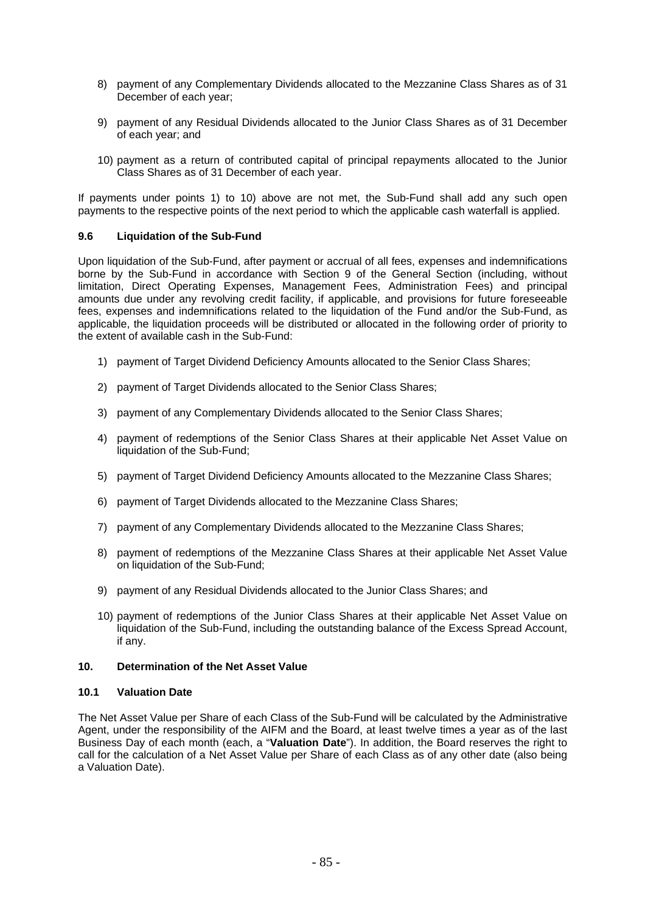- 8) payment of any Complementary Dividends allocated to the Mezzanine Class Shares as of 31 December of each year;
- 9) payment of any Residual Dividends allocated to the Junior Class Shares as of 31 December of each year; and
- 10) payment as a return of contributed capital of principal repayments allocated to the Junior Class Shares as of 31 December of each year.

If payments under points 1) to 10) above are not met, the Sub-Fund shall add any such open payments to the respective points of the next period to which the applicable cash waterfall is applied.

#### **9.6 Liquidation of the Sub-Fund**

Upon liquidation of the Sub-Fund, after payment or accrual of all fees, expenses and indemnifications borne by the Sub-Fund in accordance with Section 9 of the General Section (including, without limitation, Direct Operating Expenses, Management Fees, Administration Fees) and principal amounts due under any revolving credit facility, if applicable, and provisions for future foreseeable fees, expenses and indemnifications related to the liquidation of the Fund and/or the Sub-Fund, as applicable, the liquidation proceeds will be distributed or allocated in the following order of priority to the extent of available cash in the Sub-Fund:

- 1) payment of Target Dividend Deficiency Amounts allocated to the Senior Class Shares;
- 2) payment of Target Dividends allocated to the Senior Class Shares;
- 3) payment of any Complementary Dividends allocated to the Senior Class Shares;
- 4) payment of redemptions of the Senior Class Shares at their applicable Net Asset Value on liquidation of the Sub-Fund;
- 5) payment of Target Dividend Deficiency Amounts allocated to the Mezzanine Class Shares;
- 6) payment of Target Dividends allocated to the Mezzanine Class Shares;
- 7) payment of any Complementary Dividends allocated to the Mezzanine Class Shares;
- 8) payment of redemptions of the Mezzanine Class Shares at their applicable Net Asset Value on liquidation of the Sub-Fund;
- 9) payment of any Residual Dividends allocated to the Junior Class Shares; and
- 10) payment of redemptions of the Junior Class Shares at their applicable Net Asset Value on liquidation of the Sub-Fund, including the outstanding balance of the Excess Spread Account, if any.

#### **10. Determination of the Net Asset Value**

#### **10.1 Valuation Date**

The Net Asset Value per Share of each Class of the Sub-Fund will be calculated by the Administrative Agent, under the responsibility of the AIFM and the Board, at least twelve times a year as of the last Business Day of each month (each, a "**Valuation Date**"). In addition, the Board reserves the right to call for the calculation of a Net Asset Value per Share of each Class as of any other date (also being a Valuation Date).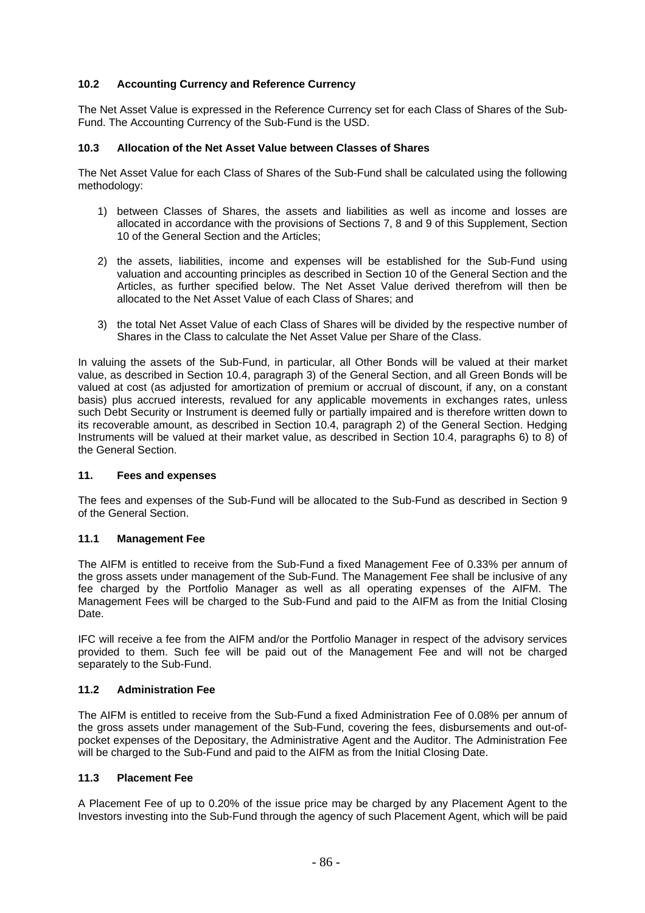## **10.2 Accounting Currency and Reference Currency**

The Net Asset Value is expressed in the Reference Currency set for each Class of Shares of the Sub-Fund. The Accounting Currency of the Sub-Fund is the USD.

#### **10.3 Allocation of the Net Asset Value between Classes of Shares**

The Net Asset Value for each Class of Shares of the Sub-Fund shall be calculated using the following methodology:

- 1) between Classes of Shares, the assets and liabilities as well as income and losses are allocated in accordance with the provisions of Sections 7, 8 and 9 of this Supplement, Section 10 of the General Section and the Articles;
- 2) the assets, liabilities, income and expenses will be established for the Sub-Fund using valuation and accounting principles as described in Section 10 of the General Section and the Articles, as further specified below. The Net Asset Value derived therefrom will then be allocated to the Net Asset Value of each Class of Shares; and
- 3) the total Net Asset Value of each Class of Shares will be divided by the respective number of Shares in the Class to calculate the Net Asset Value per Share of the Class.

In valuing the assets of the Sub-Fund, in particular, all Other Bonds will be valued at their market value, as described in Section 10.4, paragraph 3) of the General Section, and all Green Bonds will be valued at cost (as adjusted for amortization of premium or accrual of discount, if any, on a constant basis) plus accrued interests, revalued for any applicable movements in exchanges rates, unless such Debt Security or Instrument is deemed fully or partially impaired and is therefore written down to its recoverable amount, as described in Section 10.4, paragraph 2) of the General Section. Hedging Instruments will be valued at their market value, as described in Section 10.4, paragraphs 6) to 8) of the General Section.

#### **11. Fees and expenses**

The fees and expenses of the Sub-Fund will be allocated to the Sub-Fund as described in Section 9 of the General Section.

#### **11.1 Management Fee**

The AIFM is entitled to receive from the Sub-Fund a fixed Management Fee of 0.33% per annum of the gross assets under management of the Sub-Fund. The Management Fee shall be inclusive of any fee charged by the Portfolio Manager as well as all operating expenses of the AIFM. The Management Fees will be charged to the Sub-Fund and paid to the AIFM as from the Initial Closing Date.

IFC will receive a fee from the AIFM and/or the Portfolio Manager in respect of the advisory services provided to them. Such fee will be paid out of the Management Fee and will not be charged separately to the Sub-Fund.

#### **11.2 Administration Fee**

The AIFM is entitled to receive from the Sub-Fund a fixed Administration Fee of 0.08% per annum of the gross assets under management of the Sub-Fund, covering the fees, disbursements and out-ofpocket expenses of the Depositary, the Administrative Agent and the Auditor. The Administration Fee will be charged to the Sub-Fund and paid to the AIFM as from the Initial Closing Date.

#### **11.3 Placement Fee**

A Placement Fee of up to 0.20% of the issue price may be charged by any Placement Agent to the Investors investing into the Sub-Fund through the agency of such Placement Agent, which will be paid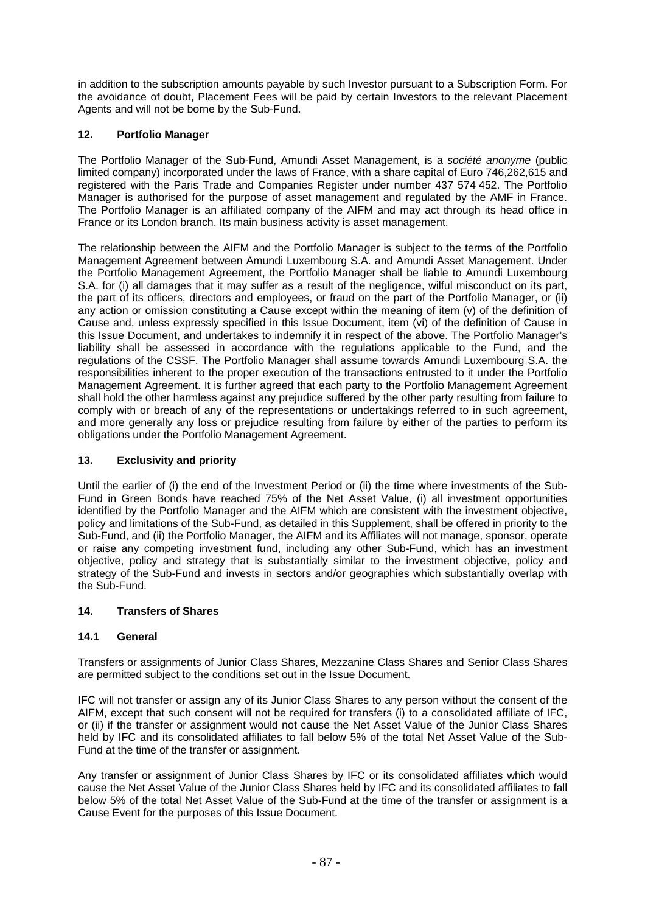in addition to the subscription amounts payable by such Investor pursuant to a Subscription Form. For the avoidance of doubt, Placement Fees will be paid by certain Investors to the relevant Placement Agents and will not be borne by the Sub-Fund.

# **12. Portfolio Manager**

The Portfolio Manager of the Sub-Fund, Amundi Asset Management, is a *société anonyme* (public limited company) incorporated under the laws of France, with a share capital of Euro 746,262,615 and registered with the Paris Trade and Companies Register under number 437 574 452. The Portfolio Manager is authorised for the purpose of asset management and regulated by the AMF in France. The Portfolio Manager is an affiliated company of the AIFM and may act through its head office in France or its London branch. Its main business activity is asset management.

The relationship between the AIFM and the Portfolio Manager is subject to the terms of the Portfolio Management Agreement between Amundi Luxembourg S.A. and Amundi Asset Management. Under the Portfolio Management Agreement, the Portfolio Manager shall be liable to Amundi Luxembourg S.A. for (i) all damages that it may suffer as a result of the negligence, wilful misconduct on its part, the part of its officers, directors and employees, or fraud on the part of the Portfolio Manager, or (ii) any action or omission constituting a Cause except within the meaning of item (v) of the definition of Cause and, unless expressly specified in this Issue Document, item (vi) of the definition of Cause in this Issue Document, and undertakes to indemnify it in respect of the above. The Portfolio Manager's liability shall be assessed in accordance with the regulations applicable to the Fund, and the regulations of the CSSF. The Portfolio Manager shall assume towards Amundi Luxembourg S.A. the responsibilities inherent to the proper execution of the transactions entrusted to it under the Portfolio Management Agreement. It is further agreed that each party to the Portfolio Management Agreement shall hold the other harmless against any prejudice suffered by the other party resulting from failure to comply with or breach of any of the representations or undertakings referred to in such agreement, and more generally any loss or prejudice resulting from failure by either of the parties to perform its obligations under the Portfolio Management Agreement.

# **13. Exclusivity and priority**

Until the earlier of (i) the end of the Investment Period or (ii) the time where investments of the Sub-Fund in Green Bonds have reached 75% of the Net Asset Value, (i) all investment opportunities identified by the Portfolio Manager and the AIFM which are consistent with the investment objective, policy and limitations of the Sub-Fund, as detailed in this Supplement, shall be offered in priority to the Sub-Fund, and (ii) the Portfolio Manager, the AIFM and its Affiliates will not manage, sponsor, operate or raise any competing investment fund, including any other Sub-Fund, which has an investment objective, policy and strategy that is substantially similar to the investment objective, policy and strategy of the Sub-Fund and invests in sectors and/or geographies which substantially overlap with the Sub-Fund.

# **14. Transfers of Shares**

# **14.1 General**

Transfers or assignments of Junior Class Shares, Mezzanine Class Shares and Senior Class Shares are permitted subject to the conditions set out in the Issue Document.

IFC will not transfer or assign any of its Junior Class Shares to any person without the consent of the AIFM, except that such consent will not be required for transfers (i) to a consolidated affiliate of IFC, or (ii) if the transfer or assignment would not cause the Net Asset Value of the Junior Class Shares held by IFC and its consolidated affiliates to fall below 5% of the total Net Asset Value of the Sub-Fund at the time of the transfer or assignment.

Any transfer or assignment of Junior Class Shares by IFC or its consolidated affiliates which would cause the Net Asset Value of the Junior Class Shares held by IFC and its consolidated affiliates to fall below 5% of the total Net Asset Value of the Sub-Fund at the time of the transfer or assignment is a Cause Event for the purposes of this Issue Document.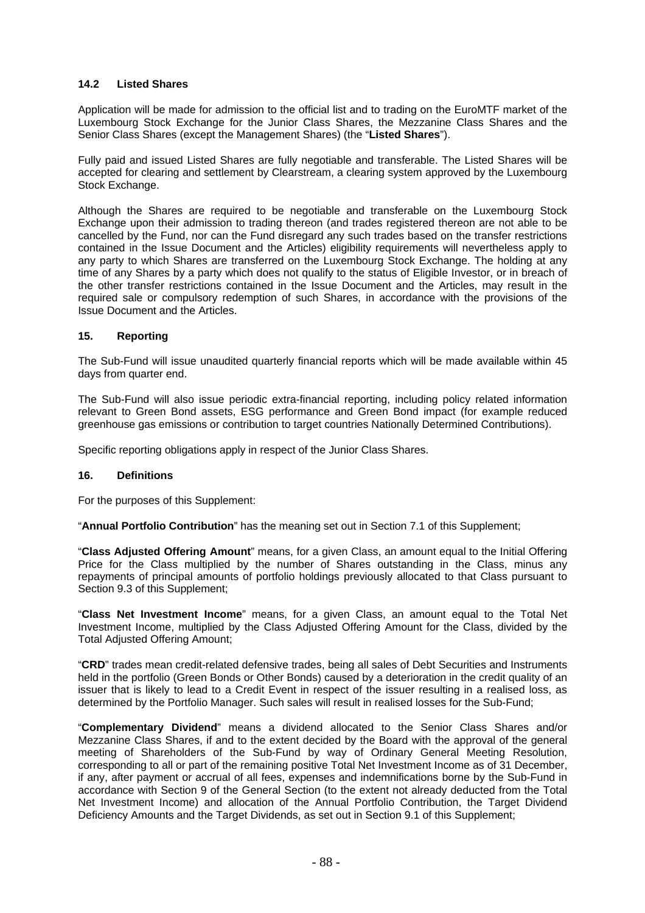### **14.2 Listed Shares**

Application will be made for admission to the official list and to trading on the EuroMTF market of the Luxembourg Stock Exchange for the Junior Class Shares, the Mezzanine Class Shares and the Senior Class Shares (except the Management Shares) (the "**Listed Shares**").

Fully paid and issued Listed Shares are fully negotiable and transferable. The Listed Shares will be accepted for clearing and settlement by Clearstream, a clearing system approved by the Luxembourg Stock Exchange.

Although the Shares are required to be negotiable and transferable on the Luxembourg Stock Exchange upon their admission to trading thereon (and trades registered thereon are not able to be cancelled by the Fund, nor can the Fund disregard any such trades based on the transfer restrictions contained in the Issue Document and the Articles) eligibility requirements will nevertheless apply to any party to which Shares are transferred on the Luxembourg Stock Exchange. The holding at any time of any Shares by a party which does not qualify to the status of Eligible Investor, or in breach of the other transfer restrictions contained in the Issue Document and the Articles, may result in the required sale or compulsory redemption of such Shares, in accordance with the provisions of the Issue Document and the Articles.

#### **15. Reporting**

The Sub-Fund will issue unaudited quarterly financial reports which will be made available within 45 days from quarter end.

The Sub-Fund will also issue periodic extra-financial reporting, including policy related information relevant to Green Bond assets, ESG performance and Green Bond impact (for example reduced greenhouse gas emissions or contribution to target countries Nationally Determined Contributions).

Specific reporting obligations apply in respect of the Junior Class Shares.

#### **16. Definitions**

For the purposes of this Supplement:

"**Annual Portfolio Contribution**" has the meaning set out in Section 7.1 of this Supplement;

"**Class Adjusted Offering Amount**" means, for a given Class, an amount equal to the Initial Offering Price for the Class multiplied by the number of Shares outstanding in the Class, minus any repayments of principal amounts of portfolio holdings previously allocated to that Class pursuant to Section 9.3 of this Supplement;

"**Class Net Investment Income**" means, for a given Class, an amount equal to the Total Net Investment Income, multiplied by the Class Adjusted Offering Amount for the Class, divided by the Total Adjusted Offering Amount;

"**CRD**" trades mean credit-related defensive trades, being all sales of Debt Securities and Instruments held in the portfolio (Green Bonds or Other Bonds) caused by a deterioration in the credit quality of an issuer that is likely to lead to a Credit Event in respect of the issuer resulting in a realised loss, as determined by the Portfolio Manager. Such sales will result in realised losses for the Sub-Fund;

"**Complementary Dividend**" means a dividend allocated to the Senior Class Shares and/or Mezzanine Class Shares, if and to the extent decided by the Board with the approval of the general meeting of Shareholders of the Sub-Fund by way of Ordinary General Meeting Resolution, corresponding to all or part of the remaining positive Total Net Investment Income as of 31 December, if any, after payment or accrual of all fees, expenses and indemnifications borne by the Sub-Fund in accordance with Section 9 of the General Section (to the extent not already deducted from the Total Net Investment Income) and allocation of the Annual Portfolio Contribution, the Target Dividend Deficiency Amounts and the Target Dividends, as set out in Section 9.1 of this Supplement;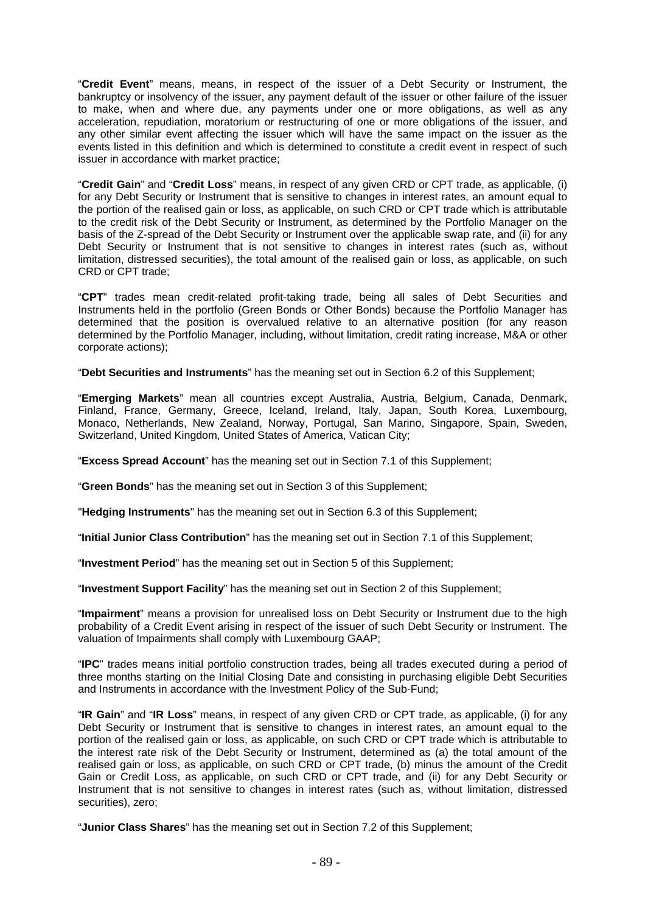"**Credit Event**" means, means, in respect of the issuer of a Debt Security or Instrument, the bankruptcy or insolvency of the issuer, any payment default of the issuer or other failure of the issuer to make, when and where due, any payments under one or more obligations, as well as any acceleration, repudiation, moratorium or restructuring of one or more obligations of the issuer, and any other similar event affecting the issuer which will have the same impact on the issuer as the events listed in this definition and which is determined to constitute a credit event in respect of such issuer in accordance with market practice;

"**Credit Gain**" and "**Credit Loss**" means, in respect of any given CRD or CPT trade, as applicable, (i) for any Debt Security or Instrument that is sensitive to changes in interest rates, an amount equal to the portion of the realised gain or loss, as applicable, on such CRD or CPT trade which is attributable to the credit risk of the Debt Security or Instrument, as determined by the Portfolio Manager on the basis of the Z-spread of the Debt Security or Instrument over the applicable swap rate, and (ii) for any Debt Security or Instrument that is not sensitive to changes in interest rates (such as, without limitation, distressed securities), the total amount of the realised gain or loss, as applicable, on such CRD or CPT trade;

"**CPT**" trades mean credit-related profit-taking trade, being all sales of Debt Securities and Instruments held in the portfolio (Green Bonds or Other Bonds) because the Portfolio Manager has determined that the position is overvalued relative to an alternative position (for any reason determined by the Portfolio Manager, including, without limitation, credit rating increase, M&A or other corporate actions);

"**Debt Securities and Instruments**" has the meaning set out in Section 6.2 of this Supplement;

"**Emerging Markets**" mean all countries except Australia, Austria, Belgium, Canada, Denmark, Finland, France, Germany, Greece, Iceland, Ireland, Italy, Japan, South Korea, Luxembourg, Monaco, Netherlands, New Zealand, Norway, Portugal, San Marino, Singapore, Spain, Sweden, Switzerland, United Kingdom, United States of America, Vatican City;

"**Excess Spread Account**" has the meaning set out in Section 7.1 of this Supplement;

"**Green Bonds**" has the meaning set out in Section 3 of this Supplement;

"**Hedging Instruments**" has the meaning set out in Section 6.3 of this Supplement;

"**Initial Junior Class Contribution**" has the meaning set out in Section 7.1 of this Supplement;

"**Investment Period**" has the meaning set out in Section 5 of this Supplement;

"**Investment Support Facility**" has the meaning set out in Section 2 of this Supplement;

"**Impairment**" means a provision for unrealised loss on Debt Security or Instrument due to the high probability of a Credit Event arising in respect of the issuer of such Debt Security or Instrument. The valuation of Impairments shall comply with Luxembourg GAAP;

"**IPC**" trades means initial portfolio construction trades, being all trades executed during a period of three months starting on the Initial Closing Date and consisting in purchasing eligible Debt Securities and Instruments in accordance with the Investment Policy of the Sub-Fund;

"**IR Gain**" and "**IR Loss**" means, in respect of any given CRD or CPT trade, as applicable, (i) for any Debt Security or Instrument that is sensitive to changes in interest rates, an amount equal to the portion of the realised gain or loss, as applicable, on such CRD or CPT trade which is attributable to the interest rate risk of the Debt Security or Instrument, determined as (a) the total amount of the realised gain or loss, as applicable, on such CRD or CPT trade, (b) minus the amount of the Credit Gain or Credit Loss, as applicable, on such CRD or CPT trade, and (ii) for any Debt Security or Instrument that is not sensitive to changes in interest rates (such as, without limitation, distressed securities), zero;

"**Junior Class Shares**" has the meaning set out in Section 7.2 of this Supplement;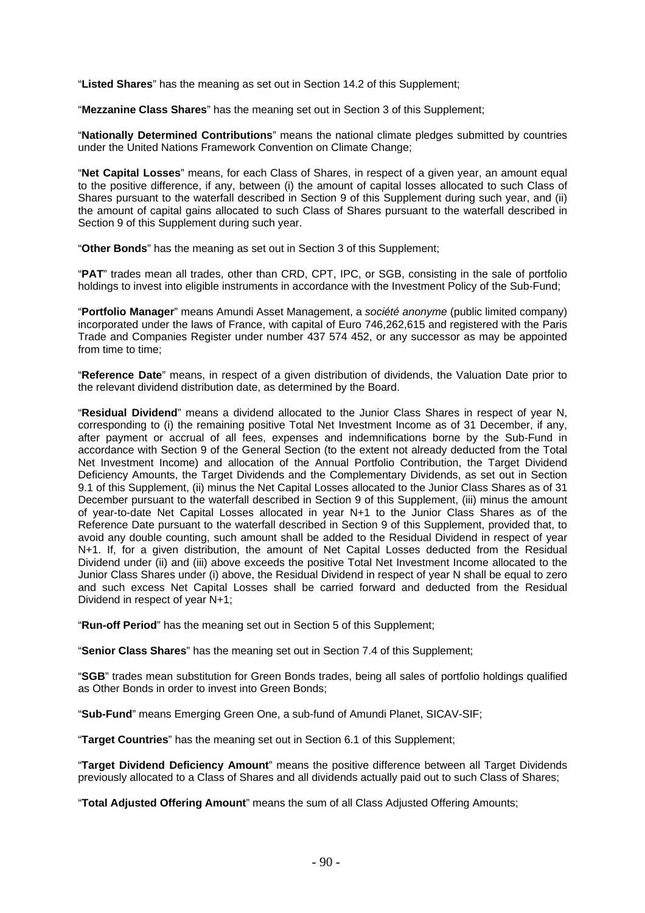"**Listed Shares**" has the meaning as set out in Section 14.2 of this Supplement;

"**Mezzanine Class Shares**" has the meaning set out in Section 3 of this Supplement;

"**Nationally Determined Contributions**" means the national climate pledges submitted by countries under the United Nations Framework Convention on Climate Change;

"**Net Capital Losses**" means, for each Class of Shares, in respect of a given year, an amount equal to the positive difference, if any, between (i) the amount of capital losses allocated to such Class of Shares pursuant to the waterfall described in Section 9 of this Supplement during such year, and (ii) the amount of capital gains allocated to such Class of Shares pursuant to the waterfall described in Section 9 of this Supplement during such year.

"**Other Bonds**" has the meaning as set out in Section 3 of this Supplement;

"**PAT**" trades mean all trades, other than CRD, CPT, IPC, or SGB, consisting in the sale of portfolio holdings to invest into eligible instruments in accordance with the Investment Policy of the Sub-Fund;

"**Portfolio Manager**" means Amundi Asset Management, a *société anonyme* (public limited company) incorporated under the laws of France, with capital of Euro 746,262,615 and registered with the Paris Trade and Companies Register under number 437 574 452, or any successor as may be appointed from time to time;

"**Reference Date**" means, in respect of a given distribution of dividends, the Valuation Date prior to the relevant dividend distribution date, as determined by the Board.

"**Residual Dividend**" means a dividend allocated to the Junior Class Shares in respect of year N, corresponding to (i) the remaining positive Total Net Investment Income as of 31 December, if any, after payment or accrual of all fees, expenses and indemnifications borne by the Sub-Fund in accordance with Section 9 of the General Section (to the extent not already deducted from the Total Net Investment Income) and allocation of the Annual Portfolio Contribution, the Target Dividend Deficiency Amounts, the Target Dividends and the Complementary Dividends, as set out in Section 9.1 of this Supplement, (ii) minus the Net Capital Losses allocated to the Junior Class Shares as of 31 December pursuant to the waterfall described in Section 9 of this Supplement, (iii) minus the amount of year-to-date Net Capital Losses allocated in year N+1 to the Junior Class Shares as of the Reference Date pursuant to the waterfall described in Section 9 of this Supplement, provided that, to avoid any double counting, such amount shall be added to the Residual Dividend in respect of year N+1. If, for a given distribution, the amount of Net Capital Losses deducted from the Residual Dividend under (ii) and (iii) above exceeds the positive Total Net Investment Income allocated to the Junior Class Shares under (i) above, the Residual Dividend in respect of year N shall be equal to zero and such excess Net Capital Losses shall be carried forward and deducted from the Residual Dividend in respect of year N+1;

"**Run-off Period**" has the meaning set out in Section 5 of this Supplement;

"**Senior Class Shares**" has the meaning set out in Section 7.4 of this Supplement;

"**SGB**" trades mean substitution for Green Bonds trades, being all sales of portfolio holdings qualified as Other Bonds in order to invest into Green Bonds;

"**Sub-Fund**" means Emerging Green One, a sub-fund of Amundi Planet, SICAV-SIF;

"**Target Countries**" has the meaning set out in Section 6.1 of this Supplement;

"**Target Dividend Deficiency Amount**" means the positive difference between all Target Dividends previously allocated to a Class of Shares and all dividends actually paid out to such Class of Shares;

"**Total Adjusted Offering Amount**" means the sum of all Class Adjusted Offering Amounts;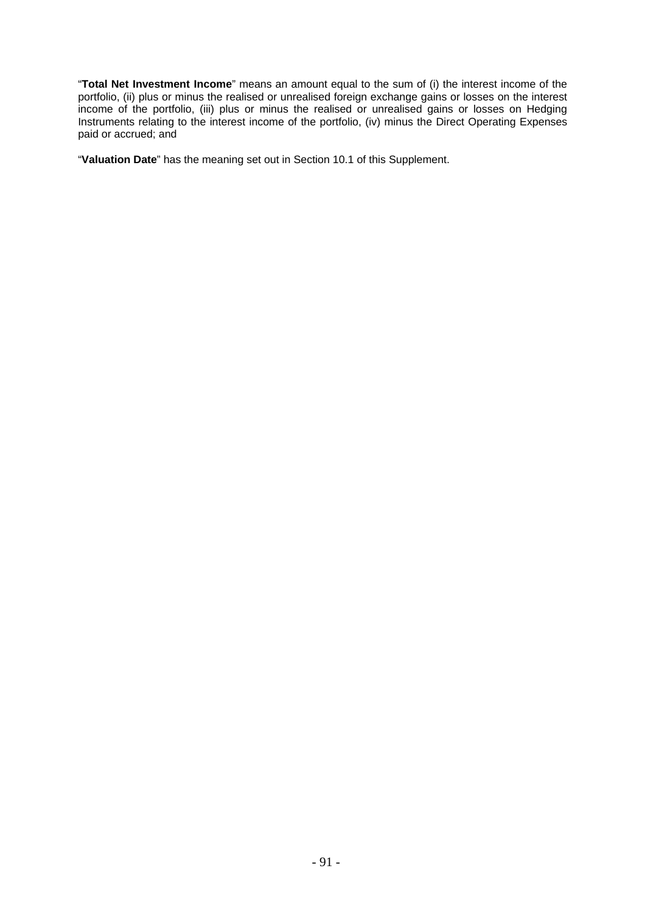"**Total Net Investment Income**" means an amount equal to the sum of (i) the interest income of the portfolio, (ii) plus or minus the realised or unrealised foreign exchange gains or losses on the interest income of the portfolio, (iii) plus or minus the realised or unrealised gains or losses on Hedging Instruments relating to the interest income of the portfolio, (iv) minus the Direct Operating Expenses paid or accrued; and

"**Valuation Date**" has the meaning set out in Section 10.1 of this Supplement.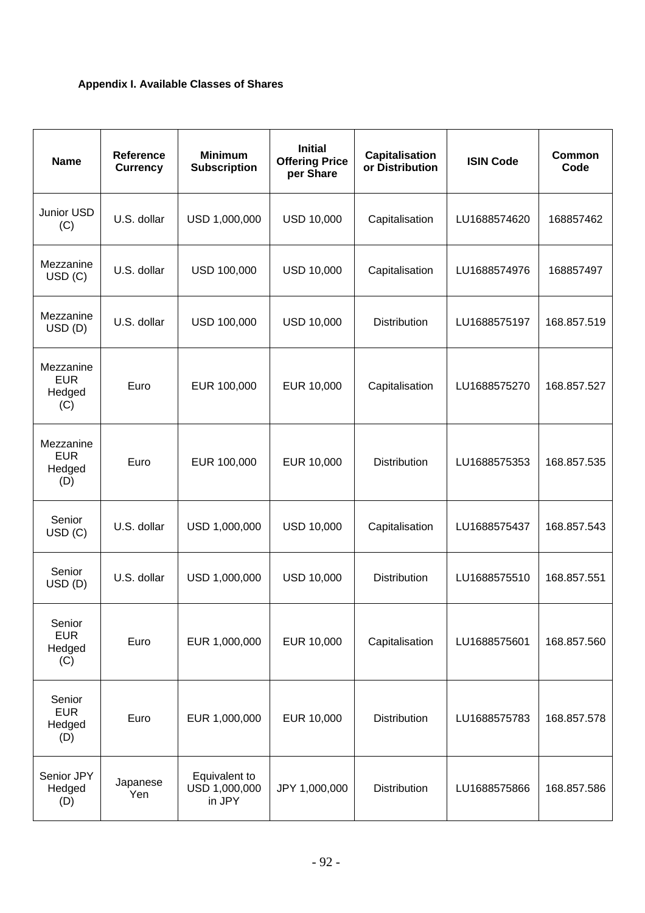# **Appendix I. Available Classes of Shares**

| <b>Name</b>                              | <b>Reference</b><br><b>Currency</b> | <b>Minimum</b><br><b>Subscription</b>    | <b>Initial</b><br><b>Offering Price</b><br>per Share | <b>Capitalisation</b><br>or Distribution | <b>ISIN Code</b> | <b>Common</b><br>Code |
|------------------------------------------|-------------------------------------|------------------------------------------|------------------------------------------------------|------------------------------------------|------------------|-----------------------|
| Junior USD<br>(C)                        | U.S. dollar                         | USD 1,000,000                            | <b>USD 10,000</b>                                    | Capitalisation                           | LU1688574620     | 168857462             |
| Mezzanine<br>USD (C)                     | U.S. dollar                         | USD 100,000                              | <b>USD 10,000</b>                                    | Capitalisation                           | LU1688574976     | 168857497             |
| Mezzanine<br>USD(D)                      | U.S. dollar                         | USD 100,000                              | <b>USD 10,000</b>                                    | <b>Distribution</b>                      | LU1688575197     | 168.857.519           |
| Mezzanine<br><b>EUR</b><br>Hedged<br>(C) | Euro                                | EUR 100,000                              | EUR 10,000                                           | Capitalisation                           | LU1688575270     | 168.857.527           |
| Mezzanine<br><b>EUR</b><br>Hedged<br>(D) | Euro                                | EUR 100,000                              | EUR 10,000                                           | <b>Distribution</b>                      | LU1688575353     | 168.857.535           |
| Senior<br>USD (C)                        | U.S. dollar                         | USD 1,000,000                            | <b>USD 10,000</b>                                    | Capitalisation                           | LU1688575437     | 168.857.543           |
| Senior<br>USD(D)                         | U.S. dollar                         | USD 1,000,000                            | <b>USD 10,000</b>                                    | Distribution                             | LU1688575510     | 168.857.551           |
| Senior<br><b>EUR</b><br>Hedged<br>(C)    | Euro                                | EUR 1,000,000                            | EUR 10,000                                           | Capitalisation                           | LU1688575601     | 168.857.560           |
| Senior<br><b>EUR</b><br>Hedged<br>(D)    | Euro                                | EUR 1,000,000                            | EUR 10,000                                           | <b>Distribution</b>                      | LU1688575783     | 168.857.578           |
| Senior JPY<br>Hedged<br>(D)              | Japanese<br>Yen                     | Equivalent to<br>USD 1,000,000<br>in JPY | JPY 1,000,000                                        | <b>Distribution</b>                      | LU1688575866     | 168.857.586           |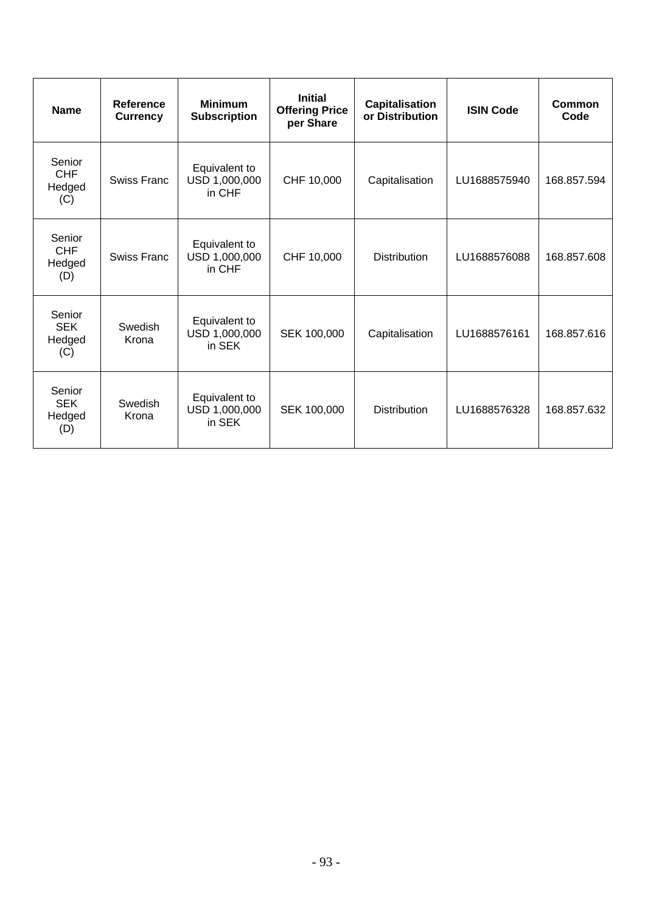| <b>Name</b>                           | <b>Reference</b><br><b>Currency</b> | <b>Minimum</b><br><b>Subscription</b>    | <b>Initial</b><br><b>Offering Price</b><br>per Share | Capitalisation<br>or Distribution | <b>ISIN Code</b> | <b>Common</b><br>Code |
|---------------------------------------|-------------------------------------|------------------------------------------|------------------------------------------------------|-----------------------------------|------------------|-----------------------|
| Senior<br><b>CHF</b><br>Hedged<br>(C) | Swiss Franc                         | Equivalent to<br>USD 1,000,000<br>in CHF | CHF 10,000                                           | Capitalisation                    | LU1688575940     | 168.857.594           |
| Senior<br><b>CHF</b><br>Hedged<br>(D) | <b>Swiss Franc</b>                  | Equivalent to<br>USD 1,000,000<br>in CHF | CHF 10,000                                           | <b>Distribution</b>               | LU1688576088     | 168.857.608           |
| Senior<br><b>SEK</b><br>Hedged<br>(C) | Swedish<br>Krona                    | Equivalent to<br>USD 1,000,000<br>in SEK | SEK 100,000                                          | Capitalisation                    | LU1688576161     | 168.857.616           |
| Senior<br><b>SEK</b><br>Hedged<br>(D) | Swedish<br>Krona                    | Equivalent to<br>USD 1,000,000<br>in SEK | SEK 100,000                                          | <b>Distribution</b>               | LU1688576328     | 168.857.632           |